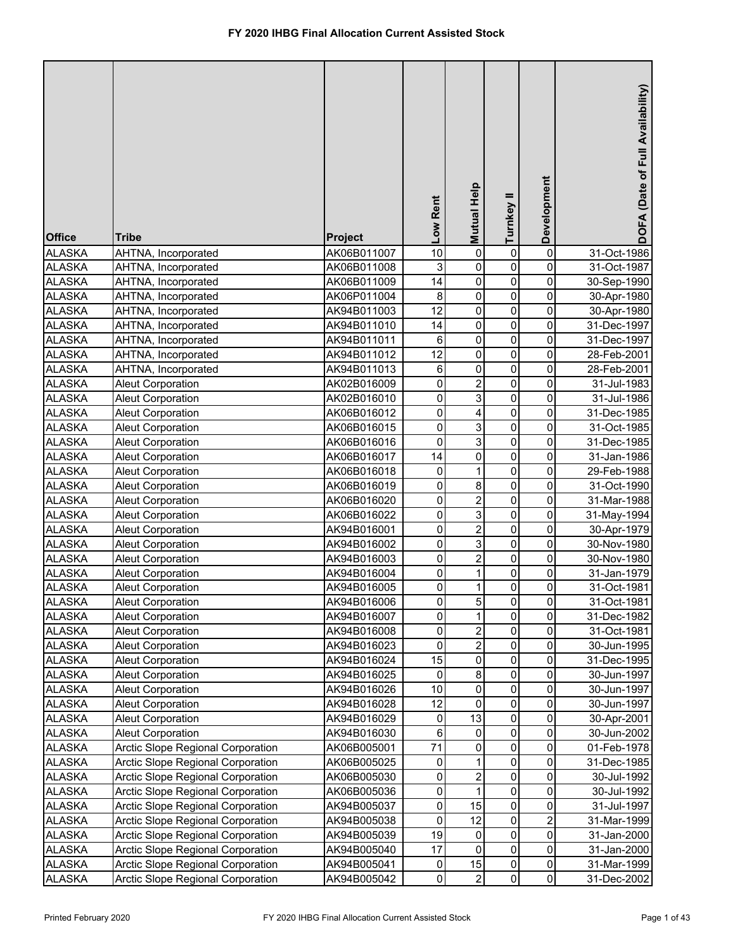| <b>Office</b> | <b>Tribe</b>                      | Project     | Low Rent        | Mutual Help             | Turnkey II  | Development             | DOFA (Date of Full Availability) |
|---------------|-----------------------------------|-------------|-----------------|-------------------------|-------------|-------------------------|----------------------------------|
| <b>ALASKA</b> | AHTNA, Incorporated               | AK06B011007 | 10              | $\pmb{0}$               | 0           | 0                       | 31-Oct-1986                      |
| <b>ALASKA</b> | AHTNA, Incorporated               | AK06B011008 | 3               | $\pmb{0}$               | 0           | 0                       | 31-Oct-1987                      |
| <b>ALASKA</b> | AHTNA, Incorporated               | AK06B011009 | 14              | $\pmb{0}$               | 0           | 0                       | 30-Sep-1990                      |
| <b>ALASKA</b> | AHTNA, Incorporated               | AK06P011004 | 8               | $\overline{0}$          | 0           | $\overline{0}$          | 30-Apr-1980                      |
| <b>ALASKA</b> | AHTNA, Incorporated               | AK94B011003 | $\overline{12}$ | $\pmb{0}$               | $\pmb{0}$   | 0                       | 30-Apr-1980                      |
| <b>ALASKA</b> | AHTNA, Incorporated               | AK94B011010 | 14              | $\pmb{0}$               | $\pmb{0}$   | 0                       | 31-Dec-1997                      |
| <b>ALASKA</b> | AHTNA, Incorporated               | AK94B011011 | 6               | $\overline{0}$          | $\pmb{0}$   | 0                       | 31-Dec-1997                      |
| <b>ALASKA</b> | AHTNA, Incorporated               | AK94B011012 | $\overline{12}$ | $\overline{0}$          | $\pmb{0}$   | 0                       | 28-Feb-2001                      |
| <b>ALASKA</b> | AHTNA, Incorporated               | AK94B011013 | 6               | $\pmb{0}$               | 0           | 0                       | 28-Feb-2001                      |
| <b>ALASKA</b> | <b>Aleut Corporation</b>          | AK02B016009 | $\pmb{0}$       | $\overline{\mathbf{c}}$ | 0           | 0                       | 31-Jul-1983                      |
| <b>ALASKA</b> | <b>Aleut Corporation</b>          | AK02B016010 | $\pmb{0}$       | 3                       | 0           | 0                       | 31-Jul-1986                      |
| <b>ALASKA</b> | <b>Aleut Corporation</b>          | AK06B016012 | $\pmb{0}$       | 4                       | $\pmb{0}$   | 0                       | 31-Dec-1985                      |
| <b>ALASKA</b> | <b>Aleut Corporation</b>          | AK06B016015 | $\pmb{0}$       | 3                       | 0           | 0                       | 31-Oct-1985                      |
| <b>ALASKA</b> | <b>Aleut Corporation</b>          | AK06B016016 | $\pmb{0}$       | $\overline{3}$          | $\pmb{0}$   | 0                       | 31-Dec-1985                      |
| <b>ALASKA</b> | <b>Aleut Corporation</b>          | AK06B016017 | 14              | $\mathsf 0$             | $\mathbf 0$ | 0                       | 31-Jan-1986                      |
| <b>ALASKA</b> | <b>Aleut Corporation</b>          | AK06B016018 | 0               | 1                       | $\mathbf 0$ | 0                       | 29-Feb-1988                      |
| <b>ALASKA</b> | <b>Aleut Corporation</b>          | AK06B016019 | $\pmb{0}$       | $\overline{8}$          | $\pmb{0}$   | 0                       | 31-Oct-1990                      |
| <b>ALASKA</b> | <b>Aleut Corporation</b>          | AK06B016020 | $\pmb{0}$       | $\overline{2}$          | $\pmb{0}$   | 0                       | 31-Mar-1988                      |
| <b>ALASKA</b> | <b>Aleut Corporation</b>          | AK06B016022 | $\mathbf 0$     | $\overline{3}$          | $\mathbf 0$ | 0                       | 31-May-1994                      |
| <b>ALASKA</b> | <b>Aleut Corporation</b>          | AK94B016001 | $\pmb{0}$       | $\overline{c}$          | $\mathbf 0$ | 0                       | 30-Apr-1979                      |
| <b>ALASKA</b> | <b>Aleut Corporation</b>          | AK94B016002 | $\pmb{0}$       | 3                       | $\mathbf 0$ | 0                       | 30-Nov-1980                      |
| <b>ALASKA</b> | Aleut Corporation                 | AK94B016003 | $\mathsf 0$     | $\overline{c}$          | $\mathbf 0$ | 0                       | 30-Nov-1980                      |
| <b>ALASKA</b> | <b>Aleut Corporation</b>          | AK94B016004 | 0               | 1                       | 0           | 0                       | 31-Jan-1979                      |
| <b>ALASKA</b> | <b>Aleut Corporation</b>          | AK94B016005 | 0               | 1                       | 0           | 0                       | 31-Oct-1981                      |
| <b>ALASKA</b> | <b>Aleut Corporation</b>          | AK94B016006 | 0               | 5                       | $\Omega$    | $\pmb{0}$               | 31-Oct-1981                      |
| <b>ALASKA</b> | <b>Aleut Corporation</b>          | AK94B016007 | $\mathbf 0$     | 1                       | 0           | 0                       | 31-Dec-1982                      |
| <b>ALASKA</b> | Aleut Corporation                 | AK94B016008 | $\pmb{0}$       | $\overline{\mathbf{c}}$ | 0           | 0                       | 31-Oct-1981                      |
| <b>ALASKA</b> | Aleut Corporation                 | AK94B016023 | $\mathbf 0$     | $\overline{c}$          | 0           | 0                       | 30-Jun-1995                      |
| <b>ALASKA</b> | <b>Aleut Corporation</b>          | AK94B016024 | 15              | 0                       | 0           | 0                       | 31-Dec-1995                      |
| <b>ALASKA</b> | <b>Aleut Corporation</b>          | AK94B016025 | 0               | 8                       | 0           | 0                       | 30-Jun-1997                      |
| <b>ALASKA</b> | <b>Aleut Corporation</b>          | AK94B016026 | 10              | 0                       | 0           | 0                       | 30-Jun-1997                      |
| <b>ALASKA</b> | <b>Aleut Corporation</b>          | AK94B016028 | 12              | 0                       | 0           | 0                       | 30-Jun-1997                      |
| <b>ALASKA</b> | <b>Aleut Corporation</b>          | AK94B016029 | 0               | 13                      | 0           | 0                       | 30-Apr-2001                      |
| <b>ALASKA</b> | <b>Aleut Corporation</b>          | AK94B016030 | 6               | 0                       | 0           | 0                       | 30-Jun-2002                      |
| <b>ALASKA</b> | Arctic Slope Regional Corporation | AK06B005001 | 71              | 0                       | 0           | 0                       | 01-Feb-1978                      |
| <b>ALASKA</b> | Arctic Slope Regional Corporation | AK06B005025 | 0               | 1                       | 0           | $\pmb{0}$               | 31-Dec-1985                      |
| <b>ALASKA</b> | Arctic Slope Regional Corporation | AK06B005030 | 0               | 2                       | 0           | 0                       | 30-Jul-1992                      |
| <b>ALASKA</b> | Arctic Slope Regional Corporation | AK06B005036 | 0               | 1                       | 0           | 0                       | 30-Jul-1992                      |
| <b>ALASKA</b> | Arctic Slope Regional Corporation | AK94B005037 | 0               | 15                      | 0           | 0                       | 31-Jul-1997                      |
| <b>ALASKA</b> | Arctic Slope Regional Corporation | AK94B005038 | $\mathbf 0$     | 12                      | 0           | $\overline{2}$          | 31-Mar-1999                      |
| <b>ALASKA</b> | Arctic Slope Regional Corporation | AK94B005039 | 19              | 0                       | 0           | 0                       | 31-Jan-2000                      |
| <b>ALASKA</b> | Arctic Slope Regional Corporation | AK94B005040 | 17              | 0                       | 0           | $\overline{\mathsf{o}}$ | 31-Jan-2000                      |
| <b>ALASKA</b> | Arctic Slope Regional Corporation | AK94B005041 | 0               | 15                      | 0           | $\mathbf 0$             | 31-Mar-1999                      |
| <b>ALASKA</b> | Arctic Slope Regional Corporation | AK94B005042 | $\pmb{0}$       | $\overline{2}$          | 0           | $\overline{0}$          | 31-Dec-2002                      |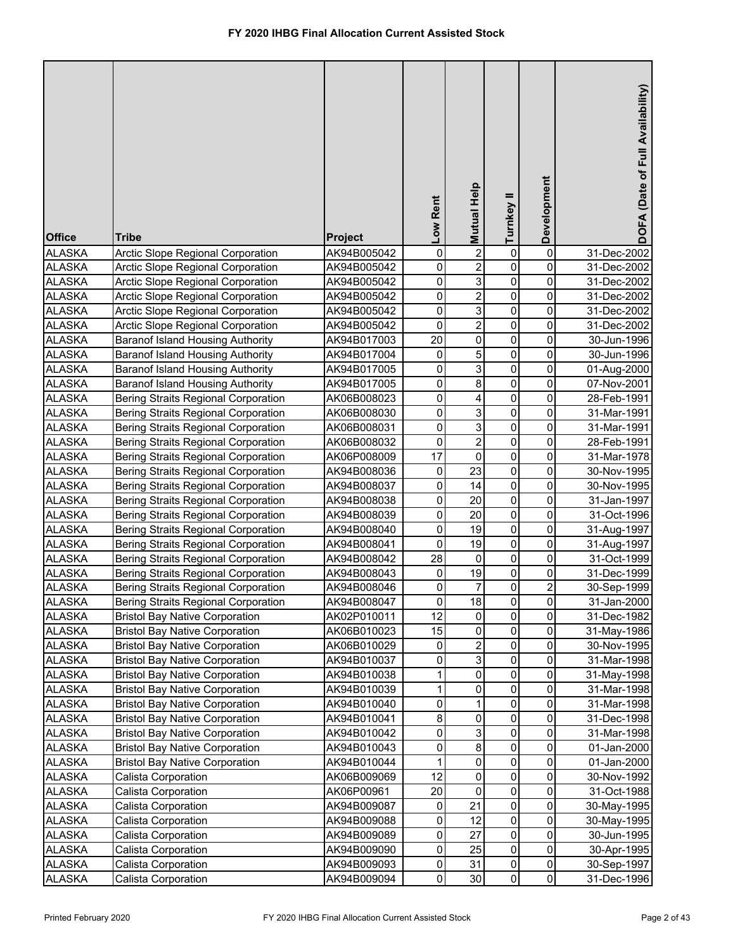| <b>Office</b>                  | <b>Tribe</b>                                                                   | <b>Project</b>             | Low Rent          | <b>Mutual Help</b>      | Turnkey II  | Development              | DOFA (Date of Full Availability) |
|--------------------------------|--------------------------------------------------------------------------------|----------------------------|-------------------|-------------------------|-------------|--------------------------|----------------------------------|
| <b>ALASKA</b>                  | Arctic Slope Regional Corporation                                              | AK94B005042                | $\mathbf 0$       | $\overline{2}$          | 0           | 0                        | 31-Dec-2002                      |
| <b>ALASKA</b>                  | Arctic Slope Regional Corporation                                              | AK94B005042                | $\mathbf 0$       | $\overline{c}$          | 0           | 0                        | 31-Dec-2002                      |
| <b>ALASKA</b>                  | Arctic Slope Regional Corporation                                              | AK94B005042                | $\mathbf 0$       | 3                       | 0           | 0                        | 31-Dec-2002                      |
| <b>ALASKA</b>                  | <b>Arctic Slope Regional Corporation</b>                                       | AK94B005042                | $\mathsf 0$       | $\overline{2}$          | 0           | 0                        | 31-Dec-2002                      |
| <b>ALASKA</b>                  | Arctic Slope Regional Corporation                                              | AK94B005042                | $\mathsf 0$       | 3                       | $\mathbf 0$ | 0                        | 31-Dec-2002                      |
| <b>ALASKA</b>                  | Arctic Slope Regional Corporation                                              | AK94B005042                | $\mathbf 0$       | $\overline{2}$          | $\mathbf 0$ | 0                        | 31-Dec-2002                      |
| <b>ALASKA</b>                  | <b>Baranof Island Housing Authority</b>                                        | AK94B017003                | 20                | $\overline{0}$          | 0           | 0                        | 30-Jun-1996                      |
| <b>ALASKA</b>                  | <b>Baranof Island Housing Authority</b>                                        | AK94B017004                | 0                 | 5                       | 0           | 0                        | 30-Jun-1996                      |
| <b>ALASKA</b>                  | <b>Baranof Island Housing Authority</b>                                        | AK94B017005                | $\mathbf 0$       | 3                       | 0           | 0                        | 01-Aug-2000                      |
| <b>ALASKA</b>                  | <b>Baranof Island Housing Authority</b>                                        | AK94B017005                | $\pmb{0}$         | 8                       | 0           | 0                        | 07-Nov-2001                      |
| <b>ALASKA</b>                  | <b>Bering Straits Regional Corporation</b>                                     | AK06B008023                | $\pmb{0}$         | 4                       | 0           | 0                        | 28-Feb-1991                      |
| <b>ALASKA</b>                  | Bering Straits Regional Corporation                                            | AK06B008030                | $\pmb{0}$         | 3                       | 0           | 0                        | 31-Mar-1991                      |
| <b>ALASKA</b>                  | Bering Straits Regional Corporation                                            | AK06B008031                | $\pmb{0}$         | 3                       | 0           | 0                        | 31-Mar-1991                      |
| <b>ALASKA</b>                  | Bering Straits Regional Corporation                                            | AK06B008032                | $\pmb{0}$         | $\overline{2}$          | $\pmb{0}$   | 0                        | 28-Feb-1991                      |
| <b>ALASKA</b>                  | Bering Straits Regional Corporation                                            | AK06P008009                | 17                | $\mathsf 0$             | 0           | 0                        | 31-Mar-1978                      |
| <b>ALASKA</b>                  | Bering Straits Regional Corporation                                            | AK94B008036                | 0                 | 23                      | $\pmb{0}$   | 0                        | 30-Nov-1995                      |
| <b>ALASKA</b>                  | Bering Straits Regional Corporation                                            | AK94B008037                | $\mathbf 0$       | 14                      | $\pmb{0}$   | 0                        | 30-Nov-1995                      |
| <b>ALASKA</b>                  | Bering Straits Regional Corporation                                            | AK94B008038                | $\mathbf 0$       | 20                      | $\pmb{0}$   | 0                        | 31-Jan-1997                      |
| <b>ALASKA</b>                  | Bering Straits Regional Corporation                                            | AK94B008039                | $\mathbf 0$       | 20                      | $\mathbf 0$ | 0                        | 31-Oct-1996                      |
| <b>ALASKA</b>                  | Bering Straits Regional Corporation                                            | AK94B008040                | $\pmb{0}$         | 19                      | $\pmb{0}$   | 0                        | 31-Aug-1997                      |
| <b>ALASKA</b>                  | Bering Straits Regional Corporation                                            | AK94B008041                | $\mathbf 0$       | 19                      | $\mathbf 0$ | 0                        | 31-Aug-1997                      |
| <b>ALASKA</b>                  | Bering Straits Regional Corporation                                            | AK94B008042                | 28                | 0                       | $\mathbf 0$ | 0                        | 31-Oct-1999                      |
| <b>ALASKA</b>                  | Bering Straits Regional Corporation                                            | AK94B008043                | 0                 | 19                      | 0           | 0                        | 31-Dec-1999                      |
| <b>ALASKA</b>                  | Bering Straits Regional Corporation                                            | AK94B008046                | $\mathbf 0$       | 7                       | 0           | $\overline{\mathbf{c}}$  | 30-Sep-1999                      |
| <b>ALASKA</b>                  | Bering Straits Regional Corporation                                            | AK94B008047                | $\pmb{0}$         | 18                      | 0           | $\pmb{0}$                | 31-Jan-2000                      |
| <b>ALASKA</b>                  | <b>Bristol Bay Native Corporation</b>                                          | AK02P010011                | $\overline{12}$   | $\mathbf 0$             | 0           | 0                        | 31-Dec-1982                      |
| <b>ALASKA</b>                  | <b>Bristol Bay Native Corporation</b>                                          | AK06B010023                | 15                | $\pmb{0}$               | 0           | 0                        | 31-May-1986                      |
| <b>ALASKA</b>                  | <b>Bristol Bay Native Corporation</b>                                          | AK06B010029                | 0                 | $\overline{\mathbf{c}}$ | 0           | 0                        | 30-Nov-1995                      |
| <b>ALASKA</b>                  | <b>Bristol Bay Native Corporation</b>                                          | AK94B010037                | $\mathsf 0$       | 3                       | 0           | 0                        | 31-Mar-1998                      |
| <b>ALASKA</b>                  | <b>Bristol Bay Native Corporation</b>                                          | AK94B010038                | $\mathbf{1}$      | $\pmb{0}$               | 0           | 0                        | 31-May-1998                      |
| <b>ALASKA</b>                  | <b>Bristol Bay Native Corporation</b>                                          | AK94B010039                | $\mathbf{1}$      | 0                       | 0           | 0                        | 31-Mar-1998                      |
| <b>ALASKA</b>                  | <b>Bristol Bay Native Corporation</b>                                          | AK94B010040                | 0                 | 1                       | 0           | 0                        | 31-Mar-1998                      |
| <b>ALASKA</b>                  | <b>Bristol Bay Native Corporation</b>                                          | AK94B010041                | 8                 | $\pmb{0}$               | 0           | 0                        | 31-Dec-1998                      |
| <b>ALASKA</b>                  | <b>Bristol Bay Native Corporation</b>                                          | AK94B010042                | 0                 | 3<br>8                  | 0           | 0<br>$\mathsf{O}\xspace$ | 31-Mar-1998                      |
| <b>ALASKA</b><br><b>ALASKA</b> | <b>Bristol Bay Native Corporation</b><br><b>Bristol Bay Native Corporation</b> | AK94B010043<br>AK94B010044 | 0<br>$\mathbf{1}$ | $\pmb{0}$               | 0<br>0      | $\mathsf{O}\xspace$      | 01-Jan-2000                      |
| <b>ALASKA</b>                  | Calista Corporation                                                            | AK06B009069                | 12                | 0                       | 0           | $\mathsf{O}\xspace$      | 01-Jan-2000<br>30-Nov-1992       |
| <b>ALASKA</b>                  | Calista Corporation                                                            | AK06P00961                 | 20                | 0                       | 0           | 0                        |                                  |
| <b>ALASKA</b>                  | Calista Corporation                                                            | AK94B009087                | 0                 | 21                      | 0           | 0                        | 31-Oct-1988<br>30-May-1995       |
| <b>ALASKA</b>                  | Calista Corporation                                                            | AK94B009088                | $\pmb{0}$         | 12                      | 0           | 0                        | 30-May-1995                      |
| <b>ALASKA</b>                  | Calista Corporation                                                            | AK94B009089                | 0                 | 27                      | 0           | 0                        | 30-Jun-1995                      |
| <b>ALASKA</b>                  | Calista Corporation                                                            | AK94B009090                | $\mathsf 0$       | 25                      | 0           | $\mathsf{O}\xspace$      | 30-Apr-1995                      |
| <b>ALASKA</b>                  | Calista Corporation                                                            | AK94B009093                | 0                 | 31                      | 0           | $\mathbf 0$              | 30-Sep-1997                      |
| <b>ALASKA</b>                  | Calista Corporation                                                            | AK94B009094                | 0                 | 30                      | 0           | $\overline{0}$           | 31-Dec-1996                      |
|                                |                                                                                |                            |                   |                         |             |                          |                                  |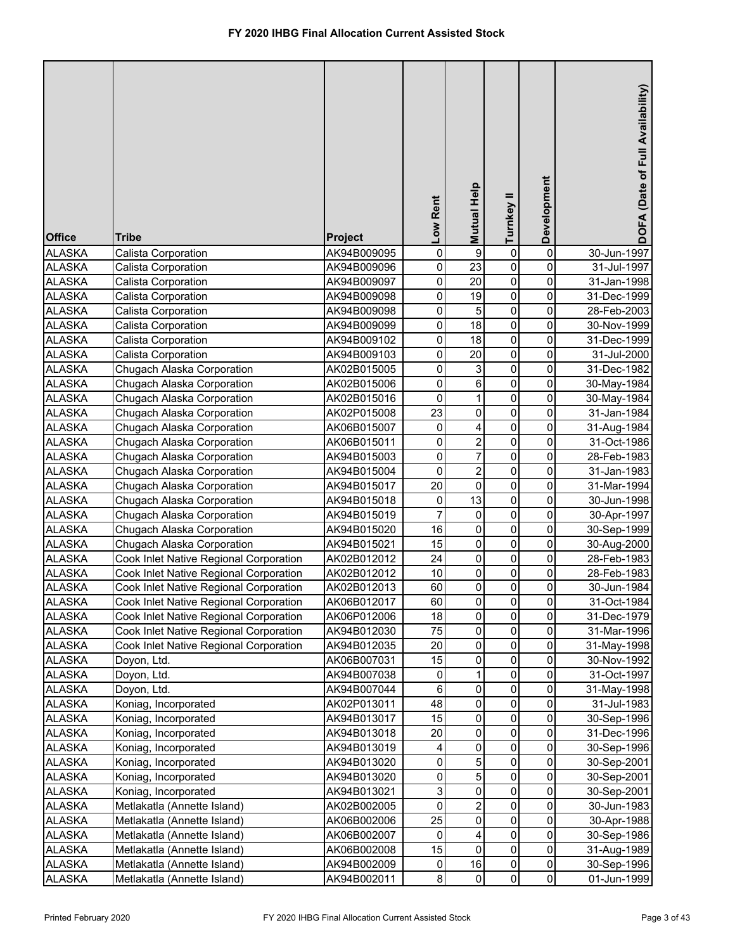| <b>Office</b>                  | <b>Tribe</b>                                 | <b>Project</b>             | Low Rent       | <b>Mutual Help</b> | Turnkey II   | Development         | DOFA (Date of Full Availability) |
|--------------------------------|----------------------------------------------|----------------------------|----------------|--------------------|--------------|---------------------|----------------------------------|
| <b>ALASKA</b>                  | Calista Corporation                          | AK94B009095                | 0              | 9                  | 0            | $\pmb{0}$           | 30-Jun-1997                      |
| <b>ALASKA</b>                  | Calista Corporation                          | AK94B009096                | 0              | 23                 | 0            | 0                   | 31-Jul-1997                      |
| <b>ALASKA</b>                  | Calista Corporation                          | AK94B009097                | 0              | 20                 | 0            | 0                   | 31-Jan-1998                      |
| <b>ALASKA</b>                  | Calista Corporation                          | AK94B009098                | 0              | $\overline{19}$    | $\pmb{0}$    | 0                   | 31-Dec-1999                      |
| <b>ALASKA</b>                  | Calista Corporation                          | AK94B009098                | 0              | 5                  | $\pmb{0}$    | 0                   | 28-Feb-2003                      |
| <b>ALASKA</b>                  | Calista Corporation                          | AK94B009099                | 0              | 18                 | $\pmb{0}$    | 0                   | 30-Nov-1999                      |
| <b>ALASKA</b>                  | Calista Corporation                          | AK94B009102                | 0              | 18                 | $\pmb{0}$    | 0                   | 31-Dec-1999                      |
| <b>ALASKA</b>                  | Calista Corporation                          | AK94B009103                | 0              | $\overline{20}$    | $\pmb{0}$    | 0                   | 31-Jul-2000                      |
| <b>ALASKA</b>                  | Chugach Alaska Corporation                   | AK02B015005                | 0              | 3                  | $\pmb{0}$    | 0                   | 31-Dec-1982                      |
| <b>ALASKA</b>                  | Chugach Alaska Corporation                   | AK02B015006                | 0              | 6                  | $\pmb{0}$    | 0                   | 30-May-1984                      |
| <b>ALASKA</b>                  | Chugach Alaska Corporation                   | AK02B015016                | $\pmb{0}$      | $\mathbf{1}$       | $\mathbf 0$  | 0                   | 30-May-1984                      |
| <b>ALASKA</b>                  | Chugach Alaska Corporation                   | AK02P015008                | 23             | 0                  | $\pmb{0}$    | 0                   | 31-Jan-1984                      |
| <b>ALASKA</b>                  | Chugach Alaska Corporation                   | AK06B015007                | 0              | 4                  | $\pmb{0}$    | 0                   | 31-Aug-1984                      |
| <b>ALASKA</b>                  | Chugach Alaska Corporation                   | AK06B015011                | 0              | $\overline{2}$     | $\pmb{0}$    | 0                   | 31-Oct-1986                      |
| <b>ALASKA</b>                  | Chugach Alaska Corporation                   | AK94B015003                | 0              | 7                  | $\mathbf 0$  | 0                   | 28-Feb-1983                      |
| <b>ALASKA</b>                  | Chugach Alaska Corporation                   | AK94B015004                | 0              | $\overline{2}$     | $\pmb{0}$    | 0                   | 31-Jan-1983                      |
| <b>ALASKA</b>                  | Chugach Alaska Corporation                   | AK94B015017                | 20             | $\overline{0}$     | $\pmb{0}$    | 0                   | 31-Mar-1994                      |
| <b>ALASKA</b>                  | Chugach Alaska Corporation                   | AK94B015018                | $\pmb{0}$      | 13                 | $\pmb{0}$    | 0                   | 30-Jun-1998                      |
| <b>ALASKA</b>                  | Chugach Alaska Corporation                   | AK94B015019                | $\overline{7}$ | 0                  | $\pmb{0}$    | 0                   | 30-Apr-1997                      |
| <b>ALASKA</b>                  | Chugach Alaska Corporation                   | AK94B015020                | 16             | 0                  | $\mathbf 0$  | 0                   | 30-Sep-1999                      |
| <b>ALASKA</b>                  | Chugach Alaska Corporation                   | AK94B015021                | 15             | 0                  | $\mathbf 0$  | 0                   | 30-Aug-2000                      |
| <b>ALASKA</b>                  | Cook Inlet Native Regional Corporation       | AK02B012012                | 24             | 0                  | $\mathbf 0$  | 0                   | 28-Feb-1983                      |
| <b>ALASKA</b>                  | Cook Inlet Native Regional Corporation       | AK02B012012                | 10             | 0                  | 0            | 0                   | 28-Feb-1983                      |
| <b>ALASKA</b>                  | Cook Inlet Native Regional Corporation       | AK02B012013                | 60             | 0                  | $\pmb{0}$    | 0                   | 30-Jun-1984                      |
| <b>ALASKA</b>                  | Cook Inlet Native Regional Corporation       | AK06B012017                | 60             | $\mathbf{0}$       | 0            | $\pmb{0}$           | 31-Oct-1984                      |
| <b>ALASKA</b>                  | Cook Inlet Native Regional Corporation       | AK06P012006                | 18             | $\mathbf 0$        | 0            | 0                   | 31-Dec-1979                      |
| <b>ALASKA</b>                  | Cook Inlet Native Regional Corporation       | AK94B012030                | 75             | $\pmb{0}$          | 0            | 0                   | 31-Mar-1996                      |
| <b>ALASKA</b>                  | Cook Inlet Native Regional Corporation       | AK94B012035                | 20             | 0                  | 0            | 0                   | 31-May-1998                      |
| <b>ALASKA</b>                  | Doyon, Ltd.                                  | AK06B007031                | 15             | 0                  | 0            | 0                   | 30-Nov-1992                      |
| <b>ALASKA</b>                  | Doyon, Ltd.                                  | AK94B007038                | 0              | 1                  | 0            | 0                   | 31-Oct-1997                      |
| <b>ALASKA</b>                  | Doyon, Ltd.                                  | AK94B007044                | 6              | 0                  | 0            | 0                   | 31-May-1998                      |
| <b>ALASKA</b>                  | Koniag, Incorporated                         | AK02P013011                | 48             | 0                  | 0            | 0                   | 31-Jul-1983                      |
| <b>ALASKA</b>                  | Koniag, Incorporated<br>Koniag, Incorporated | AK94B013017                | 15             | 0<br>0             | 0            | 0<br>0              | 30-Sep-1996                      |
| <b>ALASKA</b><br><b>ALASKA</b> | Koniag, Incorporated                         | AK94B013018<br>AK94B013019 | 20<br>4        | 0                  | 0<br>0       | 0                   | 31-Dec-1996<br>30-Sep-1996       |
| <b>ALASKA</b>                  | Koniag, Incorporated                         | AK94B013020                | 0              | 5                  | 0            | $\mathsf{O}\xspace$ | 30-Sep-2001                      |
| <b>ALASKA</b>                  | Koniag, Incorporated                         | AK94B013020                | 0              | 5                  | 0            | 0                   | 30-Sep-2001                      |
| <b>ALASKA</b>                  | Koniag, Incorporated                         | AK94B013021                | 3              | 0                  | 0            | 0                   | 30-Sep-2001                      |
| <b>ALASKA</b>                  | Metlakatla (Annette Island)                  | AK02B002005                | 0              | $\overline{2}$     | 0            | 0                   | 30-Jun-1983                      |
| <b>ALASKA</b>                  | Metlakatla (Annette Island)                  | AK06B002006                | 25             | 0                  | 0            | 0                   | 30-Apr-1988                      |
| <b>ALASKA</b>                  | Metlakatla (Annette Island)                  | AK06B002007                | 0              | 4                  | 0            | 0                   | 30-Sep-1986                      |
| <b>ALASKA</b>                  | Metlakatla (Annette Island)                  | AK06B002008                | 15             | 0                  | $\mathbf 0$  | 0                   | 31-Aug-1989                      |
| <b>ALASKA</b>                  | Metlakatla (Annette Island)                  | AK94B002009                | 0              | 16                 | 0            | $\mathsf{O}\xspace$ | 30-Sep-1996                      |
| <b>ALASKA</b>                  | Metlakatla (Annette Island)                  | AK94B002011                | 8              | 0                  | $\mathbf{0}$ | $\mathsf{O}\xspace$ | 01-Jun-1999                      |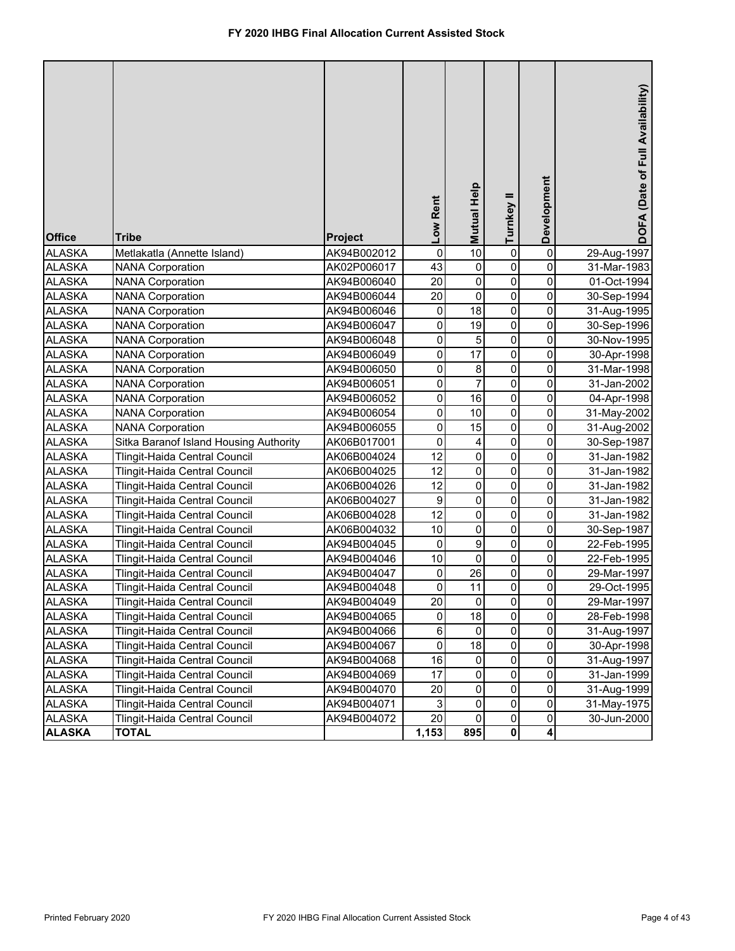| <b>Office</b>                  | <b>Tribe</b>                                                   | Project                    | Low Rent               | Mutual Help          | Turnkey II                    | Development              | DOFA (Date of Full Availability) |
|--------------------------------|----------------------------------------------------------------|----------------------------|------------------------|----------------------|-------------------------------|--------------------------|----------------------------------|
| <b>ALASKA</b>                  | Metlakatla (Annette Island)                                    | AK94B002012                | $\pmb{0}$              | $\overline{10}$      | 0                             | $\pmb{0}$                | 29-Aug-1997                      |
| <b>ALASKA</b>                  | <b>NANA Corporation</b>                                        | AK02P006017                | 43                     | $\pmb{0}$            | 0                             | 0                        | 31-Mar-1983                      |
| <b>ALASKA</b>                  | <b>NANA Corporation</b>                                        | AK94B006040                | 20                     | $\pmb{0}$            | 0                             | 0                        | 01-Oct-1994                      |
| <b>ALASKA</b>                  | <b>NANA Corporation</b>                                        | AK94B006044                | 20                     | $\overline{0}$       | 0                             | $\mathsf 0$              | 30-Sep-1994                      |
| <b>ALASKA</b>                  | <b>NANA Corporation</b>                                        | AK94B006046                | 0                      | 18                   | 0                             | 0                        | 31-Aug-1995                      |
| <b>ALASKA</b>                  | <b>NANA Corporation</b>                                        | AK94B006047                | $\pmb{0}$              | 19                   | $\mathbf 0$                   | 0                        | 30-Sep-1996                      |
| <b>ALASKA</b>                  | <b>NANA Corporation</b>                                        | AK94B006048                | 0                      | $\mathbf 5$          | 0                             | 0                        | 30-Nov-1995                      |
| <b>ALASKA</b>                  | <b>NANA Corporation</b>                                        | AK94B006049                | $\pmb{0}$              | $\overline{17}$      | $\pmb{0}$                     | 0                        | 30-Apr-1998                      |
| <b>ALASKA</b>                  | <b>NANA Corporation</b>                                        | AK94B006050                | $\pmb{0}$              | $\bf 8$              | 0                             | 0                        | 31-Mar-1998                      |
| <b>ALASKA</b>                  | <b>NANA Corporation</b>                                        | AK94B006051                | $\pmb{0}$<br>$\pmb{0}$ | $\overline{7}$<br>16 | 0<br>0                        | 0<br>0                   | 31-Jan-2002                      |
| <b>ALASKA</b>                  | <b>NANA Corporation</b>                                        | AK94B006052                |                        |                      |                               |                          | 04-Apr-1998                      |
| <b>ALASKA</b>                  | <b>NANA Corporation</b>                                        | AK94B006054                | $\pmb{0}$              | 10                   | $\mathbf 0$<br>$\overline{0}$ | $\pmb{0}$<br>$\mathbf 0$ | 31-May-2002                      |
| <b>ALASKA</b>                  | <b>NANA Corporation</b>                                        | AK94B006055                | $\pmb{0}$<br>$\pmb{0}$ | 15                   | $\mathbf 0$                   | $\pmb{0}$                | 31-Aug-2002                      |
| <b>ALASKA</b>                  | Sitka Baranof Island Housing Authority                         | AK06B017001                | 12                     | 4<br>$\pmb{0}$       | $\mathbf 0$                   | $\mathbf 0$              | 30-Sep-1987                      |
| <b>ALASKA</b><br><b>ALASKA</b> | Tlingit-Haida Central Council<br>Tlingit-Haida Central Council | AK06B004024<br>AK06B004025 | 12                     | $\pmb{0}$            | $\mathbf 0$                   | $\mathbf 0$              | 31-Jan-1982<br>31-Jan-1982       |
| <b>ALASKA</b>                  | Tlingit-Haida Central Council                                  | AK06B004026                | 12                     | $\pmb{0}$            | $\mathbf 0$                   | $\pmb{0}$                | 31-Jan-1982                      |
| <b>ALASKA</b>                  | Tlingit-Haida Central Council                                  | AK06B004027                | 9                      | 0                    | 0                             | $\pmb{0}$                | 31-Jan-1982                      |
| <b>ALASKA</b>                  | Tlingit-Haida Central Council                                  | AK06B004028                | 12                     | 0                    | 0                             | 0                        | 31-Jan-1982                      |
| <b>ALASKA</b>                  | Tlingit-Haida Central Council                                  | AK06B004032                | 10                     | 0                    | $\mathbf 0$                   | $\pmb{0}$                | 30-Sep-1987                      |
| <b>ALASKA</b>                  | Tlingit-Haida Central Council                                  | AK94B004045                | $\pmb{0}$              | $\boldsymbol{9}$     | 0                             | $\mathbf 0$              | 22-Feb-1995                      |
| <b>ALASKA</b>                  | Tlingit-Haida Central Council                                  | AK94B004046                | 10                     | $\pmb{0}$            | $\mathbf 0$                   | $\pmb{0}$                | 22-Feb-1995                      |
| <b>ALASKA</b>                  | Tlingit-Haida Central Council                                  | AK94B004047                | $\pmb{0}$              | 26                   | 0                             | $\pmb{0}$                | 29-Mar-1997                      |
| <b>ALASKA</b>                  | Tlingit-Haida Central Council                                  | AK94B004048                | 0                      | 11                   | 0                             | 0                        | 29-Oct-1995                      |
| <b>ALASKA</b>                  | Tlingit-Haida Central Council                                  | AK94B004049                | 20                     | $\overline{0}$       | $\Omega$                      | $\overline{0}$           | 29-Mar-1997                      |
| <b>ALASKA</b>                  | Tlingit-Haida Central Council                                  | AK94B004065                | $\pmb{0}$              | 18                   | 0                             | $\pmb{0}$                | 28-Feb-1998                      |
| <b>ALASKA</b>                  | Tlingit-Haida Central Council                                  | AK94B004066                | 6                      | 0                    | 0                             | $\pmb{0}$                | 31-Aug-1997                      |
| <b>ALASKA</b>                  | Tlingit-Haida Central Council                                  | AK94B004067                | $\pmb{0}$              | 18                   | 0                             | $\mathsf{O}\xspace$      | 30-Apr-1998                      |
| <b>ALASKA</b>                  | Tlingit-Haida Central Council                                  | AK94B004068                | 16                     | 0                    | 0                             | $\pmb{0}$                | 31-Aug-1997                      |
| <b>ALASKA</b>                  | Tlingit-Haida Central Council                                  | AK94B004069                | 17                     | $\pmb{0}$            | 0                             | $\mathsf{O}\xspace$      | 31-Jan-1999                      |
| <b>ALASKA</b>                  | Tlingit-Haida Central Council                                  | AK94B004070                | 20                     | 0                    | 0                             | $\mathsf{O}\xspace$      | 31-Aug-1999                      |
| <b>ALASKA</b>                  | Tlingit-Haida Central Council                                  | AK94B004071                | 3                      | 0                    | 0                             | $\mathsf{O}\xspace$      | 31-May-1975                      |
| <b>ALASKA</b>                  | Tlingit-Haida Central Council                                  | AK94B004072                | 20                     | $\mathbf 0$          | 0                             | 0                        | 30-Jun-2000                      |
| <b>ALASKA</b>                  | <b>TOTAL</b>                                                   |                            | 1,153                  | 895                  | $\mathbf 0$                   | $\overline{\mathbf{4}}$  |                                  |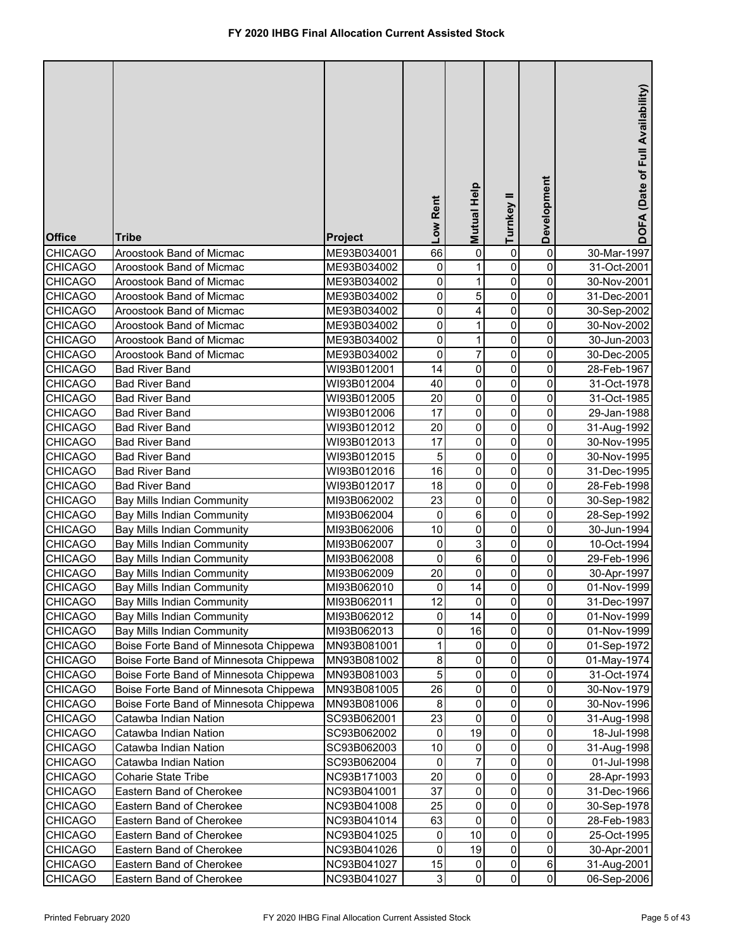| <b>Office</b>  | <b>Tribe</b>                           | <b>Project</b> | Low Rent     | Mutual Help | Turnkey II     | Development         | DOFA (Date of Full Availability) |
|----------------|----------------------------------------|----------------|--------------|-------------|----------------|---------------------|----------------------------------|
| CHICAGO        | Aroostook Band of Micmac               | ME93B034001    | 66           | 0           | 0              | 0                   | 30-Mar-1997                      |
| <b>CHICAGO</b> | Aroostook Band of Micmac               | ME93B034002    | 0            | 1           | 0              | 0                   | 31-Oct-2001                      |
| <b>CHICAGO</b> | Aroostook Band of Micmac               | ME93B034002    | 0            | 1           | 0              | 0                   | 30-Nov-2001                      |
| <b>CHICAGO</b> | Aroostook Band of Micmac               | ME93B034002    | 0            | 5           | $\mathbf 0$    | 0                   | 31-Dec-2001                      |
| <b>CHICAGO</b> | Aroostook Band of Micmac               | ME93B034002    | 0            | 4           | 0              | 0                   | 30-Sep-2002                      |
| <b>CHICAGO</b> | Aroostook Band of Micmac               | ME93B034002    | 0            | 1           | 0              | 0                   | 30-Nov-2002                      |
| <b>CHICAGO</b> | Aroostook Band of Micmac               | ME93B034002    | 0            | 1           | 0              | 0                   | 30-Jun-2003                      |
| <b>CHICAGO</b> | Aroostook Band of Micmac               | ME93B034002    | 0            | 7           | 0              | 0                   | 30-Dec-2005                      |
| <b>CHICAGO</b> | <b>Bad River Band</b>                  | WI93B012001    | 14           | 0           | 0              | 0                   | 28-Feb-1967                      |
| <b>CHICAGO</b> | <b>Bad River Band</b>                  | WI93B012004    | 40           | 0           | 0              | 0                   | 31-Oct-1978                      |
| <b>CHICAGO</b> | <b>Bad River Band</b>                  | WI93B012005    | 20           | 0           | 0              | 0                   | 31-Oct-1985                      |
| <b>CHICAGO</b> | <b>Bad River Band</b>                  | WI93B012006    | 17           | 0           | 0              | 0                   | 29-Jan-1988                      |
| <b>CHICAGO</b> | <b>Bad River Band</b>                  | WI93B012012    | 20           | 0           | 0              | 0                   | 31-Aug-1992                      |
| <b>CHICAGO</b> | <b>Bad River Band</b>                  | WI93B012013    | 17           | $\mathbf 0$ | $\mathbf 0$    | 0                   | 30-Nov-1995                      |
| <b>CHICAGO</b> | <b>Bad River Band</b>                  | WI93B012015    | 5            | 0           | $\mathbf 0$    | 0                   | 30-Nov-1995                      |
| <b>CHICAGO</b> | <b>Bad River Band</b>                  | WI93B012016    | 16           | 0           | $\mathbf 0$    | 0                   | 31-Dec-1995                      |
| <b>CHICAGO</b> | <b>Bad River Band</b>                  | WI93B012017    | 18           | 0           | $\mathbf 0$    | 0                   | 28-Feb-1998                      |
| <b>CHICAGO</b> | Bay Mills Indian Community             | MI93B062002    | 23           | 0           | $\mathbf 0$    | 0                   | 30-Sep-1982                      |
| <b>CHICAGO</b> | Bay Mills Indian Community             | MI93B062004    | 0            | 6           | $\mathbf 0$    | 0                   | 28-Sep-1992                      |
| <b>CHICAGO</b> | Bay Mills Indian Community             | MI93B062006    | 10           | 0           | $\mathbf 0$    | 0                   | 30-Jun-1994                      |
| <b>CHICAGO</b> | Bay Mills Indian Community             | MI93B062007    | 0            | 3           | 0              | 0                   | 10-Oct-1994                      |
| <b>CHICAGO</b> | Bay Mills Indian Community             | MI93B062008    | 0            | 6           | 0              | 0                   | 29-Feb-1996                      |
| <b>CHICAGO</b> | <b>Bay Mills Indian Community</b>      | MI93B062009    | 20           | 0           | 0              | 0                   | 30-Apr-1997                      |
| <b>CHICAGO</b> | <b>Bay Mills Indian Community</b>      | MI93B062010    | 0            | 14          | 0              | 0                   | 01-Nov-1999                      |
| <b>CHICAGO</b> | <b>Bay Mills Indian Community</b>      | MI93B062011    | 12           | 0           | $\overline{0}$ | $\pmb{0}$           | 31-Dec-1997                      |
| <b>CHICAGO</b> | Bay Mills Indian Community             | MI93B062012    | 0            | 14          | 0              | 0                   | 01-Nov-1999                      |
| <b>CHICAGO</b> | <b>Bay Mills Indian Community</b>      | MI93B062013    | 0            | 16          | 0              | 0                   | 01-Nov-1999                      |
| <b>CHICAGO</b> | Boise Forte Band of Minnesota Chippewa | MN93B081001    | 1            | 0           | 0              | 0                   | 01-Sep-1972                      |
| <b>CHICAGO</b> | Boise Forte Band of Minnesota Chippewa | MN93B081002    | 8            | 0           | 0              | 0                   | 01-May-1974                      |
| <b>CHICAGO</b> | Boise Forte Band of Minnesota Chippewa | MN93B081003    | 5            | 0           | 0              | 0                   | 31-Oct-1974                      |
| <b>CHICAGO</b> | Boise Forte Band of Minnesota Chippewa | MN93B081005    | 26           | 0           | 0              | 0                   | 30-Nov-1979                      |
| <b>CHICAGO</b> | Boise Forte Band of Minnesota Chippewa | MN93B081006    | 8            | 0           | 0              | 0                   | 30-Nov-1996                      |
| <b>CHICAGO</b> | Catawba Indian Nation                  | SC93B062001    | 23           | $\mathsf 0$ | 0              | 0                   | 31-Aug-1998                      |
| <b>CHICAGO</b> | Catawba Indian Nation                  | SC93B062002    | $\pmb{0}$    | 19          | 0              | 0                   | 18-Jul-1998                      |
| <b>CHICAGO</b> | Catawba Indian Nation                  | SC93B062003    | 10           | 0           | 0              | $\mathsf{O}\xspace$ | 31-Aug-1998                      |
| CHICAGO        | Catawba Indian Nation                  | SC93B062004    | $\pmb{0}$    | 7           | 0              | $\mathsf{O}\xspace$ | 01-Jul-1998                      |
| <b>CHICAGO</b> | Coharie State Tribe                    | NC93B171003    | 20           | 0           | 0              | 0                   | 28-Apr-1993                      |
| CHICAGO        | Eastern Band of Cherokee               | NC93B041001    | 37           | 0           | 0              | 0                   | 31-Dec-1966                      |
| CHICAGO        | Eastern Band of Cherokee               | NC93B041008    | 25           | 0           | 0              | 0                   | 30-Sep-1978                      |
| <b>CHICAGO</b> | Eastern Band of Cherokee               | NC93B041014    | 63           | 0           | 0              | 0                   | 28-Feb-1983                      |
| CHICAGO        | Eastern Band of Cherokee               | NC93B041025    | $\pmb{0}$    | 10          | 0              | 0                   | 25-Oct-1995                      |
| <b>CHICAGO</b> | Eastern Band of Cherokee               | NC93B041026    | $\pmb{0}$    | 19          | 0              | 0                   | 30-Apr-2001                      |
| <b>CHICAGO</b> | Eastern Band of Cherokee               | NC93B041027    | 15           | 0           | $\pmb{0}$      | $6 \mid$            | 31-Aug-2001                      |
| <b>CHICAGO</b> | Eastern Band of Cherokee               | NC93B041027    | $\mathbf{3}$ | 0           | $\mathbf 0$    | $\overline{0}$      | 06-Sep-2006                      |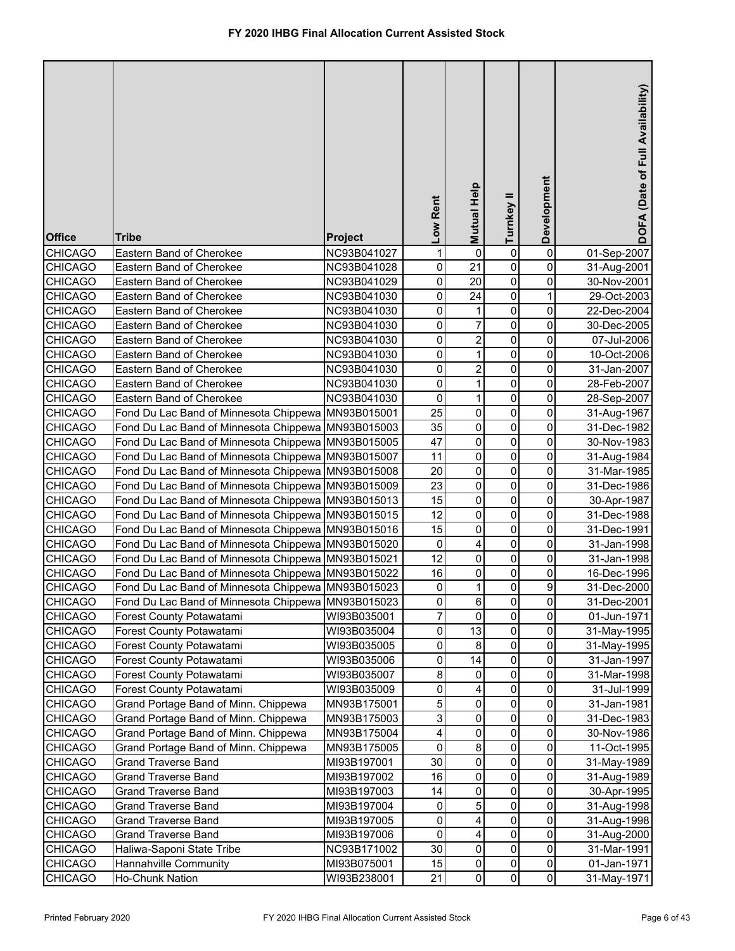| 0<br><b>CHICAGO</b><br>Eastern Band of Cherokee<br>1<br>0<br>01-Sep-2007<br>NC93B041027<br>0<br>0<br>21<br>0<br>0<br>NC93B041028<br>31-Aug-2001<br>Eastern Band of Cherokee<br>20<br>0<br>0<br>0<br>NC93B041029<br>30-Nov-2001<br>Eastern Band of Cherokee<br>$\overline{24}$<br>0<br>0<br>1<br><b>CHICAGO</b><br>NC93B041030<br>29-Oct-2003<br>Eastern Band of Cherokee<br>0<br>$\pmb{0}$<br>0<br>Eastern Band of Cherokee<br>NC93B041030<br>1<br>22-Dec-2004<br>0<br>0<br>7<br>$\pmb{0}$<br><b>CHICAGO</b><br>Eastern Band of Cherokee<br>NC93B041030<br>30-Dec-2005<br>0<br>$\overline{c}$<br>0<br><b>CHICAGO</b><br>0<br>Eastern Band of Cherokee<br>NC93B041030<br>07-Jul-2006<br>0<br>0<br><b>CHICAGO</b><br>$\mathbf{1}$<br>0<br>Eastern Band of Cherokee<br>NC93B041030<br>10-Oct-2006<br>0<br>$\overline{2}$<br>0<br><b>CHICAGO</b><br>0<br>Eastern Band of Cherokee<br>NC93B041030<br>31-Jan-2007<br>0<br>0<br>0<br>Eastern Band of Cherokee<br>NC93B041030<br>1<br>28-Feb-2007<br>$\pmb{0}$<br>0<br>0<br><b>CHICAGO</b><br>Eastern Band of Cherokee<br>NC93B041030<br>1<br>28-Sep-2007<br>25<br>0<br>Fond Du Lac Band of Minnesota Chippewa<br>0<br>0<br><b>CHICAGO</b><br>MN93B015001<br>31-Aug-1967<br>0<br>$\mathbf 0$<br>0<br>35<br><b>CHICAGO</b><br>Fond Du Lac Band of Minnesota Chippewa MN93B015003<br>31-Dec-1982<br>0<br>$\mathbf 0$<br>0<br>47<br><b>CHICAGO</b><br>Fond Du Lac Band of Minnesota Chippewa<br>MN93B015005<br>30-Nov-1983<br>0<br>$\mathbf 0$<br>0<br>11<br><b>CHICAGO</b><br>Fond Du Lac Band of Minnesota Chippewa<br>MN93B015007<br>31-Aug-1984<br>0<br>$\mathbf 0$<br>0<br>20<br><b>CHICAGO</b><br>Fond Du Lac Band of Minnesota Chippewa<br>31-Mar-1985<br>MN93B015008<br>$\mathsf 0$<br>$\mathbf 0$<br>23<br>0<br><b>CHICAGO</b><br>Fond Du Lac Band of Minnesota Chippewa<br>MN93B015009<br>31-Dec-1986<br>$\mathbf 0$<br>$\mathbf 0$<br>0<br>15<br><b>CHICAGO</b><br>Fond Du Lac Band of Minnesota Chippewa MN93B015013<br>30-Apr-1987<br>$\mathbf 0$<br>$\mathbf 0$<br>0<br>12<br><b>CHICAGO</b><br>Fond Du Lac Band of Minnesota Chippewa MN93B015015<br>31-Dec-1988<br>$\mathbf 0$<br>15<br>0<br>0<br><b>CHICAGO</b><br>Fond Du Lac Band of Minnesota Chippewa MN93B015016<br>31-Dec-1991<br>$\pmb{0}$<br>0<br>0<br><b>CHICAGO</b><br>Fond Du Lac Band of Minnesota Chippewa MN93B015020<br>4<br>31-Jan-1998<br>12<br>$\mathbf 0$<br>0<br>0<br><b>CHICAGO</b><br>Fond Du Lac Band of Minnesota Chippewa MN93B015021<br>31-Jan-1998<br>16<br>0<br>0<br><b>CHICAGO</b><br>Fond Du Lac Band of Minnesota Chippewa<br>MN93B015022<br>0<br>16-Dec-1996<br>9<br>0<br>0<br><b>CHICAGO</b><br>Fond Du Lac Band of Minnesota Chippewa MN93B015023<br>1<br>31-Dec-2000<br><b>CHICAGO</b><br>Fond Du Lac Band of Minnesota Chippewa MN93B015023<br>$\pmb{0}$<br>0<br>31-Dec-2001<br>6<br>0<br>$\overline{7}$<br>0<br>0<br>0<br><b>CHICAGO</b><br>WI93B035001<br>01-Jun-1971<br>Forest County Potawatami<br>0<br>13<br><b>CHICAGO</b><br>0<br>0<br>Forest County Potawatami<br>WI93B035004<br>31-May-1995<br>0<br>8<br>0<br><b>CHICAGO</b><br>Forest County Potawatami<br>WI93B035005<br>0<br>31-May-1995<br>0<br>14<br>0<br>0<br><b>CHICAGO</b><br>Forest County Potawatami<br>WI93B035006<br>31-Jan-1997<br>8<br>0<br>0<br>0<br><b>CHICAGO</b><br>Forest County Potawatami<br>WI93B035007<br>31-Mar-1998<br>0<br>4<br>0<br>0<br><b>CHICAGO</b><br>Forest County Potawatami<br>WI93B035009<br>31-Jul-1999<br>5<br>0<br>$\pmb{0}$<br>0<br><b>CHICAGO</b><br>Grand Portage Band of Minn. Chippewa<br>MN93B175001<br>31-Jan-1981<br>3<br>0<br>0<br><b>CHICAGO</b><br>Grand Portage Band of Minn. Chippewa<br>0<br>MN93B175003<br>31-Dec-1983<br>0<br>Grand Portage Band of Minn. Chippewa<br>4<br>0<br><b>CHICAGO</b><br>MN93B175004<br>0<br>30-Nov-1986<br>8<br>0<br>0<br>0<br><b>CHICAGO</b><br>Grand Portage Band of Minn. Chippewa<br>MN93B175005<br>11-Oct-1995<br>0<br>$\pmb{0}$<br><b>Grand Traverse Band</b><br>30<br>0<br><b>CHICAGO</b><br>MI93B197001<br>31-May-1989<br>0<br>$\mathsf{O}\xspace$<br><b>Grand Traverse Band</b><br>MI93B197002<br>16<br>0<br><b>CHICAGO</b><br>31-Aug-1989<br>0<br>0<br><b>CHICAGO</b><br><b>Grand Traverse Band</b><br>MI93B197003<br>14<br>0<br>30-Apr-1995<br>5<br>0<br>0<br><b>CHICAGO</b><br><b>Grand Traverse Band</b><br>0<br>MI93B197004<br>31-Aug-1998<br>0<br>0<br><b>Grand Traverse Band</b><br>4<br>0<br><b>CHICAGO</b><br>MI93B197005<br>31-Aug-1998<br>0<br>0<br>4<br><b>CHICAGO</b><br><b>Grand Traverse Band</b><br>MI93B197006<br>0<br>31-Aug-2000<br>0<br>30<br>0<br><b>CHICAGO</b><br>Haliwa-Saponi State Tribe<br>NC93B171002<br>0<br>31-Mar-1991<br>0<br>$\mathsf{O}\xspace$<br>$\pmb{0}$<br><b>CHICAGO</b><br>Hannahville Community<br>15<br>MI93B075001<br>01-Jan-1971<br>$\mathbf 0$<br>$\mathbf 0$<br>$\overline{0}$<br>21<br><b>CHICAGO</b><br>Ho-Chunk Nation<br>WI93B238001<br>31-May-1971 | <b>Office</b>  | <b>Tribe</b> | <b>Project</b> | Low Rent | Mutual Help | Turnkey II | Development | DOFA (Date of Full Availability) |
|-----------------------------------------------------------------------------------------------------------------------------------------------------------------------------------------------------------------------------------------------------------------------------------------------------------------------------------------------------------------------------------------------------------------------------------------------------------------------------------------------------------------------------------------------------------------------------------------------------------------------------------------------------------------------------------------------------------------------------------------------------------------------------------------------------------------------------------------------------------------------------------------------------------------------------------------------------------------------------------------------------------------------------------------------------------------------------------------------------------------------------------------------------------------------------------------------------------------------------------------------------------------------------------------------------------------------------------------------------------------------------------------------------------------------------------------------------------------------------------------------------------------------------------------------------------------------------------------------------------------------------------------------------------------------------------------------------------------------------------------------------------------------------------------------------------------------------------------------------------------------------------------------------------------------------------------------------------------------------------------------------------------------------------------------------------------------------------------------------------------------------------------------------------------------------------------------------------------------------------------------------------------------------------------------------------------------------------------------------------------------------------------------------------------------------------------------------------------------------------------------------------------------------------------------------------------------------------------------------------------------------------------------------------------------------------------------------------------------------------------------------------------------------------------------------------------------------------------------------------------------------------------------------------------------------------------------------------------------------------------------------------------------------------------------------------------------------------------------------------------------------------------------------------------------------------------------------------------------------------------------------------------------------------------------------------------------------------------------------------------------------------------------------------------------------------------------------------------------------------------------------------------------------------------------------------------------------------------------------------------------------------------------------------------------------------------------------------------------------------------------------------------------------------------------------------------------------------------------------------------------------------------------------------------------------------------------------------------------------------------------------------------------------------------------------------------------------------------------------------------------------------------------------------------------------------------------------------------------------------------------------------------------------------------------------------------------------------------------------------------------------------------------------------------------------------------------------------------------------------------------------------------------------------------------------------------------------------------------------------------------------------------------------------------------------------------------------------------------------------------------------------------------------------------------------------------------------------------------------------------------------------------------------|----------------|--------------|----------------|----------|-------------|------------|-------------|----------------------------------|
|                                                                                                                                                                                                                                                                                                                                                                                                                                                                                                                                                                                                                                                                                                                                                                                                                                                                                                                                                                                                                                                                                                                                                                                                                                                                                                                                                                                                                                                                                                                                                                                                                                                                                                                                                                                                                                                                                                                                                                                                                                                                                                                                                                                                                                                                                                                                                                                                                                                                                                                                                                                                                                                                                                                                                                                                                                                                                                                                                                                                                                                                                                                                                                                                                                                                                                                                                                                                                                                                                                                                                                                                                                                                                                                                                                                                                                                                                                                                                                                                                                                                                                                                                                                                                                                                                                                                                                                                                                                                                                                                                                                                                                                                                                                                                                                                                                                                                                     |                |              |                |          |             |            |             |                                  |
|                                                                                                                                                                                                                                                                                                                                                                                                                                                                                                                                                                                                                                                                                                                                                                                                                                                                                                                                                                                                                                                                                                                                                                                                                                                                                                                                                                                                                                                                                                                                                                                                                                                                                                                                                                                                                                                                                                                                                                                                                                                                                                                                                                                                                                                                                                                                                                                                                                                                                                                                                                                                                                                                                                                                                                                                                                                                                                                                                                                                                                                                                                                                                                                                                                                                                                                                                                                                                                                                                                                                                                                                                                                                                                                                                                                                                                                                                                                                                                                                                                                                                                                                                                                                                                                                                                                                                                                                                                                                                                                                                                                                                                                                                                                                                                                                                                                                                                     | <b>CHICAGO</b> |              |                |          |             |            |             |                                  |
|                                                                                                                                                                                                                                                                                                                                                                                                                                                                                                                                                                                                                                                                                                                                                                                                                                                                                                                                                                                                                                                                                                                                                                                                                                                                                                                                                                                                                                                                                                                                                                                                                                                                                                                                                                                                                                                                                                                                                                                                                                                                                                                                                                                                                                                                                                                                                                                                                                                                                                                                                                                                                                                                                                                                                                                                                                                                                                                                                                                                                                                                                                                                                                                                                                                                                                                                                                                                                                                                                                                                                                                                                                                                                                                                                                                                                                                                                                                                                                                                                                                                                                                                                                                                                                                                                                                                                                                                                                                                                                                                                                                                                                                                                                                                                                                                                                                                                                     | <b>CHICAGO</b> |              |                |          |             |            |             |                                  |
|                                                                                                                                                                                                                                                                                                                                                                                                                                                                                                                                                                                                                                                                                                                                                                                                                                                                                                                                                                                                                                                                                                                                                                                                                                                                                                                                                                                                                                                                                                                                                                                                                                                                                                                                                                                                                                                                                                                                                                                                                                                                                                                                                                                                                                                                                                                                                                                                                                                                                                                                                                                                                                                                                                                                                                                                                                                                                                                                                                                                                                                                                                                                                                                                                                                                                                                                                                                                                                                                                                                                                                                                                                                                                                                                                                                                                                                                                                                                                                                                                                                                                                                                                                                                                                                                                                                                                                                                                                                                                                                                                                                                                                                                                                                                                                                                                                                                                                     |                |              |                |          |             |            |             |                                  |
|                                                                                                                                                                                                                                                                                                                                                                                                                                                                                                                                                                                                                                                                                                                                                                                                                                                                                                                                                                                                                                                                                                                                                                                                                                                                                                                                                                                                                                                                                                                                                                                                                                                                                                                                                                                                                                                                                                                                                                                                                                                                                                                                                                                                                                                                                                                                                                                                                                                                                                                                                                                                                                                                                                                                                                                                                                                                                                                                                                                                                                                                                                                                                                                                                                                                                                                                                                                                                                                                                                                                                                                                                                                                                                                                                                                                                                                                                                                                                                                                                                                                                                                                                                                                                                                                                                                                                                                                                                                                                                                                                                                                                                                                                                                                                                                                                                                                                                     | <b>CHICAGO</b> |              |                |          |             |            |             |                                  |
|                                                                                                                                                                                                                                                                                                                                                                                                                                                                                                                                                                                                                                                                                                                                                                                                                                                                                                                                                                                                                                                                                                                                                                                                                                                                                                                                                                                                                                                                                                                                                                                                                                                                                                                                                                                                                                                                                                                                                                                                                                                                                                                                                                                                                                                                                                                                                                                                                                                                                                                                                                                                                                                                                                                                                                                                                                                                                                                                                                                                                                                                                                                                                                                                                                                                                                                                                                                                                                                                                                                                                                                                                                                                                                                                                                                                                                                                                                                                                                                                                                                                                                                                                                                                                                                                                                                                                                                                                                                                                                                                                                                                                                                                                                                                                                                                                                                                                                     |                |              |                |          |             |            |             |                                  |
|                                                                                                                                                                                                                                                                                                                                                                                                                                                                                                                                                                                                                                                                                                                                                                                                                                                                                                                                                                                                                                                                                                                                                                                                                                                                                                                                                                                                                                                                                                                                                                                                                                                                                                                                                                                                                                                                                                                                                                                                                                                                                                                                                                                                                                                                                                                                                                                                                                                                                                                                                                                                                                                                                                                                                                                                                                                                                                                                                                                                                                                                                                                                                                                                                                                                                                                                                                                                                                                                                                                                                                                                                                                                                                                                                                                                                                                                                                                                                                                                                                                                                                                                                                                                                                                                                                                                                                                                                                                                                                                                                                                                                                                                                                                                                                                                                                                                                                     |                |              |                |          |             |            |             |                                  |
|                                                                                                                                                                                                                                                                                                                                                                                                                                                                                                                                                                                                                                                                                                                                                                                                                                                                                                                                                                                                                                                                                                                                                                                                                                                                                                                                                                                                                                                                                                                                                                                                                                                                                                                                                                                                                                                                                                                                                                                                                                                                                                                                                                                                                                                                                                                                                                                                                                                                                                                                                                                                                                                                                                                                                                                                                                                                                                                                                                                                                                                                                                                                                                                                                                                                                                                                                                                                                                                                                                                                                                                                                                                                                                                                                                                                                                                                                                                                                                                                                                                                                                                                                                                                                                                                                                                                                                                                                                                                                                                                                                                                                                                                                                                                                                                                                                                                                                     |                |              |                |          |             |            |             |                                  |
|                                                                                                                                                                                                                                                                                                                                                                                                                                                                                                                                                                                                                                                                                                                                                                                                                                                                                                                                                                                                                                                                                                                                                                                                                                                                                                                                                                                                                                                                                                                                                                                                                                                                                                                                                                                                                                                                                                                                                                                                                                                                                                                                                                                                                                                                                                                                                                                                                                                                                                                                                                                                                                                                                                                                                                                                                                                                                                                                                                                                                                                                                                                                                                                                                                                                                                                                                                                                                                                                                                                                                                                                                                                                                                                                                                                                                                                                                                                                                                                                                                                                                                                                                                                                                                                                                                                                                                                                                                                                                                                                                                                                                                                                                                                                                                                                                                                                                                     |                |              |                |          |             |            |             |                                  |
|                                                                                                                                                                                                                                                                                                                                                                                                                                                                                                                                                                                                                                                                                                                                                                                                                                                                                                                                                                                                                                                                                                                                                                                                                                                                                                                                                                                                                                                                                                                                                                                                                                                                                                                                                                                                                                                                                                                                                                                                                                                                                                                                                                                                                                                                                                                                                                                                                                                                                                                                                                                                                                                                                                                                                                                                                                                                                                                                                                                                                                                                                                                                                                                                                                                                                                                                                                                                                                                                                                                                                                                                                                                                                                                                                                                                                                                                                                                                                                                                                                                                                                                                                                                                                                                                                                                                                                                                                                                                                                                                                                                                                                                                                                                                                                                                                                                                                                     | <b>CHICAGO</b> |              |                |          |             |            |             |                                  |
|                                                                                                                                                                                                                                                                                                                                                                                                                                                                                                                                                                                                                                                                                                                                                                                                                                                                                                                                                                                                                                                                                                                                                                                                                                                                                                                                                                                                                                                                                                                                                                                                                                                                                                                                                                                                                                                                                                                                                                                                                                                                                                                                                                                                                                                                                                                                                                                                                                                                                                                                                                                                                                                                                                                                                                                                                                                                                                                                                                                                                                                                                                                                                                                                                                                                                                                                                                                                                                                                                                                                                                                                                                                                                                                                                                                                                                                                                                                                                                                                                                                                                                                                                                                                                                                                                                                                                                                                                                                                                                                                                                                                                                                                                                                                                                                                                                                                                                     |                |              |                |          |             |            |             |                                  |
|                                                                                                                                                                                                                                                                                                                                                                                                                                                                                                                                                                                                                                                                                                                                                                                                                                                                                                                                                                                                                                                                                                                                                                                                                                                                                                                                                                                                                                                                                                                                                                                                                                                                                                                                                                                                                                                                                                                                                                                                                                                                                                                                                                                                                                                                                                                                                                                                                                                                                                                                                                                                                                                                                                                                                                                                                                                                                                                                                                                                                                                                                                                                                                                                                                                                                                                                                                                                                                                                                                                                                                                                                                                                                                                                                                                                                                                                                                                                                                                                                                                                                                                                                                                                                                                                                                                                                                                                                                                                                                                                                                                                                                                                                                                                                                                                                                                                                                     |                |              |                |          |             |            |             |                                  |
|                                                                                                                                                                                                                                                                                                                                                                                                                                                                                                                                                                                                                                                                                                                                                                                                                                                                                                                                                                                                                                                                                                                                                                                                                                                                                                                                                                                                                                                                                                                                                                                                                                                                                                                                                                                                                                                                                                                                                                                                                                                                                                                                                                                                                                                                                                                                                                                                                                                                                                                                                                                                                                                                                                                                                                                                                                                                                                                                                                                                                                                                                                                                                                                                                                                                                                                                                                                                                                                                                                                                                                                                                                                                                                                                                                                                                                                                                                                                                                                                                                                                                                                                                                                                                                                                                                                                                                                                                                                                                                                                                                                                                                                                                                                                                                                                                                                                                                     |                |              |                |          |             |            |             |                                  |
|                                                                                                                                                                                                                                                                                                                                                                                                                                                                                                                                                                                                                                                                                                                                                                                                                                                                                                                                                                                                                                                                                                                                                                                                                                                                                                                                                                                                                                                                                                                                                                                                                                                                                                                                                                                                                                                                                                                                                                                                                                                                                                                                                                                                                                                                                                                                                                                                                                                                                                                                                                                                                                                                                                                                                                                                                                                                                                                                                                                                                                                                                                                                                                                                                                                                                                                                                                                                                                                                                                                                                                                                                                                                                                                                                                                                                                                                                                                                                                                                                                                                                                                                                                                                                                                                                                                                                                                                                                                                                                                                                                                                                                                                                                                                                                                                                                                                                                     |                |              |                |          |             |            |             |                                  |
|                                                                                                                                                                                                                                                                                                                                                                                                                                                                                                                                                                                                                                                                                                                                                                                                                                                                                                                                                                                                                                                                                                                                                                                                                                                                                                                                                                                                                                                                                                                                                                                                                                                                                                                                                                                                                                                                                                                                                                                                                                                                                                                                                                                                                                                                                                                                                                                                                                                                                                                                                                                                                                                                                                                                                                                                                                                                                                                                                                                                                                                                                                                                                                                                                                                                                                                                                                                                                                                                                                                                                                                                                                                                                                                                                                                                                                                                                                                                                                                                                                                                                                                                                                                                                                                                                                                                                                                                                                                                                                                                                                                                                                                                                                                                                                                                                                                                                                     |                |              |                |          |             |            |             |                                  |
|                                                                                                                                                                                                                                                                                                                                                                                                                                                                                                                                                                                                                                                                                                                                                                                                                                                                                                                                                                                                                                                                                                                                                                                                                                                                                                                                                                                                                                                                                                                                                                                                                                                                                                                                                                                                                                                                                                                                                                                                                                                                                                                                                                                                                                                                                                                                                                                                                                                                                                                                                                                                                                                                                                                                                                                                                                                                                                                                                                                                                                                                                                                                                                                                                                                                                                                                                                                                                                                                                                                                                                                                                                                                                                                                                                                                                                                                                                                                                                                                                                                                                                                                                                                                                                                                                                                                                                                                                                                                                                                                                                                                                                                                                                                                                                                                                                                                                                     |                |              |                |          |             |            |             |                                  |
|                                                                                                                                                                                                                                                                                                                                                                                                                                                                                                                                                                                                                                                                                                                                                                                                                                                                                                                                                                                                                                                                                                                                                                                                                                                                                                                                                                                                                                                                                                                                                                                                                                                                                                                                                                                                                                                                                                                                                                                                                                                                                                                                                                                                                                                                                                                                                                                                                                                                                                                                                                                                                                                                                                                                                                                                                                                                                                                                                                                                                                                                                                                                                                                                                                                                                                                                                                                                                                                                                                                                                                                                                                                                                                                                                                                                                                                                                                                                                                                                                                                                                                                                                                                                                                                                                                                                                                                                                                                                                                                                                                                                                                                                                                                                                                                                                                                                                                     |                |              |                |          |             |            |             |                                  |
|                                                                                                                                                                                                                                                                                                                                                                                                                                                                                                                                                                                                                                                                                                                                                                                                                                                                                                                                                                                                                                                                                                                                                                                                                                                                                                                                                                                                                                                                                                                                                                                                                                                                                                                                                                                                                                                                                                                                                                                                                                                                                                                                                                                                                                                                                                                                                                                                                                                                                                                                                                                                                                                                                                                                                                                                                                                                                                                                                                                                                                                                                                                                                                                                                                                                                                                                                                                                                                                                                                                                                                                                                                                                                                                                                                                                                                                                                                                                                                                                                                                                                                                                                                                                                                                                                                                                                                                                                                                                                                                                                                                                                                                                                                                                                                                                                                                                                                     |                |              |                |          |             |            |             |                                  |
|                                                                                                                                                                                                                                                                                                                                                                                                                                                                                                                                                                                                                                                                                                                                                                                                                                                                                                                                                                                                                                                                                                                                                                                                                                                                                                                                                                                                                                                                                                                                                                                                                                                                                                                                                                                                                                                                                                                                                                                                                                                                                                                                                                                                                                                                                                                                                                                                                                                                                                                                                                                                                                                                                                                                                                                                                                                                                                                                                                                                                                                                                                                                                                                                                                                                                                                                                                                                                                                                                                                                                                                                                                                                                                                                                                                                                                                                                                                                                                                                                                                                                                                                                                                                                                                                                                                                                                                                                                                                                                                                                                                                                                                                                                                                                                                                                                                                                                     |                |              |                |          |             |            |             |                                  |
|                                                                                                                                                                                                                                                                                                                                                                                                                                                                                                                                                                                                                                                                                                                                                                                                                                                                                                                                                                                                                                                                                                                                                                                                                                                                                                                                                                                                                                                                                                                                                                                                                                                                                                                                                                                                                                                                                                                                                                                                                                                                                                                                                                                                                                                                                                                                                                                                                                                                                                                                                                                                                                                                                                                                                                                                                                                                                                                                                                                                                                                                                                                                                                                                                                                                                                                                                                                                                                                                                                                                                                                                                                                                                                                                                                                                                                                                                                                                                                                                                                                                                                                                                                                                                                                                                                                                                                                                                                                                                                                                                                                                                                                                                                                                                                                                                                                                                                     |                |              |                |          |             |            |             |                                  |
|                                                                                                                                                                                                                                                                                                                                                                                                                                                                                                                                                                                                                                                                                                                                                                                                                                                                                                                                                                                                                                                                                                                                                                                                                                                                                                                                                                                                                                                                                                                                                                                                                                                                                                                                                                                                                                                                                                                                                                                                                                                                                                                                                                                                                                                                                                                                                                                                                                                                                                                                                                                                                                                                                                                                                                                                                                                                                                                                                                                                                                                                                                                                                                                                                                                                                                                                                                                                                                                                                                                                                                                                                                                                                                                                                                                                                                                                                                                                                                                                                                                                                                                                                                                                                                                                                                                                                                                                                                                                                                                                                                                                                                                                                                                                                                                                                                                                                                     |                |              |                |          |             |            |             |                                  |
|                                                                                                                                                                                                                                                                                                                                                                                                                                                                                                                                                                                                                                                                                                                                                                                                                                                                                                                                                                                                                                                                                                                                                                                                                                                                                                                                                                                                                                                                                                                                                                                                                                                                                                                                                                                                                                                                                                                                                                                                                                                                                                                                                                                                                                                                                                                                                                                                                                                                                                                                                                                                                                                                                                                                                                                                                                                                                                                                                                                                                                                                                                                                                                                                                                                                                                                                                                                                                                                                                                                                                                                                                                                                                                                                                                                                                                                                                                                                                                                                                                                                                                                                                                                                                                                                                                                                                                                                                                                                                                                                                                                                                                                                                                                                                                                                                                                                                                     |                |              |                |          |             |            |             |                                  |
|                                                                                                                                                                                                                                                                                                                                                                                                                                                                                                                                                                                                                                                                                                                                                                                                                                                                                                                                                                                                                                                                                                                                                                                                                                                                                                                                                                                                                                                                                                                                                                                                                                                                                                                                                                                                                                                                                                                                                                                                                                                                                                                                                                                                                                                                                                                                                                                                                                                                                                                                                                                                                                                                                                                                                                                                                                                                                                                                                                                                                                                                                                                                                                                                                                                                                                                                                                                                                                                                                                                                                                                                                                                                                                                                                                                                                                                                                                                                                                                                                                                                                                                                                                                                                                                                                                                                                                                                                                                                                                                                                                                                                                                                                                                                                                                                                                                                                                     |                |              |                |          |             |            |             |                                  |
|                                                                                                                                                                                                                                                                                                                                                                                                                                                                                                                                                                                                                                                                                                                                                                                                                                                                                                                                                                                                                                                                                                                                                                                                                                                                                                                                                                                                                                                                                                                                                                                                                                                                                                                                                                                                                                                                                                                                                                                                                                                                                                                                                                                                                                                                                                                                                                                                                                                                                                                                                                                                                                                                                                                                                                                                                                                                                                                                                                                                                                                                                                                                                                                                                                                                                                                                                                                                                                                                                                                                                                                                                                                                                                                                                                                                                                                                                                                                                                                                                                                                                                                                                                                                                                                                                                                                                                                                                                                                                                                                                                                                                                                                                                                                                                                                                                                                                                     |                |              |                |          |             |            |             |                                  |
|                                                                                                                                                                                                                                                                                                                                                                                                                                                                                                                                                                                                                                                                                                                                                                                                                                                                                                                                                                                                                                                                                                                                                                                                                                                                                                                                                                                                                                                                                                                                                                                                                                                                                                                                                                                                                                                                                                                                                                                                                                                                                                                                                                                                                                                                                                                                                                                                                                                                                                                                                                                                                                                                                                                                                                                                                                                                                                                                                                                                                                                                                                                                                                                                                                                                                                                                                                                                                                                                                                                                                                                                                                                                                                                                                                                                                                                                                                                                                                                                                                                                                                                                                                                                                                                                                                                                                                                                                                                                                                                                                                                                                                                                                                                                                                                                                                                                                                     |                |              |                |          |             |            |             |                                  |
|                                                                                                                                                                                                                                                                                                                                                                                                                                                                                                                                                                                                                                                                                                                                                                                                                                                                                                                                                                                                                                                                                                                                                                                                                                                                                                                                                                                                                                                                                                                                                                                                                                                                                                                                                                                                                                                                                                                                                                                                                                                                                                                                                                                                                                                                                                                                                                                                                                                                                                                                                                                                                                                                                                                                                                                                                                                                                                                                                                                                                                                                                                                                                                                                                                                                                                                                                                                                                                                                                                                                                                                                                                                                                                                                                                                                                                                                                                                                                                                                                                                                                                                                                                                                                                                                                                                                                                                                                                                                                                                                                                                                                                                                                                                                                                                                                                                                                                     |                |              |                |          |             |            |             |                                  |
|                                                                                                                                                                                                                                                                                                                                                                                                                                                                                                                                                                                                                                                                                                                                                                                                                                                                                                                                                                                                                                                                                                                                                                                                                                                                                                                                                                                                                                                                                                                                                                                                                                                                                                                                                                                                                                                                                                                                                                                                                                                                                                                                                                                                                                                                                                                                                                                                                                                                                                                                                                                                                                                                                                                                                                                                                                                                                                                                                                                                                                                                                                                                                                                                                                                                                                                                                                                                                                                                                                                                                                                                                                                                                                                                                                                                                                                                                                                                                                                                                                                                                                                                                                                                                                                                                                                                                                                                                                                                                                                                                                                                                                                                                                                                                                                                                                                                                                     |                |              |                |          |             |            |             |                                  |
|                                                                                                                                                                                                                                                                                                                                                                                                                                                                                                                                                                                                                                                                                                                                                                                                                                                                                                                                                                                                                                                                                                                                                                                                                                                                                                                                                                                                                                                                                                                                                                                                                                                                                                                                                                                                                                                                                                                                                                                                                                                                                                                                                                                                                                                                                                                                                                                                                                                                                                                                                                                                                                                                                                                                                                                                                                                                                                                                                                                                                                                                                                                                                                                                                                                                                                                                                                                                                                                                                                                                                                                                                                                                                                                                                                                                                                                                                                                                                                                                                                                                                                                                                                                                                                                                                                                                                                                                                                                                                                                                                                                                                                                                                                                                                                                                                                                                                                     |                |              |                |          |             |            |             |                                  |
|                                                                                                                                                                                                                                                                                                                                                                                                                                                                                                                                                                                                                                                                                                                                                                                                                                                                                                                                                                                                                                                                                                                                                                                                                                                                                                                                                                                                                                                                                                                                                                                                                                                                                                                                                                                                                                                                                                                                                                                                                                                                                                                                                                                                                                                                                                                                                                                                                                                                                                                                                                                                                                                                                                                                                                                                                                                                                                                                                                                                                                                                                                                                                                                                                                                                                                                                                                                                                                                                                                                                                                                                                                                                                                                                                                                                                                                                                                                                                                                                                                                                                                                                                                                                                                                                                                                                                                                                                                                                                                                                                                                                                                                                                                                                                                                                                                                                                                     |                |              |                |          |             |            |             |                                  |
|                                                                                                                                                                                                                                                                                                                                                                                                                                                                                                                                                                                                                                                                                                                                                                                                                                                                                                                                                                                                                                                                                                                                                                                                                                                                                                                                                                                                                                                                                                                                                                                                                                                                                                                                                                                                                                                                                                                                                                                                                                                                                                                                                                                                                                                                                                                                                                                                                                                                                                                                                                                                                                                                                                                                                                                                                                                                                                                                                                                                                                                                                                                                                                                                                                                                                                                                                                                                                                                                                                                                                                                                                                                                                                                                                                                                                                                                                                                                                                                                                                                                                                                                                                                                                                                                                                                                                                                                                                                                                                                                                                                                                                                                                                                                                                                                                                                                                                     |                |              |                |          |             |            |             |                                  |
|                                                                                                                                                                                                                                                                                                                                                                                                                                                                                                                                                                                                                                                                                                                                                                                                                                                                                                                                                                                                                                                                                                                                                                                                                                                                                                                                                                                                                                                                                                                                                                                                                                                                                                                                                                                                                                                                                                                                                                                                                                                                                                                                                                                                                                                                                                                                                                                                                                                                                                                                                                                                                                                                                                                                                                                                                                                                                                                                                                                                                                                                                                                                                                                                                                                                                                                                                                                                                                                                                                                                                                                                                                                                                                                                                                                                                                                                                                                                                                                                                                                                                                                                                                                                                                                                                                                                                                                                                                                                                                                                                                                                                                                                                                                                                                                                                                                                                                     |                |              |                |          |             |            |             |                                  |
|                                                                                                                                                                                                                                                                                                                                                                                                                                                                                                                                                                                                                                                                                                                                                                                                                                                                                                                                                                                                                                                                                                                                                                                                                                                                                                                                                                                                                                                                                                                                                                                                                                                                                                                                                                                                                                                                                                                                                                                                                                                                                                                                                                                                                                                                                                                                                                                                                                                                                                                                                                                                                                                                                                                                                                                                                                                                                                                                                                                                                                                                                                                                                                                                                                                                                                                                                                                                                                                                                                                                                                                                                                                                                                                                                                                                                                                                                                                                                                                                                                                                                                                                                                                                                                                                                                                                                                                                                                                                                                                                                                                                                                                                                                                                                                                                                                                                                                     |                |              |                |          |             |            |             |                                  |
|                                                                                                                                                                                                                                                                                                                                                                                                                                                                                                                                                                                                                                                                                                                                                                                                                                                                                                                                                                                                                                                                                                                                                                                                                                                                                                                                                                                                                                                                                                                                                                                                                                                                                                                                                                                                                                                                                                                                                                                                                                                                                                                                                                                                                                                                                                                                                                                                                                                                                                                                                                                                                                                                                                                                                                                                                                                                                                                                                                                                                                                                                                                                                                                                                                                                                                                                                                                                                                                                                                                                                                                                                                                                                                                                                                                                                                                                                                                                                                                                                                                                                                                                                                                                                                                                                                                                                                                                                                                                                                                                                                                                                                                                                                                                                                                                                                                                                                     |                |              |                |          |             |            |             |                                  |
|                                                                                                                                                                                                                                                                                                                                                                                                                                                                                                                                                                                                                                                                                                                                                                                                                                                                                                                                                                                                                                                                                                                                                                                                                                                                                                                                                                                                                                                                                                                                                                                                                                                                                                                                                                                                                                                                                                                                                                                                                                                                                                                                                                                                                                                                                                                                                                                                                                                                                                                                                                                                                                                                                                                                                                                                                                                                                                                                                                                                                                                                                                                                                                                                                                                                                                                                                                                                                                                                                                                                                                                                                                                                                                                                                                                                                                                                                                                                                                                                                                                                                                                                                                                                                                                                                                                                                                                                                                                                                                                                                                                                                                                                                                                                                                                                                                                                                                     |                |              |                |          |             |            |             |                                  |
|                                                                                                                                                                                                                                                                                                                                                                                                                                                                                                                                                                                                                                                                                                                                                                                                                                                                                                                                                                                                                                                                                                                                                                                                                                                                                                                                                                                                                                                                                                                                                                                                                                                                                                                                                                                                                                                                                                                                                                                                                                                                                                                                                                                                                                                                                                                                                                                                                                                                                                                                                                                                                                                                                                                                                                                                                                                                                                                                                                                                                                                                                                                                                                                                                                                                                                                                                                                                                                                                                                                                                                                                                                                                                                                                                                                                                                                                                                                                                                                                                                                                                                                                                                                                                                                                                                                                                                                                                                                                                                                                                                                                                                                                                                                                                                                                                                                                                                     |                |              |                |          |             |            |             |                                  |
|                                                                                                                                                                                                                                                                                                                                                                                                                                                                                                                                                                                                                                                                                                                                                                                                                                                                                                                                                                                                                                                                                                                                                                                                                                                                                                                                                                                                                                                                                                                                                                                                                                                                                                                                                                                                                                                                                                                                                                                                                                                                                                                                                                                                                                                                                                                                                                                                                                                                                                                                                                                                                                                                                                                                                                                                                                                                                                                                                                                                                                                                                                                                                                                                                                                                                                                                                                                                                                                                                                                                                                                                                                                                                                                                                                                                                                                                                                                                                                                                                                                                                                                                                                                                                                                                                                                                                                                                                                                                                                                                                                                                                                                                                                                                                                                                                                                                                                     |                |              |                |          |             |            |             |                                  |
|                                                                                                                                                                                                                                                                                                                                                                                                                                                                                                                                                                                                                                                                                                                                                                                                                                                                                                                                                                                                                                                                                                                                                                                                                                                                                                                                                                                                                                                                                                                                                                                                                                                                                                                                                                                                                                                                                                                                                                                                                                                                                                                                                                                                                                                                                                                                                                                                                                                                                                                                                                                                                                                                                                                                                                                                                                                                                                                                                                                                                                                                                                                                                                                                                                                                                                                                                                                                                                                                                                                                                                                                                                                                                                                                                                                                                                                                                                                                                                                                                                                                                                                                                                                                                                                                                                                                                                                                                                                                                                                                                                                                                                                                                                                                                                                                                                                                                                     |                |              |                |          |             |            |             |                                  |
|                                                                                                                                                                                                                                                                                                                                                                                                                                                                                                                                                                                                                                                                                                                                                                                                                                                                                                                                                                                                                                                                                                                                                                                                                                                                                                                                                                                                                                                                                                                                                                                                                                                                                                                                                                                                                                                                                                                                                                                                                                                                                                                                                                                                                                                                                                                                                                                                                                                                                                                                                                                                                                                                                                                                                                                                                                                                                                                                                                                                                                                                                                                                                                                                                                                                                                                                                                                                                                                                                                                                                                                                                                                                                                                                                                                                                                                                                                                                                                                                                                                                                                                                                                                                                                                                                                                                                                                                                                                                                                                                                                                                                                                                                                                                                                                                                                                                                                     |                |              |                |          |             |            |             |                                  |
|                                                                                                                                                                                                                                                                                                                                                                                                                                                                                                                                                                                                                                                                                                                                                                                                                                                                                                                                                                                                                                                                                                                                                                                                                                                                                                                                                                                                                                                                                                                                                                                                                                                                                                                                                                                                                                                                                                                                                                                                                                                                                                                                                                                                                                                                                                                                                                                                                                                                                                                                                                                                                                                                                                                                                                                                                                                                                                                                                                                                                                                                                                                                                                                                                                                                                                                                                                                                                                                                                                                                                                                                                                                                                                                                                                                                                                                                                                                                                                                                                                                                                                                                                                                                                                                                                                                                                                                                                                                                                                                                                                                                                                                                                                                                                                                                                                                                                                     |                |              |                |          |             |            |             |                                  |
|                                                                                                                                                                                                                                                                                                                                                                                                                                                                                                                                                                                                                                                                                                                                                                                                                                                                                                                                                                                                                                                                                                                                                                                                                                                                                                                                                                                                                                                                                                                                                                                                                                                                                                                                                                                                                                                                                                                                                                                                                                                                                                                                                                                                                                                                                                                                                                                                                                                                                                                                                                                                                                                                                                                                                                                                                                                                                                                                                                                                                                                                                                                                                                                                                                                                                                                                                                                                                                                                                                                                                                                                                                                                                                                                                                                                                                                                                                                                                                                                                                                                                                                                                                                                                                                                                                                                                                                                                                                                                                                                                                                                                                                                                                                                                                                                                                                                                                     |                |              |                |          |             |            |             |                                  |
|                                                                                                                                                                                                                                                                                                                                                                                                                                                                                                                                                                                                                                                                                                                                                                                                                                                                                                                                                                                                                                                                                                                                                                                                                                                                                                                                                                                                                                                                                                                                                                                                                                                                                                                                                                                                                                                                                                                                                                                                                                                                                                                                                                                                                                                                                                                                                                                                                                                                                                                                                                                                                                                                                                                                                                                                                                                                                                                                                                                                                                                                                                                                                                                                                                                                                                                                                                                                                                                                                                                                                                                                                                                                                                                                                                                                                                                                                                                                                                                                                                                                                                                                                                                                                                                                                                                                                                                                                                                                                                                                                                                                                                                                                                                                                                                                                                                                                                     |                |              |                |          |             |            |             |                                  |
|                                                                                                                                                                                                                                                                                                                                                                                                                                                                                                                                                                                                                                                                                                                                                                                                                                                                                                                                                                                                                                                                                                                                                                                                                                                                                                                                                                                                                                                                                                                                                                                                                                                                                                                                                                                                                                                                                                                                                                                                                                                                                                                                                                                                                                                                                                                                                                                                                                                                                                                                                                                                                                                                                                                                                                                                                                                                                                                                                                                                                                                                                                                                                                                                                                                                                                                                                                                                                                                                                                                                                                                                                                                                                                                                                                                                                                                                                                                                                                                                                                                                                                                                                                                                                                                                                                                                                                                                                                                                                                                                                                                                                                                                                                                                                                                                                                                                                                     |                |              |                |          |             |            |             |                                  |
|                                                                                                                                                                                                                                                                                                                                                                                                                                                                                                                                                                                                                                                                                                                                                                                                                                                                                                                                                                                                                                                                                                                                                                                                                                                                                                                                                                                                                                                                                                                                                                                                                                                                                                                                                                                                                                                                                                                                                                                                                                                                                                                                                                                                                                                                                                                                                                                                                                                                                                                                                                                                                                                                                                                                                                                                                                                                                                                                                                                                                                                                                                                                                                                                                                                                                                                                                                                                                                                                                                                                                                                                                                                                                                                                                                                                                                                                                                                                                                                                                                                                                                                                                                                                                                                                                                                                                                                                                                                                                                                                                                                                                                                                                                                                                                                                                                                                                                     |                |              |                |          |             |            |             |                                  |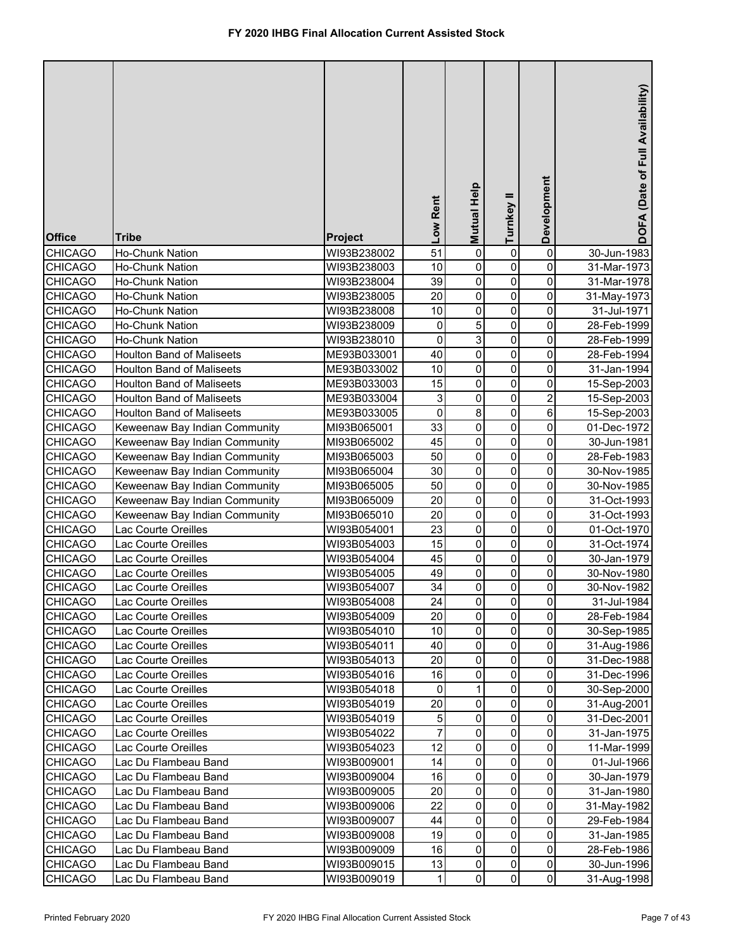| <b>Office</b>                    | <b>Tribe</b>                               | <b>Project</b>             | Low Rent            | Mutual Help    | Turnkey II  | Development         | DOFA (Date of Full Availability) |
|----------------------------------|--------------------------------------------|----------------------------|---------------------|----------------|-------------|---------------------|----------------------------------|
| <b>CHICAGO</b>                   | Ho-Chunk Nation                            | WI93B238002                | 51                  | $\pmb{0}$      | 0           | 0                   | 30-Jun-1983                      |
| <b>CHICAGO</b>                   | Ho-Chunk Nation                            | WI93B238003                | 10                  | 0              | 0           | 0                   | 31-Mar-1973                      |
| <b>CHICAGO</b>                   | Ho-Chunk Nation                            | WI93B238004                | 39                  | 0              | 0           | 0                   | 31-Mar-1978                      |
| <b>CHICAGO</b>                   | <b>Ho-Chunk Nation</b>                     | WI93B238005                | 20                  | 0              | 0           | 0                   | 31-May-1973                      |
| <b>CHICAGO</b>                   | Ho-Chunk Nation                            | WI93B238008                | 10                  | 0              | $\pmb{0}$   | 0                   | 31-Jul-1971                      |
| <b>CHICAGO</b>                   | Ho-Chunk Nation                            | WI93B238009                | 0                   | 5              | $\pmb{0}$   | 0                   | 28-Feb-1999                      |
| <b>CHICAGO</b>                   | <b>Ho-Chunk Nation</b>                     | WI93B238010                | 0                   | 3              | 0           | 0                   | 28-Feb-1999                      |
| <b>CHICAGO</b>                   | <b>Houlton Band of Maliseets</b>           | ME93B033001                | 40                  | 0              | 0           | 0                   | 28-Feb-1994                      |
| <b>CHICAGO</b>                   | <b>Houlton Band of Maliseets</b>           | ME93B033002                | 10                  | 0              | 0           | 0                   | 31-Jan-1994                      |
| <b>CHICAGO</b>                   | <b>Houlton Band of Maliseets</b>           | ME93B033003                | 15                  | 0              | 0           | 0                   | 15-Sep-2003                      |
| <b>CHICAGO</b>                   | <b>Houlton Band of Maliseets</b>           | ME93B033004                | 3                   | 0              | $\pmb{0}$   | 2                   | 15-Sep-2003                      |
| <b>CHICAGO</b>                   | <b>Houlton Band of Maliseets</b>           | ME93B033005                | 0                   | 8              | 0           | 6                   | 15-Sep-2003                      |
| <b>CHICAGO</b>                   | Keweenaw Bay Indian Community              | MI93B065001                | 33                  | 0              | 0           | 0                   | 01-Dec-1972                      |
| <b>CHICAGO</b>                   | Keweenaw Bay Indian Community              | MI93B065002                | 45                  | 0              | 0           | 0                   | 30-Jun-1981                      |
| <b>CHICAGO</b>                   | Keweenaw Bay Indian Community              | MI93B065003                | 50                  | 0              | $\mathbf 0$ | 0                   | 28-Feb-1983                      |
| <b>CHICAGO</b>                   | Keweenaw Bay Indian Community              | MI93B065004                | 30                  | 0              | $\mathbf 0$ | 0                   | 30-Nov-1985                      |
| <b>CHICAGO</b>                   | Keweenaw Bay Indian Community              | MI93B065005                | 50                  | $\mathsf 0$    | $\mathbf 0$ | 0                   | 30-Nov-1985                      |
| <b>CHICAGO</b>                   | Keweenaw Bay Indian Community              | MI93B065009                | 20                  | $\mathbf 0$    | $\mathbf 0$ | 0                   | 31-Oct-1993                      |
| <b>CHICAGO</b>                   | Keweenaw Bay Indian Community              | MI93B065010                | 20                  | $\mathsf 0$    | $\mathbf 0$ | 0                   | 31-Oct-1993                      |
| <b>CHICAGO</b>                   | Lac Courte Oreilles                        | WI93B054001                | 23                  | 0              | $\mathbf 0$ | 0                   | 01-Oct-1970                      |
| <b>CHICAGO</b>                   | Lac Courte Oreilles                        | WI93B054003                | 15                  | 0              | 0           | 0                   | 31-Oct-1974                      |
| <b>CHICAGO</b>                   | Lac Courte Oreilles                        | WI93B054004                | 45                  | 0              | $\mathbf 0$ | 0                   | 30-Jan-1979                      |
| <b>CHICAGO</b>                   | Lac Courte Oreilles                        | WI93B054005                | 49                  | 0              | 0           | 0                   | 30-Nov-1980                      |
| <b>CHICAGO</b>                   | Lac Courte Oreilles                        | WI93B054007                | 34                  | 0              | 0           | 0                   | 30-Nov-1982                      |
| <b>CHICAGO</b>                   | Lac Courte Oreilles                        | WI93B054008                | 24                  | $\overline{0}$ | 0           | $\pmb{0}$           | 31-Jul-1984                      |
| <b>CHICAGO</b>                   | Lac Courte Oreilles                        | WI93B054009                | 20                  | $\mathbf 0$    | 0           | 0                   | 28-Feb-1984                      |
| <b>CHICAGO</b>                   | Lac Courte Oreilles                        | WI93B054010                | 10                  | 0              | 0           | 0                   | 30-Sep-1985                      |
| <b>CHICAGO</b>                   | Lac Courte Oreilles                        | WI93B054011                | 40                  | 0              | 0           | 0                   | 31-Aug-1986                      |
| <b>CHICAGO</b>                   | Lac Courte Oreilles                        | WI93B054013                | 20                  | 0              | 0           | 0                   | 31-Dec-1988                      |
| <b>CHICAGO</b>                   | Lac Courte Oreilles                        | WI93B054016                | 16                  | 0              | 0           | 0                   | 31-Dec-1996                      |
| <b>CHICAGO</b>                   | Lac Courte Oreilles                        | WI93B054018                | $\mathbf 0$         | 1<br>$\pmb{0}$ | 0<br>0      | 0                   | 30-Sep-2000                      |
| <b>CHICAGO</b>                   | Lac Courte Oreilles                        | WI93B054019                | 20                  | 0              |             | 0<br>0              | 31-Aug-2001                      |
| <b>CHICAGO</b><br><b>CHICAGO</b> | Lac Courte Oreilles<br>Lac Courte Oreilles | WI93B054019<br>WI93B054022 | 5<br>$\overline{7}$ | 0              | 0<br>0      | 0                   | 31-Dec-2001                      |
| <b>CHICAGO</b>                   | Lac Courte Oreilles                        | WI93B054023                | 12                  | 0              | 0           | 0                   | 31-Jan-1975<br>11-Mar-1999       |
| <b>CHICAGO</b>                   | Lac Du Flambeau Band                       | WI93B009001                | 14                  | 0              | 0           | $\mathsf{O}\xspace$ | 01-Jul-1966                      |
| <b>CHICAGO</b>                   | Lac Du Flambeau Band                       | WI93B009004                | 16                  | 0              | 0           | 0                   | 30-Jan-1979                      |
| <b>CHICAGO</b>                   | Lac Du Flambeau Band                       | WI93B009005                | 20                  | 0              | 0           | 0                   | 31-Jan-1980                      |
| <b>CHICAGO</b>                   | Lac Du Flambeau Band                       | WI93B009006                | 22                  | 0              | 0           | 0                   | 31-May-1982                      |
| <b>CHICAGO</b>                   | Lac Du Flambeau Band                       | WI93B009007                | 44                  | 0              | 0           | 0                   | 29-Feb-1984                      |
| <b>CHICAGO</b>                   | Lac Du Flambeau Band                       | WI93B009008                | 19                  | 0              | 0           | 0                   | 31-Jan-1985                      |
| <b>CHICAGO</b>                   | Lac Du Flambeau Band                       | WI93B009009                | 16                  | 0              | 0           | 0                   | 28-Feb-1986                      |
| <b>CHICAGO</b>                   | Lac Du Flambeau Band                       | WI93B009015                | 13                  | 0              | 0           | $\mathsf{O}\xspace$ | 30-Jun-1996                      |
| <b>CHICAGO</b>                   | Lac Du Flambeau Band                       | WI93B009019                | 1                   | 0              | $\pmb{0}$   | $\overline{0}$      | 31-Aug-1998                      |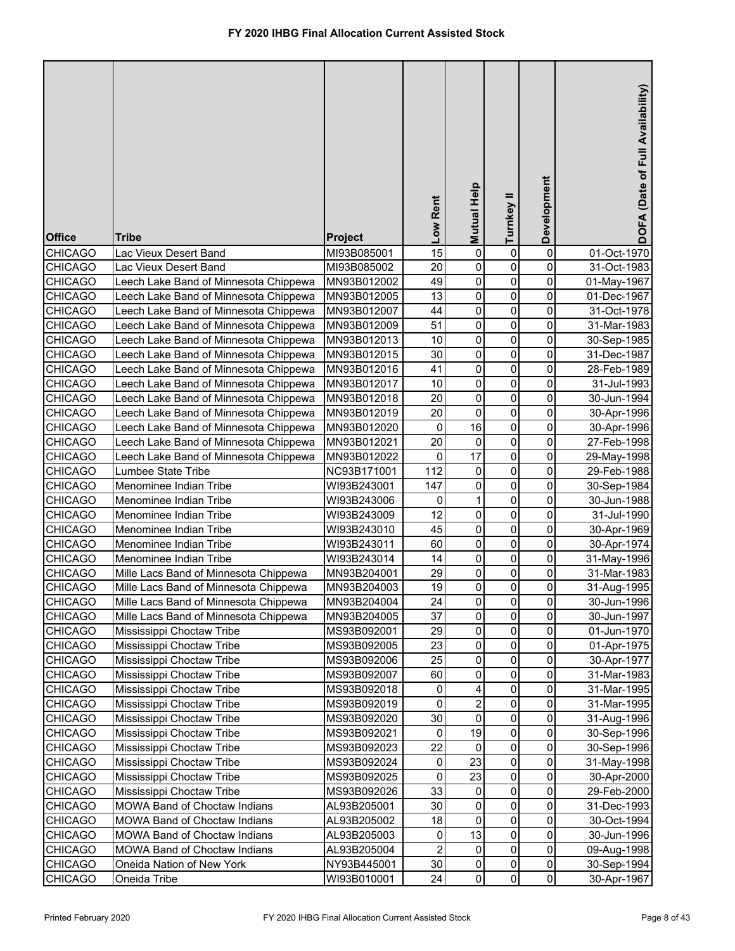| <b>Office</b>                    | <b>Tribe</b>                                           | <b>Project</b>             | Low Rent        | Mutual Help    | Turnkey II  | Development         | DOFA (Date of Full Availability) |
|----------------------------------|--------------------------------------------------------|----------------------------|-----------------|----------------|-------------|---------------------|----------------------------------|
| <b>CHICAGO</b>                   | Lac Vieux Desert Band                                  | MI93B085001                | $\overline{15}$ | 0              | 0           | $\pmb{0}$           | 01-Oct-1970                      |
| <b>CHICAGO</b>                   | Lac Vieux Desert Band                                  | MI93B085002                | 20              | 0              | 0           | 0                   | 31-Oct-1983                      |
| <b>CHICAGO</b>                   | Leech Lake Band of Minnesota Chippewa                  | MN93B012002                | 49              | 0              | 0           | 0                   | 01-May-1967                      |
| <b>CHICAGO</b>                   | Leech Lake Band of Minnesota Chippewa                  | MN93B012005                | 13              | $\mathsf 0$    | $\pmb{0}$   | 0                   | 01-Dec-1967                      |
| <b>CHICAGO</b>                   | Leech Lake Band of Minnesota Chippewa                  | MN93B012007                | 44              | 0              | $\pmb{0}$   | 0                   | 31-Oct-1978                      |
| <b>CHICAGO</b>                   | Leech Lake Band of Minnesota Chippewa                  | MN93B012009                | 51              | $\pmb{0}$      | $\pmb{0}$   | 0                   | 31-Mar-1983                      |
| <b>CHICAGO</b>                   | Leech Lake Band of Minnesota Chippewa                  | MN93B012013                | 10              | $\mathsf 0$    | $\pmb{0}$   | 0                   | 30-Sep-1985                      |
| <b>CHICAGO</b>                   | Leech Lake Band of Minnesota Chippewa                  | MN93B012015                | 30              | $\mathsf 0$    | $\pmb{0}$   | 0                   | 31-Dec-1987                      |
| <b>CHICAGO</b>                   | Leech Lake Band of Minnesota Chippewa                  | MN93B012016                | 41              | $\mathsf 0$    | $\mathbf 0$ | 0                   | 28-Feb-1989                      |
| <b>CHICAGO</b>                   | Leech Lake Band of Minnesota Chippewa                  | MN93B012017                | 10              | 0              | $\pmb{0}$   | 0                   | 31-Jul-1993                      |
| <b>CHICAGO</b>                   | Leech Lake Band of Minnesota Chippewa                  | MN93B012018                | 20              | 0              | $\pmb{0}$   | 0                   | 30-Jun-1994                      |
| <b>CHICAGO</b>                   | Leech Lake Band of Minnesota Chippewa                  | MN93B012019                | 20              | $\mathbf 0$    | $\pmb{0}$   | 0                   | 30-Apr-1996                      |
| <b>CHICAGO</b>                   | Leech Lake Band of Minnesota Chippewa                  | MN93B012020                | 0               | 16             | $\mathbf 0$ | 0                   | 30-Apr-1996                      |
| <b>CHICAGO</b>                   | Leech Lake Band of Minnesota Chippewa                  | MN93B012021                | 20              | 0              | $\mathbf 0$ | 0                   | 27-Feb-1998                      |
| <b>CHICAGO</b>                   | Leech Lake Band of Minnesota Chippewa                  | MN93B012022                | 0               | 17             | $\mathbf 0$ | 0                   | 29-May-1998                      |
| <b>CHICAGO</b>                   | Lumbee State Tribe                                     | NC93B171001                | 112             | 0              | $\mathbf 0$ | 0                   | 29-Feb-1988                      |
| <b>CHICAGO</b>                   | Menominee Indian Tribe                                 | WI93B243001                | 147             | $\mathbf 0$    | $\mathbf 0$ | 0                   | 30-Sep-1984                      |
| <b>CHICAGO</b>                   | Menominee Indian Tribe                                 | WI93B243006                | 0               | $\mathbf{1}$   | $\mathbf 0$ | 0                   | 30-Jun-1988                      |
| <b>CHICAGO</b>                   | Menominee Indian Tribe                                 | WI93B243009                | 12              | $\mathbf 0$    | $\mathbf 0$ | 0                   | 31-Jul-1990                      |
| <b>CHICAGO</b>                   | Menominee Indian Tribe                                 | WI93B243010                | 45              | $\mathbf 0$    | $\mathbf 0$ | 0                   | 30-Apr-1969                      |
| <b>CHICAGO</b>                   | Menominee Indian Tribe                                 | WI93B243011                | 60              | 0              | $\mathbf 0$ | 0                   | 30-Apr-1974                      |
| <b>CHICAGO</b>                   | Menominee Indian Tribe                                 | WI93B243014                | 14              | 0              | $\mathbf 0$ | 0                   | 31-May-1996                      |
| <b>CHICAGO</b>                   | Mille Lacs Band of Minnesota Chippewa                  | MN93B204001                | 29              | 0              | 0           | 0                   | 31-Mar-1983                      |
| <b>CHICAGO</b>                   | Mille Lacs Band of Minnesota Chippewa                  | MN93B204003                | 19              | 0              | 0           | 0                   | 31-Aug-1995                      |
| <b>CHICAGO</b>                   | Mille Lacs Band of Minnesota Chippewa                  | MN93B204004                | 24<br>37        | $\overline{0}$ | 0           | 0                   | 30-Jun-1996                      |
| <b>CHICAGO</b>                   | Mille Lacs Band of Minnesota Chippewa                  | MN93B204005                | 29              | 0              | 0           | 0                   | 30-Jun-1997                      |
| <b>CHICAGO</b>                   | Mississippi Choctaw Tribe<br>Mississippi Choctaw Tribe | MS93B092001                | 23              | 0<br>0         | 0           | 0                   | 01-Jun-1970                      |
| <b>CHICAGO</b><br><b>CHICAGO</b> | Mississippi Choctaw Tribe                              | MS93B092005<br>MS93B092006 | 25              | 0              | 0<br>0      | 0<br>0              | 01-Apr-1975<br>30-Apr-1977       |
| <b>CHICAGO</b>                   | Mississippi Choctaw Tribe                              | MS93B092007                | 60              | 0              | 0           | 0                   | 31-Mar-1983                      |
| <b>CHICAGO</b>                   | Mississippi Choctaw Tribe                              | MS93B092018                | 0               | 4              | 0           | 0                   | 31-Mar-1995                      |
| <b>CHICAGO</b>                   | Mississippi Choctaw Tribe                              | MS93B092019                | 0               | $\overline{2}$ | 0           | 0                   | 31-Mar-1995                      |
| <b>CHICAGO</b>                   | Mississippi Choctaw Tribe                              | MS93B092020                | 30              | 0              | 0           | 0                   | 31-Aug-1996                      |
| <b>CHICAGO</b>                   | Mississippi Choctaw Tribe                              | MS93B092021                | 0               | 19             | 0           | 0                   | 30-Sep-1996                      |
| <b>CHICAGO</b>                   | Mississippi Choctaw Tribe                              | MS93B092023                | 22              | 0              | 0           | 0                   | 30-Sep-1996                      |
| <b>CHICAGO</b>                   | Mississippi Choctaw Tribe                              | MS93B092024                | $\pmb{0}$       | 23             | 0           | $\mathsf{O}\xspace$ | 31-May-1998                      |
| <b>CHICAGO</b>                   | Mississippi Choctaw Tribe                              | MS93B092025                | 0               | 23             | 0           | 0                   | 30-Apr-2000                      |
| <b>CHICAGO</b>                   | Mississippi Choctaw Tribe                              | MS93B092026                | 33              | 0              | 0           | 0                   | 29-Feb-2000                      |
| <b>CHICAGO</b>                   | MOWA Band of Choctaw Indians                           | AL93B205001                | 30              | 0              | 0           | 0                   | 31-Dec-1993                      |
| <b>CHICAGO</b>                   | MOWA Band of Choctaw Indians                           | AL93B205002                | 18              | $\mathsf 0$    | 0           | 0                   | 30-Oct-1994                      |
| <b>CHICAGO</b>                   | MOWA Band of Choctaw Indians                           | AL93B205003                | 0               | 13             | 0           | 0                   | 30-Jun-1996                      |
| <b>CHICAGO</b>                   | MOWA Band of Choctaw Indians                           | AL93B205004                | $\overline{2}$  | 0              | $\pmb{0}$   | 0                   | 09-Aug-1998                      |
| <b>CHICAGO</b>                   | Oneida Nation of New York                              | NY93B445001                | 30              | 0              | 0           | $\mathsf{O}\xspace$ | 30-Sep-1994                      |
| <b>CHICAGO</b>                   | Oneida Tribe                                           | WI93B010001                | 24              | 0              | $\pmb{0}$   | $\mathsf{O}\xspace$ | 30-Apr-1967                      |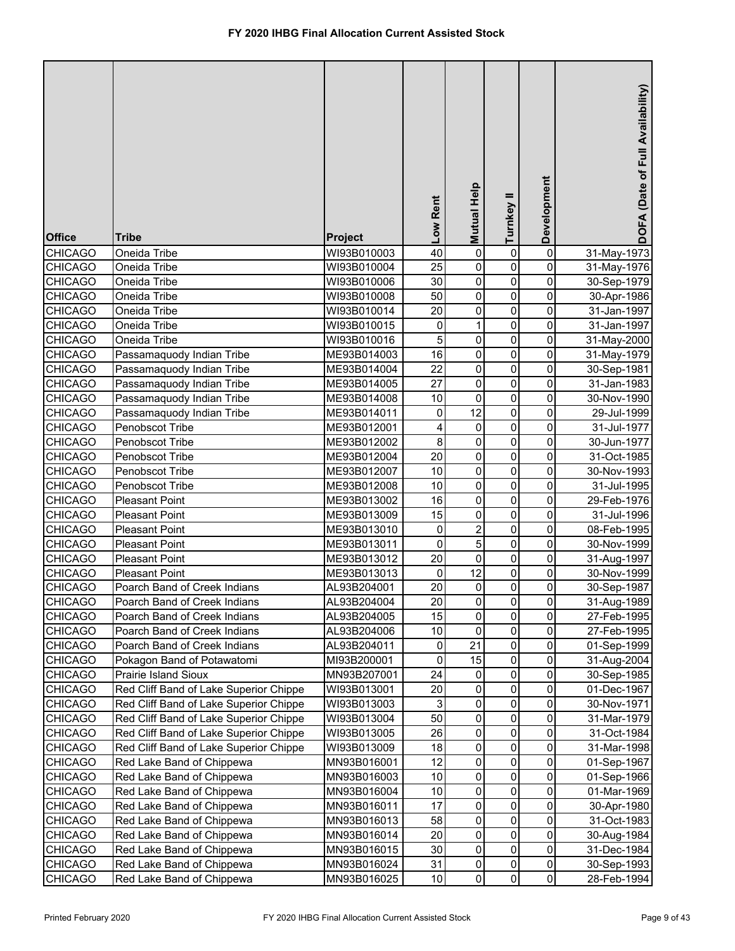|                |                                        |                | Low Rent | Mutual Help    | Turnkey II  | Development         | DOFA (Date of Full Availability) |
|----------------|----------------------------------------|----------------|----------|----------------|-------------|---------------------|----------------------------------|
| <b>Office</b>  | <b>Tribe</b>                           | <b>Project</b> |          |                |             |                     |                                  |
| CHICAGO        | Oneida Tribe                           | WI93B010003    | 40       | 0              | 0           | 0                   | 31-May-1973                      |
| <b>CHICAGO</b> | Oneida Tribe                           | WI93B010004    | 25       | 0              | 0           | 0                   | 31-May-1976                      |
| <b>CHICAGO</b> | Oneida Tribe                           | WI93B010006    | 30       | 0              | 0           | 0                   | 30-Sep-1979                      |
| <b>CHICAGO</b> | Oneida Tribe                           | WI93B010008    | 50       | 0              | $\pmb{0}$   | $\overline{0}$      | 30-Apr-1986                      |
| <b>CHICAGO</b> | Oneida Tribe                           | WI93B010014    | 20       | 0              | $\pmb{0}$   | 0                   | 31-Jan-1997                      |
| <b>CHICAGO</b> | Oneida Tribe                           | WI93B010015    | 0        | 1              | 0           | 0                   | 31-Jan-1997                      |
| <b>CHICAGO</b> | Oneida Tribe                           | WI93B010016    | 5        | 0              | 0           | 0                   | 31-May-2000                      |
| <b>CHICAGO</b> | Passamaquody Indian Tribe              | ME93B014003    | 16       | 0              | 0           | 0                   | 31-May-1979                      |
| <b>CHICAGO</b> | Passamaquody Indian Tribe              | ME93B014004    | 22       | 0              | 0           | 0                   | 30-Sep-1981                      |
| <b>CHICAGO</b> | Passamaquody Indian Tribe              | ME93B014005    | 27       | 0              | 0           | 0                   | 31-Jan-1983                      |
| <b>CHICAGO</b> | Passamaquody Indian Tribe              | ME93B014008    | $10$     | 0              | $\pmb{0}$   | 0                   | 30-Nov-1990                      |
| <b>CHICAGO</b> | Passamaquody Indian Tribe              | ME93B014011    | 0        | 12             | 0           | 0                   | 29-Jul-1999                      |
| <b>CHICAGO</b> | Penobscot Tribe                        | ME93B012001    | 4        | 0              | 0           | 0                   | 31-Jul-1977                      |
| <b>CHICAGO</b> | Penobscot Tribe                        | ME93B012002    | 8        | $\mathsf 0$    | $\mathbf 0$ | 0                   | 30-Jun-1977                      |
| <b>CHICAGO</b> | Penobscot Tribe                        | ME93B012004    | 20       | 0              | $\mathbf 0$ | 0                   | 31-Oct-1985                      |
| <b>CHICAGO</b> | Penobscot Tribe                        | ME93B012007    | 10       | 0              | $\mathbf 0$ | 0                   | 30-Nov-1993                      |
| <b>CHICAGO</b> | Penobscot Tribe                        | ME93B012008    | 10       | $\mathsf 0$    | $\mathbf 0$ | 0                   | 31-Jul-1995                      |
| <b>CHICAGO</b> | <b>Pleasant Point</b>                  | ME93B013002    | 16       | $\mathbf 0$    | $\mathbf 0$ | 0                   | 29-Feb-1976                      |
| <b>CHICAGO</b> | <b>Pleasant Point</b>                  | ME93B013009    | 15       | 0              | $\mathbf 0$ | 0                   | 31-Jul-1996                      |
| <b>CHICAGO</b> | <b>Pleasant Point</b>                  | ME93B013010    | 0        | $\overline{2}$ | $\mathbf 0$ | 0                   | 08-Feb-1995                      |
| <b>CHICAGO</b> | <b>Pleasant Point</b>                  | ME93B013011    | 0        | 5              | 0           | 0                   | 30-Nov-1999                      |
| <b>CHICAGO</b> | <b>Pleasant Point</b>                  | ME93B013012    | 20       | 0              | 0           | 0                   | 31-Aug-1997                      |
| <b>CHICAGO</b> | <b>Pleasant Point</b>                  | ME93B013013    | 0        | 12             | 0           | 0                   | 30-Nov-1999                      |
| <b>CHICAGO</b> | Poarch Band of Creek Indians           | AL93B204001    | 20       | 0              | 0           | 0                   | 30-Sep-1987                      |
| <b>CHICAGO</b> | Poarch Band of Creek Indians           | AL93B204004    | 20       | $\overline{0}$ | 0           | $\pmb{0}$           | 31-Aug-1989                      |
| <b>CHICAGO</b> | Poarch Band of Creek Indians           | AL93B204005    | 15       | 0              | 0           | 0                   | 27-Feb-1995                      |
| <b>CHICAGO</b> | Poarch Band of Creek Indians           | AL93B204006    | 10       | 0              | 0           | 0                   | 27-Feb-1995                      |
| <b>CHICAGO</b> | Poarch Band of Creek Indians           | AL93B204011    | 0        | 21             | 0           | 0                   | 01-Sep-1999                      |
| <b>CHICAGO</b> | Pokagon Band of Potawatomi             | MI93B200001    | 0        | 15             | 0           | 0                   | 31-Aug-2004                      |
| <b>CHICAGO</b> | Prairie Island Sioux                   | MN93B207001    | 24       | 0              | 0           | 0                   | 30-Sep-1985                      |
| <b>CHICAGO</b> | Red Cliff Band of Lake Superior Chippe | WI93B013001    | 20       | 0              | $\pmb{0}$   | 0                   | 01-Dec-1967                      |
| <b>CHICAGO</b> | Red Cliff Band of Lake Superior Chippe | WI93B013003    | 3        | 0              | 0           | 0                   | 30-Nov-1971                      |
| <b>CHICAGO</b> | Red Cliff Band of Lake Superior Chippe | WI93B013004    | 50       | 0              | 0           | 0                   | 31-Mar-1979                      |
| <b>CHICAGO</b> | Red Cliff Band of Lake Superior Chippe | WI93B013005    | 26       | 0              | 0           | 0                   | 31-Oct-1984                      |
| <b>CHICAGO</b> | Red Cliff Band of Lake Superior Chippe | WI93B013009    | 18       | 0              | 0           | $\pmb{0}$           | 31-Mar-1998                      |
| CHICAGO        | Red Lake Band of Chippewa              | MN93B016001    | 12       | 0              | 0           | $\mathsf{O}\xspace$ | 01-Sep-1967                      |
| <b>CHICAGO</b> | Red Lake Band of Chippewa              | MN93B016003    | 10       | 0              | 0           | 0                   | 01-Sep-1966                      |
| CHICAGO        | Red Lake Band of Chippewa              | MN93B016004    | 10       | 0              | 0           | 0                   | 01-Mar-1969                      |
| <b>CHICAGO</b> | Red Lake Band of Chippewa              | MN93B016011    | 17       | 0              | 0           | 0                   | 30-Apr-1980                      |
| <b>CHICAGO</b> | Red Lake Band of Chippewa              | MN93B016013    | 58       | 0              | 0           | 0                   | 31-Oct-1983                      |
| <b>CHICAGO</b> | Red Lake Band of Chippewa              | MN93B016014    | 20       | 0              | 0           | 0                   | 30-Aug-1984                      |
| <b>CHICAGO</b> | Red Lake Band of Chippewa              | MN93B016015    | 30       | $\mathbf 0$    | $\pmb{0}$   | 0                   | 31-Dec-1984                      |
| <b>CHICAGO</b> | Red Lake Band of Chippewa              | MN93B016024    | 31       | 0              | 0           | $\mathsf{O}\xspace$ | 30-Sep-1993                      |
| <b>CHICAGO</b> | Red Lake Band of Chippewa              | MN93B016025    | 10       | 0              | $\pmb{0}$   | $\overline{0}$      | 28-Feb-1994                      |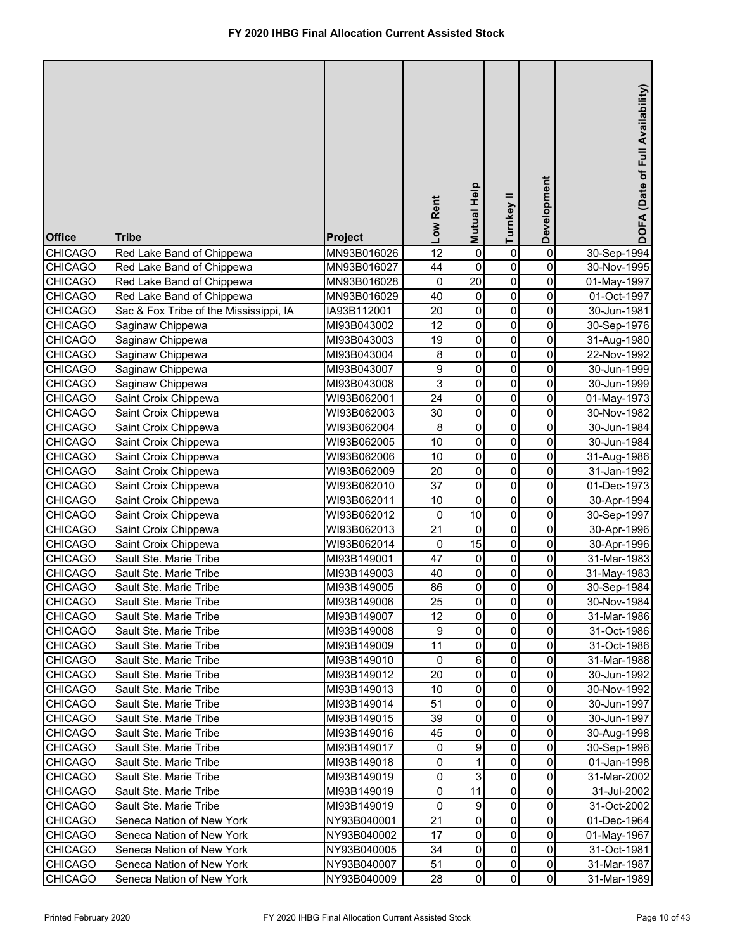| <b>Office</b>                    | <b>Tribe</b>                                     | <b>Project</b>             | Low Rent        | Mutual Help    | Turnkey II     | Development                      | DOFA (Date of Full Availability) |
|----------------------------------|--------------------------------------------------|----------------------------|-----------------|----------------|----------------|----------------------------------|----------------------------------|
| <b>CHICAGO</b>                   | Red Lake Band of Chippewa                        | MN93B016026                | $\overline{12}$ | 0              | 0              | $\pmb{0}$                        | 30-Sep-1994                      |
| <b>CHICAGO</b>                   | Red Lake Band of Chippewa                        | MN93B016027                | 44              | 0              | 0              | 0                                | 30-Nov-1995                      |
| <b>CHICAGO</b>                   | Red Lake Band of Chippewa                        | MN93B016028                | 0               | 20             | 0              | 0                                | 01-May-1997                      |
| <b>CHICAGO</b>                   | Red Lake Band of Chippewa                        | MN93B016029                | 40              | 0              | $\pmb{0}$      | 0                                | 01-Oct-1997                      |
| <b>CHICAGO</b>                   | Sac & Fox Tribe of the Mississippi, IA           | IA93B112001                | 20              | $\pmb{0}$      | $\mathsf 0$    | 0                                | 30-Jun-1981                      |
| <b>CHICAGO</b>                   | Saginaw Chippewa                                 | MI93B043002                | 12              | $\pmb{0}$      | $\mathbf 0$    | 0                                | 30-Sep-1976                      |
| <b>CHICAGO</b>                   | Saginaw Chippewa                                 | MI93B043003                | 19              | $\mathsf 0$    | $\pmb{0}$      | 0                                | 31-Aug-1980                      |
| <b>CHICAGO</b>                   | Saginaw Chippewa                                 | MI93B043004                | 8               | $\mathsf 0$    | $\pmb{0}$      | 0                                | 22-Nov-1992                      |
| <b>CHICAGO</b>                   | Saginaw Chippewa                                 | MI93B043007                | 9               | $\mathsf 0$    | $\mathbf 0$    | 0                                | 30-Jun-1999                      |
| <b>CHICAGO</b>                   | Saginaw Chippewa                                 | MI93B043008                | 3               | $\mathsf 0$    | $\pmb{0}$      | 0                                | 30-Jun-1999                      |
| <b>CHICAGO</b>                   | Saint Croix Chippewa                             | WI93B062001                | 24              | 0              | $\pmb{0}$      | 0                                | 01-May-1973                      |
| <b>CHICAGO</b>                   | Saint Croix Chippewa                             | WI93B062003                | 30              | 0              | $\pmb{0}$      | 0                                | 30-Nov-1982                      |
| <b>CHICAGO</b>                   | Saint Croix Chippewa                             | WI93B062004                | 8               | $\mathsf 0$    | $\mathbf 0$    | 0                                | 30-Jun-1984                      |
| <b>CHICAGO</b>                   | Saint Croix Chippewa                             | WI93B062005                | 10              | $\mathsf 0$    | $\mathbf 0$    | 0                                | 30-Jun-1984                      |
| <b>CHICAGO</b>                   | Saint Croix Chippewa                             | WI93B062006                | 10              | $\mathsf 0$    | $\mathbf 0$    | 0                                | 31-Aug-1986                      |
| <b>CHICAGO</b>                   | Saint Croix Chippewa                             | WI93B062009                | 20              | $\mathsf 0$    | $\mathbf 0$    | 0                                | 31-Jan-1992                      |
| <b>CHICAGO</b>                   | Saint Croix Chippewa                             | WI93B062010                | 37              | $\overline{0}$ | $\mathbf 0$    | 0                                | 01-Dec-1973                      |
| <b>CHICAGO</b>                   | Saint Croix Chippewa                             | WI93B062011                | 10              | $\mathbf 0$    | $\mathbf 0$    | 0                                | 30-Apr-1994                      |
| <b>CHICAGO</b>                   | Saint Croix Chippewa                             | WI93B062012                | 0               | 10             | $\mathbf 0$    | 0                                | 30-Sep-1997                      |
| <b>CHICAGO</b>                   | Saint Croix Chippewa                             | WI93B062013                | 21              | 0              | $\mathbf 0$    | 0                                | 30-Apr-1996                      |
| <b>CHICAGO</b>                   | Saint Croix Chippewa                             | WI93B062014                | 0               | 15             | $\mathbf 0$    | 0                                | 30-Apr-1996                      |
| <b>CHICAGO</b>                   | Sault Ste. Marie Tribe                           | MI93B149001                | 47              | 0              | $\mathbf 0$    | 0                                | 31-Mar-1983                      |
| <b>CHICAGO</b>                   | Sault Ste. Marie Tribe                           | MI93B149003                | 40              | 0              | 0              | 0                                | 31-May-1983                      |
| <b>CHICAGO</b>                   | Sault Ste. Marie Tribe                           | MI93B149005                | 86              | 0              | $\mathbf 0$    | 0                                | 30-Sep-1984                      |
| <b>CHICAGO</b>                   | Sault Ste. Marie Tribe                           | MI93B149006                | 25              | υI             | 0              | $\pmb{0}$                        | 30-Nov-1984                      |
| <b>CHICAGO</b>                   | Sault Ste. Marie Tribe                           | MI93B149007                | 12              | 0              | 0              | 0                                | 31-Mar-1986                      |
| <b>CHICAGO</b>                   | Sault Ste. Marie Tribe                           | MI93B149008                | 9               | $\pmb{0}$      | 0              | 0                                | 31-Oct-1986                      |
| <b>CHICAGO</b>                   | Sault Ste. Marie Tribe                           | MI93B149009                | 11              | 0              | 0              | 0                                | 31-Oct-1986                      |
| <b>CHICAGO</b>                   | Sault Ste. Marie Tribe                           | MI93B149010                | $\mathbf 0$     | 6              | 0              | 0                                | 31-Mar-1988                      |
| <b>CHICAGO</b>                   | Sault Ste. Marie Tribe                           | MI93B149012                | 20              | 0              | $\pmb{0}$      | 0                                | 30-Jun-1992                      |
| <b>CHICAGO</b>                   | Sault Ste. Marie Tribe                           | MI93B149013                | 10              | 0              | $\pmb{0}$      | 0                                | 30-Nov-1992                      |
| <b>CHICAGO</b>                   | Sault Ste. Marie Tribe                           | MI93B149014                | 51              | $\pmb{0}$      | 0              | 0                                | 30-Jun-1997                      |
| <b>CHICAGO</b>                   | Sault Ste. Marie Tribe                           | MI93B149015                | 39              | 0              | 0              | 0                                | 30-Jun-1997                      |
| <b>CHICAGO</b>                   | Sault Ste. Marie Tribe                           | MI93B149016                | 45              | 0              | 0              | 0                                | 30-Aug-1998                      |
| <b>CHICAGO</b>                   | Sault Ste. Marie Tribe                           | MI93B149017                | $\mathbf 0$     | 9              | 0              | $\mathsf{O}\xspace$              | 30-Sep-1996                      |
| <b>CHICAGO</b>                   | Sault Ste. Marie Tribe                           | MI93B149018                | $\pmb{0}$       | 1              | 0              | $\pmb{0}$                        | 01-Jan-1998                      |
| <b>CHICAGO</b>                   | Sault Ste. Marie Tribe                           | MI93B149019                | $\pmb{0}$       | 3<br>11        | 0<br>0         | $\mathsf{O}\xspace$<br>$\pmb{0}$ | 31-Mar-2002                      |
| <b>CHICAGO</b>                   | Sault Ste. Marie Tribe<br>Sault Ste. Marie Tribe | MI93B149019                | 0<br>0          | 9              | 0              | $\mathsf{O}\xspace$              | 31-Jul-2002                      |
| <b>CHICAGO</b>                   | Seneca Nation of New York                        | MI93B149019<br>NY93B040001 | 21              | 0              | 0              | 0                                | 31-Oct-2002<br>01-Dec-1964       |
| <b>CHICAGO</b><br><b>CHICAGO</b> | Seneca Nation of New York                        | NY93B040002                | 17              | 0              | 0              | 0                                | 01-May-1967                      |
| <b>CHICAGO</b>                   | Seneca Nation of New York                        | NY93B040005                | 34              | 0              | 0              | 0                                | 31-Oct-1981                      |
| <b>CHICAGO</b>                   | Seneca Nation of New York                        | NY93B040007                | 51              | 0              | 0              | $\mathsf{O}\xspace$              | 31-Mar-1987                      |
| <b>CHICAGO</b>                   | Seneca Nation of New York                        | NY93B040009                | 28              | 0              | $\overline{0}$ | $\overline{0}$                   | 31-Mar-1989                      |
|                                  |                                                  |                            |                 |                |                |                                  |                                  |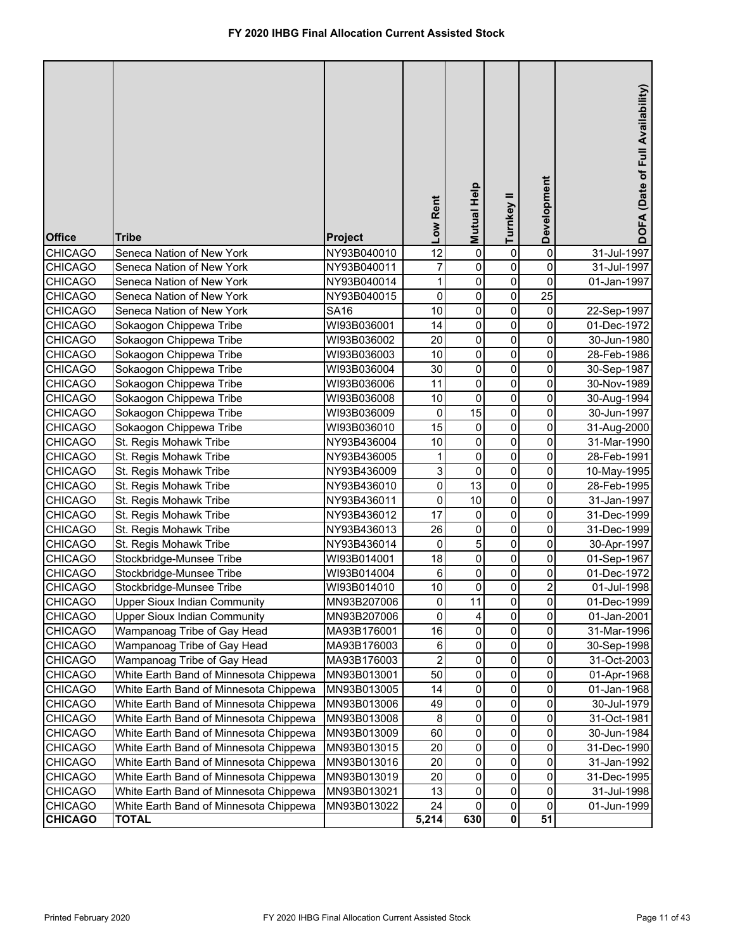| <b>Office</b><br><b>CHICAGO</b> | <b>Tribe</b><br>Seneca Nation of New York | Project<br>NY93B040010 | Low Rent<br>$\overline{12}$ | <b>Mutual Help</b><br>$\overline{0}$ | Turnkey II<br>$\pmb{0}$ | Development<br>$\pmb{0}$ | DOFA (Date of Full Availability)<br>31-Jul-1997 |
|---------------------------------|-------------------------------------------|------------------------|-----------------------------|--------------------------------------|-------------------------|--------------------------|-------------------------------------------------|
|                                 |                                           |                        |                             |                                      |                         |                          |                                                 |
| <b>CHICAGO</b>                  | Seneca Nation of New York                 | NY93B040011            | $\overline{7}$              | $\pmb{0}$                            | 0                       | 0                        | 31-Jul-1997                                     |
| <b>CHICAGO</b>                  | Seneca Nation of New York                 | NY93B040014            | $\mathbf{1}$                | $\pmb{0}$                            | $\pmb{0}$               | $\pmb{0}$                | 01-Jan-1997                                     |
| <b>CHICAGO</b>                  | Seneca Nation of New York                 | NY93B040015            | $\pmb{0}$                   | $\overline{0}$                       | $\mathbf 0$             | $\overline{25}$          |                                                 |
| <b>CHICAGO</b>                  | Seneca Nation of New York                 | <b>SA16</b>            | 10                          | $\mathsf 0$                          | $\pmb{0}$               | 0                        | 22-Sep-1997                                     |
| <b>CHICAGO</b>                  | Sokaogon Chippewa Tribe                   | WI93B036001            | 14                          | $\mathsf 0$                          | 0                       | 0                        | 01-Dec-1972                                     |
| <b>CHICAGO</b>                  | Sokaogon Chippewa Tribe                   | WI93B036002            | 20                          | $\mathsf 0$                          | $\pmb{0}$               | 0                        | 30-Jun-1980                                     |
| <b>CHICAGO</b>                  | Sokaogon Chippewa Tribe                   | WI93B036003            | 10                          | $\mathsf 0$                          | $\pmb{0}$               | 0                        | 28-Feb-1986                                     |
| <b>CHICAGO</b>                  | Sokaogon Chippewa Tribe                   | WI93B036004            | 30                          | $\mathsf 0$                          | $\mathbf 0$             | 0                        | 30-Sep-1987                                     |
| <b>CHICAGO</b>                  | Sokaogon Chippewa Tribe                   | WI93B036006            | 11                          | $\pmb{0}$                            | $\pmb{0}$               | 0                        | 30-Nov-1989                                     |
| <b>CHICAGO</b>                  | Sokaogon Chippewa Tribe                   | WI93B036008            | 10                          | $\overline{0}$                       | $\pmb{0}$               | 0                        | 30-Aug-1994                                     |
| <b>CHICAGO</b>                  | Sokaogon Chippewa Tribe                   | WI93B036009            | $\pmb{0}$                   | 15                                   | $\pmb{0}$               | 0                        | 30-Jun-1997                                     |
| <b>CHICAGO</b>                  | Sokaogon Chippewa Tribe                   | WI93B036010            | 15                          | 0                                    | $\mathbf 0$             | 0                        | 31-Aug-2000                                     |
| <b>CHICAGO</b>                  | St. Regis Mohawk Tribe                    | NY93B436004            | 10                          | 0                                    | $\mathbf 0$             | 0                        | 31-Mar-1990                                     |
| <b>CHICAGO</b>                  | St. Regis Mohawk Tribe                    | NY93B436005            | 1                           | 0                                    | $\mathbf 0$             | 0                        | 28-Feb-1991                                     |
| <b>CHICAGO</b>                  | St. Regis Mohawk Tribe                    | NY93B436009            | 3                           | $\mathsf 0$                          | $\mathbf 0$             | 0                        | 10-May-1995                                     |
| <b>CHICAGO</b>                  | St. Regis Mohawk Tribe                    | NY93B436010            | $\mathsf 0$                 | 13                                   | $\mathbf 0$             | 0                        | 28-Feb-1995                                     |
| <b>CHICAGO</b>                  | St. Regis Mohawk Tribe                    | NY93B436011            | $\pmb{0}$                   | 10                                   | 0                       | 0                        | 31-Jan-1997                                     |
| <b>CHICAGO</b>                  | St. Regis Mohawk Tribe                    | NY93B436012            | 17                          | 0                                    | 0                       | 0                        | 31-Dec-1999                                     |
| <b>CHICAGO</b>                  | St. Regis Mohawk Tribe                    | NY93B436013            | 26                          | 0                                    | $\mathbf 0$             | 0                        | 31-Dec-1999                                     |
| <b>CHICAGO</b>                  | St. Regis Mohawk Tribe                    | NY93B436014            | $\pmb{0}$                   | 5                                    | $\mathbf 0$             | 0                        | 30-Apr-1997                                     |
| <b>CHICAGO</b>                  | Stockbridge-Munsee Tribe                  | WI93B014001            | 18                          | $\pmb{0}$                            | 0                       | 0                        | 01-Sep-1967                                     |
| <b>CHICAGO</b>                  | Stockbridge-Munsee Tribe                  | WI93B014004            | 6                           | $\pmb{0}$                            | 0                       | 0                        | 01-Dec-1972                                     |
| <b>CHICAGO</b>                  | Stockbridge-Munsee Tribe                  | WI93B014010            | 10                          | $\pmb{0}$                            | $\mathbf 0$             | $\overline{2}$           | 01-Jul-1998                                     |
| <b>CHICAGO</b>                  | <b>Upper Sioux Indian Community</b>       | MN93B207006            | $\overline{0}$              | 11                                   | 0                       | $\overline{0}$           | 01-Dec-1999                                     |
| <b>CHICAGO</b>                  | <b>Upper Sioux Indian Community</b>       | MN93B207006            | $\mathbf 0$                 | 4                                    | 0                       | 0                        | 01-Jan-2001                                     |
| CHICAGO                         | Wampanoag Tribe of Gay Head               | MA93B176001            | 16                          | $\pmb{0}$                            | 0                       | 0                        | 31-Mar-1996                                     |
| <b>CHICAGO</b>                  | Wampanoag Tribe of Gay Head               | MA93B176003            | 6                           | 0                                    | 0                       | 0                        | 30-Sep-1998                                     |
| <b>CHICAGO</b>                  | Wampanoag Tribe of Gay Head               | MA93B176003            | $\overline{c}$              | 0                                    | 0                       | 0                        | 31-Oct-2003                                     |
| <b>CHICAGO</b>                  | White Earth Band of Minnesota Chippewa    | MN93B013001            | 50                          | 0                                    | 0                       | 0                        | 01-Apr-1968                                     |
| <b>CHICAGO</b>                  | White Earth Band of Minnesota Chippewa    | MN93B013005            | 14                          | 0                                    | 0                       | 0                        | 01-Jan-1968                                     |
| <b>CHICAGO</b>                  | White Earth Band of Minnesota Chippewa    | MN93B013006            | 49                          | 0                                    | 0                       | 0                        | 30-Jul-1979                                     |
| <b>CHICAGO</b>                  | White Earth Band of Minnesota Chippewa    | MN93B013008            | 8                           | 0                                    | 0                       | 0                        | 31-Oct-1981                                     |
| <b>CHICAGO</b>                  | White Earth Band of Minnesota Chippewa    | MN93B013009            | 60                          | 0                                    | 0                       | 0                        | 30-Jun-1984                                     |
| <b>CHICAGO</b>                  | White Earth Band of Minnesota Chippewa    | MN93B013015            | 20                          | 0                                    | 0                       | 0                        | 31-Dec-1990                                     |
| <b>CHICAGO</b>                  | White Earth Band of Minnesota Chippewa    | MN93B013016            | 20                          | 0                                    | 0                       | 0                        | 31-Jan-1992                                     |
| <b>CHICAGO</b>                  | White Earth Band of Minnesota Chippewa    | MN93B013019            | 20                          | 0                                    | 0                       | $\mathsf{O}\xspace$      | 31-Dec-1995                                     |
| <b>CHICAGO</b>                  | White Earth Band of Minnesota Chippewa    | MN93B013021            | 13                          | 0                                    | 0                       | 0                        | 31-Jul-1998                                     |
| <b>CHICAGO</b>                  | White Earth Band of Minnesota Chippewa    | MN93B013022            | 24                          | 0                                    | 0                       | $\pmb{0}$                | 01-Jun-1999                                     |
| <b>CHICAGO</b>                  | <b>TOTAL</b>                              |                        | 5,214                       | 630                                  | $\pmb{0}$               | 51                       |                                                 |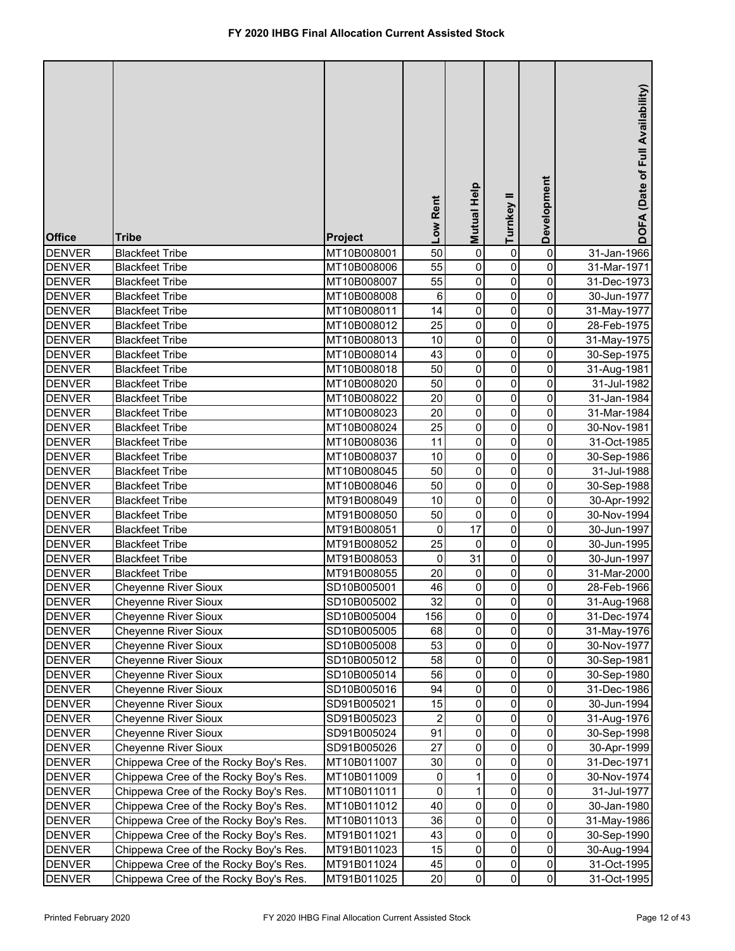| $\pmb{0}$<br>50<br>0<br>31-Jan-1966<br><b>DENVER</b><br><b>Blackfeet Tribe</b><br>MT10B008001<br>0<br>0<br>55<br>$\pmb{0}$<br><b>DENVER</b><br>0<br>MT10B008006<br>31-Mar-1971<br><b>Blackfeet Tribe</b><br>55<br>$\pmb{0}$<br>0<br><b>DENVER</b><br>0<br><b>Blackfeet Tribe</b><br>MT10B008007<br>31-Dec-1973<br>$\overline{0}$<br>0<br>0<br><b>DENVER</b><br>6<br>30-Jun-1977<br><b>Blackfeet Tribe</b><br>MT10B008008<br>14<br>$\pmb{0}$<br>0<br>0<br><b>DENVER</b><br><b>Blackfeet Tribe</b><br>MT10B008011<br>31-May-1977<br>25<br>$\pmb{0}$<br>0<br><b>DENVER</b><br>0<br><b>Blackfeet Tribe</b><br>MT10B008012<br>28-Feb-1975<br>$\pmb{0}$<br>0<br><b>DENVER</b><br>10<br>0<br><b>Blackfeet Tribe</b><br>MT10B008013<br>31-May-1975<br>$\pmb{0}$<br>0<br><b>DENVER</b><br>43<br>0<br><b>Blackfeet Tribe</b><br>MT10B008014<br>30-Sep-1975<br>$\pmb{0}$<br>0<br><b>DENVER</b><br>50<br>0<br><b>Blackfeet Tribe</b><br>MT10B008018<br>31-Aug-1981<br>$\pmb{0}$<br>0<br><b>DENVER</b><br>50<br>0<br><b>Blackfeet Tribe</b><br>MT10B008020<br>31-Jul-1982<br>$\pmb{0}$<br>0<br><b>DENVER</b><br>20<br>0<br><b>Blackfeet Tribe</b><br>MT10B008022<br>31-Jan-1984<br>0<br>0<br><b>DENVER</b><br>20<br>0<br><b>Blackfeet Tribe</b><br>MT10B008023<br>31-Mar-1984<br>0<br>0<br><b>DENVER</b><br>25<br>$\mathbf 0$<br><b>Blackfeet Tribe</b><br>MT10B008024<br>30-Nov-1981<br>0<br>0<br>11<br>0<br><b>DENVER</b><br><b>Blackfeet Tribe</b><br>MT10B008036<br>31-Oct-1985<br>0<br>0<br>10<br>$\mathbf 0$<br><b>DENVER</b><br><b>Blackfeet Tribe</b><br>MT10B008037<br>30-Sep-1986<br>$\mathsf 0$<br>0<br>50<br>0<br><b>DENVER</b><br>MT10B008045<br><b>Blackfeet Tribe</b><br>31-Jul-1988<br>0<br>$\mathbf 0$<br>0<br>50<br><b>DENVER</b><br><b>Blackfeet Tribe</b><br>MT10B008046<br>30-Sep-1988<br>0<br>$\mathbf 0$<br>0<br><b>DENVER</b><br>MT91B008049<br>10<br><b>Blackfeet Tribe</b><br>30-Apr-1992<br>$\mathbf 0$<br>0<br>50<br>0<br><b>DENVER</b><br><b>Blackfeet Tribe</b><br>MT91B008050<br>30-Nov-1994<br>17<br>$\mathbf 0$<br>0<br><b>DENVER</b><br>0<br>30-Jun-1997<br><b>Blackfeet Tribe</b><br>MT91B008051<br>0<br>25<br>0<br><b>DENVER</b><br><b>Blackfeet Tribe</b><br>MT91B008052<br>0<br>30-Jun-1995<br>0<br>0<br>31<br>0<br><b>DENVER</b><br><b>Blackfeet Tribe</b><br>MT91B008053<br>30-Jun-1997<br>20<br>0<br><b>DENVER</b><br><b>Blackfeet Tribe</b><br>MT91B008055<br>0<br>0<br>31-Mar-2000<br>46<br>0<br>0<br>0<br><b>DENVER</b><br><b>Cheyenne River Sioux</b><br>SD10B005001<br>28-Feb-1966<br><b>DENVER</b><br><b>Cheyenne River Sioux</b><br>SD10B005002<br>32<br>$\pmb{0}$<br>31-Aug-1968<br>$\mathbf{0}$<br>0<br>0<br>0<br>0<br><b>DENVER</b><br><b>Cheyenne River Sioux</b><br>156<br>31-Dec-1974<br>SD10B005004<br>$\pmb{0}$<br>0<br>0<br><b>DENVER</b><br><b>Cheyenne River Sioux</b><br>68<br>SD10B005005<br>31-May-1976<br>$\pmb{0}$<br>0<br>53<br>0<br><b>DENVER</b><br><b>Cheyenne River Sioux</b><br>SD10B005008<br>30-Nov-1977<br>$\pmb{0}$<br>0<br><b>Cheyenne River Sioux</b><br>58<br>0<br><b>DENVER</b><br>SD10B005012<br>30-Sep-1981<br>$\pmb{0}$<br>0<br>0<br><b>DENVER</b><br><b>Cheyenne River Sioux</b><br>SD10B005014<br>56<br>30-Sep-1980<br>$\pmb{0}$<br>0<br>0<br><b>DENVER</b><br><b>Cheyenne River Sioux</b><br>94<br>SD10B005016<br>31-Dec-1986<br>$\pmb{0}$<br>0<br>0<br><b>DENVER</b><br><b>Cheyenne River Sioux</b><br>15<br>SD91B005021<br>30-Jun-1994<br>$\pmb{0}$<br>0<br><b>DENVER</b><br><b>Cheyenne River Sioux</b><br>SD91B005023<br>$\overline{c}$<br>0<br>31-Aug-1976<br>$\pmb{0}$<br>0<br><b>DENVER</b><br><b>Cheyenne River Sioux</b><br>91<br>0<br>SD91B005024<br>30-Sep-1998<br>$\mathsf{O}\xspace$<br>$\pmb{0}$<br>0<br><b>Cheyenne River Sioux</b><br>27<br><b>DENVER</b><br>SD91B005026<br>30-Apr-1999<br>$\mathsf{O}\xspace$<br>$\pmb{0}$<br>0<br><b>DENVER</b><br>Chippewa Cree of the Rocky Boy's Res.<br>30<br>MT10B011007<br>31-Dec-1971<br>$\pmb{0}$<br><b>DENVER</b><br>Chippewa Cree of the Rocky Boy's Res.<br>MT10B011009<br>0<br>1<br>0<br>30-Nov-1974<br>0<br>$\pmb{0}$<br><b>DENVER</b><br>Chippewa Cree of the Rocky Boy's Res.<br>MT10B011011<br>1<br>0<br>31-Jul-1977<br>$\mathsf{O}\xspace$<br>40<br>$\pmb{0}$<br>MT10B011012<br>0<br><b>DENVER</b><br>Chippewa Cree of the Rocky Boy's Res.<br>30-Jan-1980<br>$\pmb{0}$<br>0<br>0<br><b>DENVER</b><br>Chippewa Cree of the Rocky Boy's Res.<br>MT10B011013<br>36<br>31-May-1986<br>$\mathsf{O}\xspace$<br>$\pmb{0}$<br>0<br>Chippewa Cree of the Rocky Boy's Res.<br>43<br><b>DENVER</b><br>MT91B011021<br>30-Sep-1990<br>$\pmb{0}$<br>$\mathsf{O}\xspace$<br>0<br>Chippewa Cree of the Rocky Boy's Res.<br>15<br><b>DENVER</b><br>MT91B011023<br>30-Aug-1994<br>$\mathbf 0$<br>$\pmb{0}$<br><b>DENVER</b><br>Chippewa Cree of the Rocky Boy's Res.<br>45<br>0<br>MT91B011024<br>31-Oct-1995<br>$\overline{0}$<br>$\pmb{0}$<br>0<br><b>DENVER</b><br>Chippewa Cree of the Rocky Boy's Res.<br>MT91B011025<br>20<br>31-Oct-1995 | <b>Office</b> | <b>Tribe</b> | Project | Low Rent | Mutual Help | Turnkey II | Development | DOFA (Date of Full Availability) |
|--------------------------------------------------------------------------------------------------------------------------------------------------------------------------------------------------------------------------------------------------------------------------------------------------------------------------------------------------------------------------------------------------------------------------------------------------------------------------------------------------------------------------------------------------------------------------------------------------------------------------------------------------------------------------------------------------------------------------------------------------------------------------------------------------------------------------------------------------------------------------------------------------------------------------------------------------------------------------------------------------------------------------------------------------------------------------------------------------------------------------------------------------------------------------------------------------------------------------------------------------------------------------------------------------------------------------------------------------------------------------------------------------------------------------------------------------------------------------------------------------------------------------------------------------------------------------------------------------------------------------------------------------------------------------------------------------------------------------------------------------------------------------------------------------------------------------------------------------------------------------------------------------------------------------------------------------------------------------------------------------------------------------------------------------------------------------------------------------------------------------------------------------------------------------------------------------------------------------------------------------------------------------------------------------------------------------------------------------------------------------------------------------------------------------------------------------------------------------------------------------------------------------------------------------------------------------------------------------------------------------------------------------------------------------------------------------------------------------------------------------------------------------------------------------------------------------------------------------------------------------------------------------------------------------------------------------------------------------------------------------------------------------------------------------------------------------------------------------------------------------------------------------------------------------------------------------------------------------------------------------------------------------------------------------------------------------------------------------------------------------------------------------------------------------------------------------------------------------------------------------------------------------------------------------------------------------------------------------------------------------------------------------------------------------------------------------------------------------------------------------------------------------------------------------------------------------------------------------------------------------------------------------------------------------------------------------------------------------------------------------------------------------------------------------------------------------------------------------------------------------------------------------------------------------------------------------------------------------------------------------------------------------------------------------------------------------------------------------------------------------------------------------------------------------------------------------------------------------------------------------------------------------------------------------------------------------------------------------------------------------------------------------------------------------------------------------------------------------------------------------------------------------------------------------------------------------------------------------------------------------------------------------------------------------------------------------------------------------|---------------|--------------|---------|----------|-------------|------------|-------------|----------------------------------|
|                                                                                                                                                                                                                                                                                                                                                                                                                                                                                                                                                                                                                                                                                                                                                                                                                                                                                                                                                                                                                                                                                                                                                                                                                                                                                                                                                                                                                                                                                                                                                                                                                                                                                                                                                                                                                                                                                                                                                                                                                                                                                                                                                                                                                                                                                                                                                                                                                                                                                                                                                                                                                                                                                                                                                                                                                                                                                                                                                                                                                                                                                                                                                                                                                                                                                                                                                                                                                                                                                                                                                                                                                                                                                                                                                                                                                                                                                                                                                                                                                                                                                                                                                                                                                                                                                                                                                                                                                                                                                                                                                                                                                                                                                                                                                                                                                                                                                                                                                                          |               |              |         |          |             |            |             |                                  |
|                                                                                                                                                                                                                                                                                                                                                                                                                                                                                                                                                                                                                                                                                                                                                                                                                                                                                                                                                                                                                                                                                                                                                                                                                                                                                                                                                                                                                                                                                                                                                                                                                                                                                                                                                                                                                                                                                                                                                                                                                                                                                                                                                                                                                                                                                                                                                                                                                                                                                                                                                                                                                                                                                                                                                                                                                                                                                                                                                                                                                                                                                                                                                                                                                                                                                                                                                                                                                                                                                                                                                                                                                                                                                                                                                                                                                                                                                                                                                                                                                                                                                                                                                                                                                                                                                                                                                                                                                                                                                                                                                                                                                                                                                                                                                                                                                                                                                                                                                                          |               |              |         |          |             |            |             |                                  |
|                                                                                                                                                                                                                                                                                                                                                                                                                                                                                                                                                                                                                                                                                                                                                                                                                                                                                                                                                                                                                                                                                                                                                                                                                                                                                                                                                                                                                                                                                                                                                                                                                                                                                                                                                                                                                                                                                                                                                                                                                                                                                                                                                                                                                                                                                                                                                                                                                                                                                                                                                                                                                                                                                                                                                                                                                                                                                                                                                                                                                                                                                                                                                                                                                                                                                                                                                                                                                                                                                                                                                                                                                                                                                                                                                                                                                                                                                                                                                                                                                                                                                                                                                                                                                                                                                                                                                                                                                                                                                                                                                                                                                                                                                                                                                                                                                                                                                                                                                                          |               |              |         |          |             |            |             |                                  |
|                                                                                                                                                                                                                                                                                                                                                                                                                                                                                                                                                                                                                                                                                                                                                                                                                                                                                                                                                                                                                                                                                                                                                                                                                                                                                                                                                                                                                                                                                                                                                                                                                                                                                                                                                                                                                                                                                                                                                                                                                                                                                                                                                                                                                                                                                                                                                                                                                                                                                                                                                                                                                                                                                                                                                                                                                                                                                                                                                                                                                                                                                                                                                                                                                                                                                                                                                                                                                                                                                                                                                                                                                                                                                                                                                                                                                                                                                                                                                                                                                                                                                                                                                                                                                                                                                                                                                                                                                                                                                                                                                                                                                                                                                                                                                                                                                                                                                                                                                                          |               |              |         |          |             |            |             |                                  |
|                                                                                                                                                                                                                                                                                                                                                                                                                                                                                                                                                                                                                                                                                                                                                                                                                                                                                                                                                                                                                                                                                                                                                                                                                                                                                                                                                                                                                                                                                                                                                                                                                                                                                                                                                                                                                                                                                                                                                                                                                                                                                                                                                                                                                                                                                                                                                                                                                                                                                                                                                                                                                                                                                                                                                                                                                                                                                                                                                                                                                                                                                                                                                                                                                                                                                                                                                                                                                                                                                                                                                                                                                                                                                                                                                                                                                                                                                                                                                                                                                                                                                                                                                                                                                                                                                                                                                                                                                                                                                                                                                                                                                                                                                                                                                                                                                                                                                                                                                                          |               |              |         |          |             |            |             |                                  |
|                                                                                                                                                                                                                                                                                                                                                                                                                                                                                                                                                                                                                                                                                                                                                                                                                                                                                                                                                                                                                                                                                                                                                                                                                                                                                                                                                                                                                                                                                                                                                                                                                                                                                                                                                                                                                                                                                                                                                                                                                                                                                                                                                                                                                                                                                                                                                                                                                                                                                                                                                                                                                                                                                                                                                                                                                                                                                                                                                                                                                                                                                                                                                                                                                                                                                                                                                                                                                                                                                                                                                                                                                                                                                                                                                                                                                                                                                                                                                                                                                                                                                                                                                                                                                                                                                                                                                                                                                                                                                                                                                                                                                                                                                                                                                                                                                                                                                                                                                                          |               |              |         |          |             |            |             |                                  |
|                                                                                                                                                                                                                                                                                                                                                                                                                                                                                                                                                                                                                                                                                                                                                                                                                                                                                                                                                                                                                                                                                                                                                                                                                                                                                                                                                                                                                                                                                                                                                                                                                                                                                                                                                                                                                                                                                                                                                                                                                                                                                                                                                                                                                                                                                                                                                                                                                                                                                                                                                                                                                                                                                                                                                                                                                                                                                                                                                                                                                                                                                                                                                                                                                                                                                                                                                                                                                                                                                                                                                                                                                                                                                                                                                                                                                                                                                                                                                                                                                                                                                                                                                                                                                                                                                                                                                                                                                                                                                                                                                                                                                                                                                                                                                                                                                                                                                                                                                                          |               |              |         |          |             |            |             |                                  |
|                                                                                                                                                                                                                                                                                                                                                                                                                                                                                                                                                                                                                                                                                                                                                                                                                                                                                                                                                                                                                                                                                                                                                                                                                                                                                                                                                                                                                                                                                                                                                                                                                                                                                                                                                                                                                                                                                                                                                                                                                                                                                                                                                                                                                                                                                                                                                                                                                                                                                                                                                                                                                                                                                                                                                                                                                                                                                                                                                                                                                                                                                                                                                                                                                                                                                                                                                                                                                                                                                                                                                                                                                                                                                                                                                                                                                                                                                                                                                                                                                                                                                                                                                                                                                                                                                                                                                                                                                                                                                                                                                                                                                                                                                                                                                                                                                                                                                                                                                                          |               |              |         |          |             |            |             |                                  |
|                                                                                                                                                                                                                                                                                                                                                                                                                                                                                                                                                                                                                                                                                                                                                                                                                                                                                                                                                                                                                                                                                                                                                                                                                                                                                                                                                                                                                                                                                                                                                                                                                                                                                                                                                                                                                                                                                                                                                                                                                                                                                                                                                                                                                                                                                                                                                                                                                                                                                                                                                                                                                                                                                                                                                                                                                                                                                                                                                                                                                                                                                                                                                                                                                                                                                                                                                                                                                                                                                                                                                                                                                                                                                                                                                                                                                                                                                                                                                                                                                                                                                                                                                                                                                                                                                                                                                                                                                                                                                                                                                                                                                                                                                                                                                                                                                                                                                                                                                                          |               |              |         |          |             |            |             |                                  |
|                                                                                                                                                                                                                                                                                                                                                                                                                                                                                                                                                                                                                                                                                                                                                                                                                                                                                                                                                                                                                                                                                                                                                                                                                                                                                                                                                                                                                                                                                                                                                                                                                                                                                                                                                                                                                                                                                                                                                                                                                                                                                                                                                                                                                                                                                                                                                                                                                                                                                                                                                                                                                                                                                                                                                                                                                                                                                                                                                                                                                                                                                                                                                                                                                                                                                                                                                                                                                                                                                                                                                                                                                                                                                                                                                                                                                                                                                                                                                                                                                                                                                                                                                                                                                                                                                                                                                                                                                                                                                                                                                                                                                                                                                                                                                                                                                                                                                                                                                                          |               |              |         |          |             |            |             |                                  |
|                                                                                                                                                                                                                                                                                                                                                                                                                                                                                                                                                                                                                                                                                                                                                                                                                                                                                                                                                                                                                                                                                                                                                                                                                                                                                                                                                                                                                                                                                                                                                                                                                                                                                                                                                                                                                                                                                                                                                                                                                                                                                                                                                                                                                                                                                                                                                                                                                                                                                                                                                                                                                                                                                                                                                                                                                                                                                                                                                                                                                                                                                                                                                                                                                                                                                                                                                                                                                                                                                                                                                                                                                                                                                                                                                                                                                                                                                                                                                                                                                                                                                                                                                                                                                                                                                                                                                                                                                                                                                                                                                                                                                                                                                                                                                                                                                                                                                                                                                                          |               |              |         |          |             |            |             |                                  |
|                                                                                                                                                                                                                                                                                                                                                                                                                                                                                                                                                                                                                                                                                                                                                                                                                                                                                                                                                                                                                                                                                                                                                                                                                                                                                                                                                                                                                                                                                                                                                                                                                                                                                                                                                                                                                                                                                                                                                                                                                                                                                                                                                                                                                                                                                                                                                                                                                                                                                                                                                                                                                                                                                                                                                                                                                                                                                                                                                                                                                                                                                                                                                                                                                                                                                                                                                                                                                                                                                                                                                                                                                                                                                                                                                                                                                                                                                                                                                                                                                                                                                                                                                                                                                                                                                                                                                                                                                                                                                                                                                                                                                                                                                                                                                                                                                                                                                                                                                                          |               |              |         |          |             |            |             |                                  |
|                                                                                                                                                                                                                                                                                                                                                                                                                                                                                                                                                                                                                                                                                                                                                                                                                                                                                                                                                                                                                                                                                                                                                                                                                                                                                                                                                                                                                                                                                                                                                                                                                                                                                                                                                                                                                                                                                                                                                                                                                                                                                                                                                                                                                                                                                                                                                                                                                                                                                                                                                                                                                                                                                                                                                                                                                                                                                                                                                                                                                                                                                                                                                                                                                                                                                                                                                                                                                                                                                                                                                                                                                                                                                                                                                                                                                                                                                                                                                                                                                                                                                                                                                                                                                                                                                                                                                                                                                                                                                                                                                                                                                                                                                                                                                                                                                                                                                                                                                                          |               |              |         |          |             |            |             |                                  |
|                                                                                                                                                                                                                                                                                                                                                                                                                                                                                                                                                                                                                                                                                                                                                                                                                                                                                                                                                                                                                                                                                                                                                                                                                                                                                                                                                                                                                                                                                                                                                                                                                                                                                                                                                                                                                                                                                                                                                                                                                                                                                                                                                                                                                                                                                                                                                                                                                                                                                                                                                                                                                                                                                                                                                                                                                                                                                                                                                                                                                                                                                                                                                                                                                                                                                                                                                                                                                                                                                                                                                                                                                                                                                                                                                                                                                                                                                                                                                                                                                                                                                                                                                                                                                                                                                                                                                                                                                                                                                                                                                                                                                                                                                                                                                                                                                                                                                                                                                                          |               |              |         |          |             |            |             |                                  |
|                                                                                                                                                                                                                                                                                                                                                                                                                                                                                                                                                                                                                                                                                                                                                                                                                                                                                                                                                                                                                                                                                                                                                                                                                                                                                                                                                                                                                                                                                                                                                                                                                                                                                                                                                                                                                                                                                                                                                                                                                                                                                                                                                                                                                                                                                                                                                                                                                                                                                                                                                                                                                                                                                                                                                                                                                                                                                                                                                                                                                                                                                                                                                                                                                                                                                                                                                                                                                                                                                                                                                                                                                                                                                                                                                                                                                                                                                                                                                                                                                                                                                                                                                                                                                                                                                                                                                                                                                                                                                                                                                                                                                                                                                                                                                                                                                                                                                                                                                                          |               |              |         |          |             |            |             |                                  |
|                                                                                                                                                                                                                                                                                                                                                                                                                                                                                                                                                                                                                                                                                                                                                                                                                                                                                                                                                                                                                                                                                                                                                                                                                                                                                                                                                                                                                                                                                                                                                                                                                                                                                                                                                                                                                                                                                                                                                                                                                                                                                                                                                                                                                                                                                                                                                                                                                                                                                                                                                                                                                                                                                                                                                                                                                                                                                                                                                                                                                                                                                                                                                                                                                                                                                                                                                                                                                                                                                                                                                                                                                                                                                                                                                                                                                                                                                                                                                                                                                                                                                                                                                                                                                                                                                                                                                                                                                                                                                                                                                                                                                                                                                                                                                                                                                                                                                                                                                                          |               |              |         |          |             |            |             |                                  |
|                                                                                                                                                                                                                                                                                                                                                                                                                                                                                                                                                                                                                                                                                                                                                                                                                                                                                                                                                                                                                                                                                                                                                                                                                                                                                                                                                                                                                                                                                                                                                                                                                                                                                                                                                                                                                                                                                                                                                                                                                                                                                                                                                                                                                                                                                                                                                                                                                                                                                                                                                                                                                                                                                                                                                                                                                                                                                                                                                                                                                                                                                                                                                                                                                                                                                                                                                                                                                                                                                                                                                                                                                                                                                                                                                                                                                                                                                                                                                                                                                                                                                                                                                                                                                                                                                                                                                                                                                                                                                                                                                                                                                                                                                                                                                                                                                                                                                                                                                                          |               |              |         |          |             |            |             |                                  |
|                                                                                                                                                                                                                                                                                                                                                                                                                                                                                                                                                                                                                                                                                                                                                                                                                                                                                                                                                                                                                                                                                                                                                                                                                                                                                                                                                                                                                                                                                                                                                                                                                                                                                                                                                                                                                                                                                                                                                                                                                                                                                                                                                                                                                                                                                                                                                                                                                                                                                                                                                                                                                                                                                                                                                                                                                                                                                                                                                                                                                                                                                                                                                                                                                                                                                                                                                                                                                                                                                                                                                                                                                                                                                                                                                                                                                                                                                                                                                                                                                                                                                                                                                                                                                                                                                                                                                                                                                                                                                                                                                                                                                                                                                                                                                                                                                                                                                                                                                                          |               |              |         |          |             |            |             |                                  |
|                                                                                                                                                                                                                                                                                                                                                                                                                                                                                                                                                                                                                                                                                                                                                                                                                                                                                                                                                                                                                                                                                                                                                                                                                                                                                                                                                                                                                                                                                                                                                                                                                                                                                                                                                                                                                                                                                                                                                                                                                                                                                                                                                                                                                                                                                                                                                                                                                                                                                                                                                                                                                                                                                                                                                                                                                                                                                                                                                                                                                                                                                                                                                                                                                                                                                                                                                                                                                                                                                                                                                                                                                                                                                                                                                                                                                                                                                                                                                                                                                                                                                                                                                                                                                                                                                                                                                                                                                                                                                                                                                                                                                                                                                                                                                                                                                                                                                                                                                                          |               |              |         |          |             |            |             |                                  |
|                                                                                                                                                                                                                                                                                                                                                                                                                                                                                                                                                                                                                                                                                                                                                                                                                                                                                                                                                                                                                                                                                                                                                                                                                                                                                                                                                                                                                                                                                                                                                                                                                                                                                                                                                                                                                                                                                                                                                                                                                                                                                                                                                                                                                                                                                                                                                                                                                                                                                                                                                                                                                                                                                                                                                                                                                                                                                                                                                                                                                                                                                                                                                                                                                                                                                                                                                                                                                                                                                                                                                                                                                                                                                                                                                                                                                                                                                                                                                                                                                                                                                                                                                                                                                                                                                                                                                                                                                                                                                                                                                                                                                                                                                                                                                                                                                                                                                                                                                                          |               |              |         |          |             |            |             |                                  |
|                                                                                                                                                                                                                                                                                                                                                                                                                                                                                                                                                                                                                                                                                                                                                                                                                                                                                                                                                                                                                                                                                                                                                                                                                                                                                                                                                                                                                                                                                                                                                                                                                                                                                                                                                                                                                                                                                                                                                                                                                                                                                                                                                                                                                                                                                                                                                                                                                                                                                                                                                                                                                                                                                                                                                                                                                                                                                                                                                                                                                                                                                                                                                                                                                                                                                                                                                                                                                                                                                                                                                                                                                                                                                                                                                                                                                                                                                                                                                                                                                                                                                                                                                                                                                                                                                                                                                                                                                                                                                                                                                                                                                                                                                                                                                                                                                                                                                                                                                                          |               |              |         |          |             |            |             |                                  |
|                                                                                                                                                                                                                                                                                                                                                                                                                                                                                                                                                                                                                                                                                                                                                                                                                                                                                                                                                                                                                                                                                                                                                                                                                                                                                                                                                                                                                                                                                                                                                                                                                                                                                                                                                                                                                                                                                                                                                                                                                                                                                                                                                                                                                                                                                                                                                                                                                                                                                                                                                                                                                                                                                                                                                                                                                                                                                                                                                                                                                                                                                                                                                                                                                                                                                                                                                                                                                                                                                                                                                                                                                                                                                                                                                                                                                                                                                                                                                                                                                                                                                                                                                                                                                                                                                                                                                                                                                                                                                                                                                                                                                                                                                                                                                                                                                                                                                                                                                                          |               |              |         |          |             |            |             |                                  |
|                                                                                                                                                                                                                                                                                                                                                                                                                                                                                                                                                                                                                                                                                                                                                                                                                                                                                                                                                                                                                                                                                                                                                                                                                                                                                                                                                                                                                                                                                                                                                                                                                                                                                                                                                                                                                                                                                                                                                                                                                                                                                                                                                                                                                                                                                                                                                                                                                                                                                                                                                                                                                                                                                                                                                                                                                                                                                                                                                                                                                                                                                                                                                                                                                                                                                                                                                                                                                                                                                                                                                                                                                                                                                                                                                                                                                                                                                                                                                                                                                                                                                                                                                                                                                                                                                                                                                                                                                                                                                                                                                                                                                                                                                                                                                                                                                                                                                                                                                                          |               |              |         |          |             |            |             |                                  |
|                                                                                                                                                                                                                                                                                                                                                                                                                                                                                                                                                                                                                                                                                                                                                                                                                                                                                                                                                                                                                                                                                                                                                                                                                                                                                                                                                                                                                                                                                                                                                                                                                                                                                                                                                                                                                                                                                                                                                                                                                                                                                                                                                                                                                                                                                                                                                                                                                                                                                                                                                                                                                                                                                                                                                                                                                                                                                                                                                                                                                                                                                                                                                                                                                                                                                                                                                                                                                                                                                                                                                                                                                                                                                                                                                                                                                                                                                                                                                                                                                                                                                                                                                                                                                                                                                                                                                                                                                                                                                                                                                                                                                                                                                                                                                                                                                                                                                                                                                                          |               |              |         |          |             |            |             |                                  |
|                                                                                                                                                                                                                                                                                                                                                                                                                                                                                                                                                                                                                                                                                                                                                                                                                                                                                                                                                                                                                                                                                                                                                                                                                                                                                                                                                                                                                                                                                                                                                                                                                                                                                                                                                                                                                                                                                                                                                                                                                                                                                                                                                                                                                                                                                                                                                                                                                                                                                                                                                                                                                                                                                                                                                                                                                                                                                                                                                                                                                                                                                                                                                                                                                                                                                                                                                                                                                                                                                                                                                                                                                                                                                                                                                                                                                                                                                                                                                                                                                                                                                                                                                                                                                                                                                                                                                                                                                                                                                                                                                                                                                                                                                                                                                                                                                                                                                                                                                                          |               |              |         |          |             |            |             |                                  |
|                                                                                                                                                                                                                                                                                                                                                                                                                                                                                                                                                                                                                                                                                                                                                                                                                                                                                                                                                                                                                                                                                                                                                                                                                                                                                                                                                                                                                                                                                                                                                                                                                                                                                                                                                                                                                                                                                                                                                                                                                                                                                                                                                                                                                                                                                                                                                                                                                                                                                                                                                                                                                                                                                                                                                                                                                                                                                                                                                                                                                                                                                                                                                                                                                                                                                                                                                                                                                                                                                                                                                                                                                                                                                                                                                                                                                                                                                                                                                                                                                                                                                                                                                                                                                                                                                                                                                                                                                                                                                                                                                                                                                                                                                                                                                                                                                                                                                                                                                                          |               |              |         |          |             |            |             |                                  |
|                                                                                                                                                                                                                                                                                                                                                                                                                                                                                                                                                                                                                                                                                                                                                                                                                                                                                                                                                                                                                                                                                                                                                                                                                                                                                                                                                                                                                                                                                                                                                                                                                                                                                                                                                                                                                                                                                                                                                                                                                                                                                                                                                                                                                                                                                                                                                                                                                                                                                                                                                                                                                                                                                                                                                                                                                                                                                                                                                                                                                                                                                                                                                                                                                                                                                                                                                                                                                                                                                                                                                                                                                                                                                                                                                                                                                                                                                                                                                                                                                                                                                                                                                                                                                                                                                                                                                                                                                                                                                                                                                                                                                                                                                                                                                                                                                                                                                                                                                                          |               |              |         |          |             |            |             |                                  |
|                                                                                                                                                                                                                                                                                                                                                                                                                                                                                                                                                                                                                                                                                                                                                                                                                                                                                                                                                                                                                                                                                                                                                                                                                                                                                                                                                                                                                                                                                                                                                                                                                                                                                                                                                                                                                                                                                                                                                                                                                                                                                                                                                                                                                                                                                                                                                                                                                                                                                                                                                                                                                                                                                                                                                                                                                                                                                                                                                                                                                                                                                                                                                                                                                                                                                                                                                                                                                                                                                                                                                                                                                                                                                                                                                                                                                                                                                                                                                                                                                                                                                                                                                                                                                                                                                                                                                                                                                                                                                                                                                                                                                                                                                                                                                                                                                                                                                                                                                                          |               |              |         |          |             |            |             |                                  |
|                                                                                                                                                                                                                                                                                                                                                                                                                                                                                                                                                                                                                                                                                                                                                                                                                                                                                                                                                                                                                                                                                                                                                                                                                                                                                                                                                                                                                                                                                                                                                                                                                                                                                                                                                                                                                                                                                                                                                                                                                                                                                                                                                                                                                                                                                                                                                                                                                                                                                                                                                                                                                                                                                                                                                                                                                                                                                                                                                                                                                                                                                                                                                                                                                                                                                                                                                                                                                                                                                                                                                                                                                                                                                                                                                                                                                                                                                                                                                                                                                                                                                                                                                                                                                                                                                                                                                                                                                                                                                                                                                                                                                                                                                                                                                                                                                                                                                                                                                                          |               |              |         |          |             |            |             |                                  |
|                                                                                                                                                                                                                                                                                                                                                                                                                                                                                                                                                                                                                                                                                                                                                                                                                                                                                                                                                                                                                                                                                                                                                                                                                                                                                                                                                                                                                                                                                                                                                                                                                                                                                                                                                                                                                                                                                                                                                                                                                                                                                                                                                                                                                                                                                                                                                                                                                                                                                                                                                                                                                                                                                                                                                                                                                                                                                                                                                                                                                                                                                                                                                                                                                                                                                                                                                                                                                                                                                                                                                                                                                                                                                                                                                                                                                                                                                                                                                                                                                                                                                                                                                                                                                                                                                                                                                                                                                                                                                                                                                                                                                                                                                                                                                                                                                                                                                                                                                                          |               |              |         |          |             |            |             |                                  |
|                                                                                                                                                                                                                                                                                                                                                                                                                                                                                                                                                                                                                                                                                                                                                                                                                                                                                                                                                                                                                                                                                                                                                                                                                                                                                                                                                                                                                                                                                                                                                                                                                                                                                                                                                                                                                                                                                                                                                                                                                                                                                                                                                                                                                                                                                                                                                                                                                                                                                                                                                                                                                                                                                                                                                                                                                                                                                                                                                                                                                                                                                                                                                                                                                                                                                                                                                                                                                                                                                                                                                                                                                                                                                                                                                                                                                                                                                                                                                                                                                                                                                                                                                                                                                                                                                                                                                                                                                                                                                                                                                                                                                                                                                                                                                                                                                                                                                                                                                                          |               |              |         |          |             |            |             |                                  |
|                                                                                                                                                                                                                                                                                                                                                                                                                                                                                                                                                                                                                                                                                                                                                                                                                                                                                                                                                                                                                                                                                                                                                                                                                                                                                                                                                                                                                                                                                                                                                                                                                                                                                                                                                                                                                                                                                                                                                                                                                                                                                                                                                                                                                                                                                                                                                                                                                                                                                                                                                                                                                                                                                                                                                                                                                                                                                                                                                                                                                                                                                                                                                                                                                                                                                                                                                                                                                                                                                                                                                                                                                                                                                                                                                                                                                                                                                                                                                                                                                                                                                                                                                                                                                                                                                                                                                                                                                                                                                                                                                                                                                                                                                                                                                                                                                                                                                                                                                                          |               |              |         |          |             |            |             |                                  |
|                                                                                                                                                                                                                                                                                                                                                                                                                                                                                                                                                                                                                                                                                                                                                                                                                                                                                                                                                                                                                                                                                                                                                                                                                                                                                                                                                                                                                                                                                                                                                                                                                                                                                                                                                                                                                                                                                                                                                                                                                                                                                                                                                                                                                                                                                                                                                                                                                                                                                                                                                                                                                                                                                                                                                                                                                                                                                                                                                                                                                                                                                                                                                                                                                                                                                                                                                                                                                                                                                                                                                                                                                                                                                                                                                                                                                                                                                                                                                                                                                                                                                                                                                                                                                                                                                                                                                                                                                                                                                                                                                                                                                                                                                                                                                                                                                                                                                                                                                                          |               |              |         |          |             |            |             |                                  |
|                                                                                                                                                                                                                                                                                                                                                                                                                                                                                                                                                                                                                                                                                                                                                                                                                                                                                                                                                                                                                                                                                                                                                                                                                                                                                                                                                                                                                                                                                                                                                                                                                                                                                                                                                                                                                                                                                                                                                                                                                                                                                                                                                                                                                                                                                                                                                                                                                                                                                                                                                                                                                                                                                                                                                                                                                                                                                                                                                                                                                                                                                                                                                                                                                                                                                                                                                                                                                                                                                                                                                                                                                                                                                                                                                                                                                                                                                                                                                                                                                                                                                                                                                                                                                                                                                                                                                                                                                                                                                                                                                                                                                                                                                                                                                                                                                                                                                                                                                                          |               |              |         |          |             |            |             |                                  |
|                                                                                                                                                                                                                                                                                                                                                                                                                                                                                                                                                                                                                                                                                                                                                                                                                                                                                                                                                                                                                                                                                                                                                                                                                                                                                                                                                                                                                                                                                                                                                                                                                                                                                                                                                                                                                                                                                                                                                                                                                                                                                                                                                                                                                                                                                                                                                                                                                                                                                                                                                                                                                                                                                                                                                                                                                                                                                                                                                                                                                                                                                                                                                                                                                                                                                                                                                                                                                                                                                                                                                                                                                                                                                                                                                                                                                                                                                                                                                                                                                                                                                                                                                                                                                                                                                                                                                                                                                                                                                                                                                                                                                                                                                                                                                                                                                                                                                                                                                                          |               |              |         |          |             |            |             |                                  |
|                                                                                                                                                                                                                                                                                                                                                                                                                                                                                                                                                                                                                                                                                                                                                                                                                                                                                                                                                                                                                                                                                                                                                                                                                                                                                                                                                                                                                                                                                                                                                                                                                                                                                                                                                                                                                                                                                                                                                                                                                                                                                                                                                                                                                                                                                                                                                                                                                                                                                                                                                                                                                                                                                                                                                                                                                                                                                                                                                                                                                                                                                                                                                                                                                                                                                                                                                                                                                                                                                                                                                                                                                                                                                                                                                                                                                                                                                                                                                                                                                                                                                                                                                                                                                                                                                                                                                                                                                                                                                                                                                                                                                                                                                                                                                                                                                                                                                                                                                                          |               |              |         |          |             |            |             |                                  |
|                                                                                                                                                                                                                                                                                                                                                                                                                                                                                                                                                                                                                                                                                                                                                                                                                                                                                                                                                                                                                                                                                                                                                                                                                                                                                                                                                                                                                                                                                                                                                                                                                                                                                                                                                                                                                                                                                                                                                                                                                                                                                                                                                                                                                                                                                                                                                                                                                                                                                                                                                                                                                                                                                                                                                                                                                                                                                                                                                                                                                                                                                                                                                                                                                                                                                                                                                                                                                                                                                                                                                                                                                                                                                                                                                                                                                                                                                                                                                                                                                                                                                                                                                                                                                                                                                                                                                                                                                                                                                                                                                                                                                                                                                                                                                                                                                                                                                                                                                                          |               |              |         |          |             |            |             |                                  |
|                                                                                                                                                                                                                                                                                                                                                                                                                                                                                                                                                                                                                                                                                                                                                                                                                                                                                                                                                                                                                                                                                                                                                                                                                                                                                                                                                                                                                                                                                                                                                                                                                                                                                                                                                                                                                                                                                                                                                                                                                                                                                                                                                                                                                                                                                                                                                                                                                                                                                                                                                                                                                                                                                                                                                                                                                                                                                                                                                                                                                                                                                                                                                                                                                                                                                                                                                                                                                                                                                                                                                                                                                                                                                                                                                                                                                                                                                                                                                                                                                                                                                                                                                                                                                                                                                                                                                                                                                                                                                                                                                                                                                                                                                                                                                                                                                                                                                                                                                                          |               |              |         |          |             |            |             |                                  |
|                                                                                                                                                                                                                                                                                                                                                                                                                                                                                                                                                                                                                                                                                                                                                                                                                                                                                                                                                                                                                                                                                                                                                                                                                                                                                                                                                                                                                                                                                                                                                                                                                                                                                                                                                                                                                                                                                                                                                                                                                                                                                                                                                                                                                                                                                                                                                                                                                                                                                                                                                                                                                                                                                                                                                                                                                                                                                                                                                                                                                                                                                                                                                                                                                                                                                                                                                                                                                                                                                                                                                                                                                                                                                                                                                                                                                                                                                                                                                                                                                                                                                                                                                                                                                                                                                                                                                                                                                                                                                                                                                                                                                                                                                                                                                                                                                                                                                                                                                                          |               |              |         |          |             |            |             |                                  |
|                                                                                                                                                                                                                                                                                                                                                                                                                                                                                                                                                                                                                                                                                                                                                                                                                                                                                                                                                                                                                                                                                                                                                                                                                                                                                                                                                                                                                                                                                                                                                                                                                                                                                                                                                                                                                                                                                                                                                                                                                                                                                                                                                                                                                                                                                                                                                                                                                                                                                                                                                                                                                                                                                                                                                                                                                                                                                                                                                                                                                                                                                                                                                                                                                                                                                                                                                                                                                                                                                                                                                                                                                                                                                                                                                                                                                                                                                                                                                                                                                                                                                                                                                                                                                                                                                                                                                                                                                                                                                                                                                                                                                                                                                                                                                                                                                                                                                                                                                                          |               |              |         |          |             |            |             |                                  |
|                                                                                                                                                                                                                                                                                                                                                                                                                                                                                                                                                                                                                                                                                                                                                                                                                                                                                                                                                                                                                                                                                                                                                                                                                                                                                                                                                                                                                                                                                                                                                                                                                                                                                                                                                                                                                                                                                                                                                                                                                                                                                                                                                                                                                                                                                                                                                                                                                                                                                                                                                                                                                                                                                                                                                                                                                                                                                                                                                                                                                                                                                                                                                                                                                                                                                                                                                                                                                                                                                                                                                                                                                                                                                                                                                                                                                                                                                                                                                                                                                                                                                                                                                                                                                                                                                                                                                                                                                                                                                                                                                                                                                                                                                                                                                                                                                                                                                                                                                                          |               |              |         |          |             |            |             |                                  |
|                                                                                                                                                                                                                                                                                                                                                                                                                                                                                                                                                                                                                                                                                                                                                                                                                                                                                                                                                                                                                                                                                                                                                                                                                                                                                                                                                                                                                                                                                                                                                                                                                                                                                                                                                                                                                                                                                                                                                                                                                                                                                                                                                                                                                                                                                                                                                                                                                                                                                                                                                                                                                                                                                                                                                                                                                                                                                                                                                                                                                                                                                                                                                                                                                                                                                                                                                                                                                                                                                                                                                                                                                                                                                                                                                                                                                                                                                                                                                                                                                                                                                                                                                                                                                                                                                                                                                                                                                                                                                                                                                                                                                                                                                                                                                                                                                                                                                                                                                                          |               |              |         |          |             |            |             |                                  |
|                                                                                                                                                                                                                                                                                                                                                                                                                                                                                                                                                                                                                                                                                                                                                                                                                                                                                                                                                                                                                                                                                                                                                                                                                                                                                                                                                                                                                                                                                                                                                                                                                                                                                                                                                                                                                                                                                                                                                                                                                                                                                                                                                                                                                                                                                                                                                                                                                                                                                                                                                                                                                                                                                                                                                                                                                                                                                                                                                                                                                                                                                                                                                                                                                                                                                                                                                                                                                                                                                                                                                                                                                                                                                                                                                                                                                                                                                                                                                                                                                                                                                                                                                                                                                                                                                                                                                                                                                                                                                                                                                                                                                                                                                                                                                                                                                                                                                                                                                                          |               |              |         |          |             |            |             |                                  |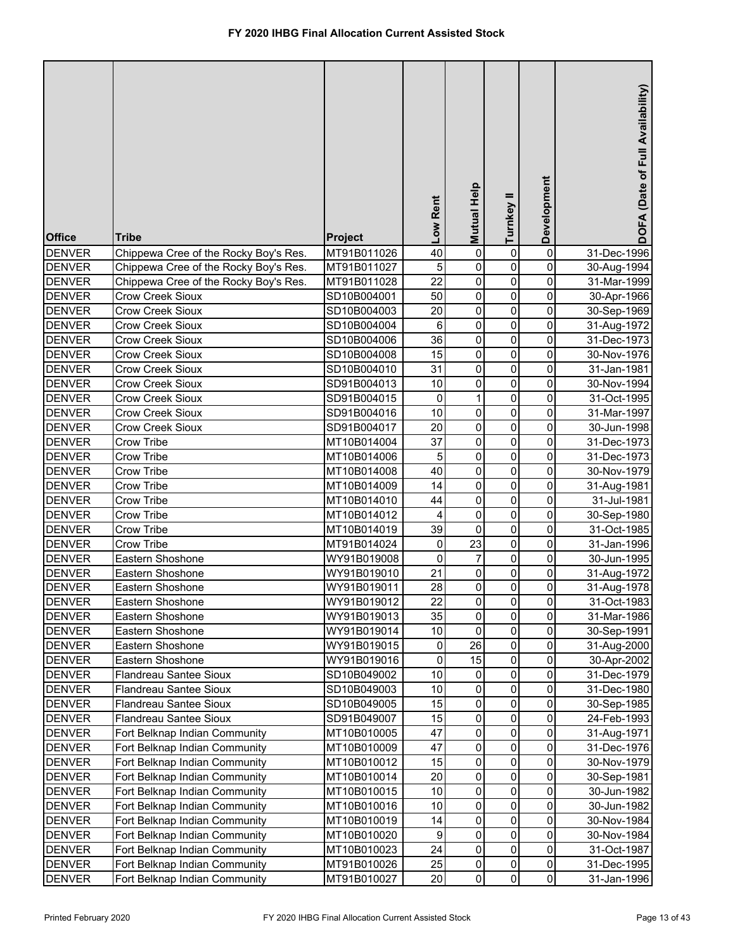| <b>Office</b>                  | <b>Tribe</b>                          | <b>Project</b>             | Low Rent        | Mutual Help       | Turnkey II  | Development         | DOFA (Date of Full Availability) |
|--------------------------------|---------------------------------------|----------------------------|-----------------|-------------------|-------------|---------------------|----------------------------------|
| <b>DENVER</b>                  | Chippewa Cree of the Rocky Boy's Res. | MT91B011026                | 40              | $\pmb{0}$         | 0           | 0                   | 31-Dec-1996                      |
| <b>DENVER</b>                  | Chippewa Cree of the Rocky Boy's Res. | MT91B011027                | 5               | $\pmb{0}$         | 0           | 0                   | 30-Aug-1994                      |
| <b>DENVER</b>                  | Chippewa Cree of the Rocky Boy's Res. | MT91B011028                | $\overline{22}$ | $\pmb{0}$         | 0           | 0                   | 31-Mar-1999                      |
| <b>DENVER</b>                  | <b>Crow Creek Sioux</b>               | SD10B004001                | 50              | $\overline{0}$    | 0           | 0                   | 30-Apr-1966                      |
| <b>DENVER</b>                  | Crow Creek Sioux                      | SD10B004003                | 20              | $\pmb{0}$         | 0           | 0                   | 30-Sep-1969                      |
| <b>DENVER</b>                  | Crow Creek Sioux                      | SD10B004004                | 6               | $\pmb{0}$         | $\mathbf 0$ | 0                   | 31-Aug-1972                      |
| <b>DENVER</b>                  | Crow Creek Sioux                      | SD10B004006                | 36              | $\overline{0}$    | 0           | 0                   | 31-Dec-1973                      |
| <b>DENVER</b>                  | Crow Creek Sioux                      | SD10B004008                | 15              | $\overline{0}$    | 0           | 0                   | 30-Nov-1976                      |
| <b>DENVER</b>                  | Crow Creek Sioux                      | SD10B004010                | 31              | $\pmb{0}$         | 0           | 0                   | 31-Jan-1981                      |
| <b>DENVER</b>                  | Crow Creek Sioux                      | SD91B004013                | 10              | 0                 | 0           | 0                   | 30-Nov-1994                      |
| <b>DENVER</b>                  | Crow Creek Sioux                      | SD91B004015                | 0               | 1                 | 0           | 0                   | 31-Oct-1995                      |
| <b>DENVER</b>                  | Crow Creek Sioux                      | SD91B004016                | 10              | 0                 | 0           | 0                   | 31-Mar-1997                      |
| <b>DENVER</b>                  | <b>Crow Creek Sioux</b>               | SD91B004017                | 20              | 0                 | 0           | 0                   | 30-Jun-1998                      |
| <b>DENVER</b>                  | Crow Tribe                            | MT10B014004                | 37              | 0                 | 0           | 0                   | 31-Dec-1973                      |
| <b>DENVER</b>                  | Crow Tribe                            | MT10B014006                | 5               | 0                 | 0           | 0                   | 31-Dec-1973                      |
| <b>DENVER</b>                  | Crow Tribe                            | MT10B014008                | 40              | $\mathsf 0$       | $\mathbf 0$ | 0                   | 30-Nov-1979                      |
| <b>DENVER</b>                  | Crow Tribe                            | MT10B014009                | 14              | $\mathsf 0$       | $\mathbf 0$ | 0                   | 31-Aug-1981                      |
| <b>DENVER</b>                  | Crow Tribe                            | MT10B014010                | 44              | 0                 | $\pmb{0}$   | 0                   | 31-Jul-1981                      |
| <b>DENVER</b>                  | Crow Tribe                            | MT10B014012                | 4               | 0                 | $\mathbf 0$ | 0                   | 30-Sep-1980                      |
| <b>DENVER</b>                  | Crow Tribe                            | MT10B014019                | 39              | 0                 | 0           | 0                   | 31-Oct-1985                      |
| <b>DENVER</b>                  | Crow Tribe                            | MT91B014024                | 0               | 23                | 0           | 0                   | 31-Jan-1996                      |
| <b>DENVER</b>                  | Eastern Shoshone                      | WY91B019008                | $\mathbf 0$     | 7                 | 0           | 0                   | 30-Jun-1995                      |
| <b>DENVER</b>                  | Eastern Shoshone                      | WY91B019010                | 21<br>28        | 0<br>0            | 0<br>0      | 0<br>0              | 31-Aug-1972                      |
| <b>DENVER</b><br><b>DENVER</b> | Eastern Shoshone<br>Eastern Shoshone  | WY91B019011<br>WY91B019012 | 22              |                   |             |                     | 31-Aug-1978<br>31-Oct-1983       |
| <b>DENVER</b>                  |                                       | WY91B019013                | 35              | $\mathbf{0}$<br>0 | 0<br>0      | $\pmb{0}$<br>0      |                                  |
| <b>DENVER</b>                  | Eastern Shoshone<br>Eastern Shoshone  | WY91B019014                | 10              | $\pmb{0}$         | 0           | 0                   | 31-Mar-1986<br>30-Sep-1991       |
| <b>DENVER</b>                  | Eastern Shoshone                      | WY91B019015                | 0               | 26                | 0           | 0                   | 31-Aug-2000                      |
| <b>DENVER</b>                  | Eastern Shoshone                      | WY91B019016                | $\mathbf 0$     | 15                | 0           | 0                   | 30-Apr-2002                      |
| <b>DENVER</b>                  | Flandreau Santee Sioux                | SD10B049002                | 10              | 0                 | 0           | 0                   | 31-Dec-1979                      |
| <b>DENVER</b>                  | Flandreau Santee Sioux                | SD10B049003                | 10              | $\pmb{0}$         | 0           | 0                   | 31-Dec-1980                      |
| <b>DENVER</b>                  | Flandreau Santee Sioux                | SD10B049005                | 15              | $\pmb{0}$         | 0           | 0                   | 30-Sep-1985                      |
| <b>DENVER</b>                  | Flandreau Santee Sioux                | SD91B049007                | 15              | $\pmb{0}$         | 0           | 0                   | 24-Feb-1993                      |
| <b>DENVER</b>                  | Fort Belknap Indian Community         | MT10B010005                | 47              | $\pmb{0}$         | 0           | 0                   | 31-Aug-1971                      |
| <b>DENVER</b>                  | Fort Belknap Indian Community         | MT10B010009                | 47              | $\pmb{0}$         | 0           | 0                   | 31-Dec-1976                      |
| <b>DENVER</b>                  | Fort Belknap Indian Community         | MT10B010012                | 15              | $\pmb{0}$         | 0           | $\pmb{0}$           | 30-Nov-1979                      |
| <b>DENVER</b>                  | Fort Belknap Indian Community         | MT10B010014                | 20              | 0                 | 0           | 0                   | 30-Sep-1981                      |
| <b>DENVER</b>                  | Fort Belknap Indian Community         | MT10B010015                | 10              | 0                 | 0           | 0                   | 30-Jun-1982                      |
| <b>DENVER</b>                  | Fort Belknap Indian Community         | MT10B010016                | 10              | 0                 | 0           | 0                   | 30-Jun-1982                      |
| <b>DENVER</b>                  | Fort Belknap Indian Community         | MT10B010019                | 14              | 0                 | 0           | 0                   | 30-Nov-1984                      |
| <b>DENVER</b>                  | Fort Belknap Indian Community         | MT10B010020                | 9               | 0                 | 0           | 0                   | 30-Nov-1984                      |
| <b>DENVER</b>                  | Fort Belknap Indian Community         | MT10B010023                | 24              | 0                 | 0           | $\mathsf{O}\xspace$ | 31-Oct-1987                      |
| <b>DENVER</b>                  | Fort Belknap Indian Community         | MT91B010026                | 25              | $\pmb{0}$         | 0           | $\mathbf 0$         | 31-Dec-1995                      |
| <b>DENVER</b>                  | Fort Belknap Indian Community         | MT91B010027                | 20              | $\pmb{0}$         | 0           | $\overline{0}$      | 31-Jan-1996                      |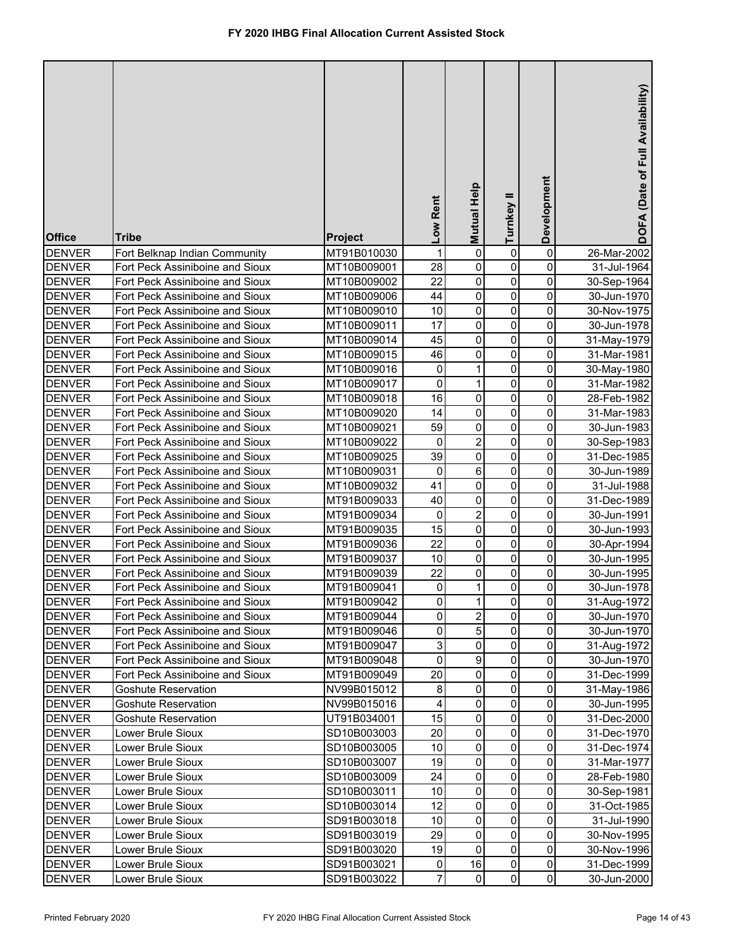| <b>Office</b> | <b>Tribe</b>                    | Project     | Low Rent | Mutual Help             | Turnkey II  | Development         | DOFA (Date of Full Availability) |
|---------------|---------------------------------|-------------|----------|-------------------------|-------------|---------------------|----------------------------------|
| <b>DENVER</b> | Fort Belknap Indian Community   | MT91B010030 | 1        | $\pmb{0}$               | 0           | $\pmb{0}$           | 26-Mar-2002                      |
| <b>DENVER</b> | Fort Peck Assiniboine and Sioux | MT10B009001 | 28       | 0                       | 0           | 0                   | 31-Jul-1964                      |
| <b>DENVER</b> | Fort Peck Assiniboine and Sioux | MT10B009002 | 22       | 0                       | 0           | 0                   | 30-Sep-1964                      |
| <b>DENVER</b> | Fort Peck Assiniboine and Sioux | MT10B009006 | 44       | 0                       | 0           | $\pmb{0}$           | 30-Jun-1970                      |
| <b>DENVER</b> | Fort Peck Assiniboine and Sioux | MT10B009010 | 10       | 0                       | $\mathbf 0$ | $\pmb{0}$           | 30-Nov-1975                      |
| <b>DENVER</b> | Fort Peck Assiniboine and Sioux | MT10B009011 | 17       | 0                       | $\mathbf 0$ | $\pmb{0}$           | 30-Jun-1978                      |
| <b>DENVER</b> | Fort Peck Assiniboine and Sioux | MT10B009014 | 45       | 0                       | 0           | $\pmb{0}$           | 31-May-1979                      |
| <b>DENVER</b> | Fort Peck Assiniboine and Sioux | MT10B009015 | 46       | 0                       | 0           | $\pmb{0}$           | 31-Mar-1981                      |
| <b>DENVER</b> | Fort Peck Assiniboine and Sioux | MT10B009016 | 0        | 1                       | $\mathbf 0$ | $\pmb{0}$           | 30-May-1980                      |
| <b>DENVER</b> | Fort Peck Assiniboine and Sioux | MT10B009017 | 0        | 1                       | 0           | $\pmb{0}$           | 31-Mar-1982                      |
| <b>DENVER</b> | Fort Peck Assiniboine and Sioux | MT10B009018 | 16       | 0                       | 0           | $\pmb{0}$           | 28-Feb-1982                      |
| <b>DENVER</b> | Fort Peck Assiniboine and Sioux | MT10B009020 | 14       | 0                       | 0           | 0                   | 31-Mar-1983                      |
| <b>DENVER</b> | Fort Peck Assiniboine and Sioux | MT10B009021 | 59       | 0                       | 0           | 0                   | 30-Jun-1983                      |
| <b>DENVER</b> | Fort Peck Assiniboine and Sioux | MT10B009022 | 0        | $\overline{\mathbf{c}}$ | $\mathbf 0$ | 0                   | 30-Sep-1983                      |
| <b>DENVER</b> | Fort Peck Assiniboine and Sioux | MT10B009025 | 39       | 0                       | 0           | 0                   | 31-Dec-1985                      |
| <b>DENVER</b> | Fort Peck Assiniboine and Sioux | MT10B009031 | 0        | 6                       | 0           | $\mathbf 0$         | 30-Jun-1989                      |
| <b>DENVER</b> | Fort Peck Assiniboine and Sioux | MT10B009032 | 41       | 0                       | 0           | $\pmb{0}$           | 31-Jul-1988                      |
| <b>DENVER</b> | Fort Peck Assiniboine and Sioux | MT91B009033 | 40       | 0                       | $\mathbf 0$ | $\pmb{0}$           | 31-Dec-1989                      |
| <b>DENVER</b> | Fort Peck Assiniboine and Sioux | MT91B009034 | 0        | $\overline{2}$          | $\mathbf 0$ | $\mathbf 0$         | 30-Jun-1991                      |
| <b>DENVER</b> | Fort Peck Assiniboine and Sioux | MT91B009035 | 15       | 0                       | 0           | 0                   | 30-Jun-1993                      |
| <b>DENVER</b> | Fort Peck Assiniboine and Sioux | MT91B009036 | 22       | 0                       | $\mathbf 0$ | 0                   | 30-Apr-1994                      |
| <b>DENVER</b> | Fort Peck Assiniboine and Sioux | MT91B009037 | 10       | 0                       | $\mathbf 0$ | 0                   | 30-Jun-1995                      |
| <b>DENVER</b> | Fort Peck Assiniboine and Sioux | MT91B009039 | 22       | 0                       | 0           | 0                   | 30-Jun-1995                      |
| <b>DENVER</b> | Fort Peck Assiniboine and Sioux | MT91B009041 | 0        | 1                       | 0           | 0                   | 30-Jun-1978                      |
| <b>DENVER</b> | Fort Peck Assiniboine and Sioux | MT91B009042 | $\Omega$ | 11                      | 0           | $\overline{0}$      | 31-Aug-1972                      |
| <b>DENVER</b> | Fort Peck Assiniboine and Sioux | MT91B009044 | 0        | $\overline{2}$          | 0           | 0                   | 30-Jun-1970                      |
| <b>DENVER</b> | Fort Peck Assiniboine and Sioux | MT91B009046 | 0        | 5                       | 0           | 0                   | 30-Jun-1970                      |
| <b>DENVER</b> | Fort Peck Assiniboine and Sioux | MT91B009047 | 3        | 0                       | 0           | 0                   | 31-Aug-1972                      |
| <b>DENVER</b> | Fort Peck Assiniboine and Sioux | MT91B009048 | 0        | 9                       | $\mathbf 0$ | 0                   | 30-Jun-1970                      |
| <b>DENVER</b> | Fort Peck Assiniboine and Sioux | MT91B009049 | 20       | $\pmb{0}$               | 0           | 0                   | 31-Dec-1999                      |
| <b>DENVER</b> | Goshute Reservation             | NV99B015012 | 8        | 0                       | 0           | 0                   | 31-May-1986                      |
| <b>DENVER</b> | Goshute Reservation             | NV99B015016 | 4        | 0                       | 0           | 0                   | 30-Jun-1995                      |
| <b>DENVER</b> | Goshute Reservation             | UT91B034001 | 15       | 0                       | 0           | 0                   | 31-Dec-2000                      |
| <b>DENVER</b> | Lower Brule Sioux               | SD10B003003 | 20       | 0                       | 0           | 0                   | 31-Dec-1970                      |
| <b>DENVER</b> | Lower Brule Sioux               | SD10B003005 | 10       | 0                       | 0           | 0                   | 31-Dec-1974                      |
| <b>DENVER</b> | Lower Brule Sioux               | SD10B003007 | 19       | 0                       | 0           | $\mathsf{O}\xspace$ | 31-Mar-1977                      |
| <b>DENVER</b> | Lower Brule Sioux               | SD10B003009 | 24       | 0                       | 0           | $\pmb{0}$           | 28-Feb-1980                      |
| <b>DENVER</b> | Lower Brule Sioux               | SD10B003011 | 10       | 0                       | 0           | $\pmb{0}$           | 30-Sep-1981                      |
| <b>DENVER</b> | Lower Brule Sioux               | SD10B003014 | 12       | 0                       | 0           | $\pmb{0}$           | 31-Oct-1985                      |
| <b>DENVER</b> | Lower Brule Sioux               | SD91B003018 | 10       | 0                       | 0           | 0                   | 31-Jul-1990                      |
| <b>DENVER</b> | Lower Brule Sioux               | SD91B003019 | 29       | 0                       | 0           | 0                   | 30-Nov-1995                      |
| <b>DENVER</b> | Lower Brule Sioux               | SD91B003020 | 19       | 0                       | 0           | $\overline{0}$      | 30-Nov-1996                      |
| <b>DENVER</b> | Lower Brule Sioux               | SD91B003021 | 0        | 16                      | 0           | $\mathsf{O}\xspace$ | 31-Dec-1999                      |
| <b>DENVER</b> | Lower Brule Sioux               | SD91B003022 | 7        | 0                       | 0           | $\overline{0}$      | 30-Jun-2000                      |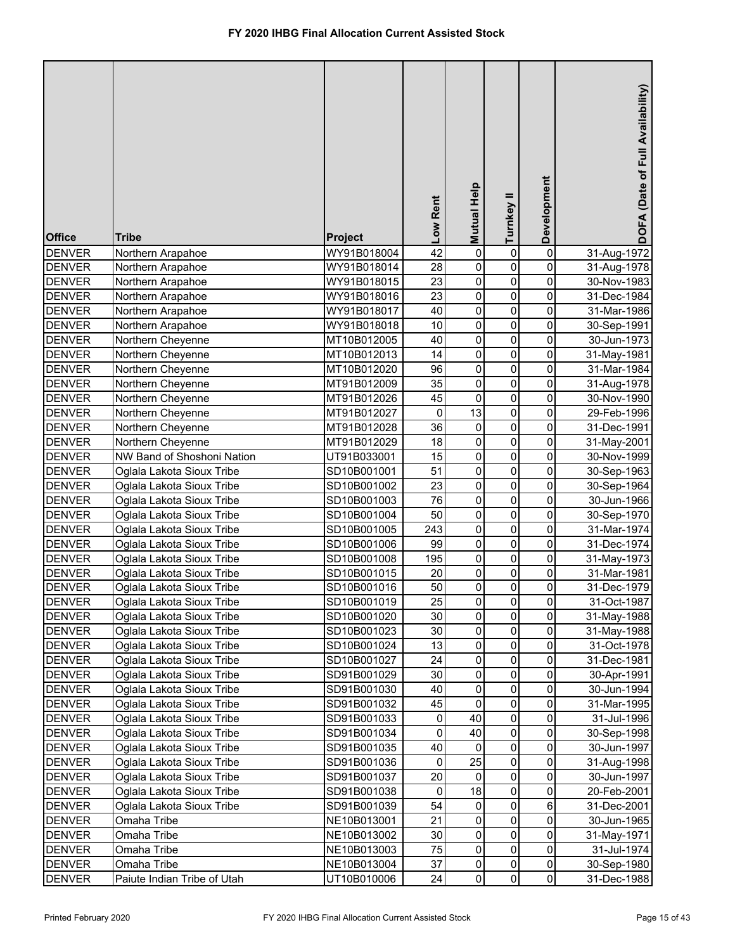| <b>Office</b>                  | <b>Tribe</b>                                           | Project                    | Low Rent               | <b>Mutual Help</b> | Turnkey II  | Development            | DOFA (Date of Full Availability) |
|--------------------------------|--------------------------------------------------------|----------------------------|------------------------|--------------------|-------------|------------------------|----------------------------------|
| <b>DENVER</b>                  | Northern Arapahoe                                      | WY91B018004                | $\overline{42}$        | $\pmb{0}$          | 0           | 0                      | 31-Aug-1972                      |
| <b>DENVER</b>                  | Northern Arapahoe                                      | WY91B018014                | 28                     | 0                  | 0           | 0                      | 31-Aug-1978                      |
| <b>DENVER</b>                  | Northern Arapahoe                                      | WY91B018015                | 23                     | 0                  | 0           | 0                      | 30-Nov-1983                      |
| <b>DENVER</b>                  | Northern Arapahoe                                      | WY91B018016                | 23                     | 0                  | 0           | 0                      | 31-Dec-1984                      |
| <b>DENVER</b>                  | Northern Arapahoe                                      | WY91B018017                | 40                     | $\pmb{0}$          | 0           | 0                      | 31-Mar-1986                      |
| <b>DENVER</b>                  | Northern Arapahoe                                      | WY91B018018                | 10                     | $\pmb{0}$          | 0           | 0                      | 30-Sep-1991                      |
| <b>DENVER</b>                  | Northern Cheyenne                                      | MT10B012005                | 40                     | $\overline{0}$     | 0           | 0                      | 30-Jun-1973                      |
| <b>DENVER</b>                  | Northern Cheyenne                                      | MT10B012013                | 14                     | $\overline{0}$     | 0           | $\overline{0}$         | 31-May-1981                      |
| <b>DENVER</b>                  | Northern Cheyenne                                      | MT10B012020                | 96                     | $\mathsf 0$        | 0           | 0                      | 31-Mar-1984                      |
| <b>DENVER</b>                  | Northern Cheyenne                                      | MT91B012009                | 35                     | $\overline{0}$     | 0           | 0                      | 31-Aug-1978                      |
| <b>DENVER</b>                  | Northern Cheyenne                                      | MT91B012026                | 45                     | $\overline{0}$     | 0           | 0                      | 30-Nov-1990                      |
| <b>DENVER</b>                  | Northern Cheyenne                                      | MT91B012027                | 0                      | 13                 | $\mathbf 0$ | 0                      | 29-Feb-1996                      |
| <b>DENVER</b>                  | Northern Cheyenne                                      | MT91B012028                | 36                     | $\pmb{0}$          | $\pmb{0}$   | 0                      | 31-Dec-1991                      |
| <b>DENVER</b>                  | Northern Cheyenne                                      | MT91B012029                | 18                     | $\pmb{0}$          | $\pmb{0}$   | $\mathsf{O}\xspace$    | 31-May-2001                      |
| <b>DENVER</b>                  | NW Band of Shoshoni Nation                             | UT91B033001                | 15                     | 0                  | 0           | 0                      | 30-Nov-1999                      |
| <b>DENVER</b>                  | Oglala Lakota Sioux Tribe                              | SD10B001001                | 51                     | 0                  | 0           | 0                      | 30-Sep-1963                      |
| <b>DENVER</b>                  | Oglala Lakota Sioux Tribe                              | SD10B001002                | 23                     | $\mathsf 0$        | $\pmb{0}$   | 0                      | 30-Sep-1964                      |
| <b>DENVER</b>                  | Oglala Lakota Sioux Tribe                              | SD10B001003                | 76                     | $\mathsf 0$        | $\mathbf 0$ | 0                      | 30-Jun-1966                      |
| <b>DENVER</b>                  | Oglala Lakota Sioux Tribe                              | SD10B001004                | 50                     | $\mathsf 0$        | $\mathbf 0$ | 0                      | 30-Sep-1970                      |
| <b>DENVER</b>                  | Oglala Lakota Sioux Tribe                              | SD10B001005                | 243                    | $\mathsf 0$        | $\pmb{0}$   | 0                      | 31-Mar-1974                      |
| <b>DENVER</b>                  | Oglala Lakota Sioux Tribe                              | SD10B001006                | 99                     | $\mathsf 0$        | $\pmb{0}$   | 0                      | 31-Dec-1974                      |
| <b>DENVER</b>                  | Oglala Lakota Sioux Tribe                              | SD10B001008                | 195                    | $\mathsf 0$        | $\mathbf 0$ | 0                      | 31-May-1973                      |
| <b>DENVER</b>                  | Oglala Lakota Sioux Tribe                              | SD10B001015                | 20                     | $\mathsf 0$        | $\mathbf 0$ | 0                      | 31-Mar-1981                      |
| <b>DENVER</b>                  | Oglala Lakota Sioux Tribe                              | SD10B001016                | 50                     | 0                  | 0           | 0                      | 31-Dec-1979                      |
| <b>DENVER</b>                  | Oglala Lakota Sioux Tribe                              | SD10B001019                | 25                     | <sub>0</sub>       | 0           | $\pmb{0}$              | 31-Oct-1987                      |
| <b>DENVER</b>                  | Oglala Lakota Sioux Tribe                              | SD10B001020                | 30                     | $\mathbf 0$        | 0           | 0                      | 31-May-1988                      |
| <b>DENVER</b>                  | Oglala Lakota Sioux Tribe                              | SD10B001023                | 30                     | 0                  | 0           | 0                      | 31-May-1988                      |
| <b>DENVER</b>                  | Oglala Lakota Sioux Tribe                              | SD10B001024                | 13                     | $\pmb{0}$          | 0           | 0                      | 31-Oct-1978                      |
| <b>DENVER</b>                  | Oglala Lakota Sioux Tribe                              | SD10B001027                | 24                     | $\pmb{0}$          | 0           | 0                      | 31-Dec-1981                      |
| <b>DENVER</b>                  | Oglala Lakota Sioux Tribe                              | SD91B001029                | 30                     | $\pmb{0}$          | 0           | 0                      | 30-Apr-1991                      |
| <b>DENVER</b>                  | Oglala Lakota Sioux Tribe                              | SD91B001030                | 40                     | $\pmb{0}$          | 0           | 0                      | 30-Jun-1994                      |
| <b>DENVER</b>                  | Oglala Lakota Sioux Tribe                              | SD91B001032                | 45                     | $\pmb{0}$          | 0           | 0                      | 31-Mar-1995                      |
| <b>DENVER</b>                  | Oglala Lakota Sioux Tribe                              | SD91B001033                | $\pmb{0}$<br>$\pmb{0}$ | 40<br>40           | 0<br>0      | $\pmb{0}$<br>$\pmb{0}$ | 31-Jul-1996                      |
| <b>DENVER</b><br><b>DENVER</b> | Oglala Lakota Sioux Tribe<br>Oglala Lakota Sioux Tribe | SD91B001034<br>SD91B001035 | 40                     | 0                  | 0           | 0                      | 30-Sep-1998                      |
| <b>DENVER</b>                  | Oglala Lakota Sioux Tribe                              |                            | 0                      | 25                 | 0           | 0                      | 30-Jun-1997                      |
| <b>DENVER</b>                  | Oglala Lakota Sioux Tribe                              | SD91B001036<br>SD91B001037 | 20                     | 0                  | 0           | 0                      | 31-Aug-1998<br>30-Jun-1997       |
| <b>DENVER</b>                  | Oglala Lakota Sioux Tribe                              | SD91B001038                | 0                      | 18                 | 0           | $\pmb{0}$              | 20-Feb-2001                      |
| <b>DENVER</b>                  | Oglala Lakota Sioux Tribe                              | SD91B001039                | 54                     | 0                  | 0           | $\,6$                  | 31-Dec-2001                      |
| <b>DENVER</b>                  | Omaha Tribe                                            | NE10B013001                | 21                     | $\pmb{0}$          | 0           | $\pmb{0}$              | 30-Jun-1965                      |
| <b>DENVER</b>                  | Omaha Tribe                                            | NE10B013002                | 30                     | 0                  | 0           | 0                      | 31-May-1971                      |
| <b>DENVER</b>                  | Omaha Tribe                                            | NE10B013003                | 75                     | $\pmb{0}$          | 0           | $\pmb{0}$              | 31-Jul-1974                      |
| <b>DENVER</b>                  | Omaha Tribe                                            | NE10B013004                | 37                     | $\pmb{0}$          | 0           | $\mathsf{O}\xspace$    | 30-Sep-1980                      |
| <b>DENVER</b>                  | Paiute Indian Tribe of Utah                            | UT10B010006                | 24                     | $\pmb{0}$          | $\Omega$    | $\overline{0}$         | 31-Dec-1988                      |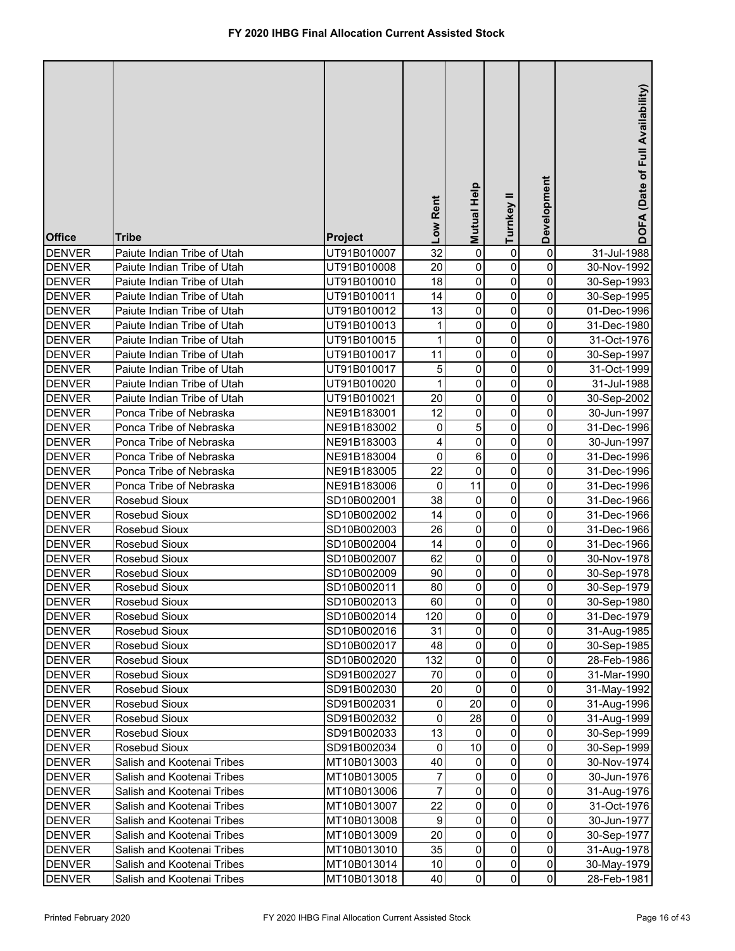| <b>Office</b>                  | <b>Tribe</b>                   | Project                    | Low Rent         | <b>Mutual Help</b> | =<br>Turnkey   | Development                                | DOFA (Date of Full Availability) |
|--------------------------------|--------------------------------|----------------------------|------------------|--------------------|----------------|--------------------------------------------|----------------------------------|
| <b>DENVER</b>                  | Paiute Indian Tribe of Utah    | UT91B010007                | $\overline{32}$  | $\overline{0}$     | 0              | $\pmb{0}$                                  | 31-Jul-1988                      |
| <b>DENVER</b>                  | Paiute Indian Tribe of Utah    | UT91B010008                | 20               | $\mathsf 0$        | 0              | 0                                          | 30-Nov-1992                      |
| <b>DENVER</b>                  | Paiute Indian Tribe of Utah    | UT91B010010                | 18               | $\pmb{0}$          | 0              | 0                                          | 30-Sep-1993                      |
| <b>DENVER</b>                  | Paiute Indian Tribe of Utah    | UT91B010011                | 14               | $\mathsf 0$        | 0              | 0                                          | 30-Sep-1995                      |
| <b>DENVER</b>                  | Paiute Indian Tribe of Utah    | UT91B010012                | 13               | $\mathsf 0$        | 0              | 0                                          | 01-Dec-1996                      |
| <b>DENVER</b>                  | Paiute Indian Tribe of Utah    | UT91B010013                | 1                | $\mathsf 0$        | 0              | 0                                          | 31-Dec-1980                      |
| <b>DENVER</b>                  | Paiute Indian Tribe of Utah    | UT91B010015                | 1                | $\mathsf 0$        | 0              | 0                                          | 31-Oct-1976                      |
| <b>DENVER</b>                  | Paiute Indian Tribe of Utah    | UT91B010017                | 11               | $\pmb{0}$          | 0              | 0                                          | 30-Sep-1997                      |
| <b>DENVER</b>                  | Paiute Indian Tribe of Utah    | UT91B010017                | 5                | 0                  | 0              | 0                                          | 31-Oct-1999                      |
| <b>DENVER</b>                  | Paiute Indian Tribe of Utah    | UT91B010020                | $\mathbf{1}$     | 0                  | 0              | 0                                          | 31-Jul-1988                      |
| <b>DENVER</b>                  | Paiute Indian Tribe of Utah    | UT91B010021                | 20               | 0                  | 0              | 0                                          | 30-Sep-2002                      |
| <b>DENVER</b>                  | Ponca Tribe of Nebraska        | NE91B183001                | 12               | 0                  | 0              | 0                                          | 30-Jun-1997                      |
| <b>DENVER</b>                  | Ponca Tribe of Nebraska        | NE91B183002                | $\pmb{0}$        | 5                  | $\mathbf 0$    | 0                                          | 31-Dec-1996                      |
| <b>DENVER</b>                  | Ponca Tribe of Nebraska        | NE91B183003                | 4                | $\mathsf 0$        | $\mathbf 0$    | 0                                          | 30-Jun-1997                      |
| <b>DENVER</b>                  | Ponca Tribe of Nebraska        | NE91B183004                | $\mathbf 0$      | 6                  | $\mathbf 0$    | 0                                          | 31-Dec-1996                      |
| <b>DENVER</b>                  | Ponca Tribe of Nebraska        | NE91B183005                | 22               | 0                  | $\mathbf 0$    | 0                                          | 31-Dec-1996                      |
| <b>DENVER</b>                  | Ponca Tribe of Nebraska        | NE91B183006                | 0                | 11                 | $\mathbf 0$    | 0                                          | 31-Dec-1996                      |
| <b>DENVER</b>                  | Rosebud Sioux                  | SD10B002001                | 38               | 0                  | 0              | 0                                          | 31-Dec-1966                      |
| <b>DENVER</b>                  | Rosebud Sioux                  | SD10B002002                | 14               | 0                  | 0              | 0                                          | 31-Dec-1966                      |
| <b>DENVER</b>                  | Rosebud Sioux                  | SD10B002003                | 26               | 0                  | 0              | 0                                          | 31-Dec-1966                      |
| <b>DENVER</b>                  | Rosebud Sioux                  | SD10B002004                | 14               | 0                  | 0              | 0                                          | 31-Dec-1966                      |
| <b>DENVER</b>                  | Rosebud Sioux                  | SD10B002007                | 62               | 0                  | 0              | 0                                          | 30-Nov-1978                      |
| <b>DENVER</b>                  | Rosebud Sioux                  | SD10B002009                | 90               | 0                  | 0              | 0                                          | 30-Sep-1978                      |
| <b>DENVER</b>                  | Rosebud Sioux                  | SD10B002011                | 80               | 0                  | 0              | 0                                          | 30-Sep-1979                      |
| <b>DENVER</b>                  | Rosebud Sioux                  | SD10B002013                | 60               | $\mathbf{0}$       | $\overline{0}$ | $\overline{0}$                             | 30-Sep-1980                      |
| <b>DENVER</b>                  | Rosebud Sioux                  | SD10B002014                | 120              | $\pmb{0}$          | 0              | 0                                          | 31-Dec-1979                      |
| <b>DENVER</b>                  | Rosebud Sioux                  | SD10B002016                | 31               | $\mathsf 0$        | 0              | $\pmb{0}$                                  | 31-Aug-1985                      |
| <b>DENVER</b>                  | Rosebud Sioux                  | SD10B002017                | 48               | $\mathsf 0$        | 0              | 0                                          | 30-Sep-1985                      |
| <b>DENVER</b>                  | Rosebud Sioux                  | SD10B002020                | 132              | $\pmb{0}$          | 0              | 0                                          | 28-Feb-1986                      |
| <b>DENVER</b>                  | Rosebud Sioux                  | SD91B002027                | 70               | $\mathsf 0$        | 0              | 0                                          | 31-Mar-1990                      |
| <b>DENVER</b>                  | Rosebud Sioux                  | SD91B002030                | 20               | $\mathsf 0$        | 0              | $\pmb{0}$<br>$\pmb{0}$                     | 31-May-1992                      |
| <b>DENVER</b>                  | Rosebud Sioux                  | SD91B002031<br>SD91B002032 | $\pmb{0}$        | 20                 | $\pmb{0}$      |                                            | 31-Aug-1996                      |
| <b>DENVER</b><br><b>DENVER</b> | Rosebud Sioux<br>Rosebud Sioux | SD91B002033                | 0<br>13          | 28<br>0            | $\pmb{0}$<br>0 | $\mathsf{O}\xspace$<br>$\mathsf{O}\xspace$ | 31-Aug-1999                      |
| <b>DENVER</b>                  | Rosebud Sioux                  | SD91B002034                | 0                | 10                 | 0              | 0                                          | 30-Sep-1999<br>30-Sep-1999       |
| <b>DENVER</b>                  | Salish and Kootenai Tribes     | MT10B013003                | 40               | $\mathbf 0$        | 0              | $\overline{\mathsf{o}}$                    | 30-Nov-1974                      |
| <b>DENVER</b>                  | Salish and Kootenai Tribes     | MT10B013005                | $\overline{7}$   | 0                  | 0              | 0                                          | 30-Jun-1976                      |
| <b>DENVER</b>                  | Salish and Kootenai Tribes     | MT10B013006                | $\overline{7}$   | 0                  | 0              | 0                                          | 31-Aug-1976                      |
| <b>DENVER</b>                  | Salish and Kootenai Tribes     | MT10B013007                | 22               | 0                  | 0              | 0                                          | 31-Oct-1976                      |
| <b>DENVER</b>                  | Salish and Kootenai Tribes     | MT10B013008                | $\boldsymbol{9}$ | 0                  | 0              | $\mathsf{O}\xspace$                        | 30-Jun-1977                      |
| <b>DENVER</b>                  | Salish and Kootenai Tribes     | MT10B013009                | 20               | 0                  | 0              | $\pmb{0}$                                  | 30-Sep-1977                      |
| <b>DENVER</b>                  | Salish and Kootenai Tribes     | MT10B013010                | 35               | $\pmb{0}$          | 0              | $\overline{\mathsf{o}}$                    | 31-Aug-1978                      |
| <b>DENVER</b>                  | Salish and Kootenai Tribes     | MT10B013014                | 10               | $\pmb{0}$          | 0              | $\mathsf{O}\xspace$                        | 30-May-1979                      |
| <b>DENVER</b>                  | Salish and Kootenai Tribes     | MT10B013018                | 40               | $\pmb{0}$          | 0              | $\overline{0}$                             | 28-Feb-1981                      |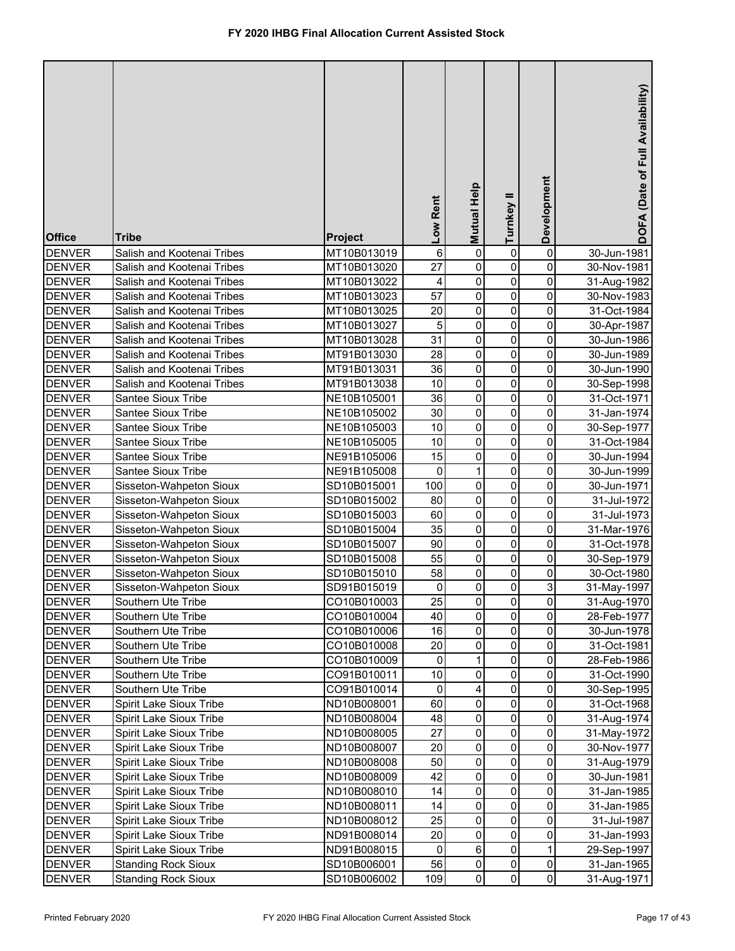| <b>Office</b> | <b>Tribe</b>               | Project     | Low Rent | Mutual Help            | Turnkey II     | Development                   | DOFA (Date of Full Availability) |
|---------------|----------------------------|-------------|----------|------------------------|----------------|-------------------------------|----------------------------------|
| <b>DENVER</b> | Salish and Kootenai Tribes | MT10B013019 | 6        | $\pmb{0}$              | 0              | 0                             | 30-Jun-1981                      |
| <b>DENVER</b> | Salish and Kootenai Tribes | MT10B013020 | 27       | $\pmb{0}$              | 0              | 0                             | 30-Nov-1981                      |
| <b>DENVER</b> | Salish and Kootenai Tribes | MT10B013022 | 4        | $\pmb{0}$              | 0              | 0                             | 31-Aug-1982                      |
| <b>DENVER</b> | Salish and Kootenai Tribes | MT10B013023 | 57       | $\overline{0}$         | 0              | 0                             | 30-Nov-1983                      |
| <b>DENVER</b> | Salish and Kootenai Tribes | MT10B013025 | 20       | $\pmb{0}$              | $\pmb{0}$      | 0                             | 31-Oct-1984                      |
| <b>DENVER</b> | Salish and Kootenai Tribes | MT10B013027 | 5        | $\pmb{0}$              | $\pmb{0}$      | 0                             | 30-Apr-1987                      |
| <b>DENVER</b> | Salish and Kootenai Tribes | MT10B013028 | 31       | $\overline{0}$         | 0              | 0                             | 30-Jun-1986                      |
| <b>DENVER</b> | Salish and Kootenai Tribes | MT91B013030 | 28       | $\overline{0}$         | 0              | 0                             | 30-Jun-1989                      |
| <b>DENVER</b> | Salish and Kootenai Tribes | MT91B013031 | 36       | $\pmb{0}$              | 0              | 0                             | 30-Jun-1990                      |
| <b>DENVER</b> | Salish and Kootenai Tribes | MT91B013038 | 10       | $\pmb{0}$              | 0              | 0                             | 30-Sep-1998                      |
| <b>DENVER</b> | Santee Sioux Tribe         | NE10B105001 | 36       | $\pmb{0}$              | 0              | 0                             | 31-Oct-1971                      |
| <b>DENVER</b> | Santee Sioux Tribe         | NE10B105002 | 30       | 0                      | 0              | 0                             | 31-Jan-1974                      |
| <b>DENVER</b> | Santee Sioux Tribe         | NE10B105003 | 10       | 0                      | 0              | 0                             | 30-Sep-1977                      |
| <b>DENVER</b> | Santee Sioux Tribe         | NE10B105005 | 10       | 0                      | 0              | 0                             | 31-Oct-1984                      |
| <b>DENVER</b> | Santee Sioux Tribe         | NE91B105006 | 15       | 0                      | $\mathbf 0$    | 0                             | 30-Jun-1994                      |
| <b>DENVER</b> | Santee Sioux Tribe         | NE91B105008 | 0        | 1                      | $\mathbf 0$    | 0                             | 30-Jun-1999                      |
| <b>DENVER</b> | Sisseton-Wahpeton Sioux    | SD10B015001 | 100      | 0                      | $\pmb{0}$      | 0                             | 30-Jun-1971                      |
| <b>DENVER</b> | Sisseton-Wahpeton Sioux    | SD10B015002 | 80       | 0                      | $\pmb{0}$      | 0                             | 31-Jul-1972                      |
| <b>DENVER</b> | Sisseton-Wahpeton Sioux    | SD10B015003 | 60       | 0                      | $\mathbf 0$    | 0                             | 31-Jul-1973                      |
| <b>DENVER</b> | Sisseton-Wahpeton Sioux    | SD10B015004 | 35       | 0                      | 0              | 0                             | 31-Mar-1976                      |
| <b>DENVER</b> | Sisseton-Wahpeton Sioux    | SD10B015007 | 90       | 0                      | 0              | 0                             | 31-Oct-1978                      |
| <b>DENVER</b> | Sisseton-Wahpeton Sioux    | SD10B015008 | 55       | 0                      | 0              | 0                             | 30-Sep-1979                      |
| <b>DENVER</b> | Sisseton-Wahpeton Sioux    | SD10B015010 | 58       | 0                      | 0              | 0                             | 30-Oct-1980                      |
| <b>DENVER</b> | Sisseton-Wahpeton Sioux    | SD91B015019 | 0        | 0                      | 0              | 3                             | 31-May-1997                      |
| <b>DENVER</b> | Southern Ute Tribe         | CO10B010003 | 25       | $\mathbf{0}$           | 0              | $\pmb{0}$                     | 31-Aug-1970                      |
| <b>DENVER</b> | Southern Ute Tribe         | CO10B010004 | 40       | $\overline{0}$         | 0              | 0                             | 28-Feb-1977                      |
| <b>DENVER</b> | Southern Ute Tribe         | CO10B010006 | 16       | $\pmb{0}$              | 0              | 0                             | 30-Jun-1978                      |
| <b>DENVER</b> | Southern Ute Tribe         | CO10B010008 | 20       | $\pmb{0}$              | 0              | 0                             | 31-Oct-1981                      |
| <b>DENVER</b> | Southern Ute Tribe         | CO10B010009 | 0        | 1                      | 0              | 0                             | 28-Feb-1986                      |
| <b>DENVER</b> | Southern Ute Tribe         | CO91B010011 | 10       | $\pmb{0}$              | 0              | 0                             | 31-Oct-1990                      |
| <b>DENVER</b> | Southern Ute Tribe         | CO91B010014 | 0        | 4                      | 0              | 0                             | 30-Sep-1995                      |
| <b>DENVER</b> | Spirit Lake Sioux Tribe    | ND10B008001 | 60       | $\pmb{0}$              | 0              | 0                             | 31-Oct-1968                      |
| <b>DENVER</b> | Spirit Lake Sioux Tribe    | ND10B008004 | 48       | $\pmb{0}$              | 0              | 0                             | 31-Aug-1974                      |
| <b>DENVER</b> | Spirit Lake Sioux Tribe    | ND10B008005 | 27       | $\pmb{0}$              | 0              | 0                             | 31-May-1972                      |
| <b>DENVER</b> | Spirit Lake Sioux Tribe    | ND10B008007 | 20       | $\pmb{0}$              | 0              | $\mathsf{O}\xspace$           | 30-Nov-1977                      |
| <b>DENVER</b> | Spirit Lake Sioux Tribe    | ND10B008008 | 50       | $\pmb{0}$              | 0              | $\pmb{0}$                     | 31-Aug-1979                      |
| <b>DENVER</b> | Spirit Lake Sioux Tribe    | ND10B008009 | 42       | $\pmb{0}$              | 0              | $\mathsf{O}\xspace$           | 30-Jun-1981                      |
| <b>DENVER</b> | Spirit Lake Sioux Tribe    | ND10B008010 | 14       | $\pmb{0}$              | 0              | $\mathsf{O}\xspace$           | 31-Jan-1985                      |
| <b>DENVER</b> | Spirit Lake Sioux Tribe    | ND10B008011 | 14       | $\pmb{0}$              | 0              | $\pmb{0}$                     | 31-Jan-1985                      |
| <b>DENVER</b> | Spirit Lake Sioux Tribe    | ND10B008012 | 25       | $\mathsf 0$            | 0              | $\pmb{0}$                     | 31-Jul-1987                      |
| <b>DENVER</b> | Spirit Lake Sioux Tribe    | ND91B008014 | 20       | $\mathsf 0$            | 0              | $\mathsf{O}\xspace$           | 31-Jan-1993                      |
| <b>DENVER</b> | Spirit Lake Sioux Tribe    | ND91B008015 | 0        | $\,6\,$                | $\pmb{0}$      | $\mathbf{1}$                  | 29-Sep-1997                      |
| <b>DENVER</b> | <b>Standing Rock Sioux</b> | SD10B006001 | 56       | $\pmb{0}$<br>$\pmb{0}$ | $\pmb{0}$<br>0 | $\mathbf 0$<br>$\overline{0}$ | 31-Jan-1965                      |
| <b>DENVER</b> | <b>Standing Rock Sioux</b> | SD10B006002 | 109      |                        |                |                               | 31-Aug-1971                      |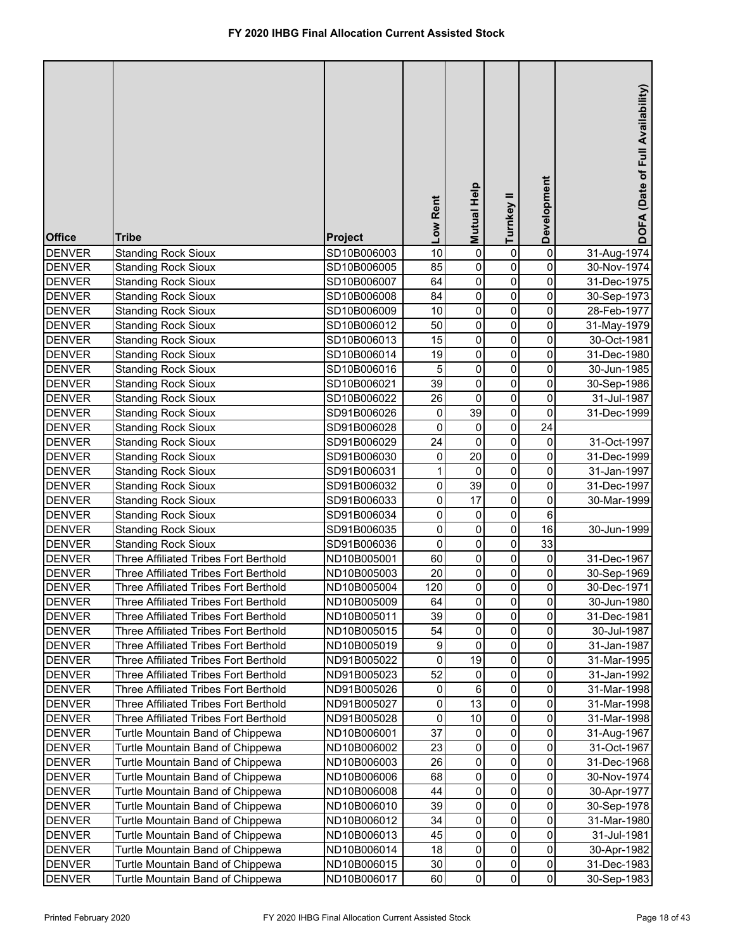| 10<br>$\pmb{0}$<br>0<br><b>DENVER</b><br><b>Standing Rock Sioux</b><br>SD10B006003<br>0<br>31-Aug-1974<br>$\pmb{0}$<br>0<br>85<br>0<br><b>DENVER</b><br><b>Standing Rock Sioux</b><br>SD10B006005<br>30-Nov-1974<br>$\mathsf 0$<br>0<br>64<br><b>DENVER</b><br>0<br><b>Standing Rock Sioux</b><br>SD10B006007<br>31-Dec-1975<br>$\overline{0}$<br>0<br>0<br><b>DENVER</b><br>84<br><b>Standing Rock Sioux</b><br>SD10B006008<br>30-Sep-1973<br>$\mathsf 0$<br>0<br>0<br><b>DENVER</b><br>10<br><b>Standing Rock Sioux</b><br>SD10B006009<br>28-Feb-1977<br>$\pmb{0}$<br>0<br>$\mathbf 0$<br><b>DENVER</b><br><b>Standing Rock Sioux</b><br>50<br>SD10B006012<br>31-May-1979<br>$\overline{0}$<br>0<br>0<br><b>DENVER</b><br>15<br><b>Standing Rock Sioux</b><br>SD10B006013<br>30-Oct-1981<br>$\overline{0}$<br>0<br>0<br><b>DENVER</b><br>19<br><b>Standing Rock Sioux</b><br>31-Dec-1980<br>SD10B006014<br>$\pmb{0}$<br>0<br>0<br>5<br><b>DENVER</b><br><b>Standing Rock Sioux</b><br>SD10B006016<br>30-Jun-1985<br>$\pmb{0}$<br>39<br>0<br>0<br><b>DENVER</b><br><b>Standing Rock Sioux</b><br>SD10B006021<br>30-Sep-1986<br>$\mathsf 0$<br>0<br>0<br>26<br><b>DENVER</b><br><b>Standing Rock Sioux</b><br>SD10B006022<br>31-Jul-1987<br>39<br>0<br><b>Standing Rock Sioux</b><br>0<br>0<br><b>DENVER</b><br>SD91B006026<br>31-Dec-1999<br>24<br>$\mathbf 0$<br>0<br><b>Standing Rock Sioux</b><br>0<br><b>DENVER</b><br>SD91B006028<br>$\mathsf 0$<br>24<br>$\pmb{0}$<br>$\pmb{0}$<br><b>DENVER</b><br><b>Standing Rock Sioux</b><br>SD91B006029<br>31-Oct-1997<br>20<br>$\mathbf 0$<br>0<br>0<br><b>DENVER</b><br><b>Standing Rock Sioux</b><br>SD91B006030<br>31-Dec-1999<br>$\mathbf 0$<br>0<br>0<br>$\mathbf{1}$<br><b>DENVER</b><br><b>Standing Rock Sioux</b><br>SD91B006031<br>31-Jan-1997<br>39<br>$\pmb{0}$<br>$\pmb{0}$<br>0<br><b>DENVER</b><br><b>Standing Rock Sioux</b><br>SD91B006032<br>31-Dec-1997<br>$\pmb{0}$<br>17<br>$\pmb{0}$<br>0<br><b>DENVER</b><br><b>Standing Rock Sioux</b><br>SD91B006033<br>30-Mar-1999<br>$\pmb{0}$<br>$\pmb{0}$<br>6<br><b>DENVER</b><br><b>Standing Rock Sioux</b><br>0<br>SD91B006034<br>16<br>$\pmb{0}$<br>0<br>0<br>30-Jun-1999<br><b>DENVER</b><br><b>Standing Rock Sioux</b><br>SD91B006035<br>0<br>$\mathbf 0$<br>33<br>0<br><b>DENVER</b><br><b>Standing Rock Sioux</b><br>SD91B006036<br>0<br>Three Affiliated Tribes Fort Berthold<br>60<br>0<br>0<br><b>DENVER</b><br>ND10B005001<br>31-Dec-1967<br>20<br>0<br>0<br>0<br><b>DENVER</b><br>Three Affiliated Tribes Fort Berthold<br>ND10B005003<br>30-Sep-1969<br>$\mathbf 0$<br>0<br>120<br>0<br><b>DENVER</b><br>Three Affiliated Tribes Fort Berthold<br>ND10B005004<br>30-Dec-1971<br><b>DENVER</b><br>Three Affiliated Tribes Fort Berthold<br>ND10B005009<br>64<br>$\mathbf{0}$<br>$\pmb{0}$<br>30-Jun-1980<br>$\mathbf{0}$<br>0<br>0<br>39<br>0<br><b>DENVER</b><br>Three Affiliated Tribes Fort Berthold<br>ND10B005011<br>31-Dec-1981<br><b>DENVER</b><br>54<br>0<br>0<br>0<br>Three Affiliated Tribes Fort Berthold<br>ND10B005015<br>30-Jul-1987<br>0<br>0<br><b>DENVER</b><br>9<br>0<br>Three Affiliated Tribes Fort Berthold<br>ND10B005019<br>31-Jan-1987<br>$\mathbf 0$<br>19<br>0<br>0<br><b>DENVER</b><br>Three Affiliated Tribes Fort Berthold<br>ND91B005022<br>31-Mar-1995<br>52<br>0<br>0<br><b>DENVER</b><br>Three Affiliated Tribes Fort Berthold<br>0<br>ND91B005023<br>31-Jan-1992<br>6<br>0<br>Three Affiliated Tribes Fort Berthold<br>0<br><b>DENVER</b><br>ND91B005026<br>0<br>31-Mar-1998<br>13<br>Three Affiliated Tribes Fort Berthold<br>0<br>0<br>0<br><b>DENVER</b><br>ND91B005027<br>31-Mar-1998<br>Three Affiliated Tribes Fort Berthold<br>0<br>10<br>0<br>0<br><b>DENVER</b><br>ND91B005028<br>31-Mar-1998<br>0<br>37<br>0<br>0<br><b>DENVER</b><br>Turtle Mountain Band of Chippewa<br>ND10B006001<br>31-Aug-1967<br>0<br>0<br>0<br><b>DENVER</b><br>Turtle Mountain Band of Chippewa<br>ND10B006002<br>23<br>31-Oct-1967<br>0<br>0<br>26<br>0<br><b>DENVER</b><br>Turtle Mountain Band of Chippewa<br>ND10B006003<br>31-Dec-1968<br>0<br><b>DENVER</b><br>Turtle Mountain Band of Chippewa<br>68<br>0<br>0<br>ND10B006006<br>30-Nov-1974<br>Turtle Mountain Band of Chippewa<br>0<br>0<br><b>DENVER</b><br>ND10B006008<br>44<br>0<br>30-Apr-1977<br>0<br>39<br>0<br><b>DENVER</b><br>Turtle Mountain Band of Chippewa<br>ND10B006010<br>0<br>30-Sep-1978<br>0<br>0<br>34<br>0<br><b>DENVER</b><br>Turtle Mountain Band of Chippewa<br>ND10B006012<br>31-Mar-1980<br>0<br>0<br>0<br><b>DENVER</b><br>Turtle Mountain Band of Chippewa<br>ND10B006013<br>45<br>31-Jul-1981<br>$\overline{\mathsf{o}}$<br>0<br>0<br>18<br><b>DENVER</b><br>Turtle Mountain Band of Chippewa<br>ND10B006014<br>30-Apr-1982<br>$\mathsf{O}\xspace$<br>Turtle Mountain Band of Chippewa<br>0<br>0<br><b>DENVER</b><br>ND10B006015<br>30<br>31-Dec-1983<br>$\overline{0}$<br>0<br>0<br>60<br><b>DENVER</b><br>Turtle Mountain Band of Chippewa<br>ND10B006017<br>30-Sep-1983 | <b>Office</b> | <b>Tribe</b> | <b>Project</b> | Low Rent | Mutual Help | Turnkey II | Development | DOFA (Date of Full Availability) |
|--------------------------------------------------------------------------------------------------------------------------------------------------------------------------------------------------------------------------------------------------------------------------------------------------------------------------------------------------------------------------------------------------------------------------------------------------------------------------------------------------------------------------------------------------------------------------------------------------------------------------------------------------------------------------------------------------------------------------------------------------------------------------------------------------------------------------------------------------------------------------------------------------------------------------------------------------------------------------------------------------------------------------------------------------------------------------------------------------------------------------------------------------------------------------------------------------------------------------------------------------------------------------------------------------------------------------------------------------------------------------------------------------------------------------------------------------------------------------------------------------------------------------------------------------------------------------------------------------------------------------------------------------------------------------------------------------------------------------------------------------------------------------------------------------------------------------------------------------------------------------------------------------------------------------------------------------------------------------------------------------------------------------------------------------------------------------------------------------------------------------------------------------------------------------------------------------------------------------------------------------------------------------------------------------------------------------------------------------------------------------------------------------------------------------------------------------------------------------------------------------------------------------------------------------------------------------------------------------------------------------------------------------------------------------------------------------------------------------------------------------------------------------------------------------------------------------------------------------------------------------------------------------------------------------------------------------------------------------------------------------------------------------------------------------------------------------------------------------------------------------------------------------------------------------------------------------------------------------------------------------------------------------------------------------------------------------------------------------------------------------------------------------------------------------------------------------------------------------------------------------------------------------------------------------------------------------------------------------------------------------------------------------------------------------------------------------------------------------------------------------------------------------------------------------------------------------------------------------------------------------------------------------------------------------------------------------------------------------------------------------------------------------------------------------------------------------------------------------------------------------------------------------------------------------------------------------------------------------------------------------------------------------------------------------------------------------------------------------------------------------------------------------------------------------------------------------------------------------------------------------------------------------------------------------------------------------------------------------------------------------------------------------------------------------------------------------------------------------------------------------------------------------------------------------------------------------------------------------------------------------------------------------------------------------------------------------------------------------------------------------------------|---------------|--------------|----------------|----------|-------------|------------|-------------|----------------------------------|
|                                                                                                                                                                                                                                                                                                                                                                                                                                                                                                                                                                                                                                                                                                                                                                                                                                                                                                                                                                                                                                                                                                                                                                                                                                                                                                                                                                                                                                                                                                                                                                                                                                                                                                                                                                                                                                                                                                                                                                                                                                                                                                                                                                                                                                                                                                                                                                                                                                                                                                                                                                                                                                                                                                                                                                                                                                                                                                                                                                                                                                                                                                                                                                                                                                                                                                                                                                                                                                                                                                                                                                                                                                                                                                                                                                                                                                                                                                                                                                                                                                                                                                                                                                                                                                                                                                                                                                                                                                                                                                                                                                                                                                                                                                                                                                                                                                                                                                                                                                                                              |               |              |                |          |             |            |             |                                  |
|                                                                                                                                                                                                                                                                                                                                                                                                                                                                                                                                                                                                                                                                                                                                                                                                                                                                                                                                                                                                                                                                                                                                                                                                                                                                                                                                                                                                                                                                                                                                                                                                                                                                                                                                                                                                                                                                                                                                                                                                                                                                                                                                                                                                                                                                                                                                                                                                                                                                                                                                                                                                                                                                                                                                                                                                                                                                                                                                                                                                                                                                                                                                                                                                                                                                                                                                                                                                                                                                                                                                                                                                                                                                                                                                                                                                                                                                                                                                                                                                                                                                                                                                                                                                                                                                                                                                                                                                                                                                                                                                                                                                                                                                                                                                                                                                                                                                                                                                                                                                              |               |              |                |          |             |            |             |                                  |
|                                                                                                                                                                                                                                                                                                                                                                                                                                                                                                                                                                                                                                                                                                                                                                                                                                                                                                                                                                                                                                                                                                                                                                                                                                                                                                                                                                                                                                                                                                                                                                                                                                                                                                                                                                                                                                                                                                                                                                                                                                                                                                                                                                                                                                                                                                                                                                                                                                                                                                                                                                                                                                                                                                                                                                                                                                                                                                                                                                                                                                                                                                                                                                                                                                                                                                                                                                                                                                                                                                                                                                                                                                                                                                                                                                                                                                                                                                                                                                                                                                                                                                                                                                                                                                                                                                                                                                                                                                                                                                                                                                                                                                                                                                                                                                                                                                                                                                                                                                                                              |               |              |                |          |             |            |             |                                  |
|                                                                                                                                                                                                                                                                                                                                                                                                                                                                                                                                                                                                                                                                                                                                                                                                                                                                                                                                                                                                                                                                                                                                                                                                                                                                                                                                                                                                                                                                                                                                                                                                                                                                                                                                                                                                                                                                                                                                                                                                                                                                                                                                                                                                                                                                                                                                                                                                                                                                                                                                                                                                                                                                                                                                                                                                                                                                                                                                                                                                                                                                                                                                                                                                                                                                                                                                                                                                                                                                                                                                                                                                                                                                                                                                                                                                                                                                                                                                                                                                                                                                                                                                                                                                                                                                                                                                                                                                                                                                                                                                                                                                                                                                                                                                                                                                                                                                                                                                                                                                              |               |              |                |          |             |            |             |                                  |
|                                                                                                                                                                                                                                                                                                                                                                                                                                                                                                                                                                                                                                                                                                                                                                                                                                                                                                                                                                                                                                                                                                                                                                                                                                                                                                                                                                                                                                                                                                                                                                                                                                                                                                                                                                                                                                                                                                                                                                                                                                                                                                                                                                                                                                                                                                                                                                                                                                                                                                                                                                                                                                                                                                                                                                                                                                                                                                                                                                                                                                                                                                                                                                                                                                                                                                                                                                                                                                                                                                                                                                                                                                                                                                                                                                                                                                                                                                                                                                                                                                                                                                                                                                                                                                                                                                                                                                                                                                                                                                                                                                                                                                                                                                                                                                                                                                                                                                                                                                                                              |               |              |                |          |             |            |             |                                  |
|                                                                                                                                                                                                                                                                                                                                                                                                                                                                                                                                                                                                                                                                                                                                                                                                                                                                                                                                                                                                                                                                                                                                                                                                                                                                                                                                                                                                                                                                                                                                                                                                                                                                                                                                                                                                                                                                                                                                                                                                                                                                                                                                                                                                                                                                                                                                                                                                                                                                                                                                                                                                                                                                                                                                                                                                                                                                                                                                                                                                                                                                                                                                                                                                                                                                                                                                                                                                                                                                                                                                                                                                                                                                                                                                                                                                                                                                                                                                                                                                                                                                                                                                                                                                                                                                                                                                                                                                                                                                                                                                                                                                                                                                                                                                                                                                                                                                                                                                                                                                              |               |              |                |          |             |            |             |                                  |
|                                                                                                                                                                                                                                                                                                                                                                                                                                                                                                                                                                                                                                                                                                                                                                                                                                                                                                                                                                                                                                                                                                                                                                                                                                                                                                                                                                                                                                                                                                                                                                                                                                                                                                                                                                                                                                                                                                                                                                                                                                                                                                                                                                                                                                                                                                                                                                                                                                                                                                                                                                                                                                                                                                                                                                                                                                                                                                                                                                                                                                                                                                                                                                                                                                                                                                                                                                                                                                                                                                                                                                                                                                                                                                                                                                                                                                                                                                                                                                                                                                                                                                                                                                                                                                                                                                                                                                                                                                                                                                                                                                                                                                                                                                                                                                                                                                                                                                                                                                                                              |               |              |                |          |             |            |             |                                  |
|                                                                                                                                                                                                                                                                                                                                                                                                                                                                                                                                                                                                                                                                                                                                                                                                                                                                                                                                                                                                                                                                                                                                                                                                                                                                                                                                                                                                                                                                                                                                                                                                                                                                                                                                                                                                                                                                                                                                                                                                                                                                                                                                                                                                                                                                                                                                                                                                                                                                                                                                                                                                                                                                                                                                                                                                                                                                                                                                                                                                                                                                                                                                                                                                                                                                                                                                                                                                                                                                                                                                                                                                                                                                                                                                                                                                                                                                                                                                                                                                                                                                                                                                                                                                                                                                                                                                                                                                                                                                                                                                                                                                                                                                                                                                                                                                                                                                                                                                                                                                              |               |              |                |          |             |            |             |                                  |
|                                                                                                                                                                                                                                                                                                                                                                                                                                                                                                                                                                                                                                                                                                                                                                                                                                                                                                                                                                                                                                                                                                                                                                                                                                                                                                                                                                                                                                                                                                                                                                                                                                                                                                                                                                                                                                                                                                                                                                                                                                                                                                                                                                                                                                                                                                                                                                                                                                                                                                                                                                                                                                                                                                                                                                                                                                                                                                                                                                                                                                                                                                                                                                                                                                                                                                                                                                                                                                                                                                                                                                                                                                                                                                                                                                                                                                                                                                                                                                                                                                                                                                                                                                                                                                                                                                                                                                                                                                                                                                                                                                                                                                                                                                                                                                                                                                                                                                                                                                                                              |               |              |                |          |             |            |             |                                  |
|                                                                                                                                                                                                                                                                                                                                                                                                                                                                                                                                                                                                                                                                                                                                                                                                                                                                                                                                                                                                                                                                                                                                                                                                                                                                                                                                                                                                                                                                                                                                                                                                                                                                                                                                                                                                                                                                                                                                                                                                                                                                                                                                                                                                                                                                                                                                                                                                                                                                                                                                                                                                                                                                                                                                                                                                                                                                                                                                                                                                                                                                                                                                                                                                                                                                                                                                                                                                                                                                                                                                                                                                                                                                                                                                                                                                                                                                                                                                                                                                                                                                                                                                                                                                                                                                                                                                                                                                                                                                                                                                                                                                                                                                                                                                                                                                                                                                                                                                                                                                              |               |              |                |          |             |            |             |                                  |
|                                                                                                                                                                                                                                                                                                                                                                                                                                                                                                                                                                                                                                                                                                                                                                                                                                                                                                                                                                                                                                                                                                                                                                                                                                                                                                                                                                                                                                                                                                                                                                                                                                                                                                                                                                                                                                                                                                                                                                                                                                                                                                                                                                                                                                                                                                                                                                                                                                                                                                                                                                                                                                                                                                                                                                                                                                                                                                                                                                                                                                                                                                                                                                                                                                                                                                                                                                                                                                                                                                                                                                                                                                                                                                                                                                                                                                                                                                                                                                                                                                                                                                                                                                                                                                                                                                                                                                                                                                                                                                                                                                                                                                                                                                                                                                                                                                                                                                                                                                                                              |               |              |                |          |             |            |             |                                  |
|                                                                                                                                                                                                                                                                                                                                                                                                                                                                                                                                                                                                                                                                                                                                                                                                                                                                                                                                                                                                                                                                                                                                                                                                                                                                                                                                                                                                                                                                                                                                                                                                                                                                                                                                                                                                                                                                                                                                                                                                                                                                                                                                                                                                                                                                                                                                                                                                                                                                                                                                                                                                                                                                                                                                                                                                                                                                                                                                                                                                                                                                                                                                                                                                                                                                                                                                                                                                                                                                                                                                                                                                                                                                                                                                                                                                                                                                                                                                                                                                                                                                                                                                                                                                                                                                                                                                                                                                                                                                                                                                                                                                                                                                                                                                                                                                                                                                                                                                                                                                              |               |              |                |          |             |            |             |                                  |
|                                                                                                                                                                                                                                                                                                                                                                                                                                                                                                                                                                                                                                                                                                                                                                                                                                                                                                                                                                                                                                                                                                                                                                                                                                                                                                                                                                                                                                                                                                                                                                                                                                                                                                                                                                                                                                                                                                                                                                                                                                                                                                                                                                                                                                                                                                                                                                                                                                                                                                                                                                                                                                                                                                                                                                                                                                                                                                                                                                                                                                                                                                                                                                                                                                                                                                                                                                                                                                                                                                                                                                                                                                                                                                                                                                                                                                                                                                                                                                                                                                                                                                                                                                                                                                                                                                                                                                                                                                                                                                                                                                                                                                                                                                                                                                                                                                                                                                                                                                                                              |               |              |                |          |             |            |             |                                  |
|                                                                                                                                                                                                                                                                                                                                                                                                                                                                                                                                                                                                                                                                                                                                                                                                                                                                                                                                                                                                                                                                                                                                                                                                                                                                                                                                                                                                                                                                                                                                                                                                                                                                                                                                                                                                                                                                                                                                                                                                                                                                                                                                                                                                                                                                                                                                                                                                                                                                                                                                                                                                                                                                                                                                                                                                                                                                                                                                                                                                                                                                                                                                                                                                                                                                                                                                                                                                                                                                                                                                                                                                                                                                                                                                                                                                                                                                                                                                                                                                                                                                                                                                                                                                                                                                                                                                                                                                                                                                                                                                                                                                                                                                                                                                                                                                                                                                                                                                                                                                              |               |              |                |          |             |            |             |                                  |
|                                                                                                                                                                                                                                                                                                                                                                                                                                                                                                                                                                                                                                                                                                                                                                                                                                                                                                                                                                                                                                                                                                                                                                                                                                                                                                                                                                                                                                                                                                                                                                                                                                                                                                                                                                                                                                                                                                                                                                                                                                                                                                                                                                                                                                                                                                                                                                                                                                                                                                                                                                                                                                                                                                                                                                                                                                                                                                                                                                                                                                                                                                                                                                                                                                                                                                                                                                                                                                                                                                                                                                                                                                                                                                                                                                                                                                                                                                                                                                                                                                                                                                                                                                                                                                                                                                                                                                                                                                                                                                                                                                                                                                                                                                                                                                                                                                                                                                                                                                                                              |               |              |                |          |             |            |             |                                  |
|                                                                                                                                                                                                                                                                                                                                                                                                                                                                                                                                                                                                                                                                                                                                                                                                                                                                                                                                                                                                                                                                                                                                                                                                                                                                                                                                                                                                                                                                                                                                                                                                                                                                                                                                                                                                                                                                                                                                                                                                                                                                                                                                                                                                                                                                                                                                                                                                                                                                                                                                                                                                                                                                                                                                                                                                                                                                                                                                                                                                                                                                                                                                                                                                                                                                                                                                                                                                                                                                                                                                                                                                                                                                                                                                                                                                                                                                                                                                                                                                                                                                                                                                                                                                                                                                                                                                                                                                                                                                                                                                                                                                                                                                                                                                                                                                                                                                                                                                                                                                              |               |              |                |          |             |            |             |                                  |
|                                                                                                                                                                                                                                                                                                                                                                                                                                                                                                                                                                                                                                                                                                                                                                                                                                                                                                                                                                                                                                                                                                                                                                                                                                                                                                                                                                                                                                                                                                                                                                                                                                                                                                                                                                                                                                                                                                                                                                                                                                                                                                                                                                                                                                                                                                                                                                                                                                                                                                                                                                                                                                                                                                                                                                                                                                                                                                                                                                                                                                                                                                                                                                                                                                                                                                                                                                                                                                                                                                                                                                                                                                                                                                                                                                                                                                                                                                                                                                                                                                                                                                                                                                                                                                                                                                                                                                                                                                                                                                                                                                                                                                                                                                                                                                                                                                                                                                                                                                                                              |               |              |                |          |             |            |             |                                  |
|                                                                                                                                                                                                                                                                                                                                                                                                                                                                                                                                                                                                                                                                                                                                                                                                                                                                                                                                                                                                                                                                                                                                                                                                                                                                                                                                                                                                                                                                                                                                                                                                                                                                                                                                                                                                                                                                                                                                                                                                                                                                                                                                                                                                                                                                                                                                                                                                                                                                                                                                                                                                                                                                                                                                                                                                                                                                                                                                                                                                                                                                                                                                                                                                                                                                                                                                                                                                                                                                                                                                                                                                                                                                                                                                                                                                                                                                                                                                                                                                                                                                                                                                                                                                                                                                                                                                                                                                                                                                                                                                                                                                                                                                                                                                                                                                                                                                                                                                                                                                              |               |              |                |          |             |            |             |                                  |
|                                                                                                                                                                                                                                                                                                                                                                                                                                                                                                                                                                                                                                                                                                                                                                                                                                                                                                                                                                                                                                                                                                                                                                                                                                                                                                                                                                                                                                                                                                                                                                                                                                                                                                                                                                                                                                                                                                                                                                                                                                                                                                                                                                                                                                                                                                                                                                                                                                                                                                                                                                                                                                                                                                                                                                                                                                                                                                                                                                                                                                                                                                                                                                                                                                                                                                                                                                                                                                                                                                                                                                                                                                                                                                                                                                                                                                                                                                                                                                                                                                                                                                                                                                                                                                                                                                                                                                                                                                                                                                                                                                                                                                                                                                                                                                                                                                                                                                                                                                                                              |               |              |                |          |             |            |             |                                  |
|                                                                                                                                                                                                                                                                                                                                                                                                                                                                                                                                                                                                                                                                                                                                                                                                                                                                                                                                                                                                                                                                                                                                                                                                                                                                                                                                                                                                                                                                                                                                                                                                                                                                                                                                                                                                                                                                                                                                                                                                                                                                                                                                                                                                                                                                                                                                                                                                                                                                                                                                                                                                                                                                                                                                                                                                                                                                                                                                                                                                                                                                                                                                                                                                                                                                                                                                                                                                                                                                                                                                                                                                                                                                                                                                                                                                                                                                                                                                                                                                                                                                                                                                                                                                                                                                                                                                                                                                                                                                                                                                                                                                                                                                                                                                                                                                                                                                                                                                                                                                              |               |              |                |          |             |            |             |                                  |
|                                                                                                                                                                                                                                                                                                                                                                                                                                                                                                                                                                                                                                                                                                                                                                                                                                                                                                                                                                                                                                                                                                                                                                                                                                                                                                                                                                                                                                                                                                                                                                                                                                                                                                                                                                                                                                                                                                                                                                                                                                                                                                                                                                                                                                                                                                                                                                                                                                                                                                                                                                                                                                                                                                                                                                                                                                                                                                                                                                                                                                                                                                                                                                                                                                                                                                                                                                                                                                                                                                                                                                                                                                                                                                                                                                                                                                                                                                                                                                                                                                                                                                                                                                                                                                                                                                                                                                                                                                                                                                                                                                                                                                                                                                                                                                                                                                                                                                                                                                                                              |               |              |                |          |             |            |             |                                  |
|                                                                                                                                                                                                                                                                                                                                                                                                                                                                                                                                                                                                                                                                                                                                                                                                                                                                                                                                                                                                                                                                                                                                                                                                                                                                                                                                                                                                                                                                                                                                                                                                                                                                                                                                                                                                                                                                                                                                                                                                                                                                                                                                                                                                                                                                                                                                                                                                                                                                                                                                                                                                                                                                                                                                                                                                                                                                                                                                                                                                                                                                                                                                                                                                                                                                                                                                                                                                                                                                                                                                                                                                                                                                                                                                                                                                                                                                                                                                                                                                                                                                                                                                                                                                                                                                                                                                                                                                                                                                                                                                                                                                                                                                                                                                                                                                                                                                                                                                                                                                              |               |              |                |          |             |            |             |                                  |
|                                                                                                                                                                                                                                                                                                                                                                                                                                                                                                                                                                                                                                                                                                                                                                                                                                                                                                                                                                                                                                                                                                                                                                                                                                                                                                                                                                                                                                                                                                                                                                                                                                                                                                                                                                                                                                                                                                                                                                                                                                                                                                                                                                                                                                                                                                                                                                                                                                                                                                                                                                                                                                                                                                                                                                                                                                                                                                                                                                                                                                                                                                                                                                                                                                                                                                                                                                                                                                                                                                                                                                                                                                                                                                                                                                                                                                                                                                                                                                                                                                                                                                                                                                                                                                                                                                                                                                                                                                                                                                                                                                                                                                                                                                                                                                                                                                                                                                                                                                                                              |               |              |                |          |             |            |             |                                  |
|                                                                                                                                                                                                                                                                                                                                                                                                                                                                                                                                                                                                                                                                                                                                                                                                                                                                                                                                                                                                                                                                                                                                                                                                                                                                                                                                                                                                                                                                                                                                                                                                                                                                                                                                                                                                                                                                                                                                                                                                                                                                                                                                                                                                                                                                                                                                                                                                                                                                                                                                                                                                                                                                                                                                                                                                                                                                                                                                                                                                                                                                                                                                                                                                                                                                                                                                                                                                                                                                                                                                                                                                                                                                                                                                                                                                                                                                                                                                                                                                                                                                                                                                                                                                                                                                                                                                                                                                                                                                                                                                                                                                                                                                                                                                                                                                                                                                                                                                                                                                              |               |              |                |          |             |            |             |                                  |
|                                                                                                                                                                                                                                                                                                                                                                                                                                                                                                                                                                                                                                                                                                                                                                                                                                                                                                                                                                                                                                                                                                                                                                                                                                                                                                                                                                                                                                                                                                                                                                                                                                                                                                                                                                                                                                                                                                                                                                                                                                                                                                                                                                                                                                                                                                                                                                                                                                                                                                                                                                                                                                                                                                                                                                                                                                                                                                                                                                                                                                                                                                                                                                                                                                                                                                                                                                                                                                                                                                                                                                                                                                                                                                                                                                                                                                                                                                                                                                                                                                                                                                                                                                                                                                                                                                                                                                                                                                                                                                                                                                                                                                                                                                                                                                                                                                                                                                                                                                                                              |               |              |                |          |             |            |             |                                  |
|                                                                                                                                                                                                                                                                                                                                                                                                                                                                                                                                                                                                                                                                                                                                                                                                                                                                                                                                                                                                                                                                                                                                                                                                                                                                                                                                                                                                                                                                                                                                                                                                                                                                                                                                                                                                                                                                                                                                                                                                                                                                                                                                                                                                                                                                                                                                                                                                                                                                                                                                                                                                                                                                                                                                                                                                                                                                                                                                                                                                                                                                                                                                                                                                                                                                                                                                                                                                                                                                                                                                                                                                                                                                                                                                                                                                                                                                                                                                                                                                                                                                                                                                                                                                                                                                                                                                                                                                                                                                                                                                                                                                                                                                                                                                                                                                                                                                                                                                                                                                              |               |              |                |          |             |            |             |                                  |
|                                                                                                                                                                                                                                                                                                                                                                                                                                                                                                                                                                                                                                                                                                                                                                                                                                                                                                                                                                                                                                                                                                                                                                                                                                                                                                                                                                                                                                                                                                                                                                                                                                                                                                                                                                                                                                                                                                                                                                                                                                                                                                                                                                                                                                                                                                                                                                                                                                                                                                                                                                                                                                                                                                                                                                                                                                                                                                                                                                                                                                                                                                                                                                                                                                                                                                                                                                                                                                                                                                                                                                                                                                                                                                                                                                                                                                                                                                                                                                                                                                                                                                                                                                                                                                                                                                                                                                                                                                                                                                                                                                                                                                                                                                                                                                                                                                                                                                                                                                                                              |               |              |                |          |             |            |             |                                  |
|                                                                                                                                                                                                                                                                                                                                                                                                                                                                                                                                                                                                                                                                                                                                                                                                                                                                                                                                                                                                                                                                                                                                                                                                                                                                                                                                                                                                                                                                                                                                                                                                                                                                                                                                                                                                                                                                                                                                                                                                                                                                                                                                                                                                                                                                                                                                                                                                                                                                                                                                                                                                                                                                                                                                                                                                                                                                                                                                                                                                                                                                                                                                                                                                                                                                                                                                                                                                                                                                                                                                                                                                                                                                                                                                                                                                                                                                                                                                                                                                                                                                                                                                                                                                                                                                                                                                                                                                                                                                                                                                                                                                                                                                                                                                                                                                                                                                                                                                                                                                              |               |              |                |          |             |            |             |                                  |
|                                                                                                                                                                                                                                                                                                                                                                                                                                                                                                                                                                                                                                                                                                                                                                                                                                                                                                                                                                                                                                                                                                                                                                                                                                                                                                                                                                                                                                                                                                                                                                                                                                                                                                                                                                                                                                                                                                                                                                                                                                                                                                                                                                                                                                                                                                                                                                                                                                                                                                                                                                                                                                                                                                                                                                                                                                                                                                                                                                                                                                                                                                                                                                                                                                                                                                                                                                                                                                                                                                                                                                                                                                                                                                                                                                                                                                                                                                                                                                                                                                                                                                                                                                                                                                                                                                                                                                                                                                                                                                                                                                                                                                                                                                                                                                                                                                                                                                                                                                                                              |               |              |                |          |             |            |             |                                  |
|                                                                                                                                                                                                                                                                                                                                                                                                                                                                                                                                                                                                                                                                                                                                                                                                                                                                                                                                                                                                                                                                                                                                                                                                                                                                                                                                                                                                                                                                                                                                                                                                                                                                                                                                                                                                                                                                                                                                                                                                                                                                                                                                                                                                                                                                                                                                                                                                                                                                                                                                                                                                                                                                                                                                                                                                                                                                                                                                                                                                                                                                                                                                                                                                                                                                                                                                                                                                                                                                                                                                                                                                                                                                                                                                                                                                                                                                                                                                                                                                                                                                                                                                                                                                                                                                                                                                                                                                                                                                                                                                                                                                                                                                                                                                                                                                                                                                                                                                                                                                              |               |              |                |          |             |            |             |                                  |
|                                                                                                                                                                                                                                                                                                                                                                                                                                                                                                                                                                                                                                                                                                                                                                                                                                                                                                                                                                                                                                                                                                                                                                                                                                                                                                                                                                                                                                                                                                                                                                                                                                                                                                                                                                                                                                                                                                                                                                                                                                                                                                                                                                                                                                                                                                                                                                                                                                                                                                                                                                                                                                                                                                                                                                                                                                                                                                                                                                                                                                                                                                                                                                                                                                                                                                                                                                                                                                                                                                                                                                                                                                                                                                                                                                                                                                                                                                                                                                                                                                                                                                                                                                                                                                                                                                                                                                                                                                                                                                                                                                                                                                                                                                                                                                                                                                                                                                                                                                                                              |               |              |                |          |             |            |             |                                  |
|                                                                                                                                                                                                                                                                                                                                                                                                                                                                                                                                                                                                                                                                                                                                                                                                                                                                                                                                                                                                                                                                                                                                                                                                                                                                                                                                                                                                                                                                                                                                                                                                                                                                                                                                                                                                                                                                                                                                                                                                                                                                                                                                                                                                                                                                                                                                                                                                                                                                                                                                                                                                                                                                                                                                                                                                                                                                                                                                                                                                                                                                                                                                                                                                                                                                                                                                                                                                                                                                                                                                                                                                                                                                                                                                                                                                                                                                                                                                                                                                                                                                                                                                                                                                                                                                                                                                                                                                                                                                                                                                                                                                                                                                                                                                                                                                                                                                                                                                                                                                              |               |              |                |          |             |            |             |                                  |
|                                                                                                                                                                                                                                                                                                                                                                                                                                                                                                                                                                                                                                                                                                                                                                                                                                                                                                                                                                                                                                                                                                                                                                                                                                                                                                                                                                                                                                                                                                                                                                                                                                                                                                                                                                                                                                                                                                                                                                                                                                                                                                                                                                                                                                                                                                                                                                                                                                                                                                                                                                                                                                                                                                                                                                                                                                                                                                                                                                                                                                                                                                                                                                                                                                                                                                                                                                                                                                                                                                                                                                                                                                                                                                                                                                                                                                                                                                                                                                                                                                                                                                                                                                                                                                                                                                                                                                                                                                                                                                                                                                                                                                                                                                                                                                                                                                                                                                                                                                                                              |               |              |                |          |             |            |             |                                  |
|                                                                                                                                                                                                                                                                                                                                                                                                                                                                                                                                                                                                                                                                                                                                                                                                                                                                                                                                                                                                                                                                                                                                                                                                                                                                                                                                                                                                                                                                                                                                                                                                                                                                                                                                                                                                                                                                                                                                                                                                                                                                                                                                                                                                                                                                                                                                                                                                                                                                                                                                                                                                                                                                                                                                                                                                                                                                                                                                                                                                                                                                                                                                                                                                                                                                                                                                                                                                                                                                                                                                                                                                                                                                                                                                                                                                                                                                                                                                                                                                                                                                                                                                                                                                                                                                                                                                                                                                                                                                                                                                                                                                                                                                                                                                                                                                                                                                                                                                                                                                              |               |              |                |          |             |            |             |                                  |
|                                                                                                                                                                                                                                                                                                                                                                                                                                                                                                                                                                                                                                                                                                                                                                                                                                                                                                                                                                                                                                                                                                                                                                                                                                                                                                                                                                                                                                                                                                                                                                                                                                                                                                                                                                                                                                                                                                                                                                                                                                                                                                                                                                                                                                                                                                                                                                                                                                                                                                                                                                                                                                                                                                                                                                                                                                                                                                                                                                                                                                                                                                                                                                                                                                                                                                                                                                                                                                                                                                                                                                                                                                                                                                                                                                                                                                                                                                                                                                                                                                                                                                                                                                                                                                                                                                                                                                                                                                                                                                                                                                                                                                                                                                                                                                                                                                                                                                                                                                                                              |               |              |                |          |             |            |             |                                  |
|                                                                                                                                                                                                                                                                                                                                                                                                                                                                                                                                                                                                                                                                                                                                                                                                                                                                                                                                                                                                                                                                                                                                                                                                                                                                                                                                                                                                                                                                                                                                                                                                                                                                                                                                                                                                                                                                                                                                                                                                                                                                                                                                                                                                                                                                                                                                                                                                                                                                                                                                                                                                                                                                                                                                                                                                                                                                                                                                                                                                                                                                                                                                                                                                                                                                                                                                                                                                                                                                                                                                                                                                                                                                                                                                                                                                                                                                                                                                                                                                                                                                                                                                                                                                                                                                                                                                                                                                                                                                                                                                                                                                                                                                                                                                                                                                                                                                                                                                                                                                              |               |              |                |          |             |            |             |                                  |
|                                                                                                                                                                                                                                                                                                                                                                                                                                                                                                                                                                                                                                                                                                                                                                                                                                                                                                                                                                                                                                                                                                                                                                                                                                                                                                                                                                                                                                                                                                                                                                                                                                                                                                                                                                                                                                                                                                                                                                                                                                                                                                                                                                                                                                                                                                                                                                                                                                                                                                                                                                                                                                                                                                                                                                                                                                                                                                                                                                                                                                                                                                                                                                                                                                                                                                                                                                                                                                                                                                                                                                                                                                                                                                                                                                                                                                                                                                                                                                                                                                                                                                                                                                                                                                                                                                                                                                                                                                                                                                                                                                                                                                                                                                                                                                                                                                                                                                                                                                                                              |               |              |                |          |             |            |             |                                  |
|                                                                                                                                                                                                                                                                                                                                                                                                                                                                                                                                                                                                                                                                                                                                                                                                                                                                                                                                                                                                                                                                                                                                                                                                                                                                                                                                                                                                                                                                                                                                                                                                                                                                                                                                                                                                                                                                                                                                                                                                                                                                                                                                                                                                                                                                                                                                                                                                                                                                                                                                                                                                                                                                                                                                                                                                                                                                                                                                                                                                                                                                                                                                                                                                                                                                                                                                                                                                                                                                                                                                                                                                                                                                                                                                                                                                                                                                                                                                                                                                                                                                                                                                                                                                                                                                                                                                                                                                                                                                                                                                                                                                                                                                                                                                                                                                                                                                                                                                                                                                              |               |              |                |          |             |            |             |                                  |
|                                                                                                                                                                                                                                                                                                                                                                                                                                                                                                                                                                                                                                                                                                                                                                                                                                                                                                                                                                                                                                                                                                                                                                                                                                                                                                                                                                                                                                                                                                                                                                                                                                                                                                                                                                                                                                                                                                                                                                                                                                                                                                                                                                                                                                                                                                                                                                                                                                                                                                                                                                                                                                                                                                                                                                                                                                                                                                                                                                                                                                                                                                                                                                                                                                                                                                                                                                                                                                                                                                                                                                                                                                                                                                                                                                                                                                                                                                                                                                                                                                                                                                                                                                                                                                                                                                                                                                                                                                                                                                                                                                                                                                                                                                                                                                                                                                                                                                                                                                                                              |               |              |                |          |             |            |             |                                  |
|                                                                                                                                                                                                                                                                                                                                                                                                                                                                                                                                                                                                                                                                                                                                                                                                                                                                                                                                                                                                                                                                                                                                                                                                                                                                                                                                                                                                                                                                                                                                                                                                                                                                                                                                                                                                                                                                                                                                                                                                                                                                                                                                                                                                                                                                                                                                                                                                                                                                                                                                                                                                                                                                                                                                                                                                                                                                                                                                                                                                                                                                                                                                                                                                                                                                                                                                                                                                                                                                                                                                                                                                                                                                                                                                                                                                                                                                                                                                                                                                                                                                                                                                                                                                                                                                                                                                                                                                                                                                                                                                                                                                                                                                                                                                                                                                                                                                                                                                                                                                              |               |              |                |          |             |            |             |                                  |
|                                                                                                                                                                                                                                                                                                                                                                                                                                                                                                                                                                                                                                                                                                                                                                                                                                                                                                                                                                                                                                                                                                                                                                                                                                                                                                                                                                                                                                                                                                                                                                                                                                                                                                                                                                                                                                                                                                                                                                                                                                                                                                                                                                                                                                                                                                                                                                                                                                                                                                                                                                                                                                                                                                                                                                                                                                                                                                                                                                                                                                                                                                                                                                                                                                                                                                                                                                                                                                                                                                                                                                                                                                                                                                                                                                                                                                                                                                                                                                                                                                                                                                                                                                                                                                                                                                                                                                                                                                                                                                                                                                                                                                                                                                                                                                                                                                                                                                                                                                                                              |               |              |                |          |             |            |             |                                  |
|                                                                                                                                                                                                                                                                                                                                                                                                                                                                                                                                                                                                                                                                                                                                                                                                                                                                                                                                                                                                                                                                                                                                                                                                                                                                                                                                                                                                                                                                                                                                                                                                                                                                                                                                                                                                                                                                                                                                                                                                                                                                                                                                                                                                                                                                                                                                                                                                                                                                                                                                                                                                                                                                                                                                                                                                                                                                                                                                                                                                                                                                                                                                                                                                                                                                                                                                                                                                                                                                                                                                                                                                                                                                                                                                                                                                                                                                                                                                                                                                                                                                                                                                                                                                                                                                                                                                                                                                                                                                                                                                                                                                                                                                                                                                                                                                                                                                                                                                                                                                              |               |              |                |          |             |            |             |                                  |
|                                                                                                                                                                                                                                                                                                                                                                                                                                                                                                                                                                                                                                                                                                                                                                                                                                                                                                                                                                                                                                                                                                                                                                                                                                                                                                                                                                                                                                                                                                                                                                                                                                                                                                                                                                                                                                                                                                                                                                                                                                                                                                                                                                                                                                                                                                                                                                                                                                                                                                                                                                                                                                                                                                                                                                                                                                                                                                                                                                                                                                                                                                                                                                                                                                                                                                                                                                                                                                                                                                                                                                                                                                                                                                                                                                                                                                                                                                                                                                                                                                                                                                                                                                                                                                                                                                                                                                                                                                                                                                                                                                                                                                                                                                                                                                                                                                                                                                                                                                                                              |               |              |                |          |             |            |             |                                  |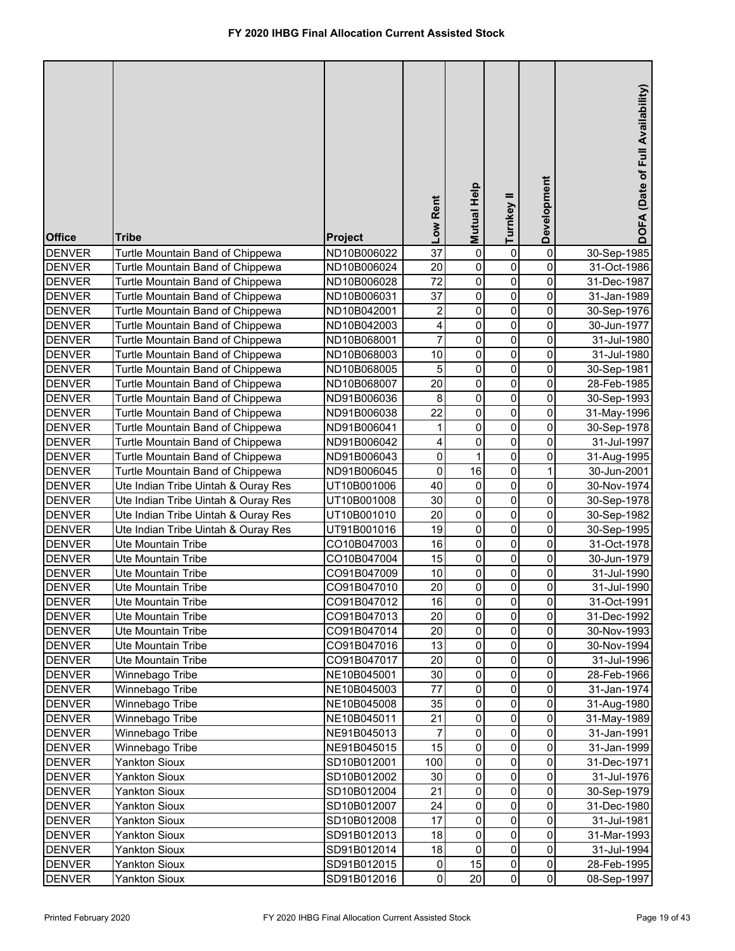| <b>Office</b> | <b>Tribe</b>                        | Project     | Low Rent                | <b>Mutual Help</b> | Turnkey II     | Development         | DOFA (Date of Full Availability) |
|---------------|-------------------------------------|-------------|-------------------------|--------------------|----------------|---------------------|----------------------------------|
| <b>DENVER</b> | Turtle Mountain Band of Chippewa    | ND10B006022 | $\overline{37}$         | $\pmb{0}$          | 0              | 0                   | 30-Sep-1985                      |
| <b>DENVER</b> | Turtle Mountain Band of Chippewa    | ND10B006024 | 20                      | 0                  | 0              | 0                   | 31-Oct-1986                      |
| <b>DENVER</b> | Turtle Mountain Band of Chippewa    | ND10B006028 | 72                      | 0                  | 0              | 0                   | 31-Dec-1987                      |
| <b>DENVER</b> | Turtle Mountain Band of Chippewa    | ND10B006031 | 37                      | 0                  | 0              | 0                   | 31-Jan-1989                      |
| <b>DENVER</b> | Turtle Mountain Band of Chippewa    | ND10B042001 | $\overline{\mathbf{c}}$ | 0                  | 0              | 0                   | 30-Sep-1976                      |
| <b>DENVER</b> | Turtle Mountain Band of Chippewa    | ND10B042003 | 4                       | 0                  | 0              | 0                   | 30-Jun-1977                      |
| <b>DENVER</b> | Turtle Mountain Band of Chippewa    | ND10B068001 | $\overline{7}$          | $\mathsf 0$        | 0              | 0                   | 31-Jul-1980                      |
| <b>DENVER</b> | Turtle Mountain Band of Chippewa    | ND10B068003 | 10                      | $\mathsf 0$        | 0              | 0                   | 31-Jul-1980                      |
| <b>DENVER</b> | Turtle Mountain Band of Chippewa    | ND10B068005 | 5                       | $\mathsf 0$        | 0              | 0                   | 30-Sep-1981                      |
| <b>DENVER</b> | Turtle Mountain Band of Chippewa    | ND10B068007 | 20                      | $\overline{0}$     | $\mathbf 0$    | 0                   | 28-Feb-1985                      |
| <b>DENVER</b> | Turtle Mountain Band of Chippewa    | ND91B006036 | 8                       | $\overline{0}$     | 0              | 0                   | 30-Sep-1993                      |
| <b>DENVER</b> | Turtle Mountain Band of Chippewa    | ND91B006038 | 22                      | $\mathsf 0$        | $\mathbf 0$    | 0                   | 31-May-1996                      |
| <b>DENVER</b> | Turtle Mountain Band of Chippewa    | ND91B006041 | 1                       | $\mathsf 0$        | 0              | 0                   | 30-Sep-1978                      |
| <b>DENVER</b> | Turtle Mountain Band of Chippewa    | ND91B006042 | 4                       | 0                  | $\pmb{0}$      | 0                   | 31-Jul-1997                      |
| <b>DENVER</b> | Turtle Mountain Band of Chippewa    | ND91B006043 | $\pmb{0}$               | 1                  | 0              | 0                   | 31-Aug-1995                      |
| <b>DENVER</b> | Turtle Mountain Band of Chippewa    | ND91B006045 | $\mathbf 0$             | 16                 | 0              | 1                   | 30-Jun-2001                      |
| <b>DENVER</b> | Ute Indian Tribe Uintah & Ouray Res | UT10B001006 | 40                      | 0                  | 0              | 0                   | 30-Nov-1974                      |
| <b>DENVER</b> | Ute Indian Tribe Uintah & Ouray Res | UT10B001008 | 30                      | $\mathsf 0$        | $\mathbf 0$    | 0                   | 30-Sep-1978                      |
| <b>DENVER</b> | Ute Indian Tribe Uintah & Ouray Res | UT10B001010 | 20                      | $\mathsf 0$        | $\mathbf 0$    | 0                   | 30-Sep-1982                      |
| <b>DENVER</b> | Ute Indian Tribe Uintah & Ouray Res | UT91B001016 | 19                      | $\overline{0}$     | $\mathbf 0$    | 0                   | 30-Sep-1995                      |
| <b>DENVER</b> | <b>Ute Mountain Tribe</b>           | CO10B047003 | 16                      | $\mathsf 0$        | $\pmb{0}$      | 0                   | 31-Oct-1978                      |
| <b>DENVER</b> | Ute Mountain Tribe                  | CO10B047004 | 15                      | $\mathsf 0$        | $\mathbf 0$    | 0                   | 30-Jun-1979                      |
| <b>DENVER</b> | Ute Mountain Tribe                  | CO91B047009 | 10                      | $\mathsf 0$        | $\mathbf 0$    | 0                   | 31-Jul-1990                      |
| <b>DENVER</b> | Ute Mountain Tribe                  | CO91B047010 | 20                      | 0                  | 0              | 0                   | 31-Jul-1990                      |
| <b>DENVER</b> | Ute Mountain Tribe                  | CO91B047012 | 16                      | $\mathbf{0}$       | $\overline{0}$ | $\pmb{0}$           | 31-Oct-1991                      |
| <b>DENVER</b> | Ute Mountain Tribe                  | CO91B047013 | 20                      | $\mathbf 0$        | 0              | 0                   | 31-Dec-1992                      |
| <b>DENVER</b> | Ute Mountain Tribe                  | CO91B047014 | 20                      | $\pmb{0}$          | 0              | 0                   | 30-Nov-1993                      |
| <b>DENVER</b> | Ute Mountain Tribe                  | CO91B047016 | 13                      | $\pmb{0}$          | 0              | 0                   | 30-Nov-1994                      |
| <b>DENVER</b> | Ute Mountain Tribe                  | CO91B047017 | 20                      | $\pmb{0}$          | 0              | 0                   | 31-Jul-1996                      |
| <b>DENVER</b> | Winnebago Tribe                     | NE10B045001 | 30                      | $\pmb{0}$          | 0              | 0                   | 28-Feb-1966                      |
| <b>DENVER</b> | Winnebago Tribe                     | NE10B045003 | 77                      | $\pmb{0}$          | 0              | 0                   | 31-Jan-1974                      |
| <b>DENVER</b> | Winnebago Tribe                     | NE10B045008 | 35                      | $\pmb{0}$          | 0              | 0                   | 31-Aug-1980                      |
| <b>DENVER</b> | Winnebago Tribe                     | NE10B045011 | 21                      | $\pmb{0}$          | 0              | 0                   | 31-May-1989                      |
| <b>DENVER</b> | Winnebago Tribe                     | NE91B045013 | 7                       | $\pmb{0}$          | 0              | 0                   | 31-Jan-1991                      |
| <b>DENVER</b> | Winnebago Tribe                     | NE91B045015 | 15                      | $\pmb{0}$          | 0              | $\pmb{0}$           | 31-Jan-1999                      |
| <b>DENVER</b> | <b>Yankton Sioux</b>                | SD10B012001 | 100                     | $\pmb{0}$          | 0              | 0                   | 31-Dec-1971                      |
| <b>DENVER</b> | <b>Yankton Sioux</b>                | SD10B012002 | 30                      | $\pmb{0}$          | 0              | 0                   | 31-Jul-1976                      |
| <b>DENVER</b> | <b>Yankton Sioux</b>                | SD10B012004 | 21                      | $\pmb{0}$          | 0              | $\pmb{0}$           | 30-Sep-1979                      |
| <b>DENVER</b> | <b>Yankton Sioux</b>                | SD10B012007 | 24                      | $\pmb{0}$          | $\pmb{0}$      | $\pmb{0}$           | 31-Dec-1980                      |
| <b>DENVER</b> | <b>Yankton Sioux</b>                | SD10B012008 | 17                      | $\pmb{0}$          | 0              | $\pmb{0}$           | 31-Jul-1981                      |
| <b>DENVER</b> | <b>Yankton Sioux</b>                | SD91B012013 | 18                      | $\pmb{0}$          | 0              | $\mathsf{O}\xspace$ | 31-Mar-1993                      |
| <b>DENVER</b> | <b>Yankton Sioux</b>                | SD91B012014 | 18                      | $\pmb{0}$          | 0              | $\mathsf{O}\xspace$ | 31-Jul-1994                      |
| <b>DENVER</b> | <b>Yankton Sioux</b>                | SD91B012015 | $\pmb{0}$               | 15                 | 0              | $\mathsf{O}\xspace$ | 28-Feb-1995                      |
| <b>DENVER</b> | <b>Yankton Sioux</b>                | SD91B012016 | $\pmb{0}$               | 20                 | 0              | $\overline{0}$      | 08-Sep-1997                      |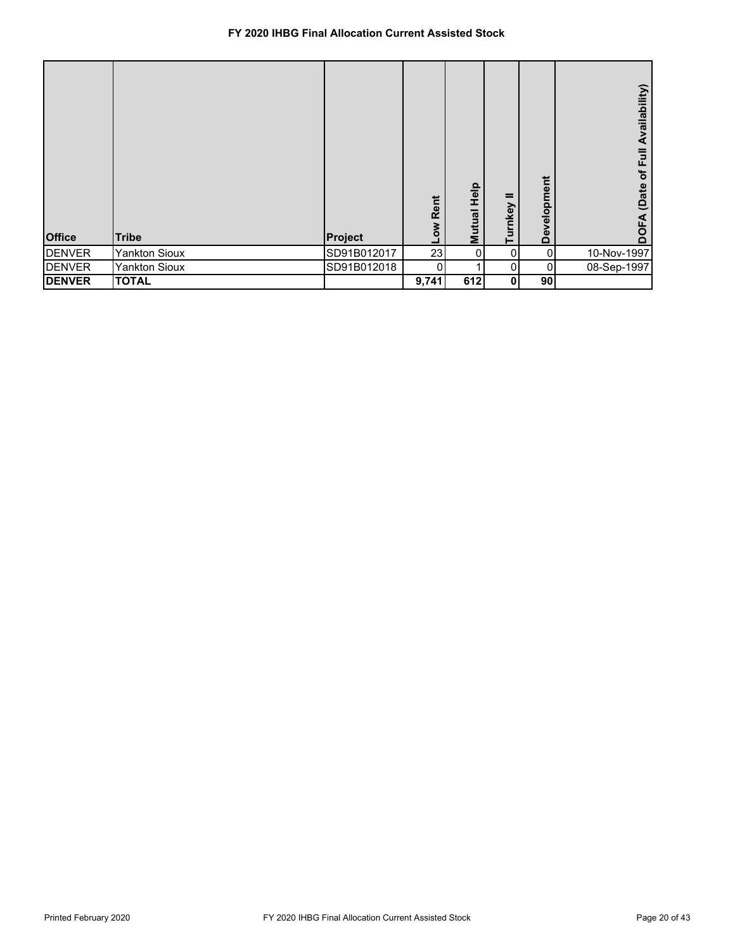| <b>Office</b> | <b>Tribe</b>         | Project     | Low Rent | Help<br><b>Mutual</b> | =<br>mkey<br>흔 | Development | Availability)<br>$\bar{E}$<br>$\mathbf{b}$<br>(Date<br>⋖<br>ក |
|---------------|----------------------|-------------|----------|-----------------------|----------------|-------------|---------------------------------------------------------------|
| <b>DENVER</b> | <b>Yankton Sioux</b> | SD91B012017 | 23       | 0                     | 0              | 0           | 10-Nov-1997                                                   |
| <b>DENVER</b> | <b>Yankton Sioux</b> | SD91B012018 | 0        |                       | 0              | 0           | 08-Sep-1997                                                   |
| <b>DENVER</b> | <b>TOTAL</b>         |             | 9,741    | 612                   | 0              | 90          |                                                               |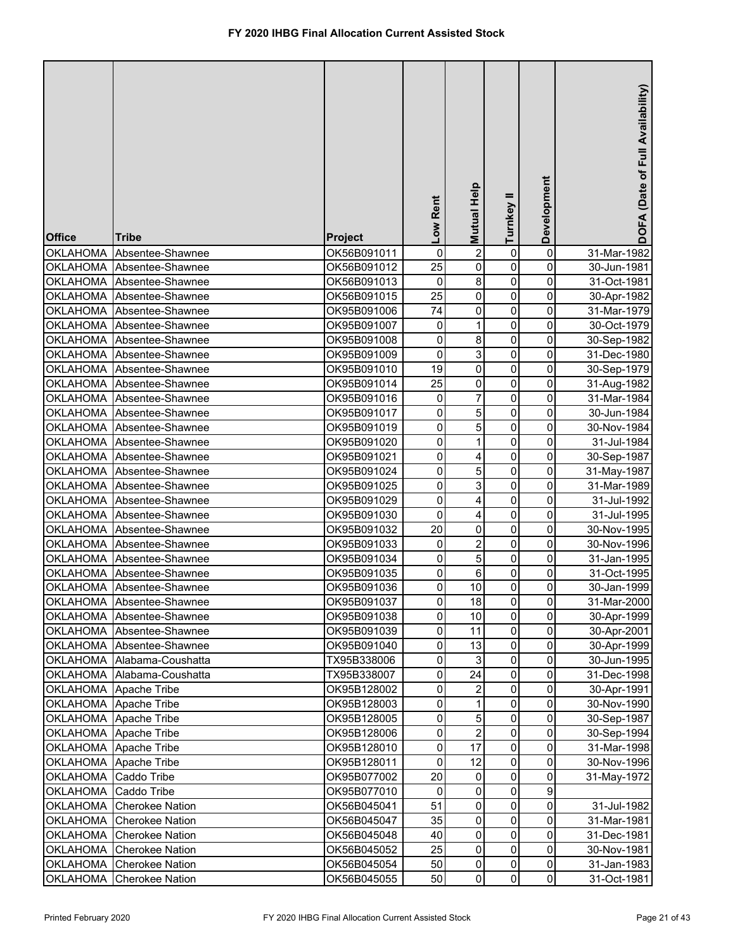| <b>Office</b>         | <b>Tribe</b>               | <b>Project</b> | Low Rent        | Mutual Help    | =<br>Turnkey | Development         | DOFA (Date of Full Availability) |
|-----------------------|----------------------------|----------------|-----------------|----------------|--------------|---------------------|----------------------------------|
| <b>OKLAHOMA</b>       | Absentee-Shawnee           | OK56B091011    | 0               | $\overline{2}$ | 0            | 0                   | 31-Mar-1982                      |
| <b>OKLAHOMA</b>       | Absentee-Shawnee           | OK56B091012    | 25              | 0              | 0            | 0                   | 30-Jun-1981                      |
| <b>OKLAHOMA</b>       | Absentee-Shawnee           | OK56B091013    | $\pmb{0}$       | 8              | 0            | 0                   | 31-Oct-1981                      |
| <b>OKLAHOMA</b>       | Absentee-Shawnee           | OK56B091015    | $\overline{25}$ | 0              | 0            | 0                   | 30-Apr-1982                      |
| <b>OKLAHOMA</b>       | Absentee-Shawnee           | OK95B091006    | 74              | 0              | 0            | 0                   | 31-Mar-1979                      |
| <b>OKLAHOMA</b>       | Absentee-Shawnee           | OK95B091007    | $\pmb{0}$       | 1              | 0            | 0                   | 30-Oct-1979                      |
| <b>OKLAHOMA</b>       | Absentee-Shawnee           | OK95B091008    | 0               | 8              | 0            | 0                   | 30-Sep-1982                      |
| <b>OKLAHOMA</b>       | Absentee-Shawnee           | OK95B091009    | $\mathbf 0$     | 3              | 0            | 0                   | 31-Dec-1980                      |
| <b>OKLAHOMA</b>       | Absentee-Shawnee           | OK95B091010    | 19              | 0              | 0            | 0                   | 30-Sep-1979                      |
| <b>OKLAHOMA</b>       | Absentee-Shawnee           | OK95B091014    | 25              | 0              | 0            | 0                   | 31-Aug-1982                      |
| <b>OKLAHOMA</b>       | Absentee-Shawnee           | OK95B091016    | $\pmb{0}$       | 7              | 0            | 0                   | 31-Mar-1984                      |
| <b>OKLAHOMA</b>       | Absentee-Shawnee           | OK95B091017    | 0               | 5              | 0            | 0                   | 30-Jun-1984                      |
| <b>OKLAHOMA</b>       | Absentee-Shawnee           | OK95B091019    | 0               | 5              | 0            | 0                   | 30-Nov-1984                      |
| <b>OKLAHOMA</b>       | Absentee-Shawnee           | OK95B091020    | 0               | 1              | 0            | 0                   | 31-Jul-1984                      |
| <b>OKLAHOMA</b>       | Absentee-Shawnee           | OK95B091021    | 0               | 4              | 0            | 0                   | 30-Sep-1987                      |
| <b>OKLAHOMA</b>       | Absentee-Shawnee           | OK95B091024    | 0               | 5              | 0            | 0                   | 31-May-1987                      |
| <b>OKLAHOMA</b>       | Absentee-Shawnee           | OK95B091025    | 0               | $\mathbf{3}$   | $\mathbf 0$  | 0                   | 31-Mar-1989                      |
| <b>OKLAHOMA</b>       | Absentee-Shawnee           | OK95B091029    | 0               | 4              | $\mathbf 0$  | 0                   | 31-Jul-1992                      |
| <b>OKLAHOMA</b>       | Absentee-Shawnee           | OK95B091030    | $\pmb{0}$       | 4              | $\mathbf 0$  | 0                   | 31-Jul-1995                      |
| <b>OKLAHOMA</b>       | Absentee-Shawnee           | OK95B091032    | 20              | 0              | 0            | 0                   | 30-Nov-1995                      |
| <b>OKLAHOMA</b>       | Absentee-Shawnee           | OK95B091033    | 0               | 2              | 0            | 0                   | 30-Nov-1996                      |
| <b>OKLAHOMA</b>       | Absentee-Shawnee           | OK95B091034    | 0               | 5              | 0            | 0                   | 31-Jan-1995                      |
| <b>OKLAHOMA</b>       | Absentee-Shawnee           | OK95B091035    | 0               | 6              | 0            | 0                   | 31-Oct-1995                      |
| <b>OKLAHOMA</b>       | Absentee-Shawnee           | OK95B091036    | 0               | 10             | 0            | 0                   | 30-Jan-1999                      |
|                       | OKLAHOMA Absentee-Shawnee  | OK95B091037    | 0               | 18             | 0            | $\pmb{0}$           | 31-Mar-2000                      |
|                       | OKLAHOMA Absentee-Shawnee  | OK95B091038    | 0               | 10             | 0            | 0                   | 30-Apr-1999                      |
|                       | OKLAHOMA Absentee-Shawnee  | OK95B091039    | 0               | 11             | 0            | 0                   | 30-Apr-2001                      |
|                       | OKLAHOMA Absentee-Shawnee  | OK95B091040    | 0               | 13             | 0            | 0                   | 30-Apr-1999                      |
|                       | OKLAHOMA Alabama-Coushatta | TX95B338006    | 0               | 3              | 0            | 0                   | 30-Jun-1995                      |
|                       | OKLAHOMA Alabama-Coushatta | TX95B338007    | 0               | 24             | $\pmb{0}$    | 0                   | 31-Dec-1998                      |
| OKLAHOMA Apache Tribe |                            | OK95B128002    | 0               | $\overline{2}$ | 0            | 0                   | 30-Apr-1991                      |
| OKLAHOMA Apache Tribe |                            | OK95B128003    | 0               | 1              | 0            | 0                   | 30-Nov-1990                      |
| OKLAHOMA Apache Tribe |                            | OK95B128005    | 0               | 5              | 0            | 0                   | 30-Sep-1987                      |
| <b>OKLAHOMA</b>       | Apache Tribe               | OK95B128006    | 0               | $\overline{2}$ | 0            | 0                   | 30-Sep-1994                      |
| <b>OKLAHOMA</b>       | Apache Tribe               | OK95B128010    | $\pmb{0}$       | 17             | 0            | $\pmb{0}$           | 31-Mar-1998                      |
| <b>OKLAHOMA</b>       | Apache Tribe               | OK95B128011    | $\pmb{0}$       | 12             | 0            | $\mathsf{O}\xspace$ | 30-Nov-1996                      |
| <b>OKLAHOMA</b>       | Caddo Tribe                | OK95B077002    | 20              | 0              | 0            | 0                   | 31-May-1972                      |
| <b>OKLAHOMA</b>       | Caddo Tribe                | OK95B077010    | 0               | 0              | 0            | 9                   |                                  |
| <b>OKLAHOMA</b>       | <b>Cherokee Nation</b>     | OK56B045041    | 51              | 0              | 0            | $\mathsf{O}\xspace$ | 31-Jul-1982                      |
| <b>OKLAHOMA</b>       | <b>Cherokee Nation</b>     | OK56B045047    | 35              | 0              | 0            | 0                   | 31-Mar-1981                      |
| <b>OKLAHOMA</b>       | <b>Cherokee Nation</b>     | OK56B045048    | 40              | 0              | 0            | 0                   | 31-Dec-1981                      |
| OKLAHOMA              | <b>Cherokee Nation</b>     | OK56B045052    | 25              | 0              | 0            | $\mathsf{O}\xspace$ | 30-Nov-1981                      |
| <b>OKLAHOMA</b>       | <b>Cherokee Nation</b>     | OK56B045054    | 50              | 0              | 0            | $\mathsf{O}\xspace$ | 31-Jan-1983                      |
| <b>OKLAHOMA</b>       | <b>Cherokee Nation</b>     | OK56B045055    | 50              | 0              | $\mathbf 0$  | $\overline{0}$      | 31-Oct-1981                      |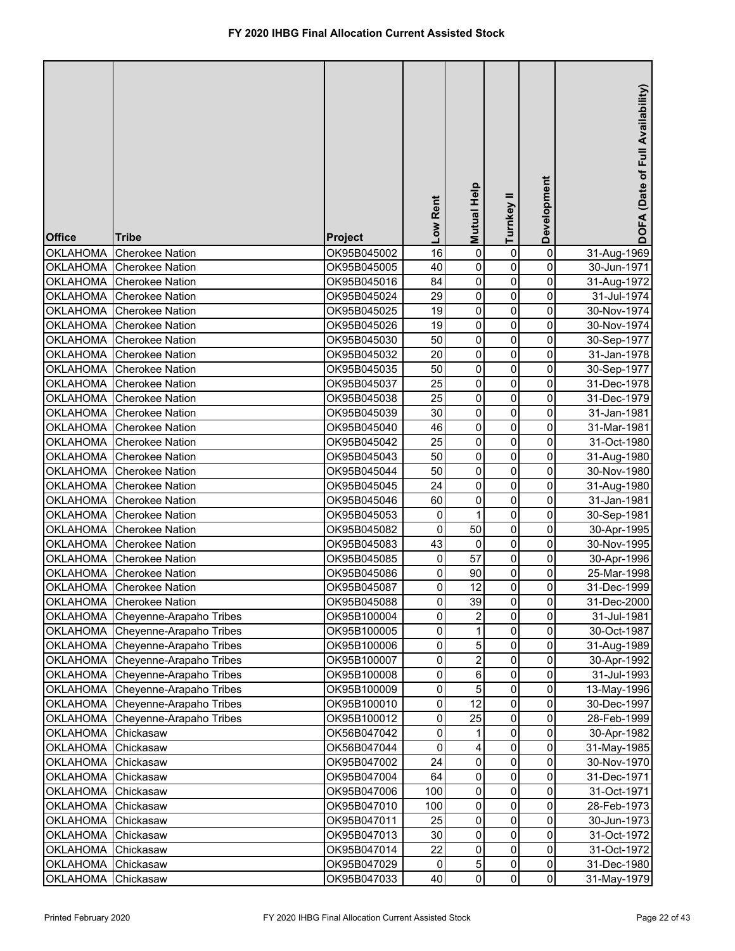| <b>Office</b>   | <b>Tribe</b>            | <b>Project</b> | Low Rent  | Mutual Help    | Turnkey II   | Development         | DOFA (Date of Full Availability) |
|-----------------|-------------------------|----------------|-----------|----------------|--------------|---------------------|----------------------------------|
| <b>OKLAHOMA</b> | <b>Cherokee Nation</b>  | OK95B045002    | 16        | $\mathsf 0$    | 0            | 0                   | 31-Aug-1969                      |
| <b>OKLAHOMA</b> | <b>Cherokee Nation</b>  | OK95B045005    | 40        | 0              | 0            | 0                   | 30-Jun-1971                      |
| <b>OKLAHOMA</b> | <b>Cherokee Nation</b>  | OK95B045016    | 84        | $\mathsf 0$    | 0            | 0                   | 31-Aug-1972                      |
| <b>OKLAHOMA</b> | <b>Cherokee Nation</b>  | OK95B045024    | 29        | $\mathsf 0$    | 0            | 0                   | 31-Jul-1974                      |
| <b>OKLAHOMA</b> | <b>Cherokee Nation</b>  | OK95B045025    | 19        | $\pmb{0}$      | $\pmb{0}$    | 0                   | 30-Nov-1974                      |
| <b>OKLAHOMA</b> | <b>Cherokee Nation</b>  | OK95B045026    | 19        | $\mathsf 0$    | $\pmb{0}$    | 0                   | 30-Nov-1974                      |
| <b>OKLAHOMA</b> | <b>Cherokee Nation</b>  | OK95B045030    | 50        | $\mathsf 0$    | 0            | 0                   | 30-Sep-1977                      |
| <b>OKLAHOMA</b> | <b>Cherokee Nation</b>  | OK95B045032    | 20        | 0              | 0            | 0                   | 31-Jan-1978                      |
| <b>OKLAHOMA</b> | <b>Cherokee Nation</b>  | OK95B045035    | 50        | 0              | 0            | 0                   | 30-Sep-1977                      |
| <b>OKLAHOMA</b> | <b>Cherokee Nation</b>  | OK95B045037    | 25        | $\mathsf 0$    | 0            | 0                   | 31-Dec-1978                      |
| <b>OKLAHOMA</b> | <b>Cherokee Nation</b>  | OK95B045038    | 25        | $\mathsf 0$    | 0            | 0                   | 31-Dec-1979                      |
| <b>OKLAHOMA</b> | <b>Cherokee Nation</b>  | OK95B045039    | 30        | 0              | 0            | 0                   | 31-Jan-1981                      |
| <b>OKLAHOMA</b> | <b>Cherokee Nation</b>  | OK95B045040    | 46        | 0              | 0            | 0                   | 31-Mar-1981                      |
| <b>OKLAHOMA</b> | <b>Cherokee Nation</b>  | OK95B045042    | 25        | 0              | 0            | 0                   | 31-Oct-1980                      |
| <b>OKLAHOMA</b> | <b>Cherokee Nation</b>  | OK95B045043    | 50        | 0              | $\mathbf 0$  | 0                   | 31-Aug-1980                      |
| <b>OKLAHOMA</b> | <b>Cherokee Nation</b>  | OK95B045044    | 50        | 0              | 0            | 0                   | 30-Nov-1980                      |
| <b>OKLAHOMA</b> | <b>Cherokee Nation</b>  | OK95B045045    | 24        | $\mathsf 0$    | $\mathbf 0$  | 0                   | 31-Aug-1980                      |
| <b>OKLAHOMA</b> | <b>Cherokee Nation</b>  | OK95B045046    | 60        | $\pmb{0}$      | $\mathbf 0$  | 0                   | 31-Jan-1981                      |
| <b>OKLAHOMA</b> | <b>Cherokee Nation</b>  | OK95B045053    | 0         | 1              | $\mathbf 0$  | 0                   | 30-Sep-1981                      |
| <b>OKLAHOMA</b> | <b>Cherokee Nation</b>  | OK95B045082    | 0         | 50             | 0            | 0                   | 30-Apr-1995                      |
| <b>OKLAHOMA</b> | <b>Cherokee Nation</b>  | OK95B045083    | 43        | 0              | 0            | 0                   | 30-Nov-1995                      |
| <b>OKLAHOMA</b> | <b>Cherokee Nation</b>  | OK95B045085    | 0         | 57             | 0            | 0                   | 30-Apr-1996                      |
| <b>OKLAHOMA</b> | <b>Cherokee Nation</b>  | OK95B045086    | 0         | 90             | 0            | 0                   | 25-Mar-1998                      |
| <b>OKLAHOMA</b> | <b>Cherokee Nation</b>  | OK95B045087    | 0         | 12             | 0            | 0                   | 31-Dec-1999                      |
| <b>OKLAHOMA</b> | Cherokee Nation         | OK95B045088    | $\pmb{0}$ | 39             | 0            | $\pmb{0}$           | 31-Dec-2000                      |
| <b>OKLAHOMA</b> | Cheyenne-Arapaho Tribes | OK95B100004    | 0         | $\overline{2}$ | 0            | 0                   | 31-Jul-1981                      |
| <b>OKLAHOMA</b> | Cheyenne-Arapaho Tribes | OK95B100005    | 0         | 1              | 0            | 0                   | 30-Oct-1987                      |
| <b>OKLAHOMA</b> | Cheyenne-Arapaho Tribes | OK95B100006    | 0         | 5              | 0            | 0                   | 31-Aug-1989                      |
| <b>OKLAHOMA</b> | Cheyenne-Arapaho Tribes | OK95B100007    | 0         | $\overline{c}$ | 0            | 0                   | 30-Apr-1992                      |
| <b>OKLAHOMA</b> | Cheyenne-Arapaho Tribes | OK95B100008    | 0         | 6              | 0            | 0                   | 31-Jul-1993                      |
| <b>OKLAHOMA</b> | Cheyenne-Arapaho Tribes | OK95B100009    | 0         | 5              | 0            | 0                   | 13-May-1996                      |
| <b>OKLAHOMA</b> | Cheyenne-Arapaho Tribes | OK95B100010    | 0         | 12             | 0            | 0                   | 30-Dec-1997                      |
| <b>OKLAHOMA</b> | Cheyenne-Arapaho Tribes | OK95B100012    | 0         | 25             | 0            | 0                   | 28-Feb-1999                      |
| <b>OKLAHOMA</b> | Chickasaw               | OK56B047042    | 0         | 1              | 0            | 0                   | 30-Apr-1982                      |
| <b>OKLAHOMA</b> | Chickasaw               | OK56B047044    | 0         | 4              | 0            | 0                   | 31-May-1985                      |
| <b>OKLAHOMA</b> | Chickasaw               | OK95B047002    | 24        | $\pmb{0}$      | 0            | $\pmb{0}$           | 30-Nov-1970                      |
| <b>OKLAHOMA</b> | Chickasaw               | OK95B047004    | 64        | 0              | 0            | 0                   | 31-Dec-1971                      |
| <b>OKLAHOMA</b> | Chickasaw               | OK95B047006    | 100       | 0              | 0            | 0                   | 31-Oct-1971                      |
| <b>OKLAHOMA</b> | Chickasaw               | OK95B047010    | 100       | 0              | 0            | 0                   | 28-Feb-1973                      |
| <b>OKLAHOMA</b> | Chickasaw               | OK95B047011    | 25        | 0              | 0            | 0                   | 30-Jun-1973                      |
| <b>OKLAHOMA</b> | Chickasaw               | OK95B047013    | 30        | 0              | 0            | 0                   | 31-Oct-1972                      |
| <b>OKLAHOMA</b> | Chickasaw               | OK95B047014    | 22        | 0              | 0            | 0                   | 31-Oct-1972                      |
| <b>OKLAHOMA</b> | Chickasaw               | OK95B047029    | 0         | $\mathbf 5$    | 0            | $\mathsf{O}\xspace$ | 31-Dec-1980                      |
| <b>OKLAHOMA</b> | Chickasaw               | OK95B047033    | 40        | 0              | $\mathbf{0}$ | $\mathsf{O}\xspace$ | 31-May-1979                      |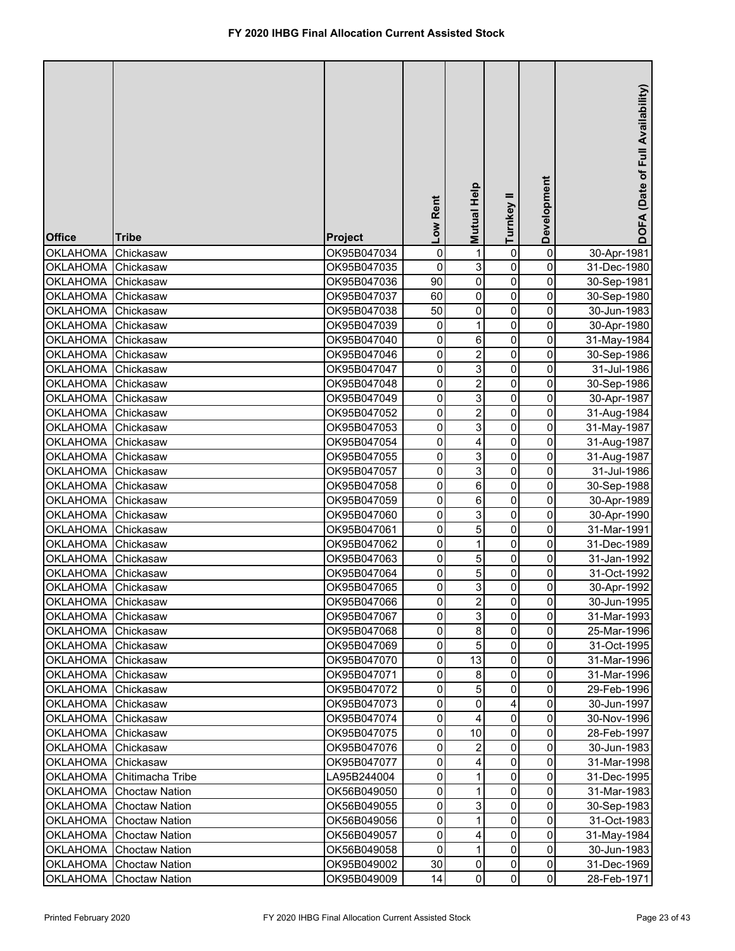| <b>Office</b>   | <b>Tribe</b>          | <b>Project</b> | Low Rent       | Mutual Help    | Turnkey II     | Development             | DOFA (Date of Full Availability) |
|-----------------|-----------------------|----------------|----------------|----------------|----------------|-------------------------|----------------------------------|
| <b>OKLAHOMA</b> | Chickasaw             | OK95B047034    | $\mathbf 0$    | 1              | 0              | $\pmb{0}$               | 30-Apr-1981                      |
| <b>OKLAHOMA</b> | Chickasaw             | OK95B047035    | $\mathbf 0$    | 3              | 0              | $\pmb{0}$               | 31-Dec-1980                      |
| <b>OKLAHOMA</b> | Chickasaw             | OK95B047036    | 90             | 0              | 0              | 0                       | 30-Sep-1981                      |
| <b>OKLAHOMA</b> | Chickasaw             | OK95B047037    | 60             | 0              | 0              | 0                       | 30-Sep-1980                      |
| <b>OKLAHOMA</b> | Chickasaw             | OK95B047038    | 50             | 0              | 0              | 0                       | 30-Jun-1983                      |
| <b>OKLAHOMA</b> | Chickasaw             | OK95B047039    | 0              | 1              | 0              | 0                       | 30-Apr-1980                      |
| <b>OKLAHOMA</b> | Chickasaw             | OK95B047040    | 0              | 6              | 0              | $\overline{\mathsf{o}}$ | 31-May-1984                      |
| <b>OKLAHOMA</b> | Chickasaw             | OK95B047046    | $\mathbf 0$    | $\overline{c}$ | 0              | $\overline{\mathsf{o}}$ | 30-Sep-1986                      |
| <b>OKLAHOMA</b> | Chickasaw             | OK95B047047    | 0              | 3              | $\mathbf 0$    | $\pmb{0}$               | 31-Jul-1986                      |
| <b>OKLAHOMA</b> | Chickasaw             | OK95B047048    | 0              | $\overline{2}$ | $\mathbf 0$    | $\pmb{0}$               | 30-Sep-1986                      |
| <b>OKLAHOMA</b> | Chickasaw             | OK95B047049    | 0              | 3              | $\mathbf 0$    | $\pmb{0}$               | 30-Apr-1987                      |
| <b>OKLAHOMA</b> | Chickasaw             | OK95B047052    | 0              | $\overline{c}$ | $\mathbf 0$    | $\pmb{0}$               | 31-Aug-1984                      |
| <b>OKLAHOMA</b> | Chickasaw             | OK95B047053    | 0              | 3              | 0              | $\pmb{0}$               | 31-May-1987                      |
| <b>OKLAHOMA</b> | Chickasaw             | OK95B047054    | 0              | 4              | 0              | $\pmb{0}$               | 31-Aug-1987                      |
| <b>OKLAHOMA</b> | Chickasaw             | OK95B047055    | 0              | 3              | 0              | $\pmb{0}$               | 31-Aug-1987                      |
| <b>OKLAHOMA</b> | Chickasaw             | OK95B047057    | 0              | 3              | $\mathbf 0$    | 0                       | 31-Jul-1986                      |
| <b>OKLAHOMA</b> | Chickasaw             | OK95B047058    | 0              | 6              | $\mathbf 0$    | $\pmb{0}$               | 30-Sep-1988                      |
| <b>OKLAHOMA</b> | Chickasaw             | OK95B047059    | 0              | 6              | $\mathbf 0$    | $\pmb{0}$               | 30-Apr-1989                      |
| <b>OKLAHOMA</b> | Chickasaw             | OK95B047060    | 0              | 3              | 0              | $\pmb{0}$               | 30-Apr-1990                      |
| <b>OKLAHOMA</b> | Chickasaw             | OK95B047061    | 0              | 5              | $\mathbf 0$    | $\pmb{0}$               | 31-Mar-1991                      |
| <b>OKLAHOMA</b> | Chickasaw             | OK95B047062    | 0              | 1              | $\mathbf 0$    | $\pmb{0}$               | 31-Dec-1989                      |
| <b>OKLAHOMA</b> | Chickasaw             | OK95B047063    | 0              | 5              | $\mathbf 0$    | 0                       | 31-Jan-1992                      |
| <b>OKLAHOMA</b> | Chickasaw             | OK95B047064    | 0              | 5              | $\mathbf 0$    | $\pmb{0}$               | 31-Oct-1992                      |
| <b>OKLAHOMA</b> | Chickasaw             | OK95B047065    | 0              | 3              | 0              | 0                       | 30-Apr-1992                      |
| <b>OKLAHOMA</b> | Chickasaw             | OK95B047066    | $\overline{0}$ | $\overline{2}$ | 0              | $\overline{0}$          | 30-Jun-1995                      |
| <b>OKLAHOMA</b> | Chickasaw             | OK95B047067    | 0              | 3              | 0              | 0                       | 31-Mar-1993                      |
| <b>OKLAHOMA</b> | Chickasaw             | OK95B047068    | 0              | 8              | 0              | 0                       | 25-Mar-1996                      |
| <b>OKLAHOMA</b> | Chickasaw             | OK95B047069    | 0              | 5              | 0              | 0                       | 31-Oct-1995                      |
| <b>OKLAHOMA</b> | Chickasaw             | OK95B047070    | 0              | 13             | 0              | 0                       | 31-Mar-1996                      |
| <b>OKLAHOMA</b> | Chickasaw             | OK95B047071    | 0              | 8              | 0              | 0                       | 31-Mar-1996                      |
| <b>OKLAHOMA</b> | Chickasaw             | OK95B047072    | $\mathbf 0$    | 5              | 0              | 0                       | 29-Feb-1996                      |
| <b>OKLAHOMA</b> | Chickasaw             | OK95B047073    | $\mathbf 0$    | 0              | $\overline{4}$ | 0                       | 30-Jun-1997                      |
| <b>OKLAHOMA</b> | Chickasaw             | OK95B047074    | $\pmb{0}$      | 4              | $\mathbf{0}$   | 0                       | 30-Nov-1996                      |
| <b>OKLAHOMA</b> | Chickasaw             | OK95B047075    | 0              | 10             | $\Omega$       | 0                       | 28-Feb-1997                      |
| <b>OKLAHOMA</b> | Chickasaw             | OK95B047076    | 0              | $\overline{2}$ | 0              | 0                       | 30-Jun-1983                      |
| <b>OKLAHOMA</b> | Chickasaw             | OK95B047077    | $\pmb{0}$      | 4              | 0              | 0                       | 31-Mar-1998                      |
| <b>OKLAHOMA</b> | Chitimacha Tribe      | LA95B244004    | 0              | 1              | 0              | 0                       | 31-Dec-1995                      |
| <b>OKLAHOMA</b> | <b>Choctaw Nation</b> | OK56B049050    | $\pmb{0}$      | 1              | 0              | $\pmb{0}$               | 31-Mar-1983                      |
| <b>OKLAHOMA</b> | <b>Choctaw Nation</b> | OK56B049055    | $\pmb{0}$      | 3              | 0              | $\mathbf 0$             | 30-Sep-1983                      |
| <b>OKLAHOMA</b> | <b>Choctaw Nation</b> | OK56B049056    | $\pmb{0}$      | 1              | 0              | $\pmb{0}$               | 31-Oct-1983                      |
| <b>OKLAHOMA</b> | Choctaw Nation        | OK56B049057    | 0              | 4              | 0              | 0                       | 31-May-1984                      |
| <b>OKLAHOMA</b> | Choctaw Nation        | OK56B049058    | 0              | 1              | 0              | $\pmb{0}$               | 30-Jun-1983                      |
| <b>OKLAHOMA</b> | Choctaw Nation        | OK95B049002    | 30             | $\pmb{0}$      | 0              | $\pmb{0}$               | 31-Dec-1969                      |
| <b>OKLAHOMA</b> | <b>Choctaw Nation</b> | OK95B049009    | 14             | 0              | 0              | $\overline{0}$          | 28-Feb-1971                      |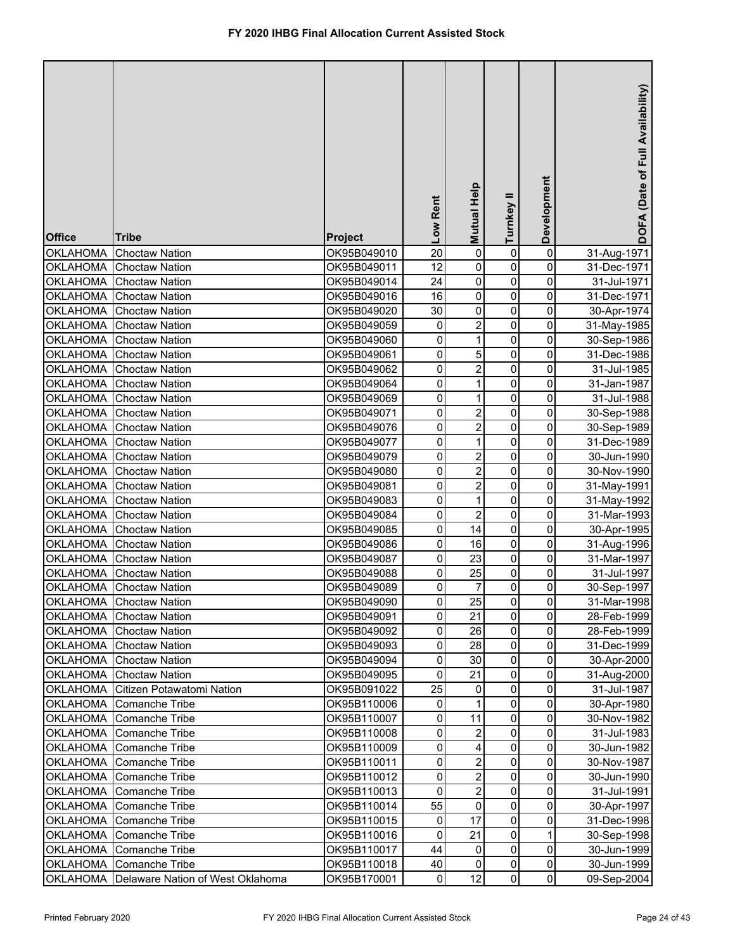| <b>Office</b>   | <b>Tribe</b>                     | <b>Project</b> | Low Rent        | Mutual Help    | Turnkey II  | Development         | DOFA (Date of Full Availability) |
|-----------------|----------------------------------|----------------|-----------------|----------------|-------------|---------------------|----------------------------------|
| <b>OKLAHOMA</b> | <b>Choctaw Nation</b>            | OK95B049010    | $\overline{20}$ | $\overline{0}$ | 0           | $\pmb{0}$           | 31-Aug-1971                      |
| <b>OKLAHOMA</b> | <b>Choctaw Nation</b>            | OK95B049011    | 12              | $\pmb{0}$      | 0           | 0                   | 31-Dec-1971                      |
| <b>OKLAHOMA</b> | <b>Choctaw Nation</b>            | OK95B049014    | 24              | $\mathsf 0$    | 0           | 0                   | 31-Jul-1971                      |
| <b>OKLAHOMA</b> | <b>Choctaw Nation</b>            | OK95B049016    | 16              | 0              | 0           | 0                   | 31-Dec-1971                      |
| <b>OKLAHOMA</b> | <b>Choctaw Nation</b>            | OK95B049020    | 30              | 0              | 0           | 0                   | 30-Apr-1974                      |
| <b>OKLAHOMA</b> | <b>Choctaw Nation</b>            | OK95B049059    | 0               | $\overline{2}$ | 0           | 0                   | 31-May-1985                      |
| <b>OKLAHOMA</b> | <b>Choctaw Nation</b>            | OK95B049060    | 0               | $\mathbf{1}$   | 0           | 0                   | 30-Sep-1986                      |
| <b>OKLAHOMA</b> | <b>Choctaw Nation</b>            | OK95B049061    | 0               | 5              | 0           | 0                   | 31-Dec-1986                      |
| <b>OKLAHOMA</b> | <b>Choctaw Nation</b>            | OK95B049062    | 0               | $\overline{2}$ | 0           | 0                   | 31-Jul-1985                      |
| <b>OKLAHOMA</b> | <b>Choctaw Nation</b>            | OK95B049064    | 0               | 1              | 0           | 0                   | 31-Jan-1987                      |
| <b>OKLAHOMA</b> | <b>Choctaw Nation</b>            | OK95B049069    | 0               | 1              | 0           | 0                   | 31-Jul-1988                      |
| <b>OKLAHOMA</b> | <b>Choctaw Nation</b>            | OK95B049071    | 0               | $\mathbf 2$    | $\mathbf 0$ | 0                   | 30-Sep-1988                      |
| <b>OKLAHOMA</b> | <b>Choctaw Nation</b>            | OK95B049076    | 0               | $\overline{c}$ | $\mathbf 0$ | 0                   | 30-Sep-1989                      |
| <b>OKLAHOMA</b> | <b>Choctaw Nation</b>            | OK95B049077    | 0               | 1              | $\mathbf 0$ | 0                   | 31-Dec-1989                      |
| <b>OKLAHOMA</b> | <b>Choctaw Nation</b>            | OK95B049079    | 0               | 2              | $\mathbf 0$ | 0                   | 30-Jun-1990                      |
| <b>OKLAHOMA</b> | <b>Choctaw Nation</b>            | OK95B049080    | 0               | $\overline{2}$ | $\mathbf 0$ | 0                   | 30-Nov-1990                      |
| <b>OKLAHOMA</b> | <b>Choctaw Nation</b>            | OK95B049081    | 0               | $\overline{2}$ | $\mathbf 0$ | 0                   | 31-May-1991                      |
| <b>OKLAHOMA</b> | <b>Choctaw Nation</b>            | OK95B049083    | 0               | 1              | 0           | 0                   | 31-May-1992                      |
| <b>OKLAHOMA</b> | <b>Choctaw Nation</b>            | OK95B049084    | 0               | 2              | 0           | 0                   | 31-Mar-1993                      |
| <b>OKLAHOMA</b> | <b>Choctaw Nation</b>            | OK95B049085    | 0               | 14             | 0           | 0                   | 30-Apr-1995                      |
| <b>OKLAHOMA</b> | <b>Choctaw Nation</b>            | OK95B049086    | 0               | 16             | 0           | 0                   | 31-Aug-1996                      |
| <b>OKLAHOMA</b> | <b>Choctaw Nation</b>            | OK95B049087    | 0               | 23             | 0           | 0                   | 31-Mar-1997                      |
| <b>OKLAHOMA</b> | <b>Choctaw Nation</b>            | OK95B049088    | 0               | 25             | 0           | 0                   | 31-Jul-1997                      |
| <b>OKLAHOMA</b> | <b>Choctaw Nation</b>            | OK95B049089    | 0               | 7              | 0           | 0                   | 30-Sep-1997                      |
|                 | OKLAHOMA Choctaw Nation          | OK95B049090    | $\overline{0}$  | 25             | 0           | $\overline{0}$      | 31-Mar-1998                      |
| <b>OKLAHOMA</b> | <b>Choctaw Nation</b>            | OK95B049091    | 0               | 21             | 0           | 0                   | 28-Feb-1999                      |
| <b>OKLAHOMA</b> | <b>Choctaw Nation</b>            | OK95B049092    | 0               | 26             | $\pmb{0}$   | 0                   | 28-Feb-1999                      |
| <b>OKLAHOMA</b> | <b>Choctaw Nation</b>            | OK95B049093    | 0               | 28             | 0           | 0                   | 31-Dec-1999                      |
| <b>OKLAHOMA</b> | <b>Choctaw Nation</b>            | OK95B049094    | 0               | 30             | 0           | 0                   | 30-Apr-2000                      |
| <b>OKLAHOMA</b> | <b>Choctaw Nation</b>            | OK95B049095    | 0               | 21             | 0           | 0                   | 31-Aug-2000                      |
| <b>OKLAHOMA</b> | Citizen Potawatomi Nation        | OK95B091022    | 25              | 0              | 0           | $\mathsf{O}\xspace$ | 31-Jul-1987                      |
| <b>OKLAHOMA</b> | Comanche Tribe                   | OK95B110006    | $\pmb{0}$       | 1              | 0           | $\mathsf{O}\xspace$ | 30-Apr-1980                      |
| <b>OKLAHOMA</b> | Comanche Tribe                   | OK95B110007    | 0               | 11             | 0           | 0                   | 30-Nov-1982                      |
| <b>OKLAHOMA</b> | Comanche Tribe                   | OK95B110008    | 0               | 2              | 0           | 0                   | 31-Jul-1983                      |
| <b>OKLAHOMA</b> | <b>Comanche Tribe</b>            | OK95B110009    | 0               | 4              | 0           | 0                   | 30-Jun-1982                      |
| <b>OKLAHOMA</b> | Comanche Tribe                   | OK95B110011    | 0               | 2              | 0           | 0                   | 30-Nov-1987                      |
| <b>OKLAHOMA</b> | <b>Comanche Tribe</b>            | OK95B110012    | 0               | $\overline{2}$ | 0           | 0                   | 30-Jun-1990                      |
| <b>OKLAHOMA</b> | <b>Comanche Tribe</b>            | OK95B110013    | 0               | $\overline{2}$ | 0           | 0                   | 31-Jul-1991                      |
| <b>OKLAHOMA</b> | Comanche Tribe                   | OK95B110014    | 55              | 0              | 0           | $\mathsf{O}\xspace$ | 30-Apr-1997                      |
| <b>OKLAHOMA</b> | Comanche Tribe                   | OK95B110015    | 0               | 17             | 0           | $\mathsf{O}\xspace$ | 31-Dec-1998                      |
| <b>OKLAHOMA</b> | Comanche Tribe                   | OK95B110016    | 0               | 21             | 0           | $\mathbf{1}$        | 30-Sep-1998                      |
| <b>OKLAHOMA</b> | Comanche Tribe                   | OK95B110017    | 44              | 0              | 0           | 0                   | 30-Jun-1999                      |
| <b>OKLAHOMA</b> | Comanche Tribe                   | OK95B110018    | 40              | 0              | 0           | $\mathsf{O}\xspace$ | 30-Jun-1999                      |
| <b>OKLAHOMA</b> | Delaware Nation of West Oklahoma | OK95B170001    | $\mathbf 0$     | 12             | 0           | $\overline{0}$      | 09-Sep-2004                      |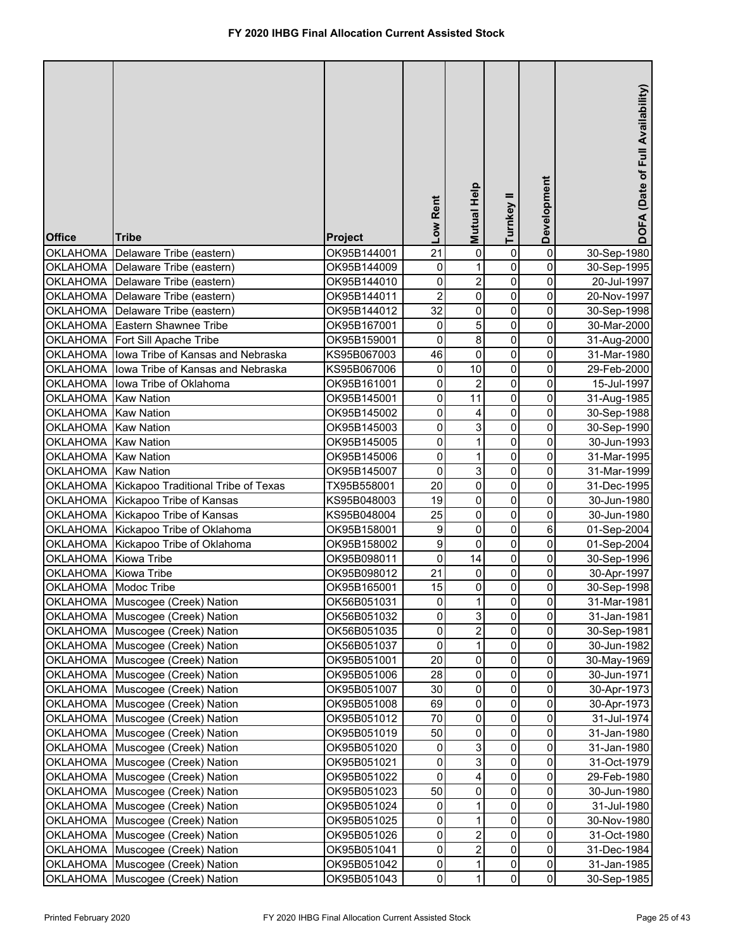| <b>Office</b>   | <b>Tribe</b>                        | <b>Project</b> | Low Rent       | Mutual Help             | Turnkey II  | Development         | DOFA (Date of Full Availability) |
|-----------------|-------------------------------------|----------------|----------------|-------------------------|-------------|---------------------|----------------------------------|
| <b>OKLAHOMA</b> | Delaware Tribe (eastern)            | OK95B144001    | 21             | $\pmb{0}$               | 0           | 0                   | 30-Sep-1980                      |
| <b>OKLAHOMA</b> | Delaware Tribe (eastern)            | OK95B144009    | 0              | 1                       | 0           | 0                   | 30-Sep-1995                      |
| <b>OKLAHOMA</b> | Delaware Tribe (eastern)            | OK95B144010    | 0              | $\overline{\mathbf{c}}$ | 0           | $\pmb{0}$           | 20-Jul-1997                      |
| <b>OKLAHOMA</b> | Delaware Tribe (eastern)            | OK95B144011    | $\overline{2}$ | $\pmb{0}$               | 0           | $\overline{0}$      | 20-Nov-1997                      |
| <b>OKLAHOMA</b> | Delaware Tribe (eastern)            | OK95B144012    | 32             | $\mathbf 0$             | $\mathbf 0$ | $\pmb{0}$           | 30-Sep-1998                      |
| <b>OKLAHOMA</b> | Eastern Shawnee Tribe               | OK95B167001    | 0              | 5                       | $\mathbf 0$ | $\pmb{0}$           | 30-Mar-2000                      |
| <b>OKLAHOMA</b> | Fort Sill Apache Tribe              | OK95B159001    | $\pmb{0}$      | $\overline{8}$          | $\mathbf 0$ | $\pmb{0}$           | 31-Aug-2000                      |
| <b>OKLAHOMA</b> | lowa Tribe of Kansas and Nebraska   | KS95B067003    | 46             | $\pmb{0}$               | $\mathbf 0$ | $\pmb{0}$           | 31-Mar-1980                      |
| <b>OKLAHOMA</b> | lowa Tribe of Kansas and Nebraska   | KS95B067006    | 0              | 10                      | 0           | $\pmb{0}$           | 29-Feb-2000                      |
| <b>OKLAHOMA</b> | lowa Tribe of Oklahoma              | OK95B161001    | $\pmb{0}$      | $\overline{2}$          | $\mathbf 0$ | $\pmb{0}$           | 15-Jul-1997                      |
| <b>OKLAHOMA</b> | <b>Kaw Nation</b>                   | OK95B145001    | $\pmb{0}$      | 11                      | $\mathbf 0$ | $\overline{0}$      | 31-Aug-1985                      |
| <b>OKLAHOMA</b> | <b>Kaw Nation</b>                   | OK95B145002    | 0              | 4                       | $\mathbf 0$ | $\pmb{0}$           | 30-Sep-1988                      |
| <b>OKLAHOMA</b> | <b>Kaw Nation</b>                   | OK95B145003    | 0              | 3                       | $\mathbf 0$ | 0                   | 30-Sep-1990                      |
| <b>OKLAHOMA</b> | <b>Kaw Nation</b>                   | OK95B145005    | $\pmb{0}$      | 1                       | $\mathbf 0$ | $\pmb{0}$           | 30-Jun-1993                      |
| <b>OKLAHOMA</b> | <b>Kaw Nation</b>                   | OK95B145006    | $\pmb{0}$      | 1                       | 0           | 0                   | 31-Mar-1995                      |
| <b>OKLAHOMA</b> | <b>Kaw Nation</b>                   | OK95B145007    | $\pmb{0}$      | 3                       | 0           | $\pmb{0}$           | 31-Mar-1999                      |
| <b>OKLAHOMA</b> | Kickapoo Traditional Tribe of Texas | TX95B558001    | 20             | $\mathbf 0$             | $\mathbf 0$ | $\pmb{0}$           | 31-Dec-1995                      |
| <b>OKLAHOMA</b> | Kickapoo Tribe of Kansas            | KS95B048003    | 19             | $\mathbf 0$             | $\mathbf 0$ | $\pmb{0}$           | 30-Jun-1980                      |
| <b>OKLAHOMA</b> | Kickapoo Tribe of Kansas            | KS95B048004    | 25             | $\mathbf 0$             | $\mathbf 0$ | $\mathbf 0$         | 30-Jun-1980                      |
| OKLAHOMA        | Kickapoo Tribe of Oklahoma          | OK95B158001    | 9              | $\mathbf 0$             | 0           | $\,6$               | 01-Sep-2004                      |
| <b>OKLAHOMA</b> | Kickapoo Tribe of Oklahoma          | OK95B158002    | 9              | 0                       | 0           | 0                   | 01-Sep-2004                      |
| <b>OKLAHOMA</b> | Kiowa Tribe                         | OK95B098011    | $\pmb{0}$      | 14                      | $\mathbf 0$ | $\pmb{0}$           | 30-Sep-1996                      |
| <b>OKLAHOMA</b> | Kiowa Tribe                         | OK95B098012    | 21             | 0                       | 0           | $\pmb{0}$           | 30-Apr-1997                      |
| <b>OKLAHOMA</b> | Modoc Tribe                         | OK95B165001    | 15             | 0                       | 0           | 0                   | 30-Sep-1998                      |
|                 | OKLAHOMA Muscogee (Creek) Nation    | OK56B051031    | $\overline{0}$ | 1                       | 0           | $\pmb{0}$           | 31-Mar-1981                      |
|                 | OKLAHOMA Muscogee (Creek) Nation    | OK56B051032    | 0              | 3                       | 0           | 0                   | 31-Jan-1981                      |
|                 | OKLAHOMA Muscogee (Creek) Nation    | OK56B051035    | 0              | 2                       | 0           | 0                   | 30-Sep-1981                      |
|                 | OKLAHOMA Muscogee (Creek) Nation    | OK56B051037    | 0              | 1                       | 0           | 0                   | 30-Jun-1982                      |
|                 | OKLAHOMA Muscogee (Creek) Nation    | OK95B051001    | 20             | 0                       | 0           | 0                   | 30-May-1969                      |
|                 | OKLAHOMA Muscogee (Creek) Nation    | OK95B051006    | 28             | $\pmb{0}$               | $\mathbf 0$ | 0                   | 30-Jun-1971                      |
|                 | OKLAHOMA Muscogee (Creek) Nation    | OK95B051007    | 30             | $\pmb{0}$               | 0           | 0                   | 30-Apr-1973                      |
|                 | OKLAHOMA Muscogee (Creek) Nation    | OK95B051008    | 69             | 0                       | 0           | 0                   | 30-Apr-1973                      |
| <b>OKLAHOMA</b> | Muscogee (Creek) Nation             | OK95B051012    | 70             | 0                       | 0           | 0                   | 31-Jul-1974                      |
| <b>OKLAHOMA</b> | Muscogee (Creek) Nation             | OK95B051019    | 50             | 0                       | $\mathbf 0$ | $\pmb{0}$           | 31-Jan-1980                      |
| <b>OKLAHOMA</b> | Muscogee (Creek) Nation             | OK95B051020    | 0              | 3                       | 0           | $\pmb{0}$           | 31-Jan-1980                      |
| <b>OKLAHOMA</b> | Muscogee (Creek) Nation             | OK95B051021    | $\pmb{0}$      | 3                       | 0           | 0                   | 31-Oct-1979                      |
| <b>OKLAHOMA</b> | Muscogee (Creek) Nation             | OK95B051022    | 0              | 4                       | 0           | $\pmb{0}$           | 29-Feb-1980                      |
| <b>OKLAHOMA</b> | Muscogee (Creek) Nation             | OK95B051023    | 50             | 0                       | 0           | $\pmb{0}$           | 30-Jun-1980                      |
| <b>OKLAHOMA</b> | Muscogee (Creek) Nation             | OK95B051024    | 0              | 1                       | 0           | $\pmb{0}$           | 31-Jul-1980                      |
| <b>OKLAHOMA</b> | Muscogee (Creek) Nation             | OK95B051025    | 0              | 1                       | 0           | $\pmb{0}$           | 30-Nov-1980                      |
|                 | OKLAHOMA Muscogee (Creek) Nation    | OK95B051026    | $\pmb{0}$      | $\overline{\mathbf{c}}$ | 0           | $\pmb{0}$           | 31-Oct-1980                      |
| <b>OKLAHOMA</b> | Muscogee (Creek) Nation             | OK95B051041    | $\pmb{0}$      | $\overline{c}$          | 0           | $\overline{0}$      | 31-Dec-1984                      |
| <b>OKLAHOMA</b> | Muscogee (Creek) Nation             | OK95B051042    | $\pmb{0}$      | 1                       | 0           | $\mathsf{O}\xspace$ | 31-Jan-1985                      |
| <b>OKLAHOMA</b> | Muscogee (Creek) Nation             | OK95B051043    | $\mathsf 0$    | 1                       | 0           | $\overline{0}$      | 30-Sep-1985                      |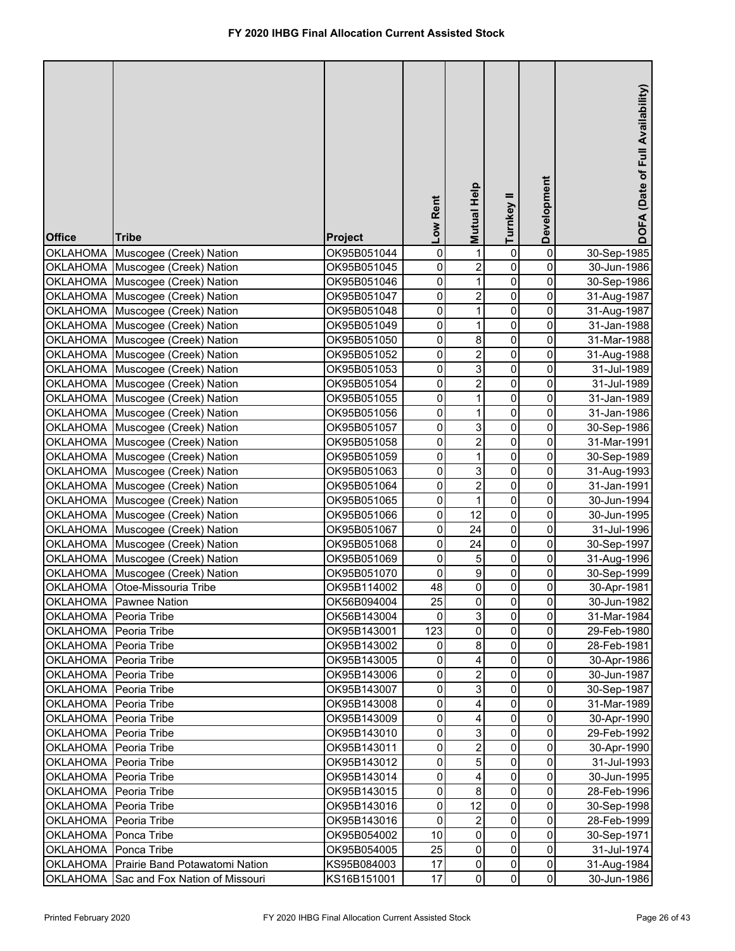| <b>Office</b>         | <b>Tribe</b>                   | <b>Project</b> | Low Rent | Mutual Help    | Turnkey II   | Development         | DOFA (Date of Full Availability) |
|-----------------------|--------------------------------|----------------|----------|----------------|--------------|---------------------|----------------------------------|
| <b>OKLAHOMA</b>       | Muscogee (Creek) Nation        | OK95B051044    | 0        | 1              | 0            | 0                   | 30-Sep-1985                      |
| <b>OKLAHOMA</b>       | Muscogee (Creek) Nation        | OK95B051045    | 0        | $\overline{2}$ | 0            | 0                   | 30-Jun-1986                      |
| <b>OKLAHOMA</b>       | Muscogee (Creek) Nation        | OK95B051046    | 0        | $\mathbf{1}$   | 0            | 0                   | 30-Sep-1986                      |
| <b>OKLAHOMA</b>       | Muscogee (Creek) Nation        | OK95B051047    | 0        | $\overline{2}$ | $\pmb{0}$    | 0                   | 31-Aug-1987                      |
| <b>OKLAHOMA</b>       | Muscogee (Creek) Nation        | OK95B051048    | 0        | $\mathbf{1}$   | $\pmb{0}$    | 0                   | 31-Aug-1987                      |
| <b>OKLAHOMA</b>       | Muscogee (Creek) Nation        | OK95B051049    | 0        | $\mathbf{1}$   | $\pmb{0}$    | 0                   | 31-Jan-1988                      |
| <b>OKLAHOMA</b>       | Muscogee (Creek) Nation        | OK95B051050    | 0        | 8              | 0            | 0                   | 31-Mar-1988                      |
| <b>OKLAHOMA</b>       | Muscogee (Creek) Nation        | OK95B051052    | 0        | $\overline{2}$ | $\pmb{0}$    | 0                   | 31-Aug-1988                      |
| <b>OKLAHOMA</b>       | Muscogee (Creek) Nation        | OK95B051053    | 0        | 3              | $\mathbf 0$  | 0                   | 31-Jul-1989                      |
| <b>OKLAHOMA</b>       | Muscogee (Creek) Nation        | OK95B051054    | 0        | $\overline{2}$ | 0            | $\mathsf{O}\xspace$ | 31-Jul-1989                      |
| <b>OKLAHOMA</b>       | Muscogee (Creek) Nation        | OK95B051055    | 0        | $\mathbf{1}$   | 0            | $\mathsf{O}\xspace$ | 31-Jan-1989                      |
| <b>OKLAHOMA</b>       | Muscogee (Creek) Nation        | OK95B051056    | 0        | 1              | 0            | 0                   | 31-Jan-1986                      |
| <b>OKLAHOMA</b>       | Muscogee (Creek) Nation        | OK95B051057    | 0        | 3              | $\mathbf 0$  | 0                   | 30-Sep-1986                      |
| <b>OKLAHOMA</b>       | Muscogee (Creek) Nation        | OK95B051058    | 0        | $\overline{2}$ | $\pmb{0}$    | 0                   | 31-Mar-1991                      |
| <b>OKLAHOMA</b>       | Muscogee (Creek) Nation        | OK95B051059    | 0        | 1              | $\mathbf 0$  | 0                   | 30-Sep-1989                      |
| <b>OKLAHOMA</b>       | Muscogee (Creek) Nation        | OK95B051063    | 0        | 3              | $\mathbf 0$  | 0                   | 31-Aug-1993                      |
| <b>OKLAHOMA</b>       | Muscogee (Creek) Nation        | OK95B051064    | 0        | $\overline{2}$ | $\mathbf 0$  | 0                   | 31-Jan-1991                      |
| <b>OKLAHOMA</b>       | Muscogee (Creek) Nation        | OK95B051065    | 0        | $\mathbf{1}$   | $\mathbf 0$  | 0                   | 30-Jun-1994                      |
| <b>OKLAHOMA</b>       | Muscogee (Creek) Nation        | OK95B051066    | 0        | 12             | $\mathbf 0$  | 0                   | 30-Jun-1995                      |
| <b>OKLAHOMA</b>       | Muscogee (Creek) Nation        | OK95B051067    | 0        | 24             | $\mathbf 0$  | 0                   | 31-Jul-1996                      |
| <b>OKLAHOMA</b>       | Muscogee (Creek) Nation        | OK95B051068    | 0        | 24             | $\mathbf 0$  | 0                   | 30-Sep-1997                      |
| <b>OKLAHOMA</b>       | Muscogee (Creek) Nation        | OK95B051069    | 0        | 5              | $\mathbf 0$  | 0                   | 31-Aug-1996                      |
| <b>OKLAHOMA</b>       | Muscogee (Creek) Nation        | OK95B051070    | 0        | 9              | 0            | 0                   | 30-Sep-1999                      |
| <b>OKLAHOMA</b>       | Otoe-Missouria Tribe           | OK95B114002    | 48       | 0              | 0            | 0                   | 30-Apr-1981                      |
|                       | OKLAHOMA Pawnee Nation         | OK56B094004    | 25       | $\mathbf{0}$   | 0            | $\pmb{0}$           | 30-Jun-1982                      |
| OKLAHOMA Peoria Tribe |                                | OK56B143004    | 0        | 3              | 0            | 0                   | 31-Mar-1984                      |
| OKLAHOMA Peoria Tribe |                                | OK95B143001    | 123      | 0              | 0            | 0                   | 29-Feb-1980                      |
| OKLAHOMA Peoria Tribe |                                | OK95B143002    | 0        | 8              | 0            | 0                   | 28-Feb-1981                      |
| OKLAHOMA Peoria Tribe |                                | OK95B143005    | 0        | 4              | 0            | 0                   | 30-Apr-1986                      |
| OKLAHOMA Peoria Tribe |                                | OK95B143006    | 0        | $\overline{2}$ | 0            | 0                   | 30-Jun-1987                      |
| <b>OKLAHOMA</b>       | Peoria Tribe                   | OK95B143007    | 0        | 3              | 0            | 0                   | 30-Sep-1987                      |
| <b>OKLAHOMA</b>       | Peoria Tribe                   | OK95B143008    | 0        | 4              | 0            | 0                   | 31-Mar-1989                      |
| <b>OKLAHOMA</b>       | Peoria Tribe                   | OK95B143009    | 0        | 4              | 0            | 0                   | 30-Apr-1990                      |
| <b>OKLAHOMA</b>       | Peoria Tribe                   | OK95B143010    | 0        | 3              | 0            | 0                   | 29-Feb-1992                      |
| <b>OKLAHOMA</b>       | Peoria Tribe                   | OK95B143011    | 0        | $\overline{2}$ | 0            | 0                   | 30-Apr-1990                      |
| <b>OKLAHOMA</b>       | Peoria Tribe                   | OK95B143012    | 0        | 5              | $\pmb{0}$    | $\mathsf{O}\xspace$ | 31-Jul-1993                      |
| <b>OKLAHOMA</b>       | Peoria Tribe                   | OK95B143014    | 0        | 4              | 0            | $\mathsf{O}\xspace$ | 30-Jun-1995                      |
| <b>OKLAHOMA</b>       | Peoria Tribe                   | OK95B143015    | 0        | 8              | 0            | 0                   | 28-Feb-1996                      |
| <b>OKLAHOMA</b>       | Peoria Tribe                   | OK95B143016    | 0        | 12             | 0            | 0                   | 30-Sep-1998                      |
| <b>OKLAHOMA</b>       | Peoria Tribe                   | OK95B143016    | 0        | $\overline{c}$ | 0            | 0                   | 28-Feb-1999                      |
| <b>OKLAHOMA</b>       | Ponca Tribe                    | OK95B054002    | 10       | 0              | 0            | 0                   | 30-Sep-1971                      |
| <b>OKLAHOMA</b>       | Ponca Tribe                    | OK95B054005    | 25       | 0              | 0            | 0                   | 31-Jul-1974                      |
| <b>OKLAHOMA</b>       | Prairie Band Potawatomi Nation | KS95B084003    | 17       | 0              | 0            | $\mathsf{O}\xspace$ | 31-Aug-1984                      |
| <b>OKLAHOMA</b>       | Sac and Fox Nation of Missouri | KS16B151001    | 17       | $\mathbf 0$    | $\mathbf{0}$ | $\mathsf{O}\xspace$ | 30-Jun-1986                      |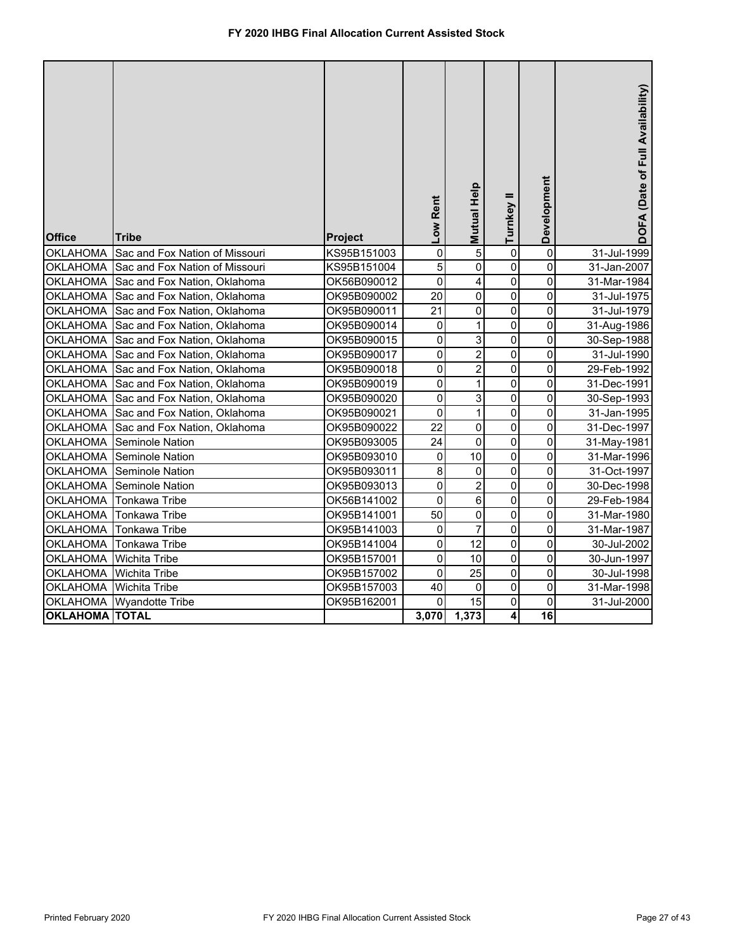| <b>Office</b>         | <b>Tribe</b>                   | <b>Project</b> | Low Rent       | Mutual Help    | Turnkey II     | Development     | DOFA (Date of Full Availability) |
|-----------------------|--------------------------------|----------------|----------------|----------------|----------------|-----------------|----------------------------------|
| <b>OKLAHOMA</b>       | Sac and Fox Nation of Missouri | KS95B151003    | $\overline{0}$ | 5              | 0              | $\mathbf 0$     | 31-Jul-1999                      |
| <b>OKLAHOMA</b>       | Sac and Fox Nation of Missouri | KS95B151004    | 5              | 0              | 0              | $\pmb{0}$       | 31-Jan-2007                      |
| <b>OKLAHOMA</b>       | Sac and Fox Nation, Oklahoma   | OK56B090012    | 0              | 4              | 0              | 0               | 31-Mar-1984                      |
| <b>OKLAHOMA</b>       | Sac and Fox Nation, Oklahoma   | OK95B090002    | 20             | $\mathbf 0$    | $\mathbf 0$    | 0               | 31-Jul-1975                      |
| <b>OKLAHOMA</b>       | Sac and Fox Nation, Oklahoma   | OK95B090011    | 21             | $\mathbf 0$    | $\overline{0}$ | $\mathbf 0$     | 31-Jul-1979                      |
| <b>OKLAHOMA</b>       | Sac and Fox Nation, Oklahoma   | OK95B090014    | 0              | 1              | 0              | 0               | 31-Aug-1986                      |
| <b>OKLAHOMA</b>       | Sac and Fox Nation, Oklahoma   | OK95B090015    | $\mathbf 0$    | 3              | 0              | 0               | 30-Sep-1988                      |
| <b>OKLAHOMA</b>       | Sac and Fox Nation, Oklahoma   | OK95B090017    | $\pmb{0}$      | $\overline{c}$ | 0              | 0               | 31-Jul-1990                      |
| <b>OKLAHOMA</b>       | Sac and Fox Nation, Oklahoma   | OK95B090018    | $\pmb{0}$      | $\overline{c}$ | $\mathbf 0$    | $\mathsf 0$     | 29-Feb-1992                      |
| <b>OKLAHOMA</b>       | Sac and Fox Nation, Oklahoma   | OK95B090019    | $\pmb{0}$      | 1              | 0              | 0               | 31-Dec-1991                      |
| <b>OKLAHOMA</b>       | Sac and Fox Nation, Oklahoma   | OK95B090020    | $\overline{0}$ | 3              | 0              | 0               | 30-Sep-1993                      |
| <b>OKLAHOMA</b>       | Sac and Fox Nation, Oklahoma   | OK95B090021    | $\pmb{0}$      | $\mathbf 1$    | $\mathbf 0$    | $\mathsf 0$     | 31-Jan-1995                      |
| <b>OKLAHOMA</b>       | Sac and Fox Nation, Oklahoma   | OK95B090022    | 22             | $\pmb{0}$      | 0              | 0               | 31-Dec-1997                      |
| <b>OKLAHOMA</b>       | Seminole Nation                | OK95B093005    | 24             | 0              | 0              | $\pmb{0}$       | 31-May-1981                      |
| <b>OKLAHOMA</b>       | Seminole Nation                | OK95B093010    | $\pmb{0}$      | 10             | $\mathbf 0$    | 0               | 31-Mar-1996                      |
| <b>OKLAHOMA</b>       | Seminole Nation                | OK95B093011    | 8              | $\mathbf 0$    | $\mathbf 0$    | 0               | 31-Oct-1997                      |
| <b>OKLAHOMA</b>       | Seminole Nation                | OK95B093013    | $\overline{0}$ | $\overline{2}$ | $\mathbf 0$    | 0               | 30-Dec-1998                      |
| <b>OKLAHOMA</b>       | Tonkawa Tribe                  | OK56B141002    | $\mathbf 0$    | $6\phantom{a}$ | 0              | $\mathbf 0$     | 29-Feb-1984                      |
| <b>OKLAHOMA</b>       | Tonkawa Tribe                  | OK95B141001    | 50             | $\pmb{0}$      | 0              | 0               | 31-Mar-1980                      |
| <b>OKLAHOMA</b>       | <b>Tonkawa Tribe</b>           | OK95B141003    | 0              | $\overline{7}$ | 0              | 0               | 31-Mar-1987                      |
| <b>OKLAHOMA</b>       | Tonkawa Tribe                  | OK95B141004    | $\mathbf 0$    | 12             | $\mathbf 0$    | $\mathbf 0$     | 30-Jul-2002                      |
| <b>OKLAHOMA</b>       | <b>Wichita Tribe</b>           | OK95B157001    | $\pmb{0}$      | 10             | $\mathbf 0$    | 0               | 30-Jun-1997                      |
| <b>OKLAHOMA</b>       | Wichita Tribe                  | OK95B157002    | $\mathbf 0$    | 25             | 0              | 0               | 30-Jul-1998                      |
| <b>OKLAHOMA</b>       | Wichita Tribe                  | OK95B157003    | 40             | $\mathbf 0$    | 0              | 0               | 31-Mar-1998                      |
| <b>OKLAHOMA</b>       | <b>Wyandotte Tribe</b>         | OK95B162001    | $\mathbf{0}$   | 15             | 0              | 0               | 31-Jul-2000                      |
| <b>OKLAHOMA TOTAL</b> |                                |                | 3,070          | 1,373          | 4              | $\overline{16}$ |                                  |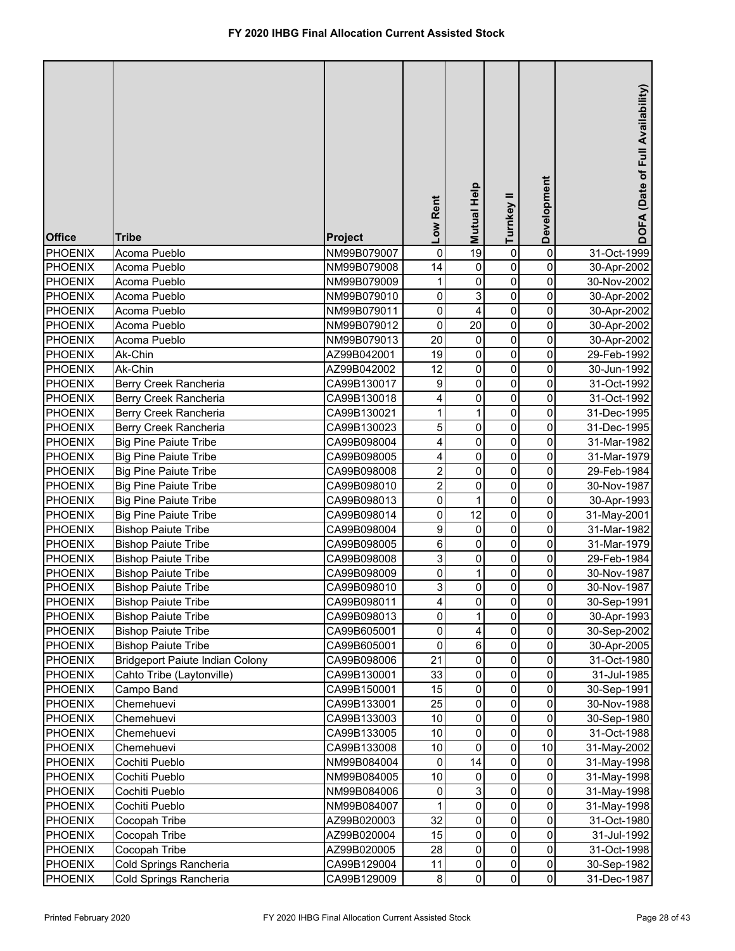| $\overline{19}$<br>0<br>0<br>31-Oct-1999<br>Acoma Pueblo<br>NM99B079007<br>0<br>0<br>14<br>0<br>0<br>Acoma Pueblo<br>NM99B079008<br>30-Apr-2002<br>0<br>1<br>0<br>0<br>Acoma Pueblo<br>NM99B079009<br>30-Nov-2002<br>0<br>0<br>3<br>0<br>Acoma Pueblo<br>NM99B079010<br>30-Apr-2002<br>0<br>0<br>4<br>0<br>Acoma Pueblo<br>NM99B079011<br>30-Apr-2002<br>0<br>0<br>20<br>0<br>Acoma Pueblo<br>NM99B079012<br>30-Apr-2002<br>$\overline{20}$<br>0<br>0<br>0<br>Acoma Pueblo<br>NM99B079013<br>30-Apr-2002<br>$\mathsf 0$<br>19<br>0<br>0<br>Ak-Chin<br>AZ99B042001<br>29-Feb-1992<br>12<br>0<br>0<br>Ak-Chin<br>0<br>AZ99B042002<br>30-Jun-1992<br>$\mathsf 0$<br>0<br>9<br>$\pmb{0}$<br>Berry Creek Rancheria<br>CA99B130017<br>31-Oct-1992<br>4<br>0<br>0<br>0<br>CA99B130018<br>31-Oct-1992<br>Berry Creek Rancheria<br>1<br>0<br>1<br>0<br>Berry Creek Rancheria<br>CA99B130021<br>31-Dec-1995<br>5<br>0<br>0<br>0<br>Berry Creek Rancheria<br>CA99B130023<br>31-Dec-1995<br>4<br>0<br>$\pmb{0}$<br>0<br><b>Big Pine Paiute Tribe</b><br>CA99B098004<br>31-Mar-1982<br>0<br>0<br>0<br><b>Big Pine Paiute Tribe</b><br>CA99B098005<br>4<br>31-Mar-1979<br>$\overline{\mathbf{c}}$<br>0<br>0<br>0<br><b>Big Pine Paiute Tribe</b><br>CA99B098008<br>29-Feb-1984<br>$\overline{\mathbf{c}}$<br>0<br>$\pmb{0}$<br>0<br><b>Big Pine Paiute Tribe</b><br>CA99B098010<br>30-Nov-1987<br>0<br>$\mathbf 0$<br>0<br><b>Big Pine Paiute Tribe</b><br>1<br>CA99B098013<br>30-Apr-1993<br>0<br>12<br>0<br>0<br><b>Big Pine Paiute Tribe</b><br>CA99B098014<br>31-May-2001<br>9<br>$\mathbf 0$<br>0<br>0<br><b>Bishop Paiute Tribe</b><br>CA99B098004<br>31-Mar-1982<br>6<br>$\mathbf 0$<br>$\mathbf 0$<br>0<br><b>Bishop Paiute Tribe</b><br>CA99B098005<br>31-Mar-1979<br>3<br>$\mathbf 0$<br>0<br>0<br><b>Bishop Paiute Tribe</b><br>CA99B098008<br>29-Feb-1984<br>0<br>0<br>0<br><b>PHOENIX</b><br><b>Bishop Paiute Tribe</b><br>1<br>30-Nov-1987<br>CA99B098009<br>3<br>$\mathbf 0$<br>0<br>0<br>PHOENIX<br><b>Bishop Paiute Tribe</b><br>CA99B098010<br>30-Nov-1987<br>PHOENIX<br><b>Bishop Paiute Tribe</b><br>CA99B098011<br>$\overline{\mathbf{4}}$<br>0<br>30-Sep-1991<br>$\mathbf{0}$<br>$\mathbf{0}$<br>0<br>0<br>0<br><b>PHOENIX</b><br><b>Bishop Paiute Tribe</b><br>CA99B098013<br>1<br>30-Apr-1993<br>0<br>0<br><b>PHOENIX</b><br><b>Bishop Paiute Tribe</b><br>CA99B605001<br>0<br>4<br>30-Sep-2002<br>6<br>0<br>0<br>0<br><b>PHOENIX</b><br><b>Bishop Paiute Tribe</b><br>CA99B605001<br>30-Apr-2005<br><b>Bridgeport Paiute Indian Colony</b><br>21<br>0<br>0<br><b>PHOENIX</b><br>CA99B098006<br>0<br>31-Oct-1980<br>33<br>0<br>0<br><b>PHOENIX</b><br>Cahto Tribe (Laytonville)<br>CA99B130001<br>0<br>31-Jul-1985<br>$\pmb{0}$<br>0<br>15<br>0<br><b>PHOENIX</b><br>Campo Band<br>CA99B150001<br>30-Sep-1991<br>$\pmb{0}$<br>25<br>$\pmb{0}$<br>0<br><b>PHOENIX</b><br>Chemehuevi<br>CA99B133001<br>30-Nov-1988<br>$\pmb{0}$<br>0<br>10<br>$\pmb{0}$<br><b>PHOENIX</b><br>Chemehuevi<br>CA99B133003<br>30-Sep-1980<br>0<br>0<br>10<br>$\pmb{0}$<br><b>PHOENIX</b><br>Chemehuevi<br>CA99B133005<br>31-Oct-1988<br>0<br>10<br>10<br>0<br><b>PHOENIX</b><br>Chemehuevi<br>CA99B133008<br>31-May-2002<br>$\pmb{0}$<br>14<br>0<br><b>PHOENIX</b><br>Cochiti Pueblo<br>0<br>NM99B084004<br>31-May-1998<br>10<br>0<br>0<br>PHOENIX<br>Cochiti Pueblo<br>NM99B084005<br>0<br>31-May-1998<br>3<br>0<br>0<br><b>PHOENIX</b><br>Cochiti Pueblo<br>0<br>NM99B084006<br>31-May-1998<br>0<br>0<br>$\mathbf{1}$<br>0<br>PHOENIX<br>Cochiti Pueblo<br>NM99B084007<br>31-May-1998<br>0<br>32<br>0<br>0<br><b>PHOENIX</b><br>AZ99B020003<br>Cocopah Tribe<br>31-Oct-1980<br>0<br>0<br><b>PHOENIX</b><br>Cocopah Tribe<br>AZ99B020004<br>15<br>0<br>31-Jul-1992<br>0<br>28<br>0<br><b>PHOENIX</b><br>Cocopah Tribe<br>AZ99B020005<br>0<br>31-Oct-1998<br>$\mathsf{O}\xspace$<br>Cold Springs Rancheria<br>0<br>$\pmb{0}$<br><b>PHOENIX</b><br>CA99B129004<br>11<br>30-Sep-1982<br>$\mathbf 0$<br>$\overline{0}$<br>Cold Springs Rancheria<br>$\bf 8$<br>$\mathbf{0}$<br><b>PHOENIX</b><br>CA99B129009<br>31-Dec-1987 | <b>Office</b>  | <b>Tribe</b> | <b>Project</b> | Low Rent | <b>Mutual Help</b> | Turnkey II | Development | DOFA (Date of Full Availability) |
|--------------------------------------------------------------------------------------------------------------------------------------------------------------------------------------------------------------------------------------------------------------------------------------------------------------------------------------------------------------------------------------------------------------------------------------------------------------------------------------------------------------------------------------------------------------------------------------------------------------------------------------------------------------------------------------------------------------------------------------------------------------------------------------------------------------------------------------------------------------------------------------------------------------------------------------------------------------------------------------------------------------------------------------------------------------------------------------------------------------------------------------------------------------------------------------------------------------------------------------------------------------------------------------------------------------------------------------------------------------------------------------------------------------------------------------------------------------------------------------------------------------------------------------------------------------------------------------------------------------------------------------------------------------------------------------------------------------------------------------------------------------------------------------------------------------------------------------------------------------------------------------------------------------------------------------------------------------------------------------------------------------------------------------------------------------------------------------------------------------------------------------------------------------------------------------------------------------------------------------------------------------------------------------------------------------------------------------------------------------------------------------------------------------------------------------------------------------------------------------------------------------------------------------------------------------------------------------------------------------------------------------------------------------------------------------------------------------------------------------------------------------------------------------------------------------------------------------------------------------------------------------------------------------------------------------------------------------------------------------------------------------------------------------------------------------------------------------------------------------------------------------------------------------------------------------------------------------------------------------------------------------------------------------------------------------------------------------------------------------------------------------------------------------------------------------------------------------------------------------------------------------------------------------------------------------------------------------------------------------------------------------------------------------------------------------------------------------------------------------------------------------------------------------------------------------------------------------------------------------------------------------------------------------------------------------------------------------------------------------------------------------------------------------------------------------------------------------------------------------|----------------|--------------|----------------|----------|--------------------|------------|-------------|----------------------------------|
|                                                                                                                                                                                                                                                                                                                                                                                                                                                                                                                                                                                                                                                                                                                                                                                                                                                                                                                                                                                                                                                                                                                                                                                                                                                                                                                                                                                                                                                                                                                                                                                                                                                                                                                                                                                                                                                                                                                                                                                                                                                                                                                                                                                                                                                                                                                                                                                                                                                                                                                                                                                                                                                                                                                                                                                                                                                                                                                                                                                                                                                                                                                                                                                                                                                                                                                                                                                                                                                                                                                                                                                                                                                                                                                                                                                                                                                                                                                                                                                                                                                                                                              | <b>PHOENIX</b> |              |                |          |                    |            |             |                                  |
|                                                                                                                                                                                                                                                                                                                                                                                                                                                                                                                                                                                                                                                                                                                                                                                                                                                                                                                                                                                                                                                                                                                                                                                                                                                                                                                                                                                                                                                                                                                                                                                                                                                                                                                                                                                                                                                                                                                                                                                                                                                                                                                                                                                                                                                                                                                                                                                                                                                                                                                                                                                                                                                                                                                                                                                                                                                                                                                                                                                                                                                                                                                                                                                                                                                                                                                                                                                                                                                                                                                                                                                                                                                                                                                                                                                                                                                                                                                                                                                                                                                                                                              | <b>PHOENIX</b> |              |                |          |                    |            |             |                                  |
|                                                                                                                                                                                                                                                                                                                                                                                                                                                                                                                                                                                                                                                                                                                                                                                                                                                                                                                                                                                                                                                                                                                                                                                                                                                                                                                                                                                                                                                                                                                                                                                                                                                                                                                                                                                                                                                                                                                                                                                                                                                                                                                                                                                                                                                                                                                                                                                                                                                                                                                                                                                                                                                                                                                                                                                                                                                                                                                                                                                                                                                                                                                                                                                                                                                                                                                                                                                                                                                                                                                                                                                                                                                                                                                                                                                                                                                                                                                                                                                                                                                                                                              | <b>PHOENIX</b> |              |                |          |                    |            |             |                                  |
|                                                                                                                                                                                                                                                                                                                                                                                                                                                                                                                                                                                                                                                                                                                                                                                                                                                                                                                                                                                                                                                                                                                                                                                                                                                                                                                                                                                                                                                                                                                                                                                                                                                                                                                                                                                                                                                                                                                                                                                                                                                                                                                                                                                                                                                                                                                                                                                                                                                                                                                                                                                                                                                                                                                                                                                                                                                                                                                                                                                                                                                                                                                                                                                                                                                                                                                                                                                                                                                                                                                                                                                                                                                                                                                                                                                                                                                                                                                                                                                                                                                                                                              | PHOENIX        |              |                |          |                    |            |             |                                  |
|                                                                                                                                                                                                                                                                                                                                                                                                                                                                                                                                                                                                                                                                                                                                                                                                                                                                                                                                                                                                                                                                                                                                                                                                                                                                                                                                                                                                                                                                                                                                                                                                                                                                                                                                                                                                                                                                                                                                                                                                                                                                                                                                                                                                                                                                                                                                                                                                                                                                                                                                                                                                                                                                                                                                                                                                                                                                                                                                                                                                                                                                                                                                                                                                                                                                                                                                                                                                                                                                                                                                                                                                                                                                                                                                                                                                                                                                                                                                                                                                                                                                                                              | <b>PHOENIX</b> |              |                |          |                    |            |             |                                  |
|                                                                                                                                                                                                                                                                                                                                                                                                                                                                                                                                                                                                                                                                                                                                                                                                                                                                                                                                                                                                                                                                                                                                                                                                                                                                                                                                                                                                                                                                                                                                                                                                                                                                                                                                                                                                                                                                                                                                                                                                                                                                                                                                                                                                                                                                                                                                                                                                                                                                                                                                                                                                                                                                                                                                                                                                                                                                                                                                                                                                                                                                                                                                                                                                                                                                                                                                                                                                                                                                                                                                                                                                                                                                                                                                                                                                                                                                                                                                                                                                                                                                                                              | <b>PHOENIX</b> |              |                |          |                    |            |             |                                  |
|                                                                                                                                                                                                                                                                                                                                                                                                                                                                                                                                                                                                                                                                                                                                                                                                                                                                                                                                                                                                                                                                                                                                                                                                                                                                                                                                                                                                                                                                                                                                                                                                                                                                                                                                                                                                                                                                                                                                                                                                                                                                                                                                                                                                                                                                                                                                                                                                                                                                                                                                                                                                                                                                                                                                                                                                                                                                                                                                                                                                                                                                                                                                                                                                                                                                                                                                                                                                                                                                                                                                                                                                                                                                                                                                                                                                                                                                                                                                                                                                                                                                                                              | <b>PHOENIX</b> |              |                |          |                    |            |             |                                  |
|                                                                                                                                                                                                                                                                                                                                                                                                                                                                                                                                                                                                                                                                                                                                                                                                                                                                                                                                                                                                                                                                                                                                                                                                                                                                                                                                                                                                                                                                                                                                                                                                                                                                                                                                                                                                                                                                                                                                                                                                                                                                                                                                                                                                                                                                                                                                                                                                                                                                                                                                                                                                                                                                                                                                                                                                                                                                                                                                                                                                                                                                                                                                                                                                                                                                                                                                                                                                                                                                                                                                                                                                                                                                                                                                                                                                                                                                                                                                                                                                                                                                                                              | PHOENIX        |              |                |          |                    |            |             |                                  |
|                                                                                                                                                                                                                                                                                                                                                                                                                                                                                                                                                                                                                                                                                                                                                                                                                                                                                                                                                                                                                                                                                                                                                                                                                                                                                                                                                                                                                                                                                                                                                                                                                                                                                                                                                                                                                                                                                                                                                                                                                                                                                                                                                                                                                                                                                                                                                                                                                                                                                                                                                                                                                                                                                                                                                                                                                                                                                                                                                                                                                                                                                                                                                                                                                                                                                                                                                                                                                                                                                                                                                                                                                                                                                                                                                                                                                                                                                                                                                                                                                                                                                                              | PHOENIX        |              |                |          |                    |            |             |                                  |
|                                                                                                                                                                                                                                                                                                                                                                                                                                                                                                                                                                                                                                                                                                                                                                                                                                                                                                                                                                                                                                                                                                                                                                                                                                                                                                                                                                                                                                                                                                                                                                                                                                                                                                                                                                                                                                                                                                                                                                                                                                                                                                                                                                                                                                                                                                                                                                                                                                                                                                                                                                                                                                                                                                                                                                                                                                                                                                                                                                                                                                                                                                                                                                                                                                                                                                                                                                                                                                                                                                                                                                                                                                                                                                                                                                                                                                                                                                                                                                                                                                                                                                              | <b>PHOENIX</b> |              |                |          |                    |            |             |                                  |
|                                                                                                                                                                                                                                                                                                                                                                                                                                                                                                                                                                                                                                                                                                                                                                                                                                                                                                                                                                                                                                                                                                                                                                                                                                                                                                                                                                                                                                                                                                                                                                                                                                                                                                                                                                                                                                                                                                                                                                                                                                                                                                                                                                                                                                                                                                                                                                                                                                                                                                                                                                                                                                                                                                                                                                                                                                                                                                                                                                                                                                                                                                                                                                                                                                                                                                                                                                                                                                                                                                                                                                                                                                                                                                                                                                                                                                                                                                                                                                                                                                                                                                              | PHOENIX        |              |                |          |                    |            |             |                                  |
|                                                                                                                                                                                                                                                                                                                                                                                                                                                                                                                                                                                                                                                                                                                                                                                                                                                                                                                                                                                                                                                                                                                                                                                                                                                                                                                                                                                                                                                                                                                                                                                                                                                                                                                                                                                                                                                                                                                                                                                                                                                                                                                                                                                                                                                                                                                                                                                                                                                                                                                                                                                                                                                                                                                                                                                                                                                                                                                                                                                                                                                                                                                                                                                                                                                                                                                                                                                                                                                                                                                                                                                                                                                                                                                                                                                                                                                                                                                                                                                                                                                                                                              | <b>PHOENIX</b> |              |                |          |                    |            |             |                                  |
|                                                                                                                                                                                                                                                                                                                                                                                                                                                                                                                                                                                                                                                                                                                                                                                                                                                                                                                                                                                                                                                                                                                                                                                                                                                                                                                                                                                                                                                                                                                                                                                                                                                                                                                                                                                                                                                                                                                                                                                                                                                                                                                                                                                                                                                                                                                                                                                                                                                                                                                                                                                                                                                                                                                                                                                                                                                                                                                                                                                                                                                                                                                                                                                                                                                                                                                                                                                                                                                                                                                                                                                                                                                                                                                                                                                                                                                                                                                                                                                                                                                                                                              | <b>PHOENIX</b> |              |                |          |                    |            |             |                                  |
|                                                                                                                                                                                                                                                                                                                                                                                                                                                                                                                                                                                                                                                                                                                                                                                                                                                                                                                                                                                                                                                                                                                                                                                                                                                                                                                                                                                                                                                                                                                                                                                                                                                                                                                                                                                                                                                                                                                                                                                                                                                                                                                                                                                                                                                                                                                                                                                                                                                                                                                                                                                                                                                                                                                                                                                                                                                                                                                                                                                                                                                                                                                                                                                                                                                                                                                                                                                                                                                                                                                                                                                                                                                                                                                                                                                                                                                                                                                                                                                                                                                                                                              | <b>PHOENIX</b> |              |                |          |                    |            |             |                                  |
|                                                                                                                                                                                                                                                                                                                                                                                                                                                                                                                                                                                                                                                                                                                                                                                                                                                                                                                                                                                                                                                                                                                                                                                                                                                                                                                                                                                                                                                                                                                                                                                                                                                                                                                                                                                                                                                                                                                                                                                                                                                                                                                                                                                                                                                                                                                                                                                                                                                                                                                                                                                                                                                                                                                                                                                                                                                                                                                                                                                                                                                                                                                                                                                                                                                                                                                                                                                                                                                                                                                                                                                                                                                                                                                                                                                                                                                                                                                                                                                                                                                                                                              | <b>PHOENIX</b> |              |                |          |                    |            |             |                                  |
|                                                                                                                                                                                                                                                                                                                                                                                                                                                                                                                                                                                                                                                                                                                                                                                                                                                                                                                                                                                                                                                                                                                                                                                                                                                                                                                                                                                                                                                                                                                                                                                                                                                                                                                                                                                                                                                                                                                                                                                                                                                                                                                                                                                                                                                                                                                                                                                                                                                                                                                                                                                                                                                                                                                                                                                                                                                                                                                                                                                                                                                                                                                                                                                                                                                                                                                                                                                                                                                                                                                                                                                                                                                                                                                                                                                                                                                                                                                                                                                                                                                                                                              | <b>PHOENIX</b> |              |                |          |                    |            |             |                                  |
|                                                                                                                                                                                                                                                                                                                                                                                                                                                                                                                                                                                                                                                                                                                                                                                                                                                                                                                                                                                                                                                                                                                                                                                                                                                                                                                                                                                                                                                                                                                                                                                                                                                                                                                                                                                                                                                                                                                                                                                                                                                                                                                                                                                                                                                                                                                                                                                                                                                                                                                                                                                                                                                                                                                                                                                                                                                                                                                                                                                                                                                                                                                                                                                                                                                                                                                                                                                                                                                                                                                                                                                                                                                                                                                                                                                                                                                                                                                                                                                                                                                                                                              | <b>PHOENIX</b> |              |                |          |                    |            |             |                                  |
|                                                                                                                                                                                                                                                                                                                                                                                                                                                                                                                                                                                                                                                                                                                                                                                                                                                                                                                                                                                                                                                                                                                                                                                                                                                                                                                                                                                                                                                                                                                                                                                                                                                                                                                                                                                                                                                                                                                                                                                                                                                                                                                                                                                                                                                                                                                                                                                                                                                                                                                                                                                                                                                                                                                                                                                                                                                                                                                                                                                                                                                                                                                                                                                                                                                                                                                                                                                                                                                                                                                                                                                                                                                                                                                                                                                                                                                                                                                                                                                                                                                                                                              | <b>PHOENIX</b> |              |                |          |                    |            |             |                                  |
|                                                                                                                                                                                                                                                                                                                                                                                                                                                                                                                                                                                                                                                                                                                                                                                                                                                                                                                                                                                                                                                                                                                                                                                                                                                                                                                                                                                                                                                                                                                                                                                                                                                                                                                                                                                                                                                                                                                                                                                                                                                                                                                                                                                                                                                                                                                                                                                                                                                                                                                                                                                                                                                                                                                                                                                                                                                                                                                                                                                                                                                                                                                                                                                                                                                                                                                                                                                                                                                                                                                                                                                                                                                                                                                                                                                                                                                                                                                                                                                                                                                                                                              | <b>PHOENIX</b> |              |                |          |                    |            |             |                                  |
|                                                                                                                                                                                                                                                                                                                                                                                                                                                                                                                                                                                                                                                                                                                                                                                                                                                                                                                                                                                                                                                                                                                                                                                                                                                                                                                                                                                                                                                                                                                                                                                                                                                                                                                                                                                                                                                                                                                                                                                                                                                                                                                                                                                                                                                                                                                                                                                                                                                                                                                                                                                                                                                                                                                                                                                                                                                                                                                                                                                                                                                                                                                                                                                                                                                                                                                                                                                                                                                                                                                                                                                                                                                                                                                                                                                                                                                                                                                                                                                                                                                                                                              | <b>PHOENIX</b> |              |                |          |                    |            |             |                                  |
|                                                                                                                                                                                                                                                                                                                                                                                                                                                                                                                                                                                                                                                                                                                                                                                                                                                                                                                                                                                                                                                                                                                                                                                                                                                                                                                                                                                                                                                                                                                                                                                                                                                                                                                                                                                                                                                                                                                                                                                                                                                                                                                                                                                                                                                                                                                                                                                                                                                                                                                                                                                                                                                                                                                                                                                                                                                                                                                                                                                                                                                                                                                                                                                                                                                                                                                                                                                                                                                                                                                                                                                                                                                                                                                                                                                                                                                                                                                                                                                                                                                                                                              | <b>PHOENIX</b> |              |                |          |                    |            |             |                                  |
|                                                                                                                                                                                                                                                                                                                                                                                                                                                                                                                                                                                                                                                                                                                                                                                                                                                                                                                                                                                                                                                                                                                                                                                                                                                                                                                                                                                                                                                                                                                                                                                                                                                                                                                                                                                                                                                                                                                                                                                                                                                                                                                                                                                                                                                                                                                                                                                                                                                                                                                                                                                                                                                                                                                                                                                                                                                                                                                                                                                                                                                                                                                                                                                                                                                                                                                                                                                                                                                                                                                                                                                                                                                                                                                                                                                                                                                                                                                                                                                                                                                                                                              | <b>PHOENIX</b> |              |                |          |                    |            |             |                                  |
|                                                                                                                                                                                                                                                                                                                                                                                                                                                                                                                                                                                                                                                                                                                                                                                                                                                                                                                                                                                                                                                                                                                                                                                                                                                                                                                                                                                                                                                                                                                                                                                                                                                                                                                                                                                                                                                                                                                                                                                                                                                                                                                                                                                                                                                                                                                                                                                                                                                                                                                                                                                                                                                                                                                                                                                                                                                                                                                                                                                                                                                                                                                                                                                                                                                                                                                                                                                                                                                                                                                                                                                                                                                                                                                                                                                                                                                                                                                                                                                                                                                                                                              |                |              |                |          |                    |            |             |                                  |
|                                                                                                                                                                                                                                                                                                                                                                                                                                                                                                                                                                                                                                                                                                                                                                                                                                                                                                                                                                                                                                                                                                                                                                                                                                                                                                                                                                                                                                                                                                                                                                                                                                                                                                                                                                                                                                                                                                                                                                                                                                                                                                                                                                                                                                                                                                                                                                                                                                                                                                                                                                                                                                                                                                                                                                                                                                                                                                                                                                                                                                                                                                                                                                                                                                                                                                                                                                                                                                                                                                                                                                                                                                                                                                                                                                                                                                                                                                                                                                                                                                                                                                              |                |              |                |          |                    |            |             |                                  |
|                                                                                                                                                                                                                                                                                                                                                                                                                                                                                                                                                                                                                                                                                                                                                                                                                                                                                                                                                                                                                                                                                                                                                                                                                                                                                                                                                                                                                                                                                                                                                                                                                                                                                                                                                                                                                                                                                                                                                                                                                                                                                                                                                                                                                                                                                                                                                                                                                                                                                                                                                                                                                                                                                                                                                                                                                                                                                                                                                                                                                                                                                                                                                                                                                                                                                                                                                                                                                                                                                                                                                                                                                                                                                                                                                                                                                                                                                                                                                                                                                                                                                                              |                |              |                |          |                    |            |             |                                  |
|                                                                                                                                                                                                                                                                                                                                                                                                                                                                                                                                                                                                                                                                                                                                                                                                                                                                                                                                                                                                                                                                                                                                                                                                                                                                                                                                                                                                                                                                                                                                                                                                                                                                                                                                                                                                                                                                                                                                                                                                                                                                                                                                                                                                                                                                                                                                                                                                                                                                                                                                                                                                                                                                                                                                                                                                                                                                                                                                                                                                                                                                                                                                                                                                                                                                                                                                                                                                                                                                                                                                                                                                                                                                                                                                                                                                                                                                                                                                                                                                                                                                                                              |                |              |                |          |                    |            |             |                                  |
|                                                                                                                                                                                                                                                                                                                                                                                                                                                                                                                                                                                                                                                                                                                                                                                                                                                                                                                                                                                                                                                                                                                                                                                                                                                                                                                                                                                                                                                                                                                                                                                                                                                                                                                                                                                                                                                                                                                                                                                                                                                                                                                                                                                                                                                                                                                                                                                                                                                                                                                                                                                                                                                                                                                                                                                                                                                                                                                                                                                                                                                                                                                                                                                                                                                                                                                                                                                                                                                                                                                                                                                                                                                                                                                                                                                                                                                                                                                                                                                                                                                                                                              |                |              |                |          |                    |            |             |                                  |
|                                                                                                                                                                                                                                                                                                                                                                                                                                                                                                                                                                                                                                                                                                                                                                                                                                                                                                                                                                                                                                                                                                                                                                                                                                                                                                                                                                                                                                                                                                                                                                                                                                                                                                                                                                                                                                                                                                                                                                                                                                                                                                                                                                                                                                                                                                                                                                                                                                                                                                                                                                                                                                                                                                                                                                                                                                                                                                                                                                                                                                                                                                                                                                                                                                                                                                                                                                                                                                                                                                                                                                                                                                                                                                                                                                                                                                                                                                                                                                                                                                                                                                              |                |              |                |          |                    |            |             |                                  |
|                                                                                                                                                                                                                                                                                                                                                                                                                                                                                                                                                                                                                                                                                                                                                                                                                                                                                                                                                                                                                                                                                                                                                                                                                                                                                                                                                                                                                                                                                                                                                                                                                                                                                                                                                                                                                                                                                                                                                                                                                                                                                                                                                                                                                                                                                                                                                                                                                                                                                                                                                                                                                                                                                                                                                                                                                                                                                                                                                                                                                                                                                                                                                                                                                                                                                                                                                                                                                                                                                                                                                                                                                                                                                                                                                                                                                                                                                                                                                                                                                                                                                                              |                |              |                |          |                    |            |             |                                  |
|                                                                                                                                                                                                                                                                                                                                                                                                                                                                                                                                                                                                                                                                                                                                                                                                                                                                                                                                                                                                                                                                                                                                                                                                                                                                                                                                                                                                                                                                                                                                                                                                                                                                                                                                                                                                                                                                                                                                                                                                                                                                                                                                                                                                                                                                                                                                                                                                                                                                                                                                                                                                                                                                                                                                                                                                                                                                                                                                                                                                                                                                                                                                                                                                                                                                                                                                                                                                                                                                                                                                                                                                                                                                                                                                                                                                                                                                                                                                                                                                                                                                                                              |                |              |                |          |                    |            |             |                                  |
|                                                                                                                                                                                                                                                                                                                                                                                                                                                                                                                                                                                                                                                                                                                                                                                                                                                                                                                                                                                                                                                                                                                                                                                                                                                                                                                                                                                                                                                                                                                                                                                                                                                                                                                                                                                                                                                                                                                                                                                                                                                                                                                                                                                                                                                                                                                                                                                                                                                                                                                                                                                                                                                                                                                                                                                                                                                                                                                                                                                                                                                                                                                                                                                                                                                                                                                                                                                                                                                                                                                                                                                                                                                                                                                                                                                                                                                                                                                                                                                                                                                                                                              |                |              |                |          |                    |            |             |                                  |
|                                                                                                                                                                                                                                                                                                                                                                                                                                                                                                                                                                                                                                                                                                                                                                                                                                                                                                                                                                                                                                                                                                                                                                                                                                                                                                                                                                                                                                                                                                                                                                                                                                                                                                                                                                                                                                                                                                                                                                                                                                                                                                                                                                                                                                                                                                                                                                                                                                                                                                                                                                                                                                                                                                                                                                                                                                                                                                                                                                                                                                                                                                                                                                                                                                                                                                                                                                                                                                                                                                                                                                                                                                                                                                                                                                                                                                                                                                                                                                                                                                                                                                              |                |              |                |          |                    |            |             |                                  |
|                                                                                                                                                                                                                                                                                                                                                                                                                                                                                                                                                                                                                                                                                                                                                                                                                                                                                                                                                                                                                                                                                                                                                                                                                                                                                                                                                                                                                                                                                                                                                                                                                                                                                                                                                                                                                                                                                                                                                                                                                                                                                                                                                                                                                                                                                                                                                                                                                                                                                                                                                                                                                                                                                                                                                                                                                                                                                                                                                                                                                                                                                                                                                                                                                                                                                                                                                                                                                                                                                                                                                                                                                                                                                                                                                                                                                                                                                                                                                                                                                                                                                                              |                |              |                |          |                    |            |             |                                  |
|                                                                                                                                                                                                                                                                                                                                                                                                                                                                                                                                                                                                                                                                                                                                                                                                                                                                                                                                                                                                                                                                                                                                                                                                                                                                                                                                                                                                                                                                                                                                                                                                                                                                                                                                                                                                                                                                                                                                                                                                                                                                                                                                                                                                                                                                                                                                                                                                                                                                                                                                                                                                                                                                                                                                                                                                                                                                                                                                                                                                                                                                                                                                                                                                                                                                                                                                                                                                                                                                                                                                                                                                                                                                                                                                                                                                                                                                                                                                                                                                                                                                                                              |                |              |                |          |                    |            |             |                                  |
|                                                                                                                                                                                                                                                                                                                                                                                                                                                                                                                                                                                                                                                                                                                                                                                                                                                                                                                                                                                                                                                                                                                                                                                                                                                                                                                                                                                                                                                                                                                                                                                                                                                                                                                                                                                                                                                                                                                                                                                                                                                                                                                                                                                                                                                                                                                                                                                                                                                                                                                                                                                                                                                                                                                                                                                                                                                                                                                                                                                                                                                                                                                                                                                                                                                                                                                                                                                                                                                                                                                                                                                                                                                                                                                                                                                                                                                                                                                                                                                                                                                                                                              |                |              |                |          |                    |            |             |                                  |
|                                                                                                                                                                                                                                                                                                                                                                                                                                                                                                                                                                                                                                                                                                                                                                                                                                                                                                                                                                                                                                                                                                                                                                                                                                                                                                                                                                                                                                                                                                                                                                                                                                                                                                                                                                                                                                                                                                                                                                                                                                                                                                                                                                                                                                                                                                                                                                                                                                                                                                                                                                                                                                                                                                                                                                                                                                                                                                                                                                                                                                                                                                                                                                                                                                                                                                                                                                                                                                                                                                                                                                                                                                                                                                                                                                                                                                                                                                                                                                                                                                                                                                              |                |              |                |          |                    |            |             |                                  |
|                                                                                                                                                                                                                                                                                                                                                                                                                                                                                                                                                                                                                                                                                                                                                                                                                                                                                                                                                                                                                                                                                                                                                                                                                                                                                                                                                                                                                                                                                                                                                                                                                                                                                                                                                                                                                                                                                                                                                                                                                                                                                                                                                                                                                                                                                                                                                                                                                                                                                                                                                                                                                                                                                                                                                                                                                                                                                                                                                                                                                                                                                                                                                                                                                                                                                                                                                                                                                                                                                                                                                                                                                                                                                                                                                                                                                                                                                                                                                                                                                                                                                                              |                |              |                |          |                    |            |             |                                  |
|                                                                                                                                                                                                                                                                                                                                                                                                                                                                                                                                                                                                                                                                                                                                                                                                                                                                                                                                                                                                                                                                                                                                                                                                                                                                                                                                                                                                                                                                                                                                                                                                                                                                                                                                                                                                                                                                                                                                                                                                                                                                                                                                                                                                                                                                                                                                                                                                                                                                                                                                                                                                                                                                                                                                                                                                                                                                                                                                                                                                                                                                                                                                                                                                                                                                                                                                                                                                                                                                                                                                                                                                                                                                                                                                                                                                                                                                                                                                                                                                                                                                                                              |                |              |                |          |                    |            |             |                                  |
|                                                                                                                                                                                                                                                                                                                                                                                                                                                                                                                                                                                                                                                                                                                                                                                                                                                                                                                                                                                                                                                                                                                                                                                                                                                                                                                                                                                                                                                                                                                                                                                                                                                                                                                                                                                                                                                                                                                                                                                                                                                                                                                                                                                                                                                                                                                                                                                                                                                                                                                                                                                                                                                                                                                                                                                                                                                                                                                                                                                                                                                                                                                                                                                                                                                                                                                                                                                                                                                                                                                                                                                                                                                                                                                                                                                                                                                                                                                                                                                                                                                                                                              |                |              |                |          |                    |            |             |                                  |
|                                                                                                                                                                                                                                                                                                                                                                                                                                                                                                                                                                                                                                                                                                                                                                                                                                                                                                                                                                                                                                                                                                                                                                                                                                                                                                                                                                                                                                                                                                                                                                                                                                                                                                                                                                                                                                                                                                                                                                                                                                                                                                                                                                                                                                                                                                                                                                                                                                                                                                                                                                                                                                                                                                                                                                                                                                                                                                                                                                                                                                                                                                                                                                                                                                                                                                                                                                                                                                                                                                                                                                                                                                                                                                                                                                                                                                                                                                                                                                                                                                                                                                              |                |              |                |          |                    |            |             |                                  |
|                                                                                                                                                                                                                                                                                                                                                                                                                                                                                                                                                                                                                                                                                                                                                                                                                                                                                                                                                                                                                                                                                                                                                                                                                                                                                                                                                                                                                                                                                                                                                                                                                                                                                                                                                                                                                                                                                                                                                                                                                                                                                                                                                                                                                                                                                                                                                                                                                                                                                                                                                                                                                                                                                                                                                                                                                                                                                                                                                                                                                                                                                                                                                                                                                                                                                                                                                                                                                                                                                                                                                                                                                                                                                                                                                                                                                                                                                                                                                                                                                                                                                                              |                |              |                |          |                    |            |             |                                  |
|                                                                                                                                                                                                                                                                                                                                                                                                                                                                                                                                                                                                                                                                                                                                                                                                                                                                                                                                                                                                                                                                                                                                                                                                                                                                                                                                                                                                                                                                                                                                                                                                                                                                                                                                                                                                                                                                                                                                                                                                                                                                                                                                                                                                                                                                                                                                                                                                                                                                                                                                                                                                                                                                                                                                                                                                                                                                                                                                                                                                                                                                                                                                                                                                                                                                                                                                                                                                                                                                                                                                                                                                                                                                                                                                                                                                                                                                                                                                                                                                                                                                                                              |                |              |                |          |                    |            |             |                                  |
|                                                                                                                                                                                                                                                                                                                                                                                                                                                                                                                                                                                                                                                                                                                                                                                                                                                                                                                                                                                                                                                                                                                                                                                                                                                                                                                                                                                                                                                                                                                                                                                                                                                                                                                                                                                                                                                                                                                                                                                                                                                                                                                                                                                                                                                                                                                                                                                                                                                                                                                                                                                                                                                                                                                                                                                                                                                                                                                                                                                                                                                                                                                                                                                                                                                                                                                                                                                                                                                                                                                                                                                                                                                                                                                                                                                                                                                                                                                                                                                                                                                                                                              |                |              |                |          |                    |            |             |                                  |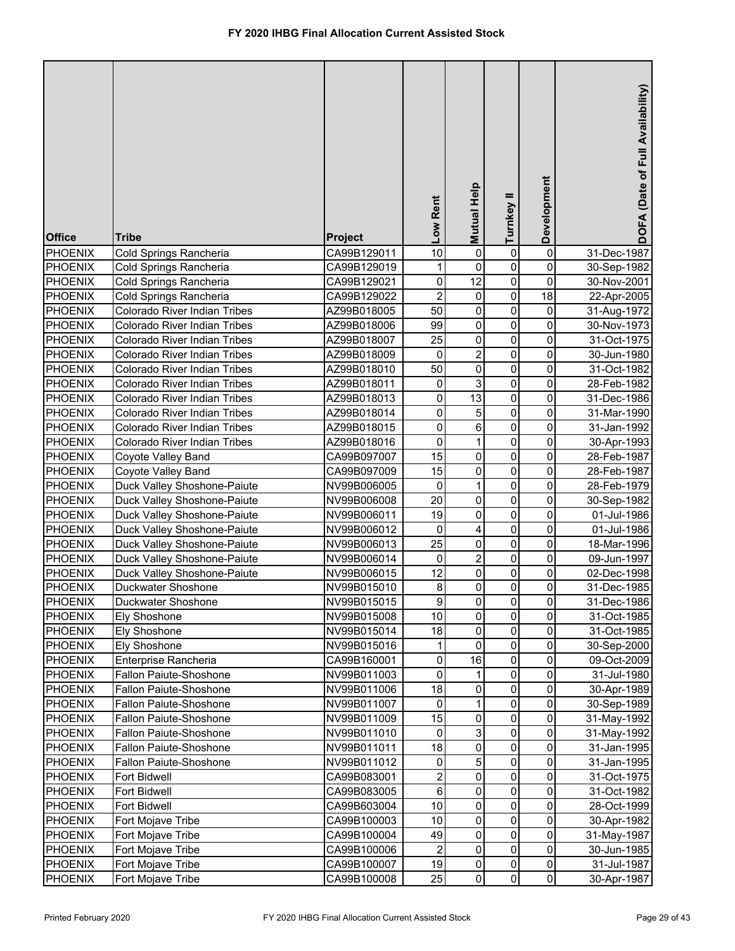| <b>Office</b>  | <b>Tribe</b>                 | <b>Project</b> | Low Rent                | Mutual Help    | Turnkey II  | Development         | DOFA (Date of Full Availability) |
|----------------|------------------------------|----------------|-------------------------|----------------|-------------|---------------------|----------------------------------|
| <b>PHOENIX</b> | Cold Springs Rancheria       | CA99B129011    | 10                      | 0              | 0           | 0                   | 31-Dec-1987                      |
| <b>PHOENIX</b> | Cold Springs Rancheria       | CA99B129019    | 1                       | 0              | 0           | 0                   | 30-Sep-1982                      |
| <b>PHOENIX</b> | Cold Springs Rancheria       | CA99B129021    | 0                       | 12             | 0           | $\pmb{0}$           | 30-Nov-2001                      |
| PHOENIX        | Cold Springs Rancheria       | CA99B129022    | $\overline{c}$          | 0              | $\pmb{0}$   | $\overline{18}$     | 22-Apr-2005                      |
| <b>PHOENIX</b> | Colorado River Indian Tribes | AZ99B018005    | 50                      | $\mathsf 0$    | $\pmb{0}$   | $\pmb{0}$           | 31-Aug-1972                      |
| <b>PHOENIX</b> | Colorado River Indian Tribes | AZ99B018006    | 99                      | $\mathsf 0$    | $\mathbf 0$ | 0                   | 30-Nov-1973                      |
| <b>PHOENIX</b> | Colorado River Indian Tribes | AZ99B018007    | 25                      | 0              | 0           | 0                   | 31-Oct-1975                      |
| PHOENIX        | Colorado River Indian Tribes | AZ99B018009    | 0                       | $\overline{2}$ | 0           | 0                   | 30-Jun-1980                      |
| PHOENIX        | Colorado River Indian Tribes | AZ99B018010    | 50                      | $\mathsf 0$    | 0           | 0                   | 31-Oct-1982                      |
| <b>PHOENIX</b> | Colorado River Indian Tribes | AZ99B018011    | 0                       | 3              | 0           | 0                   | 28-Feb-1982                      |
| <b>PHOENIX</b> | Colorado River Indian Tribes | AZ99B018013    | 0                       | 13             | 0           | 0                   | 31-Dec-1986                      |
| <b>PHOENIX</b> | Colorado River Indian Tribes | AZ99B018014    | 0                       | 5              | $\pmb{0}$   | 0                   | 31-Mar-1990                      |
| <b>PHOENIX</b> | Colorado River Indian Tribes | AZ99B018015    | 0                       | 6              | $\mathbf 0$ | 0                   | 31-Jan-1992                      |
| <b>PHOENIX</b> | Colorado River Indian Tribes | AZ99B018016    | 0                       | 1              | $\mathbf 0$ | 0                   | 30-Apr-1993                      |
| <b>PHOENIX</b> | Coyote Valley Band           | CA99B097007    | 15                      | 0              | $\mathbf 0$ | 0                   | 28-Feb-1987                      |
| <b>PHOENIX</b> | Coyote Valley Band           | CA99B097009    | 15                      | 0              | $\mathbf 0$ | 0                   | 28-Feb-1987                      |
| <b>PHOENIX</b> | Duck Valley Shoshone-Paiute  | NV99B006005    | 0                       | $\mathbf{1}$   | $\mathbf 0$ | 0                   | 28-Feb-1979                      |
| <b>PHOENIX</b> | Duck Valley Shoshone-Paiute  | NV99B006008    | 20                      | $\mathsf 0$    | $\mathbf 0$ | 0                   | 30-Sep-1982                      |
| <b>PHOENIX</b> | Duck Valley Shoshone-Paiute  | NV99B006011    | 19                      | $\mathsf 0$    | $\mathbf 0$ | 0                   | 01-Jul-1986                      |
| <b>PHOENIX</b> | Duck Valley Shoshone-Paiute  | NV99B006012    | 0                       | 4              | $\mathbf 0$ | 0                   | 01-Jul-1986                      |
| <b>PHOENIX</b> | Duck Valley Shoshone-Paiute  | NV99B006013    | 25                      | 0              | 0           | 0                   | 18-Mar-1996                      |
| <b>PHOENIX</b> | Duck Valley Shoshone-Paiute  | NV99B006014    | 0                       | $\overline{2}$ | $\mathbf 0$ | 0                   | 09-Jun-1997                      |
| <b>PHOENIX</b> | Duck Valley Shoshone-Paiute  | NV99B006015    | 12                      | 0              | 0           | 0                   | 02-Dec-1998                      |
| <b>PHOENIX</b> | Duckwater Shoshone           | NV99B015010    | 8                       | 0              | 0           | 0                   | 31-Dec-1985                      |
| PHOENIX        | Duckwater Shoshone           | NV99B015015    | 9                       | $\overline{0}$ | 0           | $\pmb{0}$           | 31-Dec-1986                      |
| <b>PHOENIX</b> | <b>Ely Shoshone</b>          | NV99B015008    | 10                      | $\mathbf 0$    | 0           | 0                   | 31-Oct-1985                      |
| <b>PHOENIX</b> | <b>Ely Shoshone</b>          | NV99B015014    | 18                      | $\pmb{0}$      | 0           | 0                   | 31-Oct-1985                      |
| <b>PHOENIX</b> | Ely Shoshone                 | NV99B015016    | 1                       | 0              | 0           | 0                   | 30-Sep-2000                      |
| PHOENIX        | Enterprise Rancheria         | CA99B160001    | 0                       | 16             | 0           | 0                   | 09-Oct-2009                      |
| <b>PHOENIX</b> | Fallon Paiute-Shoshone       | NV99B011003    | 0                       | 1              | 0           | 0                   | 31-Jul-1980                      |
| <b>PHOENIX</b> | Fallon Paiute-Shoshone       | NV99B011006    | 18                      | 0              | 0           | 0                   | 30-Apr-1989                      |
| PHOENIX        | Fallon Paiute-Shoshone       | NV99B011007    | $\pmb{0}$               | 1              | 0           | 0                   | 30-Sep-1989                      |
| PHOENIX        | Fallon Paiute-Shoshone       | NV99B011009    | 15                      | 0              | 0           | 0                   | 31-May-1992                      |
| <b>PHOENIX</b> | Fallon Paiute-Shoshone       | NV99B011010    | 0                       | 3              | 0           | 0                   | 31-May-1992                      |
| <b>PHOENIX</b> | Fallon Paiute-Shoshone       | NV99B011011    | 18                      | 0              | 0           | 0                   | 31-Jan-1995                      |
| PHOENIX        | Fallon Paiute-Shoshone       | NV99B011012    | 0                       | 5              | 0           | $\mathsf{O}\xspace$ | 31-Jan-1995                      |
| <b>PHOENIX</b> | Fort Bidwell                 | CA99B083001    | $\overline{\mathbf{c}}$ | 0              | 0           | 0                   | 31-Oct-1975                      |
| <b>PHOENIX</b> | Fort Bidwell                 | CA99B083005    | 6                       | 0              | 0           | 0                   | 31-Oct-1982                      |
| <b>PHOENIX</b> | Fort Bidwell                 | CA99B603004    | 10                      | 0              | 0           | 0                   | 28-Oct-1999                      |
| <b>PHOENIX</b> | Fort Mojave Tribe            | CA99B100003    | 10                      | 0              | 0           | 0                   | 30-Apr-1982                      |
| <b>PHOENIX</b> | Fort Mojave Tribe            | CA99B100004    | 49                      | 0              | 0           | 0                   | 31-May-1987                      |
| <b>PHOENIX</b> | Fort Mojave Tribe            | CA99B100006    | $\boldsymbol{2}$        | 0              | 0           | 0                   | 30-Jun-1985                      |
| <b>PHOENIX</b> | Fort Mojave Tribe            | CA99B100007    | 19                      | 0              | 0           | $\mathsf{O}\xspace$ | 31-Jul-1987                      |
| <b>PHOENIX</b> | Fort Mojave Tribe            | CA99B100008    | 25                      | $\mathbf 0$    | $\pmb{0}$   | $\overline{0}$      | 30-Apr-1987                      |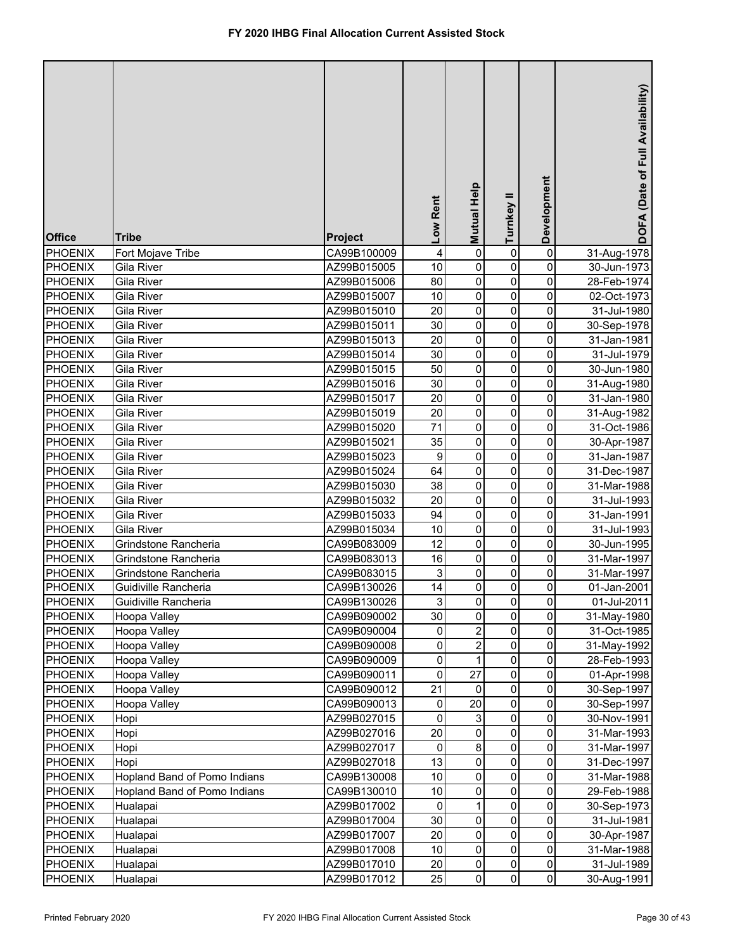| <b>Office</b>  | <b>Tribe</b>                 | <b>Project</b> | Low Rent       | <b>Mutual Help</b>        | Turnkey II     | Development         | DOFA (Date of Full Availability) |
|----------------|------------------------------|----------------|----------------|---------------------------|----------------|---------------------|----------------------------------|
| <b>PHOENIX</b> | Fort Mojave Tribe            | CA99B100009    | 4              | $\pmb{0}$                 | 0              | 0                   | 31-Aug-1978                      |
| <b>PHOENIX</b> | Gila River                   | AZ99B015005    | 10             | $\pmb{0}$                 | 0              | 0                   | 30-Jun-1973                      |
| <b>PHOENIX</b> | Gila River                   | AZ99B015006    | 80             | $\pmb{0}$                 | 0              | 0                   | 28-Feb-1974                      |
| <b>PHOENIX</b> | Gila River                   | AZ99B015007    | 10             | $\pmb{0}$                 | 0              | 0                   | 02-Oct-1973                      |
| <b>PHOENIX</b> | Gila River                   | AZ99B015010    | 20             | $\pmb{0}$                 | 0              | 0                   | 31-Jul-1980                      |
| <b>PHOENIX</b> | Gila River                   | AZ99B015011    | 30             | $\pmb{0}$                 | 0              | 0                   | 30-Sep-1978                      |
| <b>PHOENIX</b> | Gila River                   | AZ99B015013    | 20             | $\pmb{0}$                 | 0              | 0                   | 31-Jan-1981                      |
| <b>PHOENIX</b> | Gila River                   | AZ99B015014    | 30             | $\pmb{0}$                 | 0              | 0                   | 31-Jul-1979                      |
| <b>PHOENIX</b> | Gila River                   | AZ99B015015    | 50             | $\mathsf 0$               | 0              | $\mathsf{O}\xspace$ | 30-Jun-1980                      |
| <b>PHOENIX</b> | Gila River                   | AZ99B015016    | 30             | $\pmb{0}$                 | $\mathbf 0$    | 0                   | 31-Aug-1980                      |
| <b>PHOENIX</b> | Gila River                   | AZ99B015017    | 20             | $\pmb{0}$                 | 0              | 0                   | 31-Jan-1980                      |
| <b>PHOENIX</b> | Gila River                   | AZ99B015019    | 20             | $\pmb{0}$                 | 0              | 0                   | 31-Aug-1982                      |
| <b>PHOENIX</b> | Gila River                   | AZ99B015020    | 71             | $\pmb{0}$                 | 0              | 0                   | 31-Oct-1986                      |
| <b>PHOENIX</b> | Gila River                   | AZ99B015021    | 35             | $\pmb{0}$                 | 0              | $\pmb{0}$           | 30-Apr-1987                      |
| <b>PHOENIX</b> | Gila River                   | AZ99B015023    | 9              | 0                         | 0              | 0                   | 31-Jan-1987                      |
| <b>PHOENIX</b> | Gila River                   | AZ99B015024    | 64             | 0                         | 0              | 0                   | 31-Dec-1987                      |
| <b>PHOENIX</b> | Gila River                   | AZ99B015030    | 38             | 0                         | 0              | 0                   | 31-Mar-1988                      |
| <b>PHOENIX</b> | Gila River                   | AZ99B015032    | 20             | 0                         | 0              | 0                   | 31-Jul-1993                      |
| <b>PHOENIX</b> | Gila River                   | AZ99B015033    | 94             | 0                         | 0              | 0                   | 31-Jan-1991                      |
| <b>PHOENIX</b> | Gila River                   | AZ99B015034    | 10             | $\mathsf 0$               | $\mathbf 0$    | 0                   | 31-Jul-1993                      |
| <b>PHOENIX</b> | Grindstone Rancheria         | CA99B083009    | 12             | 0                         | $\mathbf 0$    | 0                   | 30-Jun-1995                      |
| <b>PHOENIX</b> | Grindstone Rancheria         | CA99B083013    | 16             | 0                         | $\mathbf 0$    | 0                   | 31-Mar-1997                      |
| <b>PHOENIX</b> | Grindstone Rancheria         | CA99B083015    | 3              | 0                         | 0              | 0                   | 31-Mar-1997                      |
| <b>PHOENIX</b> | Guidiville Rancheria         | CA99B130026    | 14             | 0                         | 0              | 0                   | 01-Jan-2001                      |
| <b>PHOENIX</b> | Guidiville Rancheria         | CA99B130026    | 3 <sup>1</sup> | <sub>0</sub>              | $\overline{0}$ | $\pmb{0}$           | 01-Jul-2011                      |
| <b>PHOENIX</b> | Hoopa Valley                 | CA99B090002    | 30             | 0                         | 0              | 0                   | 31-May-1980                      |
| <b>PHOENIX</b> | Hoopa Valley                 | CA99B090004    | 0              | 2                         | 0              | 0                   | 31-Oct-1985                      |
| <b>PHOENIX</b> | Hoopa Valley                 | CA99B090008    | 0              | 2                         | 0              | 0                   | 31-May-1992                      |
| <b>PHOENIX</b> | Hoopa Valley                 | CA99B090009    | 0              | 1                         | 0              | 0                   | 28-Feb-1993                      |
| <b>PHOENIX</b> | Hoopa Valley                 | CA99B090011    | 0              | 27                        | 0              | 0                   | 01-Apr-1998                      |
| <b>PHOENIX</b> | Hoopa Valley                 | CA99B090012    | 21             | 0                         | 0              | 0                   | 30-Sep-1997                      |
| <b>PHOENIX</b> | Hoopa Valley                 | CA99B090013    | 0              | 20                        | 0              | 0                   | 30-Sep-1997                      |
| <b>PHOENIX</b> | Hopi                         | AZ99B027015    | $\pmb{0}$      | $\ensuremath{\mathsf{3}}$ | 0              | 0                   | 30-Nov-1991                      |
| <b>PHOENIX</b> | Hopi                         | AZ99B027016    | 20             | $\pmb{0}$                 | 0              | 0                   | 31-Mar-1993                      |
| <b>PHOENIX</b> | Hopi                         | AZ99B027017    | 0              | 8                         | 0              | 0                   | 31-Mar-1997                      |
| <b>PHOENIX</b> | Hopi                         | AZ99B027018    | 13             | $\pmb{0}$                 | 0              | 0                   | 31-Dec-1997                      |
| <b>PHOENIX</b> | Hopland Band of Pomo Indians | CA99B130008    | 10             | 0                         | 0              | 0                   | 31-Mar-1988                      |
| <b>PHOENIX</b> | Hopland Band of Pomo Indians | CA99B130010    | 10             | $\pmb{0}$                 | 0              | $\pmb{0}$           | 29-Feb-1988                      |
| <b>PHOENIX</b> | Hualapai                     | AZ99B017002    | $\pmb{0}$      | 1                         | 0              | $\pmb{0}$           | 30-Sep-1973                      |
| <b>PHOENIX</b> | Hualapai                     | AZ99B017004    | 30             | $\pmb{0}$                 | 0              | $\pmb{0}$           | 31-Jul-1981                      |
| <b>PHOENIX</b> | Hualapai                     | AZ99B017007    | 20             | 0                         | 0              | $\mathsf{O}\xspace$ | 30-Apr-1987                      |
| <b>PHOENIX</b> | Hualapai                     | AZ99B017008    | 10             | $\pmb{0}$                 | 0              | $\mathsf{O}\xspace$ | 31-Mar-1988                      |
| <b>PHOENIX</b> | Hualapai                     | AZ99B017010    | 20             | $\pmb{0}$                 | 0              | $\mathsf{O}\xspace$ | 31-Jul-1989                      |
| <b>PHOENIX</b> | Hualapai                     | AZ99B017012    | 25             | $\pmb{0}$                 | 0              | $\overline{0}$      | 30-Aug-1991                      |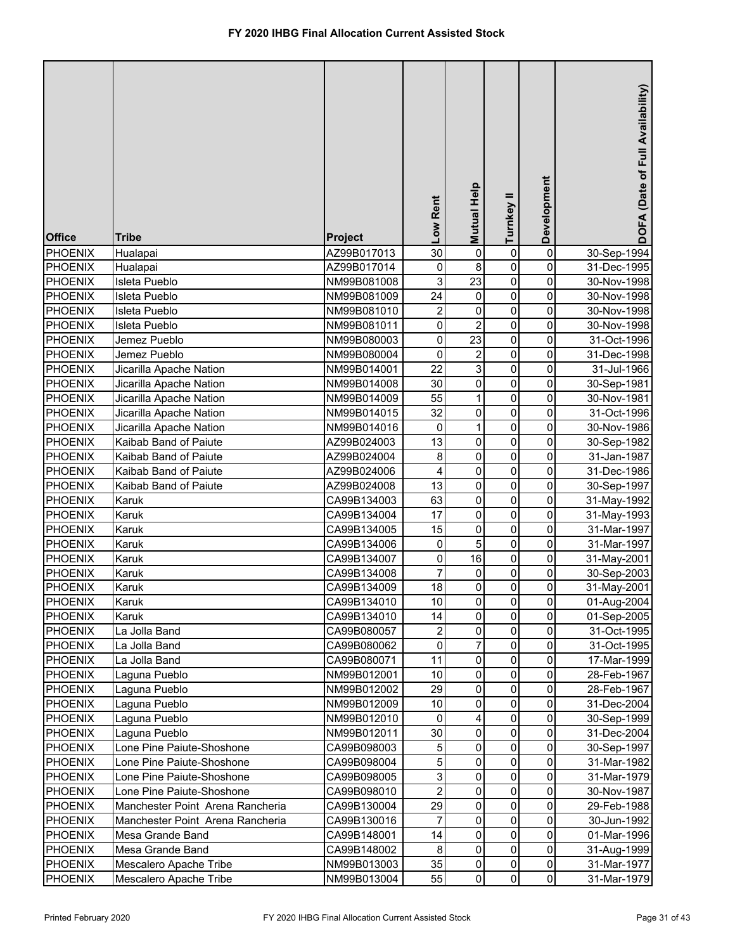| <b>Office</b>  | <b>Tribe</b>                     | Project     | Low Rent                | Mutual Help             | Turnkey II  | Development         | DOFA (Date of Full Availability) |
|----------------|----------------------------------|-------------|-------------------------|-------------------------|-------------|---------------------|----------------------------------|
| <b>PHOENIX</b> | Hualapai                         | AZ99B017013 | 30                      | 0                       | 0           | 0                   | 30-Sep-1994                      |
| <b>PHOENIX</b> | Hualapai                         | AZ99B017014 | 0                       | 8                       | 0           | 0                   | 31-Dec-1995                      |
| PHOENIX        | Isleta Pueblo                    | NM99B081008 | 3                       | 23                      | 0           | 0                   | 30-Nov-1998                      |
| PHOENIX        | Isleta Pueblo                    | NM99B081009 | 24                      | 0                       | 0           | 0                   | 30-Nov-1998                      |
| PHOENIX        | Isleta Pueblo                    | NM99B081010 | $\overline{\mathbf{c}}$ | 0                       | 0           | 0                   | 30-Nov-1998                      |
| PHOENIX        | Isleta Pueblo                    | NM99B081011 | 0                       | $\overline{c}$          | 0           | 0                   | 30-Nov-1998                      |
| <b>PHOENIX</b> | Jemez Pueblo                     | NM99B080003 | $\pmb{0}$               | $\overline{23}$         | 0           | 0                   | 31-Oct-1996                      |
| <b>PHOENIX</b> | Jemez Pueblo                     | NM99B080004 | $\mathbf 0$             | $\overline{\mathbf{c}}$ | 0           | 0                   | 31-Dec-1998                      |
| <b>PHOENIX</b> | Jicarilla Apache Nation          | NM99B014001 | 22                      | $\overline{3}$          | 0           | 0                   | 31-Jul-1966                      |
| <b>PHOENIX</b> | Jicarilla Apache Nation          | NM99B014008 | 30                      | $\pmb{0}$               | $\mathbf 0$ | 0                   | 30-Sep-1981                      |
| PHOENIX        | Jicarilla Apache Nation          | NM99B014009 | 55                      | $\mathbf{1}$            | 0           | 0                   | 30-Nov-1981                      |
| <b>PHOENIX</b> | Jicarilla Apache Nation          | NM99B014015 | 32                      | 0                       | 0           | 0                   | 31-Oct-1996                      |
| <b>PHOENIX</b> | Jicarilla Apache Nation          | NM99B014016 | 0                       | $\mathbf 1$             | 0           | 0                   | 30-Nov-1986                      |
| <b>PHOENIX</b> | Kaibab Band of Paiute            | AZ99B024003 | 13                      | $\pmb{0}$               | 0           | 0                   | 30-Sep-1982                      |
| <b>PHOENIX</b> | Kaibab Band of Paiute            | AZ99B024004 | 8                       | 0                       | 0           | 0                   | 31-Jan-1987                      |
| <b>PHOENIX</b> | Kaibab Band of Paiute            | AZ99B024006 | 4                       | 0                       | 0           | 0                   | 31-Dec-1986                      |
| <b>PHOENIX</b> | Kaibab Band of Paiute            | AZ99B024008 | 13                      | 0                       | 0           | 0                   | 30-Sep-1997                      |
| <b>PHOENIX</b> | Karuk                            | CA99B134003 | 63                      | $\mathsf 0$             | $\mathbf 0$ | 0                   | 31-May-1992                      |
| <b>PHOENIX</b> | Karuk                            | CA99B134004 | 17                      | 0                       | 0           | 0                   | 31-May-1993                      |
| <b>PHOENIX</b> | Karuk                            | CA99B134005 | 15                      | $\mathsf 0$             | $\mathbf 0$ | 0                   | 31-Mar-1997                      |
| PHOENIX        | Karuk                            | CA99B134006 | 0                       | 5                       | $\mathbf 0$ | 0                   | 31-Mar-1997                      |
| <b>PHOENIX</b> | Karuk                            | CA99B134007 | $\pmb{0}$               | 16                      | $\mathbf 0$ | 0                   | 31-May-2001                      |
| <b>PHOENIX</b> | Karuk                            | CA99B134008 | $\overline{7}$          | 0                       | $\mathbf 0$ | 0                   | 30-Sep-2003                      |
| <b>PHOENIX</b> | Karuk                            | CA99B134009 | 18                      | 0                       | 0           | 0                   | 31-May-2001                      |
| <b>PHOENIX</b> | Karuk                            | CA99B134010 | 10 <sub>l</sub>         | $\mathbf{0}$            | 0           | $\overline{0}$      | 01-Aug-2004                      |
| <b>PHOENIX</b> | Karuk                            | CA99B134010 | 14                      | $\mathbf 0$             | 0           | 0                   | 01-Sep-2005                      |
| <b>PHOENIX</b> | La Jolla Band                    | CA99B080057 | $\boldsymbol{2}$        | $\pmb{0}$               | 0           | 0                   | 31-Oct-1995                      |
| <b>PHOENIX</b> | La Jolla Band                    | CA99B080062 | 0                       | 7                       | 0           | 0                   | 31-Oct-1995                      |
| <b>PHOENIX</b> | La Jolla Band                    | CA99B080071 | 11                      | $\pmb{0}$               | 0           | 0                   | 17-Mar-1999                      |
| <b>PHOENIX</b> | Laguna Pueblo                    | NM99B012001 | 10                      | $\pmb{0}$               | 0           | 0                   | 28-Feb-1967                      |
| <b>PHOENIX</b> | Laguna Pueblo                    | NM99B012002 | 29                      | $\pmb{0}$               | 0           | 0                   | 28-Feb-1967                      |
| <b>PHOENIX</b> | Laguna Pueblo                    | NM99B012009 | 10                      | $\pmb{0}$               | 0           | 0                   | 31-Dec-2004                      |
| <b>PHOENIX</b> | Laguna Pueblo                    | NM99B012010 | 0                       | 4                       | 0           | 0                   | 30-Sep-1999                      |
| <b>PHOENIX</b> | Laguna Pueblo                    | NM99B012011 | 30                      | $\pmb{0}$               | 0           | 0                   | 31-Dec-2004                      |
| <b>PHOENIX</b> | Lone Pine Paiute-Shoshone        | CA99B098003 | $\mathbf 5$             | $\pmb{0}$               | 0           | 0                   | 30-Sep-1997                      |
| <b>PHOENIX</b> | Lone Pine Paiute-Shoshone        | CA99B098004 | 5                       | $\pmb{0}$               | 0           | 0                   | 31-Mar-1982                      |
| <b>PHOENIX</b> | Lone Pine Paiute-Shoshone        | CA99B098005 | 3                       | $\mathbf 0$             | 0           | 0                   | 31-Mar-1979                      |
| <b>PHOENIX</b> | Lone Pine Paiute-Shoshone        | CA99B098010 | $\overline{c}$          | $\pmb{0}$               | 0           | $\pmb{0}$           | 30-Nov-1987                      |
| <b>PHOENIX</b> | Manchester Point Arena Rancheria | CA99B130004 | 29                      | $\pmb{0}$               | 0           | $\pmb{0}$           | 29-Feb-1988                      |
| <b>PHOENIX</b> | Manchester Point Arena Rancheria | CA99B130016 | 7                       | $\pmb{0}$               | 0           | $\pmb{0}$           | 30-Jun-1992                      |
| <b>PHOENIX</b> | Mesa Grande Band                 | CA99B148001 | 14                      | $\mathbf 0$             | 0           | $\pmb{0}$           | 01-Mar-1996                      |
| <b>PHOENIX</b> | Mesa Grande Band                 | CA99B148002 | 8                       | $\pmb{0}$               | 0           | $\pmb{0}$           | 31-Aug-1999                      |
| <b>PHOENIX</b> | Mescalero Apache Tribe           | NM99B013003 | 35                      | $\pmb{0}$               | 0           | $\mathsf{O}\xspace$ | 31-Mar-1977                      |
| <b>PHOENIX</b> | Mescalero Apache Tribe           | NM99B013004 | 55                      | $\pmb{0}$               | $\Omega$    | $\overline{0}$      | 31-Mar-1979                      |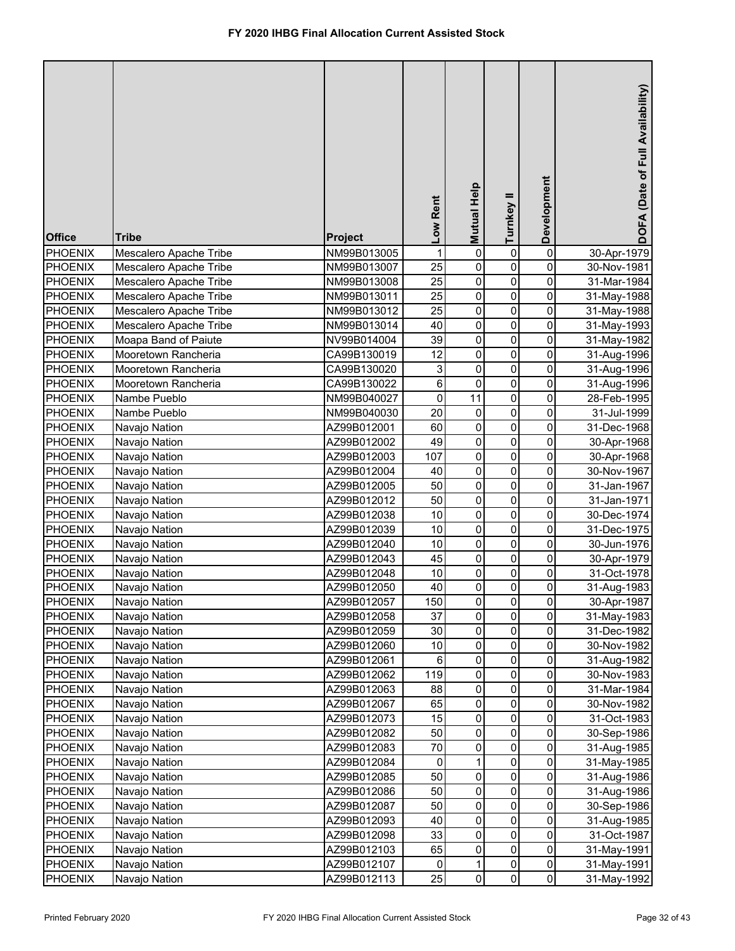| <b>Office</b>                    | <b>Tribe</b>                   | Project                    | Low Rent        | Mutual Help            | Turnkey II     | Development              | DOFA (Date of Full Availability) |
|----------------------------------|--------------------------------|----------------------------|-----------------|------------------------|----------------|--------------------------|----------------------------------|
| <b>PHOENIX</b>                   | Mescalero Apache Tribe         | NM99B013005                | 1               | $\pmb{0}$              | 0              | 0                        | 30-Apr-1979                      |
| <b>PHOENIX</b>                   | Mescalero Apache Tribe         | NM99B013007                | 25              | $\pmb{0}$              | 0              | 0                        | 30-Nov-1981                      |
| <b>PHOENIX</b>                   | Mescalero Apache Tribe         | NM99B013008                | 25              | $\pmb{0}$              | 0              | 0                        | 31-Mar-1984                      |
| PHOENIX                          | Mescalero Apache Tribe         | NM99B013011                | $\overline{25}$ | $\overline{0}$         | 0              | $\overline{0}$           | 31-May-1988                      |
| <b>PHOENIX</b>                   | Mescalero Apache Tribe         | NM99B013012                | 25              | $\pmb{0}$              | $\pmb{0}$      | 0                        | 31-May-1988                      |
| PHOENIX                          | Mescalero Apache Tribe         | NM99B013014                | 40              | $\pmb{0}$              | $\pmb{0}$      | 0                        | 31-May-1993                      |
| <b>PHOENIX</b>                   | Moapa Band of Paiute           | NV99B014004                | 39              | $\overline{0}$         | $\pmb{0}$      | 0                        | 31-May-1982                      |
| PHOENIX                          | Mooretown Rancheria            | CA99B130019                | 12              | $\overline{0}$         | 0              | 0                        | 31-Aug-1996                      |
| PHOENIX                          | Mooretown Rancheria            | CA99B130020                | 3               | $\pmb{0}$              | 0              | 0                        | 31-Aug-1996                      |
| <b>PHOENIX</b>                   | Mooretown Rancheria            | CA99B130022                | 6               | $\mathsf 0$            | 0              | 0                        | 31-Aug-1996                      |
| <b>PHOENIX</b>                   | Nambe Pueblo                   | NM99B040027                | $\mathsf 0$     | $\overline{11}$        | 0              | 0                        | 28-Feb-1995                      |
| <b>PHOENIX</b>                   | Nambe Pueblo                   | NM99B040030                | 20              | 0                      | 0              | 0                        | 31-Jul-1999                      |
| <b>PHOENIX</b>                   | Navajo Nation                  | AZ99B012001                | 60              | $\mathsf 0$            | 0              | 0                        | 31-Dec-1968                      |
| <b>PHOENIX</b>                   | Navajo Nation                  | AZ99B012002                | 49              | $\mathsf 0$            | $\pmb{0}$      | 0                        | 30-Apr-1968                      |
| <b>PHOENIX</b>                   | Navajo Nation                  | AZ99B012003                | 107             | $\mathsf 0$            | $\mathbf 0$    | 0                        | 30-Apr-1968                      |
| <b>PHOENIX</b>                   | Navajo Nation                  | AZ99B012004                | 40              | 0                      | $\pmb{0}$      | 0                        | 30-Nov-1967                      |
| <b>PHOENIX</b>                   | Navajo Nation                  | AZ99B012005                | 50              | 0                      | $\pmb{0}$      | 0                        | 31-Jan-1967                      |
| <b>PHOENIX</b>                   | Navajo Nation                  | AZ99B012012                | 50              | 0                      | $\overline{0}$ | 0                        | 31-Jan-1971                      |
| <b>PHOENIX</b>                   | Navajo Nation                  | AZ99B012038                | 10              | $\mathsf 0$            | $\mathbf 0$    | 0                        | 30-Dec-1974                      |
| <b>PHOENIX</b>                   | Navajo Nation                  | AZ99B012039                | 10              | 0                      | $\mathbf 0$    | 0                        | 31-Dec-1975                      |
| <b>PHOENIX</b>                   | Navajo Nation                  | AZ99B012040                | 10              | 0                      | $\mathbf 0$    | 0                        | 30-Jun-1976                      |
| <b>PHOENIX</b>                   | Navajo Nation                  | AZ99B012043                | 45              | 0                      | $\mathbf 0$    | 0                        | 30-Apr-1979                      |
| <b>PHOENIX</b>                   | Navajo Nation                  | AZ99B012048                | 10              | 0                      | 0              | 0                        | 31-Oct-1978                      |
| <b>PHOENIX</b>                   | Navajo Nation                  | AZ99B012050                | 40              | 0                      | 0              | 0                        | 31-Aug-1983                      |
| <b>PHOENIX</b>                   | Navajo Nation                  | AZ99B012057                | 150             | $\mathbf{0}$           | $\Omega$       | $\pmb{0}$                | 30-Apr-1987                      |
| <b>PHOENIX</b>                   | Navajo Nation                  | AZ99B012058                | 37              | $\pmb{0}$              | 0              | 0                        | 31-May-1983                      |
| <b>PHOENIX</b>                   | Navajo Nation                  | AZ99B012059                | 30              | $\pmb{0}$              | 0              | 0                        | 31-Dec-1982                      |
| <b>PHOENIX</b>                   | Navajo Nation                  | AZ99B012060                | 10              | $\pmb{0}$              | 0              | 0                        | 30-Nov-1982                      |
| <b>PHOENIX</b>                   | Navajo Nation                  | AZ99B012061                | 6               | $\pmb{0}$              | 0              | 0                        | 31-Aug-1982                      |
| <b>PHOENIX</b>                   | Navajo Nation                  | AZ99B012062                | 119             | $\pmb{0}$              | 0              | 0                        | 30-Nov-1983                      |
| <b>PHOENIX</b>                   | Navajo Nation                  | AZ99B012063                | 88              | $\pmb{0}$              | 0              | 0                        | 31-Mar-1984                      |
| <b>PHOENIX</b>                   | Navajo Nation                  | AZ99B012067                | 65              | $\pmb{0}$              | 0              | 0                        | 30-Nov-1982                      |
| <b>PHOENIX</b>                   | Navajo Nation                  | AZ99B012073                | 15              | $\pmb{0}$              | 0              | 0                        | 31-Oct-1983                      |
| <b>PHOENIX</b>                   | Navajo Nation                  | AZ99B012082                | 50              | $\pmb{0}$<br>$\pmb{0}$ | 0              | 0<br>$\mathsf{O}\xspace$ | 30-Sep-1986                      |
| <b>PHOENIX</b>                   | Navajo Nation                  | AZ99B012083                | 70<br>0         | 1                      | 0<br>0         | $\mathsf{O}\xspace$      | 31-Aug-1985                      |
| <b>PHOENIX</b>                   | Navajo Nation                  | AZ99B012084                | 50              | $\pmb{0}$              |                | $\mathsf{O}\xspace$      | 31-May-1985                      |
| <b>PHOENIX</b><br><b>PHOENIX</b> | Navajo Nation<br>Navajo Nation | AZ99B012085<br>AZ99B012086 | 50              | $\pmb{0}$              | 0<br>0         | $\mathsf{O}\xspace$      | 31-Aug-1986<br>31-Aug-1986       |
| <b>PHOENIX</b>                   | Navajo Nation                  | AZ99B012087                | 50              | $\pmb{0}$              | 0              | 0                        | 30-Sep-1986                      |
| <b>PHOENIX</b>                   | Navajo Nation                  | AZ99B012093                | 40              | 0                      | 0              | 0                        | 31-Aug-1985                      |
| <b>PHOENIX</b>                   | Navajo Nation                  | AZ99B012098                | 33              | $\pmb{0}$              | 0              | $\mathsf{O}\xspace$      | 31-Oct-1987                      |
| <b>PHOENIX</b>                   | Navajo Nation                  | AZ99B012103                | 65              | $\pmb{0}$              | 0              | $\overline{\mathsf{o}}$  | 31-May-1991                      |
| <b>PHOENIX</b>                   | Navajo Nation                  | AZ99B012107                | 0               | 1                      | $\pmb{0}$      | $\mathbf 0$              | 31-May-1991                      |
| <b>PHOENIX</b>                   | Navajo Nation                  | AZ99B012113                | 25              | $\pmb{0}$              | 0              | $\overline{0}$           | 31-May-1992                      |
|                                  |                                |                            |                 |                        |                |                          |                                  |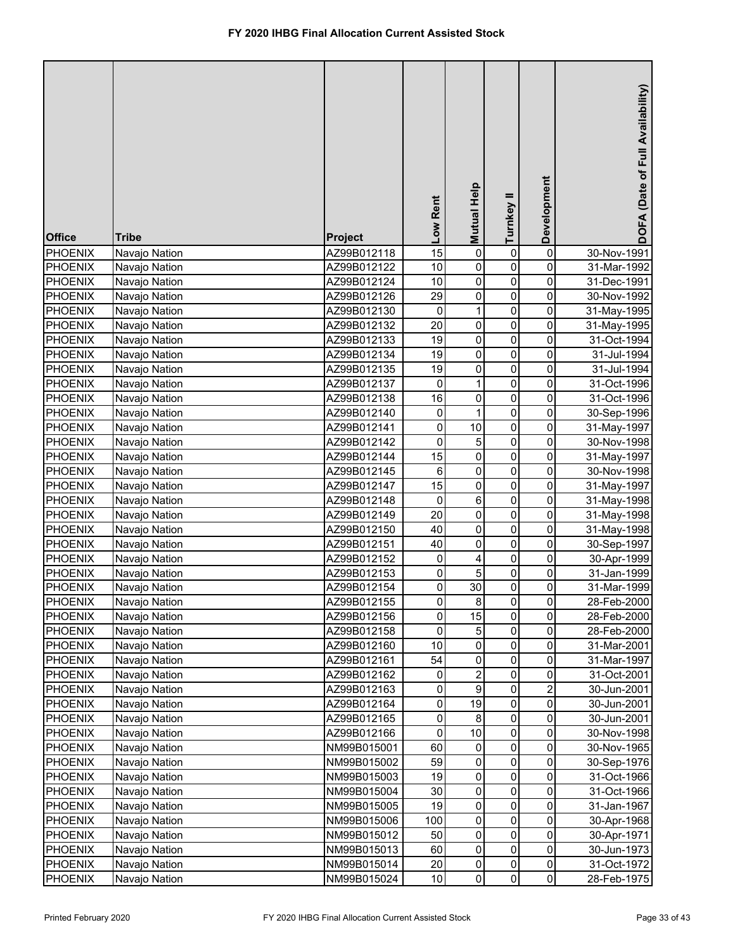| <b>Office</b>  | <b>Tribe</b>  | <b>Project</b> | Low Rent        | Mutual Help      | Turnkey II  | Development         | DOFA (Date of Full Availability) |
|----------------|---------------|----------------|-----------------|------------------|-------------|---------------------|----------------------------------|
| <b>PHOENIX</b> | Navajo Nation | AZ99B012118    | $\overline{15}$ | $\mathsf 0$      | 0           | $\pmb{0}$           | 30-Nov-1991                      |
| <b>PHOENIX</b> | Navajo Nation | AZ99B012122    | 10              | 0                | 0           | 0                   | 31-Mar-1992                      |
| <b>PHOENIX</b> | Navajo Nation | AZ99B012124    | 10              | $\mathsf 0$      | 0           | 0                   | 31-Dec-1991                      |
| PHOENIX        | Navajo Nation | AZ99B012126    | 29              | $\overline{0}$   | $\pmb{0}$   | 0                   | 30-Nov-1992                      |
| PHOENIX        | Navajo Nation | AZ99B012130    | $\pmb{0}$       | $\mathbf{1}$     | $\pmb{0}$   | 0                   | 31-May-1995                      |
| <b>PHOENIX</b> | Navajo Nation | AZ99B012132    | 20              | $\pmb{0}$        | $\pmb{0}$   | 0                   | 31-May-1995                      |
| PHOENIX        | Navajo Nation | AZ99B012133    | 19              | $\overline{0}$   | 0           | 0                   | 31-Oct-1994                      |
| <b>PHOENIX</b> | Navajo Nation | AZ99B012134    | 19              | $\mathsf 0$      | 0           | 0                   | 31-Jul-1994                      |
| PHOENIX        | Navajo Nation | AZ99B012135    | 19              | $\mathsf 0$      | $\mathbf 0$ | 0                   | 31-Jul-1994                      |
| <b>PHOENIX</b> | Navajo Nation | AZ99B012137    | $\mathbf 0$     | $\mathbf{1}$     | 0           | 0                   | 31-Oct-1996                      |
| <b>PHOENIX</b> | Navajo Nation | AZ99B012138    | 16              | 0                | 0           | $\mathsf{O}\xspace$ | 31-Oct-1996                      |
| <b>PHOENIX</b> | Navajo Nation | AZ99B012140    | 0               | $\mathbf{1}$     | $\pmb{0}$   | 0                   | 30-Sep-1996                      |
| <b>PHOENIX</b> | Navajo Nation | AZ99B012141    | 0               | 10               | $\pmb{0}$   | 0                   | 31-May-1997                      |
| <b>PHOENIX</b> | Navajo Nation | AZ99B012142    | 0               | 5                | $\pmb{0}$   | 0                   | 30-Nov-1998                      |
| <b>PHOENIX</b> | Navajo Nation | AZ99B012144    | 15              | 0                | $\mathbf 0$ | 0                   | 31-May-1997                      |
| <b>PHOENIX</b> | Navajo Nation | AZ99B012145    | 6               | 0                | $\mathbf 0$ | 0                   | 30-Nov-1998                      |
| <b>PHOENIX</b> | Navajo Nation | AZ99B012147    | 15              | 0                | $\pmb{0}$   | 0                   | 31-May-1997                      |
| <b>PHOENIX</b> | Navajo Nation | AZ99B012148    | $\pmb{0}$       | 6                | $\mathbf 0$ | 0                   | 31-May-1998                      |
| <b>PHOENIX</b> | Navajo Nation | AZ99B012149    | 20              | $\mathsf 0$      | $\mathbf 0$ | 0                   | 31-May-1998                      |
| <b>PHOENIX</b> | Navajo Nation | AZ99B012150    | 40              | 0                | $\mathbf 0$ | 0                   | 31-May-1998                      |
| <b>PHOENIX</b> | Navajo Nation | AZ99B012151    | 40              | 0                | 0           | 0                   | 30-Sep-1997                      |
| <b>PHOENIX</b> | Navajo Nation | AZ99B012152    | 0               | 4                | $\mathbf 0$ | 0                   | 30-Apr-1999                      |
| <b>PHOENIX</b> | Navajo Nation | AZ99B012153    | 0               | 5                | 0           | 0                   | 31-Jan-1999                      |
| <b>PHOENIX</b> | Navajo Nation | AZ99B012154    | 0               | 30               | $\pmb{0}$   | 0                   | 31-Mar-1999                      |
| PHOENIX        | Navajo Nation | AZ99B012155    | 0               | 8                | 0           | $\pmb{0}$           | 28-Feb-2000                      |
| <b>PHOENIX</b> | Navajo Nation | AZ99B012156    | 0               | $\overline{15}$  | 0           | 0                   | 28-Feb-2000                      |
| <b>PHOENIX</b> | Navajo Nation | AZ99B012158    | 0               | 5                | 0           | 0                   | 28-Feb-2000                      |
| <b>PHOENIX</b> | Navajo Nation | AZ99B012160    | 10              | $\pmb{0}$        | 0           | 0                   | 31-Mar-2001                      |
| PHOENIX        | Navajo Nation | AZ99B012161    | 54              | 0                | 0           | 0                   | 31-Mar-1997                      |
| PHOENIX        | Navajo Nation | AZ99B012162    | 0               | $\overline{2}$   | 0           | 0                   | 31-Oct-2001                      |
| <b>PHOENIX</b> | Navajo Nation | AZ99B012163    | 0               | 9                | 0           | 2                   | 30-Jun-2001                      |
| PHOENIX        | Navajo Nation | AZ99B012164    | 0               | 19               | 0           | 0                   | 30-Jun-2001                      |
| <b>PHOENIX</b> | Navajo Nation | AZ99B012165    | 0               | 8                | 0           | 0                   | 30-Jun-2001                      |
| <b>PHOENIX</b> | Navajo Nation | AZ99B012166    | 0               | 10               | 0           | 0                   | 30-Nov-1998                      |
| <b>PHOENIX</b> | Navajo Nation | NM99B015001    | 60              | 0                | 0           | 0                   | 30-Nov-1965                      |
| <b>PHOENIX</b> | Navajo Nation | NM99B015002    | 59              | $\pmb{0}$        | 0           | $\mathsf{O}\xspace$ | 30-Sep-1976                      |
| <b>PHOENIX</b> | Navajo Nation | NM99B015003    | 19              | 0                | 0           | $\mathsf{O}\xspace$ | 31-Oct-1966                      |
| <b>PHOENIX</b> | Navajo Nation | NM99B015004    | 30              | 0                | 0           | 0                   | 31-Oct-1966                      |
| <b>PHOENIX</b> | Navajo Nation | NM99B015005    | 19              | 0                | 0           | 0                   | 31-Jan-1967                      |
| <b>PHOENIX</b> | Navajo Nation | NM99B015006    | 100             | 0                | 0           | 0                   | 30-Apr-1968                      |
| <b>PHOENIX</b> | Navajo Nation | NM99B015012    | 50              | 0                | 0           | 0                   | 30-Apr-1971                      |
| <b>PHOENIX</b> | Navajo Nation | NM99B015013    | 60              | 0                | 0           | 0                   | 30-Jun-1973                      |
| <b>PHOENIX</b> | Navajo Nation | NM99B015014    | 20              | 0<br>$\mathbf 0$ | 0           | $\mathsf{O}\xspace$ | 31-Oct-1972                      |
| <b>PHOENIX</b> | Navajo Nation | NM99B015024    | 10              |                  | $\pmb{0}$   | $\overline{0}$      | 28-Feb-1975                      |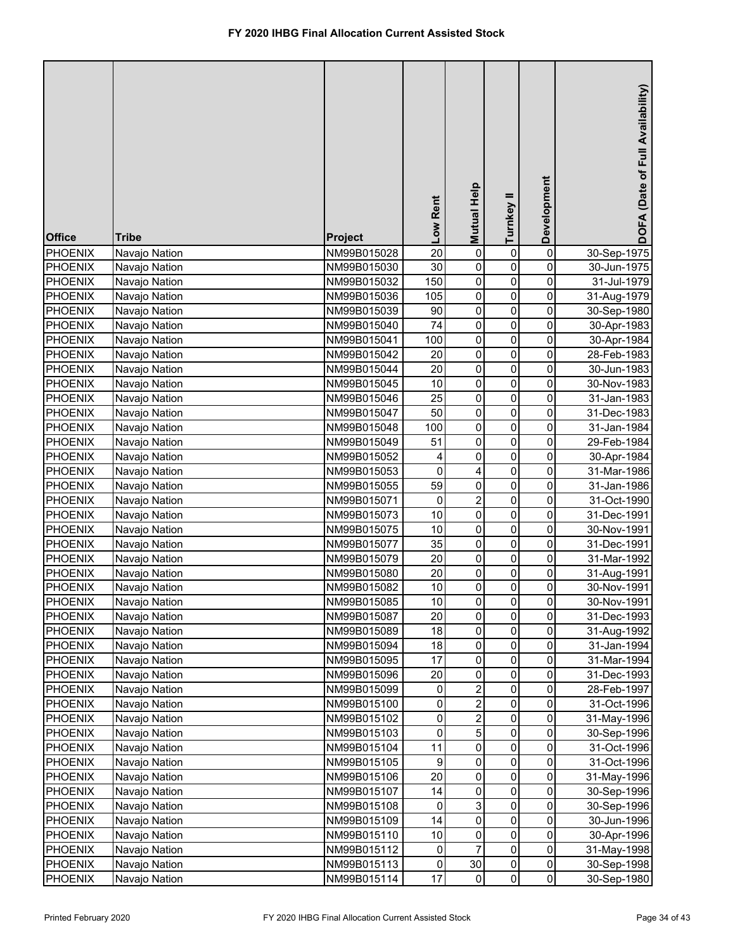| <b>Office</b>  | <b>Tribe</b>  | Project     | Low Rent  | <b>Mutual Help</b> | Turnkey II                  | Development         | DOFA (Date of Full Availability) |
|----------------|---------------|-------------|-----------|--------------------|-----------------------------|---------------------|----------------------------------|
| <b>PHOENIX</b> | Navajo Nation | NM99B015028 | 20        | 0                  | 0                           | 0                   | 30-Sep-1975                      |
| <b>PHOENIX</b> | Navajo Nation | NM99B015030 | 30        | 0                  | 0                           | 0                   | 30-Jun-1975                      |
| PHOENIX        | Navajo Nation | NM99B015032 | 150       | 0                  | 0                           | 0                   | 31-Jul-1979                      |
| PHOENIX        | Navajo Nation | NM99B015036 | 105       | 0                  | 0                           | 0                   | 31-Aug-1979                      |
| <b>PHOENIX</b> | Navajo Nation | NM99B015039 | 90        | $\mathsf 0$        | 0                           | 0                   | 30-Sep-1980                      |
| <b>PHOENIX</b> | Navajo Nation | NM99B015040 | 74        | $\mathsf 0$        | 0                           | 0                   | 30-Apr-1983                      |
| <b>PHOENIX</b> | Navajo Nation | NM99B015041 | 100       | 0                  | 0                           | 0                   | 30-Apr-1984                      |
| <b>PHOENIX</b> | Navajo Nation | NM99B015042 | 20        | $\mathsf 0$        | 0                           | 0                   | 28-Feb-1983                      |
| PHOENIX        | Navajo Nation | NM99B015044 | 20        | $\pmb{0}$          | $\pmb{0}$                   | 0                   | 30-Jun-1983                      |
| <b>PHOENIX</b> | Navajo Nation | NM99B015045 | 10        | $\pmb{0}$          | $\pmb{0}$                   | 0                   | 30-Nov-1983                      |
| <b>PHOENIX</b> | Navajo Nation | NM99B015046 | 25        | $\overline{0}$     | $\pmb{0}$                   | 0                   | 31-Jan-1983                      |
| PHOENIX        | Navajo Nation | NM99B015047 | 50        | $\mathsf 0$        | 0                           | 0                   | 31-Dec-1983                      |
| <b>PHOENIX</b> | Navajo Nation | NM99B015048 | 100       | $\mathsf 0$        | $\pmb{0}$                   | 0                   | 31-Jan-1984                      |
| <b>PHOENIX</b> | Navajo Nation | NM99B015049 | 51        | $\mathsf 0$        | $\pmb{0}$                   | 0                   | 29-Feb-1984                      |
| <b>PHOENIX</b> | Navajo Nation | NM99B015052 | 4         | 0                  | $\pmb{0}$                   | 0                   | 30-Apr-1984                      |
| <b>PHOENIX</b> | Navajo Nation | NM99B015053 | $\pmb{0}$ | 4                  | 0                           | 0                   | 31-Mar-1986                      |
| <b>PHOENIX</b> | Navajo Nation | NM99B015055 | 59        | 0                  | $\pmb{0}$                   | 0                   | 31-Jan-1986                      |
| <b>PHOENIX</b> | Navajo Nation | NM99B015071 | 0         | $\overline{c}$     | $\mathbf 0$                 | 0                   | 31-Oct-1990                      |
| <b>PHOENIX</b> | Navajo Nation | NM99B015073 | 10        | 0                  | $\pmb{0}$                   | 0                   | 31-Dec-1991                      |
| <b>PHOENIX</b> | Navajo Nation | NM99B015075 | 10        | 0                  | $\mathbf 0$                 | 0                   | 30-Nov-1991                      |
| <b>PHOENIX</b> | Navajo Nation | NM99B015077 | 35        | $\mathsf 0$        | $\mathbf 0$                 | 0                   | 31-Dec-1991                      |
| <b>PHOENIX</b> | Navajo Nation | NM99B015079 | 20        | 0                  | $\mathbf 0$                 | 0                   | 31-Mar-1992                      |
| <b>PHOENIX</b> | Navajo Nation | NM99B015080 | 20        | 0                  | $\mathbf 0$                 | 0                   | 31-Aug-1991                      |
| <b>PHOENIX</b> | Navajo Nation | NM99B015082 | 10        | 0                  | 0                           | 0                   | 30-Nov-1991                      |
| PHOENIX        | Navajo Nation | NM99B015085 | 10        | $\mathbf{0}$       | <sub>0</sub>                | 0                   | 30-Nov-1991                      |
| PHOENIX        | Navajo Nation | NM99B015087 | 20        | 0                  | 0                           | 0                   | 31-Dec-1993                      |
| <b>PHOENIX</b> | Navajo Nation | NM99B015089 | 18        | 0                  | 0                           | 0                   | 31-Aug-1992                      |
| <b>PHOENIX</b> | Navajo Nation | NM99B015094 | 18        | 0                  | 0                           | 0                   | 31-Jan-1994                      |
| <b>PHOENIX</b> | Navajo Nation | NM99B015095 | 17        | 0                  | 0                           | 0                   | 31-Mar-1994                      |
| <b>PHOENIX</b> | Navajo Nation | NM99B015096 | 20        | 0                  | 0                           | 0                   | 31-Dec-1993                      |
| <b>PHOENIX</b> | Navajo Nation | NM99B015099 | 0         | 2                  | 0                           | 0                   | 28-Feb-1997                      |
| PHOENIX        | Navajo Nation | NM99B015100 | 0         | 2                  | $\pmb{0}$                   | 0                   | 31-Oct-1996                      |
| <b>PHOENIX</b> | Navajo Nation | NM99B015102 | 0         | $\overline{c}$     | $\pmb{0}$                   | 0                   | 31-May-1996                      |
| <b>PHOENIX</b> | Navajo Nation | NM99B015103 | 0         | 5                  | $\pmb{0}$                   | 0                   | 30-Sep-1996                      |
| <b>PHOENIX</b> | Navajo Nation | NM99B015104 | 11        | 0                  | 0                           | 0                   | 31-Oct-1996                      |
| <b>PHOENIX</b> | Navajo Nation | NM99B015105 | 9         | 0                  | 0                           | 0                   | 31-Oct-1996                      |
| PHOENIX        | Navajo Nation | NM99B015106 | 20        | 0                  | 0                           | 0                   | 31-May-1996                      |
| PHOENIX        | Navajo Nation | NM99B015107 | 14        | $\pmb{0}$          | 0                           | 0                   | 30-Sep-1996                      |
| PHOENIX        | Navajo Nation | NM99B015108 | 0         | 3                  | 0                           | 0                   | 30-Sep-1996                      |
| <b>PHOENIX</b> | Navajo Nation | NM99B015109 | 14        | 0                  | 0                           | 0                   | 30-Jun-1996                      |
| <b>PHOENIX</b> | Navajo Nation | NM99B015110 | 10        | 0<br>7             | 0                           | 0                   | 30-Apr-1996                      |
| <b>PHOENIX</b> | Navajo Nation | NM99B015112 | 0         |                    | 0                           | 0                   | 31-May-1998                      |
| <b>PHOENIX</b> | Navajo Nation | NM99B015113 | 0         | 30<br>0            | $\pmb{0}$<br>$\overline{0}$ | $\mathsf{O}\xspace$ | 30-Sep-1998                      |
| PHOENIX        | Navajo Nation | NM99B015114 | 17        |                    |                             | $\overline{0}$      | 30-Sep-1980                      |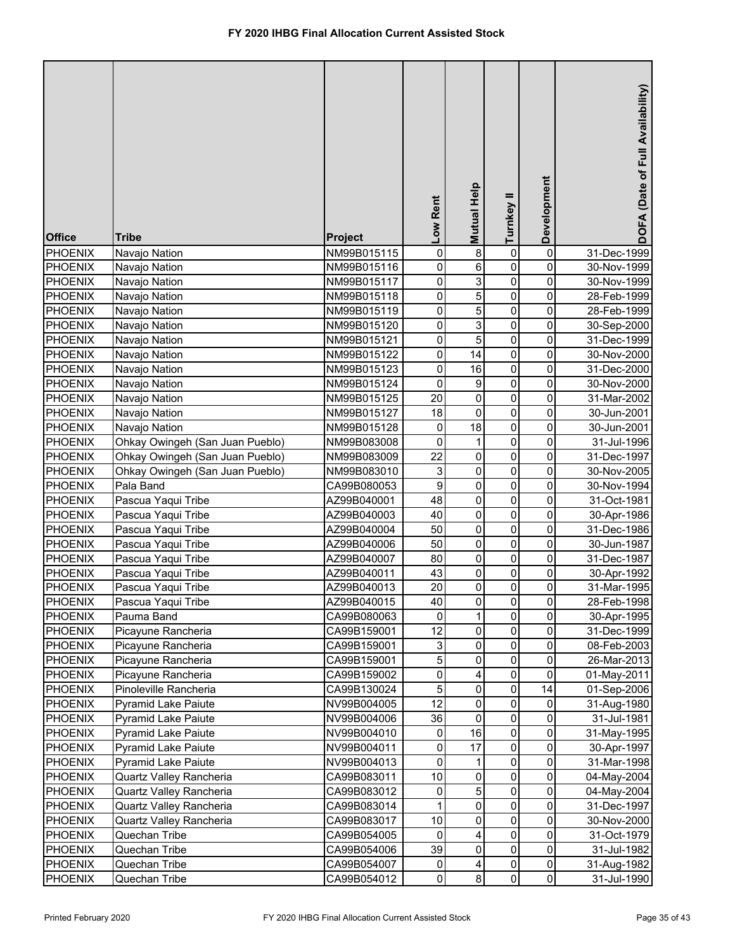| <b>Office</b>                    | <b>Tribe</b>                    | Project                    | Low Rent        | <b>Mutual Help</b> | Turnkey II   | Development         | DOFA (Date of Full Availability) |
|----------------------------------|---------------------------------|----------------------------|-----------------|--------------------|--------------|---------------------|----------------------------------|
| <b>PHOENIX</b>                   | Navajo Nation                   | NM99B015115                | 0               | 8                  | 0            | 0                   | 31-Dec-1999                      |
| <b>PHOENIX</b>                   | Navajo Nation                   | NM99B015116                | 0               | 6                  | 0            | 0                   | 30-Nov-1999                      |
| PHOENIX                          | Navajo Nation                   | NM99B015117                | 0               | 3                  | 0            | 0                   | 30-Nov-1999                      |
| PHOENIX                          | Navajo Nation                   | NM99B015118                | 0               | 5                  | 0            | 0                   | 28-Feb-1999                      |
| <b>PHOENIX</b>                   | Navajo Nation                   | NM99B015119                | 0               | 5                  | 0            | 0                   | 28-Feb-1999                      |
| <b>PHOENIX</b>                   | Navajo Nation                   | NM99B015120                | 0               | 3                  | 0            | 0                   | 30-Sep-2000                      |
| PHOENIX                          | Navajo Nation                   | NM99B015121                | 0               | $\overline{5}$     | 0            | 0                   | 31-Dec-1999                      |
| PHOENIX                          | Navajo Nation                   | NM99B015122                | 0               | 14                 | 0            | 0                   | 30-Nov-2000                      |
| PHOENIX                          | Navajo Nation                   | NM99B015123                | 0               | 16                 | $\pmb{0}$    | 0                   | 31-Dec-2000                      |
| <b>PHOENIX</b>                   | Navajo Nation                   | NM99B015124                | 0               | 9                  | $\pmb{0}$    | 0                   | 30-Nov-2000                      |
| PHOENIX                          | Navajo Nation                   | NM99B015125                | $\overline{20}$ | $\mathsf 0$        | $\pmb{0}$    | 0                   | 31-Mar-2002                      |
| <b>PHOENIX</b>                   | Navajo Nation                   | NM99B015127                | 18              | 0                  | 0            | 0                   | 30-Jun-2001                      |
| <b>PHOENIX</b>                   | Navajo Nation                   | NM99B015128                | 0               | 18                 | $\pmb{0}$    | 0                   | 30-Jun-2001                      |
| <b>PHOENIX</b>                   | Ohkay Owingeh (San Juan Pueblo) | NM99B083008                | 0               | $\mathbf{1}$       | $\pmb{0}$    | 0                   | 31-Jul-1996                      |
| <b>PHOENIX</b>                   | Ohkay Owingeh (San Juan Pueblo) | NM99B083009                | 22              | 0                  | $\pmb{0}$    | 0                   | 31-Dec-1997                      |
| <b>PHOENIX</b>                   | Ohkay Owingeh (San Juan Pueblo) | NM99B083010                | 3               | 0                  | 0            | 0                   | 30-Nov-2005                      |
| <b>PHOENIX</b>                   | Pala Band                       | CA99B080053                | 9               | $\mathsf 0$        | $\pmb{0}$    | 0                   | 30-Nov-1994                      |
| <b>PHOENIX</b>                   | Pascua Yaqui Tribe              | AZ99B040001                | 48              | $\mathsf 0$        | $\mathbf 0$  | 0                   | 31-Oct-1981                      |
| <b>PHOENIX</b>                   | Pascua Yaqui Tribe              | AZ99B040003                | 40              | 0                  | $\mathbf 0$  | 0                   | 30-Apr-1986                      |
| <b>PHOENIX</b>                   | Pascua Yaqui Tribe              | AZ99B040004                | 50              | $\mathsf 0$        | $\mathbf 0$  | 0                   | 31-Dec-1986                      |
| <b>PHOENIX</b>                   | Pascua Yaqui Tribe              | AZ99B040006                | 50              | $\mathsf 0$        | $\mathbf 0$  | 0                   | 30-Jun-1987                      |
| <b>PHOENIX</b>                   | Pascua Yaqui Tribe              | AZ99B040007                | 80              | 0                  | $\mathbf 0$  | 0                   | 31-Dec-1987                      |
| <b>PHOENIX</b>                   | Pascua Yaqui Tribe              | AZ99B040011                | 43              | 0                  | $\mathbf 0$  | 0                   | 30-Apr-1992                      |
| <b>PHOENIX</b>                   | Pascua Yaqui Tribe              | AZ99B040013                | 20              | 0                  | 0            | 0                   | 31-Mar-1995                      |
| PHOENIX                          | Pascua Yaqui Tribe              | AZ99B040015                | 40              | $\mathbf{0}$       | $\mathbf{0}$ | 0                   | 28-Feb-1998                      |
| <b>PHOENIX</b>                   | Pauma Band                      | CA99B080063                | 0               | 1                  | 0            | 0                   | 30-Apr-1995                      |
| <b>PHOENIX</b>                   | Picayune Rancheria              | CA99B159001                | 12              | 0                  | 0            | 0                   | 31-Dec-1999                      |
| <b>PHOENIX</b>                   | Picayune Rancheria              | CA99B159001                | 3               | 0                  | 0            | 0                   | 08-Feb-2003                      |
| PHOENIX                          | Picayune Rancheria              | CA99B159001                | 5               | 0                  | 0            | 0                   | 26-Mar-2013                      |
| <b>PHOENIX</b>                   | Picayune Rancheria              | CA99B159002                | 0               | 4                  | 0            | 0                   | 01-May-2011                      |
| <b>PHOENIX</b>                   | Pinoleville Rancheria           | CA99B130024                | 5               | $\pmb{0}$          | 0            | 14                  | 01-Sep-2006                      |
| <b>PHOENIX</b>                   | <b>Pyramid Lake Paiute</b>      | NV99B004005                | 12              | $\pmb{0}$          | $\pmb{0}$    | 0                   | 31-Aug-1980                      |
| <b>PHOENIX</b>                   | <b>Pyramid Lake Paiute</b>      | NV99B004006                | 36              | $\mathsf 0$        | $\pmb{0}$    | 0                   | 31-Jul-1981                      |
| <b>PHOENIX</b>                   | <b>Pyramid Lake Paiute</b>      | NV99B004010                | 0               | 16                 | $\pmb{0}$    | 0                   | 31-May-1995                      |
| <b>PHOENIX</b>                   | <b>Pyramid Lake Paiute</b>      | NV99B004011                | 0               | 17                 | $\pmb{0}$    | 0                   | 30-Apr-1997                      |
| <b>PHOENIX</b>                   | <b>Pyramid Lake Paiute</b>      | NV99B004013                | 0               | 1                  | 0            | 0                   | 31-Mar-1998                      |
| PHOENIX                          | Quartz Valley Rancheria         | CA99B083011                | 10              | 0                  | 0            | 0                   | 04-May-2004                      |
| <b>PHOENIX</b>                   | Quartz Valley Rancheria         | CA99B083012                | 0               | 5<br>0             | 0            | 0                   | 04-May-2004                      |
| PHOENIX                          | Quartz Valley Rancheria         | CA99B083014                | 1               |                    | 0            | 0                   | 31-Dec-1997                      |
| <b>PHOENIX</b>                   | Quartz Valley Rancheria         | CA99B083017                | 10              | 0                  | 0            | 0                   | 30-Nov-2000                      |
| <b>PHOENIX</b>                   | Quechan Tribe                   | CA99B054005                | 0<br>39         | 4<br>0             | 0<br>0       | 0<br>0              | 31-Oct-1979                      |
| <b>PHOENIX</b><br><b>PHOENIX</b> | Quechan Tribe<br>Quechan Tribe  | CA99B054006<br>CA99B054007 | 0               | 4                  | 0            | $\mathsf{O}\xspace$ | 31-Jul-1982                      |
| PHOENIX                          | Quechan Tribe                   | CA99B054012                | $\mathbf 0$     | 8                  | $\pmb{0}$    | $\overline{0}$      | 31-Aug-1982<br>31-Jul-1990       |
|                                  |                                 |                            |                 |                    |              |                     |                                  |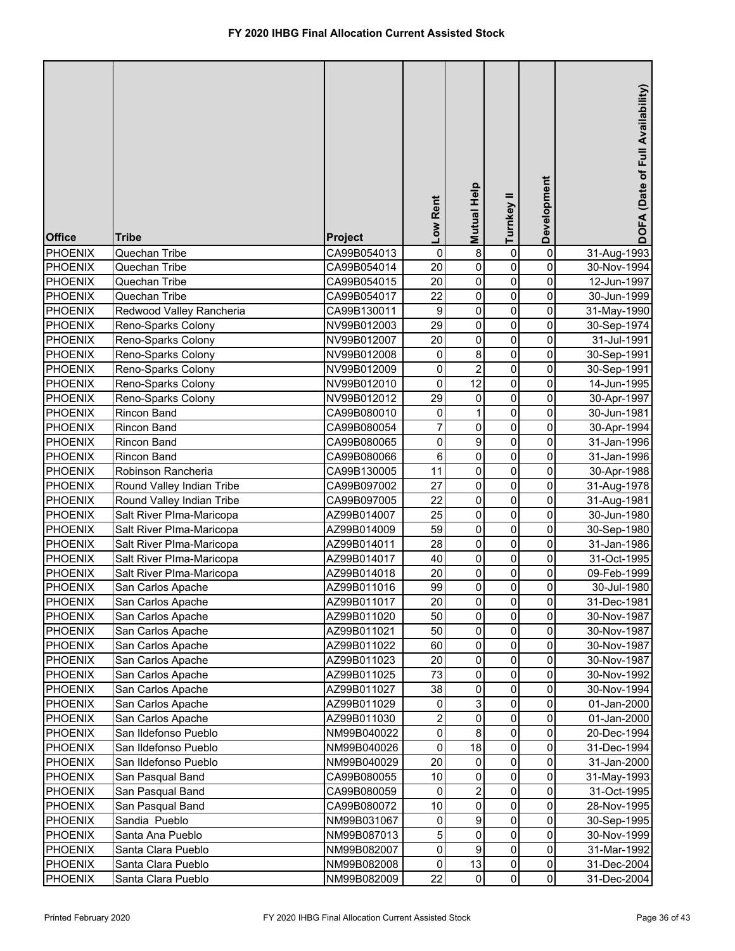| <b>Office</b>  | <b>Tribe</b>              | Project     | Low Rent                | Mutual Help             | Turnkey II  | Development         | DOFA (Date of Full Availability) |
|----------------|---------------------------|-------------|-------------------------|-------------------------|-------------|---------------------|----------------------------------|
| PHOENIX        | Quechan Tribe             | CA99B054013 | $\pmb{0}$               | 8                       | 0           | $\pmb{0}$           | 31-Aug-1993                      |
| <b>PHOENIX</b> | Quechan Tribe             | CA99B054014 | 20                      | 0                       | 0           | 0                   | 30-Nov-1994                      |
| PHOENIX        | Quechan Tribe             | CA99B054015 | 20                      | 0                       | 0           | 0                   | 12-Jun-1997                      |
| PHOENIX        | Quechan Tribe             | CA99B054017 | 22                      | 0                       | $\pmb{0}$   | 0                   | 30-Jun-1999                      |
| PHOENIX        | Redwood Valley Rancheria  | CA99B130011 | $\boldsymbol{9}$        | 0                       | $\pmb{0}$   | 0                   | 31-May-1990                      |
| PHOENIX        | Reno-Sparks Colony        | NV99B012003 | 29                      | $\pmb{0}$               | $\pmb{0}$   | 0                   | 30-Sep-1974                      |
| <b>PHOENIX</b> | Reno-Sparks Colony        | NV99B012007 | 20                      | 0                       | 0           | 0                   | 31-Jul-1991                      |
| PHOENIX        | Reno-Sparks Colony        | NV99B012008 | 0                       | 8                       | 0           | 0                   | 30-Sep-1991                      |
| PHOENIX        | Reno-Sparks Colony        | NV99B012009 | 0                       | $\overline{\mathbf{c}}$ | 0           | 0                   | 30-Sep-1991                      |
| <b>PHOENIX</b> | Reno-Sparks Colony        | NV99B012010 | 0                       | 12                      | 0           | 0                   | 14-Jun-1995                      |
| <b>PHOENIX</b> | Reno-Sparks Colony        | NV99B012012 | 29                      | 0                       | $\pmb{0}$   | 0                   | 30-Apr-1997                      |
| <b>PHOENIX</b> | Rincon Band               | CA99B080010 | 0                       | $\mathbf{1}$            | 0           | 0                   | 30-Jun-1981                      |
| <b>PHOENIX</b> | Rincon Band               | CA99B080054 | $\overline{7}$          | $\mathsf 0$             | 0           | 0                   | 30-Apr-1994                      |
| <b>PHOENIX</b> | Rincon Band               | CA99B080065 | 0                       | 9                       | $\mathbf 0$ | 0                   | 31-Jan-1996                      |
| <b>PHOENIX</b> | Rincon Band               | CA99B080066 | 6                       | 0                       | $\mathbf 0$ | 0                   | 31-Jan-1996                      |
| <b>PHOENIX</b> | Robinson Rancheria        | CA99B130005 | 11                      | 0                       | $\mathbf 0$ | 0                   | 30-Apr-1988                      |
| <b>PHOENIX</b> | Round Valley Indian Tribe | CA99B097002 | 27                      | $\mathsf 0$             | $\mathbf 0$ | 0                   | 31-Aug-1978                      |
| <b>PHOENIX</b> | Round Valley Indian Tribe | CA99B097005 | 22                      | $\mathbf 0$             | $\mathbf 0$ | 0                   | 31-Aug-1981                      |
| <b>PHOENIX</b> | Salt River Plma-Maricopa  | AZ99B014007 | 25                      | $\mathbf 0$             | $\mathbf 0$ | 0                   | 30-Jun-1980                      |
| <b>PHOENIX</b> | Salt River PIma-Maricopa  | AZ99B014009 | 59                      | $\mathbf 0$             | $\mathbf 0$ | 0                   | 30-Sep-1980                      |
| <b>PHOENIX</b> | Salt River PIma-Maricopa  | AZ99B014011 | 28                      | 0                       | 0           | 0                   | 31-Jan-1986                      |
| <b>PHOENIX</b> | Salt River Plma-Maricopa  | AZ99B014017 | 40                      | 0                       | $\mathbf 0$ | 0                   | 31-Oct-1995                      |
| <b>PHOENIX</b> | Salt River Plma-Maricopa  | AZ99B014018 | 20                      | 0                       | 0           | 0                   | 09-Feb-1999                      |
| <b>PHOENIX</b> | San Carlos Apache         | AZ99B011016 | 99                      | 0                       | 0           | 0                   | 30-Jul-1980                      |
| PHOENIX        | San Carlos Apache         | AZ99B011017 | 20                      | $\mathbf{0}$            | 0           | $\pmb{0}$           | 31-Dec-1981                      |
| <b>PHOENIX</b> | San Carlos Apache         | AZ99B011020 | 50                      | $\mathbf 0$             | 0           | 0                   | 30-Nov-1987                      |
| <b>PHOENIX</b> | San Carlos Apache         | AZ99B011021 | 50                      | $\pmb{0}$               | 0           | 0                   | 30-Nov-1987                      |
| <b>PHOENIX</b> | San Carlos Apache         | AZ99B011022 | 60                      | $\pmb{0}$               | 0           | 0                   | 30-Nov-1987                      |
| PHOENIX        | San Carlos Apache         | AZ99B011023 | 20                      | 0                       | 0           | 0                   | 30-Nov-1987                      |
| <b>PHOENIX</b> | San Carlos Apache         | AZ99B011025 | 73                      | 0                       | 0           | 0                   | 30-Nov-1992                      |
| <b>PHOENIX</b> | San Carlos Apache         | AZ99B011027 | 38                      | 0                       | 0           | 0                   | 30-Nov-1994                      |
| <b>PHOENIX</b> | San Carlos Apache         | AZ99B011029 | 0                       | 3                       | 0           | 0                   | 01-Jan-2000                      |
| PHOENIX        | San Carlos Apache         | AZ99B011030 | $\overline{\mathbf{c}}$ | 0                       | 0           | 0                   | 01-Jan-2000                      |
| <b>PHOENIX</b> | San Ildefonso Pueblo      | NM99B040022 | 0                       | 8                       | 0           | 0                   | 20-Dec-1994                      |
| <b>PHOENIX</b> | San Ildefonso Pueblo      | NM99B040026 | 0                       | 18                      | 0           | 0                   | 31-Dec-1994                      |
| <b>PHOENIX</b> | San Ildefonso Pueblo      | NM99B040029 | 20                      | 0                       | 0           | $\mathsf{O}\xspace$ | 31-Jan-2000                      |
| <b>PHOENIX</b> | San Pasqual Band          | CA99B080055 | 10                      | 0                       | 0           | 0                   | 31-May-1993                      |
| <b>PHOENIX</b> | San Pasqual Band          | CA99B080059 | 0                       | $\overline{2}$          | 0           | 0                   | 31-Oct-1995                      |
| <b>PHOENIX</b> | San Pasqual Band          | CA99B080072 | 10                      | 0                       | 0           | 0                   | 28-Nov-1995                      |
| <b>PHOENIX</b> | Sandia Pueblo             | NM99B031067 | 0                       | 9                       | 0           | 0                   | 30-Sep-1995                      |
| <b>PHOENIX</b> | Santa Ana Pueblo          | NM99B087013 | 5                       | 0                       | 0           | 0                   | 30-Nov-1999                      |
| <b>PHOENIX</b> | Santa Clara Pueblo        | NM99B082007 | 0                       | 9                       | 0           | 0                   | 31-Mar-1992                      |
| <b>PHOENIX</b> | Santa Clara Pueblo        | NM99B082008 | $\mathbf 0$             | 13                      | 0           | $\mathsf{O}\xspace$ | 31-Dec-2004                      |
| <b>PHOENIX</b> | Santa Clara Pueblo        | NM99B082009 | 22                      | 0                       | $\pmb{0}$   | $\overline{0}$      | 31-Dec-2004                      |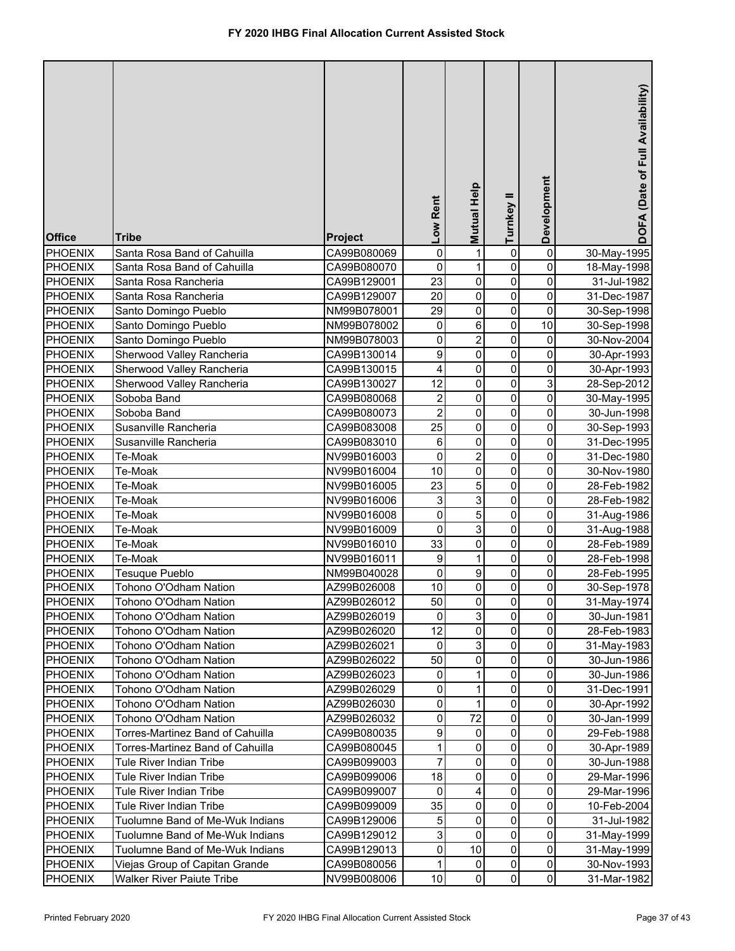| $\mathsf 0$<br>0<br><b>PHOENIX</b><br>Santa Rosa Band of Cahuilla<br>$\mathbf{1}$<br>CA99B080069<br>0<br>30-May-1995<br>0<br>0<br><b>PHOENIX</b><br>1<br>0<br>CA99B080070<br>Santa Rosa Band of Cahuilla<br>18-May-1998<br>23<br>0<br>$\pmb{0}$<br><b>PHOENIX</b><br>0<br>Santa Rosa Rancheria<br>CA99B129001<br>31-Jul-1982<br>$\mathsf 0$<br>0<br>20<br>0<br><b>PHOENIX</b><br>Santa Rosa Rancheria<br>31-Dec-1987<br>CA99B129007<br>$\pmb{0}$<br>29<br>$\pmb{0}$<br>$\pmb{0}$<br>PHOENIX<br>Santo Domingo Pueblo<br>NM99B078001<br>30-Sep-1998<br>6<br>10<br>$\mathbf 0$<br>PHOENIX<br>0<br>Santo Domingo Pueblo<br>NM99B078002<br>30-Sep-1998<br>$\overline{2}$<br>$\mathsf 0$<br>$\mathbf 0$<br>0<br>PHOENIX<br>Santo Domingo Pueblo<br>NM99B078003<br>30-Nov-2004<br>9<br>$\overline{0}$<br>0<br>0<br>PHOENIX<br>Sherwood Valley Rancheria<br>CA99B130014<br>30-Apr-1993<br>0<br>0<br>0<br>PHOENIX<br>4<br>Sherwood Valley Rancheria<br>CA99B130015<br>30-Apr-1993<br>3<br>12<br>0<br>0<br><b>PHOENIX</b><br>Sherwood Valley Rancheria<br>CA99B130027<br>28-Sep-2012<br>0<br>$\overline{\mathbf{c}}$<br>0<br>0<br><b>PHOENIX</b><br>Soboba Band<br>CA99B080068<br>30-May-1995<br>$\overline{c}$<br>$\mathsf 0$<br>0<br>0<br><b>PHOENIX</b><br>Soboba Band<br>CA99B080073<br>30-Jun-1998<br>25<br>0<br>0<br><b>PHOENIX</b><br>Susanville Rancheria<br>0<br>CA99B083008<br>30-Sep-1993<br>0<br>0<br>6<br>0<br><b>PHOENIX</b><br>Susanville Rancheria<br>CA99B083010<br>31-Dec-1995<br>$\overline{2}$<br>$\mathbf 0$<br>0<br>0<br><b>PHOENIX</b><br>Te-Moak<br>NV99B016003<br>31-Dec-1980 |
|----------------------------------------------------------------------------------------------------------------------------------------------------------------------------------------------------------------------------------------------------------------------------------------------------------------------------------------------------------------------------------------------------------------------------------------------------------------------------------------------------------------------------------------------------------------------------------------------------------------------------------------------------------------------------------------------------------------------------------------------------------------------------------------------------------------------------------------------------------------------------------------------------------------------------------------------------------------------------------------------------------------------------------------------------------------------------------------------------------------------------------------------------------------------------------------------------------------------------------------------------------------------------------------------------------------------------------------------------------------------------------------------------------------------------------------------------------------------------------------------------------------------------------------------------------------------------------------------|
|                                                                                                                                                                                                                                                                                                                                                                                                                                                                                                                                                                                                                                                                                                                                                                                                                                                                                                                                                                                                                                                                                                                                                                                                                                                                                                                                                                                                                                                                                                                                                                                              |
|                                                                                                                                                                                                                                                                                                                                                                                                                                                                                                                                                                                                                                                                                                                                                                                                                                                                                                                                                                                                                                                                                                                                                                                                                                                                                                                                                                                                                                                                                                                                                                                              |
|                                                                                                                                                                                                                                                                                                                                                                                                                                                                                                                                                                                                                                                                                                                                                                                                                                                                                                                                                                                                                                                                                                                                                                                                                                                                                                                                                                                                                                                                                                                                                                                              |
|                                                                                                                                                                                                                                                                                                                                                                                                                                                                                                                                                                                                                                                                                                                                                                                                                                                                                                                                                                                                                                                                                                                                                                                                                                                                                                                                                                                                                                                                                                                                                                                              |
|                                                                                                                                                                                                                                                                                                                                                                                                                                                                                                                                                                                                                                                                                                                                                                                                                                                                                                                                                                                                                                                                                                                                                                                                                                                                                                                                                                                                                                                                                                                                                                                              |
|                                                                                                                                                                                                                                                                                                                                                                                                                                                                                                                                                                                                                                                                                                                                                                                                                                                                                                                                                                                                                                                                                                                                                                                                                                                                                                                                                                                                                                                                                                                                                                                              |
|                                                                                                                                                                                                                                                                                                                                                                                                                                                                                                                                                                                                                                                                                                                                                                                                                                                                                                                                                                                                                                                                                                                                                                                                                                                                                                                                                                                                                                                                                                                                                                                              |
|                                                                                                                                                                                                                                                                                                                                                                                                                                                                                                                                                                                                                                                                                                                                                                                                                                                                                                                                                                                                                                                                                                                                                                                                                                                                                                                                                                                                                                                                                                                                                                                              |
|                                                                                                                                                                                                                                                                                                                                                                                                                                                                                                                                                                                                                                                                                                                                                                                                                                                                                                                                                                                                                                                                                                                                                                                                                                                                                                                                                                                                                                                                                                                                                                                              |
|                                                                                                                                                                                                                                                                                                                                                                                                                                                                                                                                                                                                                                                                                                                                                                                                                                                                                                                                                                                                                                                                                                                                                                                                                                                                                                                                                                                                                                                                                                                                                                                              |
|                                                                                                                                                                                                                                                                                                                                                                                                                                                                                                                                                                                                                                                                                                                                                                                                                                                                                                                                                                                                                                                                                                                                                                                                                                                                                                                                                                                                                                                                                                                                                                                              |
|                                                                                                                                                                                                                                                                                                                                                                                                                                                                                                                                                                                                                                                                                                                                                                                                                                                                                                                                                                                                                                                                                                                                                                                                                                                                                                                                                                                                                                                                                                                                                                                              |
|                                                                                                                                                                                                                                                                                                                                                                                                                                                                                                                                                                                                                                                                                                                                                                                                                                                                                                                                                                                                                                                                                                                                                                                                                                                                                                                                                                                                                                                                                                                                                                                              |
|                                                                                                                                                                                                                                                                                                                                                                                                                                                                                                                                                                                                                                                                                                                                                                                                                                                                                                                                                                                                                                                                                                                                                                                                                                                                                                                                                                                                                                                                                                                                                                                              |
|                                                                                                                                                                                                                                                                                                                                                                                                                                                                                                                                                                                                                                                                                                                                                                                                                                                                                                                                                                                                                                                                                                                                                                                                                                                                                                                                                                                                                                                                                                                                                                                              |
| $\mathsf 0$<br>10<br>$\mathbf 0$<br>0<br><b>PHOENIX</b><br>Te-Moak<br>NV99B016004<br>30-Nov-1980                                                                                                                                                                                                                                                                                                                                                                                                                                                                                                                                                                                                                                                                                                                                                                                                                                                                                                                                                                                                                                                                                                                                                                                                                                                                                                                                                                                                                                                                                             |
| 5<br>23<br>$\mathbf 0$<br>0<br><b>PHOENIX</b><br>Te-Moak<br>NV99B016005<br>28-Feb-1982                                                                                                                                                                                                                                                                                                                                                                                                                                                                                                                                                                                                                                                                                                                                                                                                                                                                                                                                                                                                                                                                                                                                                                                                                                                                                                                                                                                                                                                                                                       |
| 3<br>$\pmb{0}$<br>0<br>$\ensuremath{\mathsf{3}}$<br><b>PHOENIX</b><br>Te-Moak<br>NV99B016006<br>28-Feb-1982                                                                                                                                                                                                                                                                                                                                                                                                                                                                                                                                                                                                                                                                                                                                                                                                                                                                                                                                                                                                                                                                                                                                                                                                                                                                                                                                                                                                                                                                                  |
| 5<br>$\mathbf 0$<br>$\mathbf 0$<br>0<br><b>PHOENIX</b><br>Te-Moak<br>NV99B016008<br>31-Aug-1986                                                                                                                                                                                                                                                                                                                                                                                                                                                                                                                                                                                                                                                                                                                                                                                                                                                                                                                                                                                                                                                                                                                                                                                                                                                                                                                                                                                                                                                                                              |
| 3<br>$\mathbf 0$<br>0<br>0<br><b>PHOENIX</b><br>Te-Moak<br>NV99B016009<br>31-Aug-1988                                                                                                                                                                                                                                                                                                                                                                                                                                                                                                                                                                                                                                                                                                                                                                                                                                                                                                                                                                                                                                                                                                                                                                                                                                                                                                                                                                                                                                                                                                        |
| 33<br>0<br>0<br>0<br><b>PHOENIX</b><br>Te-Moak<br>NV99B016010<br>28-Feb-1989                                                                                                                                                                                                                                                                                                                                                                                                                                                                                                                                                                                                                                                                                                                                                                                                                                                                                                                                                                                                                                                                                                                                                                                                                                                                                                                                                                                                                                                                                                                 |
| 9<br>0<br>1<br>0<br><b>PHOENIX</b><br>Te-Moak<br>NV99B016011<br>28-Feb-1998                                                                                                                                                                                                                                                                                                                                                                                                                                                                                                                                                                                                                                                                                                                                                                                                                                                                                                                                                                                                                                                                                                                                                                                                                                                                                                                                                                                                                                                                                                                  |
| 0<br>9<br>0<br>0<br><b>PHOENIX</b><br>Tesuque Pueblo<br>NM99B040028<br>28-Feb-1995                                                                                                                                                                                                                                                                                                                                                                                                                                                                                                                                                                                                                                                                                                                                                                                                                                                                                                                                                                                                                                                                                                                                                                                                                                                                                                                                                                                                                                                                                                           |
| 10<br>0<br>0<br>0<br><b>PHOENIX</b><br>Tohono O'Odham Nation<br>AZ99B026008<br>30-Sep-1978                                                                                                                                                                                                                                                                                                                                                                                                                                                                                                                                                                                                                                                                                                                                                                                                                                                                                                                                                                                                                                                                                                                                                                                                                                                                                                                                                                                                                                                                                                   |
| <b>PHOENIX</b><br>Tohono O'Odham Nation<br>AZ99B026012<br>50<br>$\pmb{0}$<br>31-May-1974<br>$\mathbf{0}$<br>0                                                                                                                                                                                                                                                                                                                                                                                                                                                                                                                                                                                                                                                                                                                                                                                                                                                                                                                                                                                                                                                                                                                                                                                                                                                                                                                                                                                                                                                                                |
| $\overline{3}$<br>0<br>0<br><b>PHOENIX</b><br>Tohono O'Odham Nation<br>0<br>AZ99B026019<br>30-Jun-1981                                                                                                                                                                                                                                                                                                                                                                                                                                                                                                                                                                                                                                                                                                                                                                                                                                                                                                                                                                                                                                                                                                                                                                                                                                                                                                                                                                                                                                                                                       |
| 12<br>$\pmb{0}$<br>0<br>0<br><b>PHOENIX</b><br>Tohono O'Odham Nation<br>AZ99B026020<br>28-Feb-1983                                                                                                                                                                                                                                                                                                                                                                                                                                                                                                                                                                                                                                                                                                                                                                                                                                                                                                                                                                                                                                                                                                                                                                                                                                                                                                                                                                                                                                                                                           |
| 3<br>0<br>0<br><b>PHOENIX</b><br>Tohono O'Odham Nation<br>AZ99B026021<br>0<br>31-May-1983                                                                                                                                                                                                                                                                                                                                                                                                                                                                                                                                                                                                                                                                                                                                                                                                                                                                                                                                                                                                                                                                                                                                                                                                                                                                                                                                                                                                                                                                                                    |
| 50<br>$\pmb{0}$<br>0<br>0<br><b>PHOENIX</b><br>Tohono O'Odham Nation<br>AZ99B026022<br>30-Jun-1986                                                                                                                                                                                                                                                                                                                                                                                                                                                                                                                                                                                                                                                                                                                                                                                                                                                                                                                                                                                                                                                                                                                                                                                                                                                                                                                                                                                                                                                                                           |
| 0<br>0<br><b>PHOENIX</b><br>Tohono O'Odham Nation<br>AZ99B026023<br>0<br>30-Jun-1986                                                                                                                                                                                                                                                                                                                                                                                                                                                                                                                                                                                                                                                                                                                                                                                                                                                                                                                                                                                                                                                                                                                                                                                                                                                                                                                                                                                                                                                                                                         |
| 0<br>0<br>0<br><b>PHOENIX</b><br>Tohono O'Odham Nation<br>AZ99B026029<br>31-Dec-1991                                                                                                                                                                                                                                                                                                                                                                                                                                                                                                                                                                                                                                                                                                                                                                                                                                                                                                                                                                                                                                                                                                                                                                                                                                                                                                                                                                                                                                                                                                         |
| 0<br>Tohono O'Odham Nation<br>$\pmb{0}$<br>0<br><b>PHOENIX</b><br>AZ99B026030<br>1<br>30-Apr-1992                                                                                                                                                                                                                                                                                                                                                                                                                                                                                                                                                                                                                                                                                                                                                                                                                                                                                                                                                                                                                                                                                                                                                                                                                                                                                                                                                                                                                                                                                            |
| 0<br>72<br>0<br><b>PHOENIX</b><br>Tohono O'Odham Nation<br>0<br>AZ99B026032<br>30-Jan-1999                                                                                                                                                                                                                                                                                                                                                                                                                                                                                                                                                                                                                                                                                                                                                                                                                                                                                                                                                                                                                                                                                                                                                                                                                                                                                                                                                                                                                                                                                                   |
| 0<br>9<br>$\pmb{0}$<br>0<br><b>PHOENIX</b><br>Torres-Martinez Band of Cahuilla<br>CA99B080035<br>29-Feb-1988<br>$\pmb{0}$<br>$\mathbf 0$<br>0<br>Torres-Martinez Band of Cahuilla<br>1                                                                                                                                                                                                                                                                                                                                                                                                                                                                                                                                                                                                                                                                                                                                                                                                                                                                                                                                                                                                                                                                                                                                                                                                                                                                                                                                                                                                       |
| <b>PHOENIX</b><br>CA99B080045<br>30-Apr-1989<br>$\overline{7}$<br>$\pmb{0}$<br>$\mathbf 0$<br>0<br>Tule River Indian Tribe<br><b>PHOENIX</b><br>CA99B099003                                                                                                                                                                                                                                                                                                                                                                                                                                                                                                                                                                                                                                                                                                                                                                                                                                                                                                                                                                                                                                                                                                                                                                                                                                                                                                                                                                                                                                  |
| 30-Jun-1988<br>$\pmb{0}$<br>18<br>$\mathbf 0$<br><b>PHOENIX</b><br>Tule River Indian Tribe<br>CA99B099006<br>0<br>29-Mar-1996                                                                                                                                                                                                                                                                                                                                                                                                                                                                                                                                                                                                                                                                                                                                                                                                                                                                                                                                                                                                                                                                                                                                                                                                                                                                                                                                                                                                                                                                |
| 0<br><b>PHOENIX</b><br>Tule River Indian Tribe<br>0<br>4<br>0<br>CA99B099007<br>29-Mar-1996                                                                                                                                                                                                                                                                                                                                                                                                                                                                                                                                                                                                                                                                                                                                                                                                                                                                                                                                                                                                                                                                                                                                                                                                                                                                                                                                                                                                                                                                                                  |
| 0<br>$\mathbf 0$<br><b>PHOENIX</b><br>Tule River Indian Tribe<br>35<br>0<br>CA99B099009<br>10-Feb-2004                                                                                                                                                                                                                                                                                                                                                                                                                                                                                                                                                                                                                                                                                                                                                                                                                                                                                                                                                                                                                                                                                                                                                                                                                                                                                                                                                                                                                                                                                       |
| 0<br>0<br><b>PHOENIX</b><br>Tuolumne Band of Me-Wuk Indians<br>5<br>0<br>CA99B129006<br>31-Jul-1982                                                                                                                                                                                                                                                                                                                                                                                                                                                                                                                                                                                                                                                                                                                                                                                                                                                                                                                                                                                                                                                                                                                                                                                                                                                                                                                                                                                                                                                                                          |
| $\mathsf{O}\xspace$<br>3<br>0<br>0<br>Tuolumne Band of Me-Wuk Indians<br><b>PHOENIX</b><br>CA99B129012<br>31-May-1999                                                                                                                                                                                                                                                                                                                                                                                                                                                                                                                                                                                                                                                                                                                                                                                                                                                                                                                                                                                                                                                                                                                                                                                                                                                                                                                                                                                                                                                                        |
| 10<br>$\mathsf{O}\xspace$<br>$\pmb{0}$<br>0<br>Tuolumne Band of Me-Wuk Indians<br><b>PHOENIX</b><br>CA99B129013<br>31-May-1999                                                                                                                                                                                                                                                                                                                                                                                                                                                                                                                                                                                                                                                                                                                                                                                                                                                                                                                                                                                                                                                                                                                                                                                                                                                                                                                                                                                                                                                               |
| $\mathbf 0$<br>Viejas Group of Capitan Grande<br>1<br>$\pmb{0}$<br>0<br><b>PHOENIX</b><br>CA99B080056<br>30-Nov-1993                                                                                                                                                                                                                                                                                                                                                                                                                                                                                                                                                                                                                                                                                                                                                                                                                                                                                                                                                                                                                                                                                                                                                                                                                                                                                                                                                                                                                                                                         |
| $\pmb{0}$<br>$\overline{0}$<br>10<br>0<br><b>PHOENIX</b><br><b>Walker River Paiute Tribe</b><br>NV99B008006<br>31-Mar-1982                                                                                                                                                                                                                                                                                                                                                                                                                                                                                                                                                                                                                                                                                                                                                                                                                                                                                                                                                                                                                                                                                                                                                                                                                                                                                                                                                                                                                                                                   |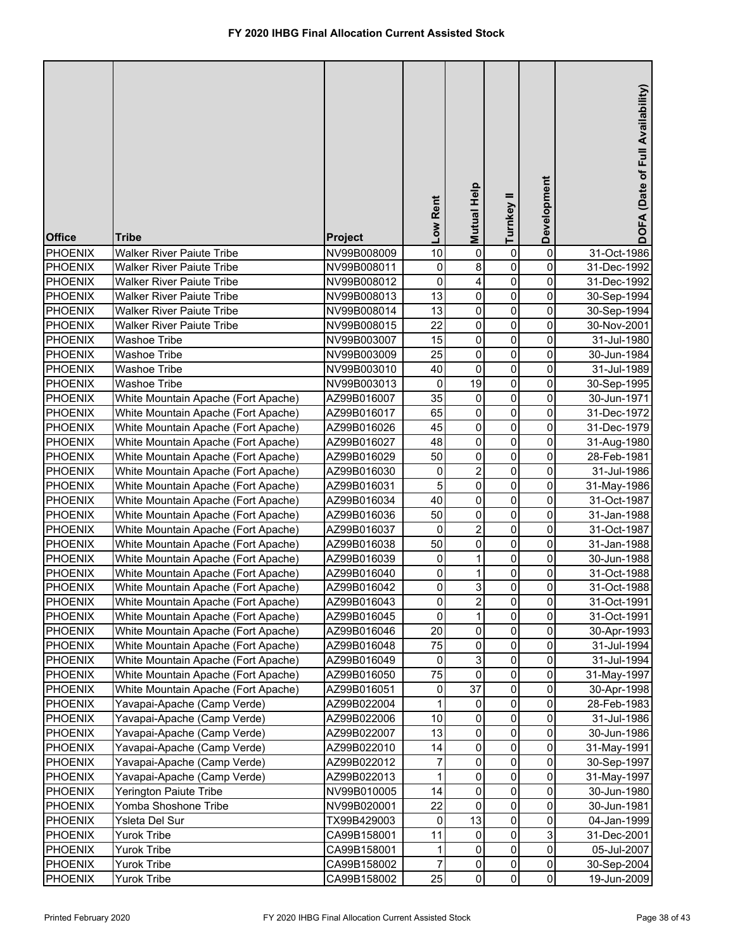| <b>Office</b>  | <b>Tribe</b>                        | Project     | Low Rent        | Mutual Help            | Turnkey II  | Development                   | DOFA (Date of Full Availability) |
|----------------|-------------------------------------|-------------|-----------------|------------------------|-------------|-------------------------------|----------------------------------|
| <b>PHOENIX</b> | <b>Walker River Paiute Tribe</b>    | NV99B008009 | 10              | $\pmb{0}$              | 0           | 0                             | 31-Oct-1986                      |
| PHOENIX        | <b>Walker River Paiute Tribe</b>    | NV99B008011 | 0               | 8                      | 0           | 0                             | 31-Dec-1992                      |
| <b>PHOENIX</b> | <b>Walker River Paiute Tribe</b>    | NV99B008012 | $\mathbf 0$     | 4                      | 0           | 0                             | 31-Dec-1992                      |
| <b>PHOENIX</b> | <b>Walker River Paiute Tribe</b>    | NV99B008013 | $\overline{13}$ | $\pmb{0}$              | 0           | 0                             | 30-Sep-1994                      |
| PHOENIX        | <b>Walker River Paiute Tribe</b>    | NV99B008014 | 13              | $\pmb{0}$              | $\pmb{0}$   | 0                             | 30-Sep-1994                      |
| PHOENIX        | <b>Walker River Paiute Tribe</b>    | NV99B008015 | 22              | $\pmb{0}$              | $\pmb{0}$   | 0                             | 30-Nov-2001                      |
| <b>PHOENIX</b> | <b>Washoe Tribe</b>                 | NV99B003007 | 15              | $\overline{0}$         | $\pmb{0}$   | 0                             | 31-Jul-1980                      |
| <b>PHOENIX</b> | <b>Washoe Tribe</b>                 | NV99B003009 | 25              | $\overline{0}$         | $\pmb{0}$   | 0                             | 30-Jun-1984                      |
| <b>PHOENIX</b> | Washoe Tribe                        | NV99B003010 | 40              | $\pmb{0}$              | 0           | 0                             | 31-Jul-1989                      |
| PHOENIX        | <b>Washoe Tribe</b>                 | NV99B003013 | 0               | 19                     | 0           | 0                             | 30-Sep-1995                      |
| <b>PHOENIX</b> | White Mountain Apache (Fort Apache) | AZ99B016007 | 35              | $\pmb{0}$              | $\pmb{0}$   | 0                             | 30-Jun-1971                      |
| <b>PHOENIX</b> | White Mountain Apache (Fort Apache) | AZ99B016017 | 65              | $\mathsf 0$            | $\pmb{0}$   | 0                             | 31-Dec-1972                      |
| <b>PHOENIX</b> | White Mountain Apache (Fort Apache) | AZ99B016026 | 45              | 0                      | 0           | 0                             | 31-Dec-1979                      |
| <b>PHOENIX</b> | White Mountain Apache (Fort Apache) | AZ99B016027 | 48              | $\mathsf 0$            | $\mathbf 0$ | 0                             | 31-Aug-1980                      |
| <b>PHOENIX</b> | White Mountain Apache (Fort Apache) | AZ99B016029 | 50              | $\mathsf 0$            | $\mathbf 0$ | 0                             | 28-Feb-1981                      |
| <b>PHOENIX</b> | White Mountain Apache (Fort Apache) | AZ99B016030 | 0               | $\overline{c}$         | $\pmb{0}$   | 0                             | 31-Jul-1986                      |
| <b>PHOENIX</b> | White Mountain Apache (Fort Apache) | AZ99B016031 | 5               | $\overline{0}$         | $\pmb{0}$   | 0                             | 31-May-1986                      |
| <b>PHOENIX</b> | White Mountain Apache (Fort Apache) | AZ99B016034 | 40              | 0                      | $\pmb{0}$   | 0                             | 31-Oct-1987                      |
| <b>PHOENIX</b> | White Mountain Apache (Fort Apache) | AZ99B016036 | 50              | 0                      | $\mathbf 0$ | 0                             | 31-Jan-1988                      |
| <b>PHOENIX</b> | White Mountain Apache (Fort Apache) | AZ99B016037 | 0               | $\overline{2}$         | $\mathbf 0$ | 0                             | 31-Oct-1987                      |
| <b>PHOENIX</b> | White Mountain Apache (Fort Apache) | AZ99B016038 | 50              | 0                      | $\mathbf 0$ | 0                             | 31-Jan-1988                      |
| <b>PHOENIX</b> | White Mountain Apache (Fort Apache) | AZ99B016039 | 0               | 1                      | $\mathbf 0$ | 0                             | 30-Jun-1988                      |
| <b>PHOENIX</b> | White Mountain Apache (Fort Apache) | AZ99B016040 | 0               | 1                      | 0           | 0                             | 31-Oct-1988                      |
| <b>PHOENIX</b> | White Mountain Apache (Fort Apache) | AZ99B016042 | 0               | 3                      | 0           | 0                             | 31-Oct-1988                      |
| <b>PHOENIX</b> | White Mountain Apache (Fort Apache) | AZ99B016043 | $\overline{0}$  | $\overline{a}$         | 0           | $\pmb{0}$                     | 31-Oct-1991                      |
| <b>PHOENIX</b> | White Mountain Apache (Fort Apache) | AZ99B016045 | $\mathbf 0$     | 1                      | 0           | 0                             | 31-Oct-1991                      |
| <b>PHOENIX</b> | White Mountain Apache (Fort Apache) | AZ99B016046 | 20              | $\pmb{0}$              | 0           | 0                             | 30-Apr-1993                      |
| <b>PHOENIX</b> | White Mountain Apache (Fort Apache) | AZ99B016048 | 75              | $\pmb{0}$              | 0           | 0                             | 31-Jul-1994                      |
| <b>PHOENIX</b> | White Mountain Apache (Fort Apache) | AZ99B016049 | 0               | 3                      | 0           | 0                             | 31-Jul-1994                      |
| <b>PHOENIX</b> | White Mountain Apache (Fort Apache) | AZ99B016050 | 75              | $\pmb{0}$              | 0           | 0                             | 31-May-1997                      |
| <b>PHOENIX</b> | White Mountain Apache (Fort Apache) | AZ99B016051 | 0               | 37                     | 0           | 0                             | 30-Apr-1998                      |
| <b>PHOENIX</b> | Yavapai-Apache (Camp Verde)         | AZ99B022004 | 1               | 0                      | 0           | 0                             | 28-Feb-1983                      |
| <b>PHOENIX</b> | Yavapai-Apache (Camp Verde)         | AZ99B022006 | 10              | $\pmb{0}$              | 0           | 0                             | 31-Jul-1986                      |
| <b>PHOENIX</b> | Yavapai-Apache (Camp Verde)         | AZ99B022007 | 13              | $\pmb{0}$              | 0           | 0                             | 30-Jun-1986                      |
| <b>PHOENIX</b> | Yavapai-Apache (Camp Verde)         | AZ99B022010 | 14              | $\pmb{0}$              | 0           | $\mathsf{O}\xspace$           | 31-May-1991                      |
| <b>PHOENIX</b> | Yavapai-Apache (Camp Verde)         | AZ99B022012 | $\overline{7}$  | $\mathsf 0$            | 0           | $\mathsf{O}\xspace$           | 30-Sep-1997                      |
| <b>PHOENIX</b> | Yavapai-Apache (Camp Verde)         | AZ99B022013 | 1               | 0                      | 0           | 0                             | 31-May-1997                      |
| <b>PHOENIX</b> | Yerington Paiute Tribe              | NV99B010005 | 14              | 0                      | 0           | 0                             | 30-Jun-1980                      |
| <b>PHOENIX</b> | Yomba Shoshone Tribe                | NV99B020001 | 22              | 0                      | 0           | 0                             | 30-Jun-1981                      |
| <b>PHOENIX</b> | Ysleta Del Sur                      | TX99B429003 | 0               | 13                     | 0           | 0                             | 04-Jan-1999                      |
| <b>PHOENIX</b> | <b>Yurok Tribe</b>                  | CA99B158001 | 11              | 0                      | 0           | $\mathsf 3$                   | 31-Dec-2001                      |
| <b>PHOENIX</b> | <b>Yurok Tribe</b>                  | CA99B158001 | 1               | 0                      | 0           | $\mathsf{O}\xspace$           | 05-Jul-2007                      |
| <b>PHOENIX</b> | <b>Yurok Tribe</b>                  | CA99B158002 | 7               | $\pmb{0}$<br>$\pmb{0}$ | 0<br>0      | $\mathbf 0$<br>$\overline{0}$ | 30-Sep-2004                      |
| <b>PHOENIX</b> | Yurok Tribe                         | CA99B158002 | 25              |                        |             |                               | 19-Jun-2009                      |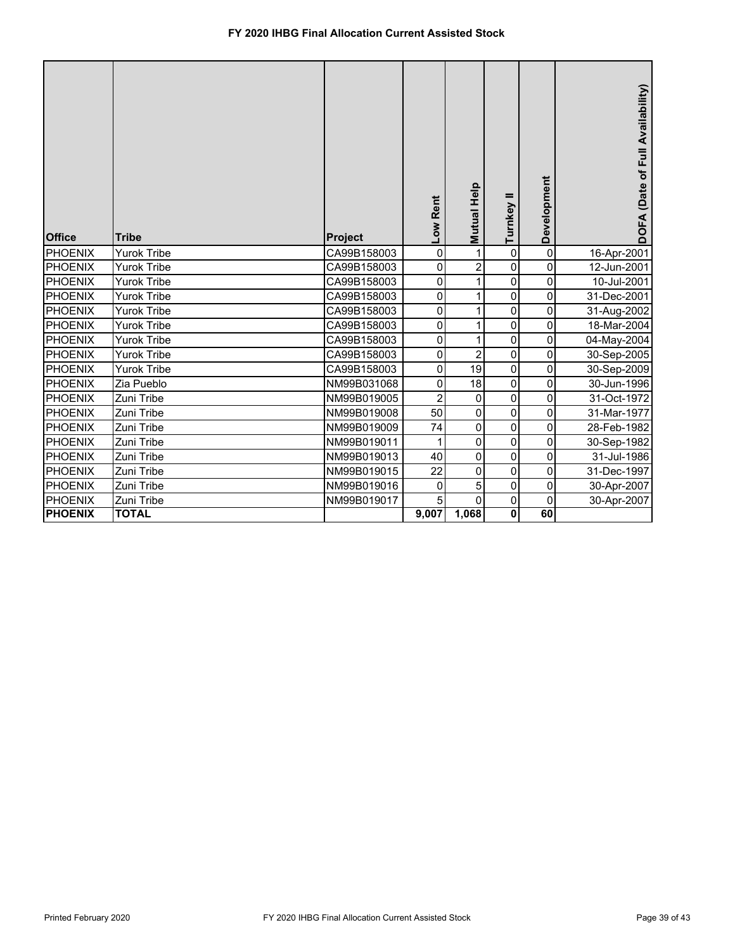| <b>Office</b>  | <b>Tribe</b>       | Project     | Low Rent       | <b>Help</b><br>Mutual I | =<br>Turnkey | Development | DOFA (Date of Full Availability) |
|----------------|--------------------|-------------|----------------|-------------------------|--------------|-------------|----------------------------------|
| <b>PHOENIX</b> | <b>Yurok Tribe</b> | CA99B158003 | $\pmb{0}$      | 1                       | $\mathbf 0$  | 0           | 16-Apr-2001                      |
| PHOENIX        | Yurok Tribe        | CA99B158003 | 0              | $\overline{2}$          | 0            | 0           | 12-Jun-2001                      |
| PHOENIX        | <b>Yurok Tribe</b> | CA99B158003 | $\pmb{0}$      | 1                       | $\mathbf 0$  | $\pmb{0}$   | 10-Jul-2001                      |
| PHOENIX        | Yurok Tribe        | CA99B158003 | 0              |                         | 0            | 0           | 31-Dec-2001                      |
| PHOENIX        | Yurok Tribe        | CA99B158003 | 0              |                         | 0            | 0           | 31-Aug-2002                      |
| <b>PHOENIX</b> | <b>Yurok Tribe</b> | CA99B158003 | 0              |                         | $\mathbf 0$  | $\pmb{0}$   | 18-Mar-2004                      |
| PHOENIX        | Yurok Tribe        | CA99B158003 | 0              |                         | $\mathbf 0$  | 0           | 04-May-2004                      |
| PHOENIX        | <b>Yurok Tribe</b> | CA99B158003 | 0              | $\overline{2}$          | $\mathbf 0$  | 0           | 30-Sep-2005                      |
| PHOENIX        | <b>Yurok Tribe</b> | CA99B158003 | 0              | 19                      | $\mathbf 0$  | $\pmb{0}$   | 30-Sep-2009                      |
| PHOENIX        | Zia Pueblo         | NM99B031068 | 0              | 18                      | 0            | 0           | 30-Jun-1996                      |
| PHOENIX        | Zuni Tribe         | NM99B019005 | $\overline{2}$ | $\mathbf 0$             | $\mathbf 0$  | $\mathbf 0$ | 31-Oct-1972                      |
| PHOENIX        | Zuni Tribe         | NM99B019008 | 50             | $\pmb{0}$               | $\mathbf 0$  | $\pmb{0}$   | 31-Mar-1977                      |
| PHOENIX        | Zuni Tribe         | NM99B019009 | 74             | 0                       | 0            | 0           | 28-Feb-1982                      |
| PHOENIX        | Zuni Tribe         | NM99B019011 | $\mathbf{1}$   | $\mathbf 0$             | $\mathbf 0$  | $\mathbf 0$ | 30-Sep-1982                      |
| <b>PHOENIX</b> | Zuni Tribe         | NM99B019013 | 40             | $\pmb{0}$               | $\mathbf 0$  | $\pmb{0}$   | 31-Jul-1986                      |
| <b>PHOENIX</b> | Zuni Tribe         | NM99B019015 | 22             | 0                       | 0            | 0           | 31-Dec-1997                      |
| PHOENIX        | Zuni Tribe         | NM99B019016 | 0              | 5                       | $\mathbf 0$  | 0           | 30-Apr-2007                      |
| PHOENIX        | Zuni Tribe         | NM99B019017 | 5              | 0                       | $\mathbf 0$  | $\mathbf 0$ | 30-Apr-2007                      |
| <b>PHOENIX</b> | <b>TOTAL</b>       |             | 9,007          | 1,068                   | $\mathbf{0}$ | 60          |                                  |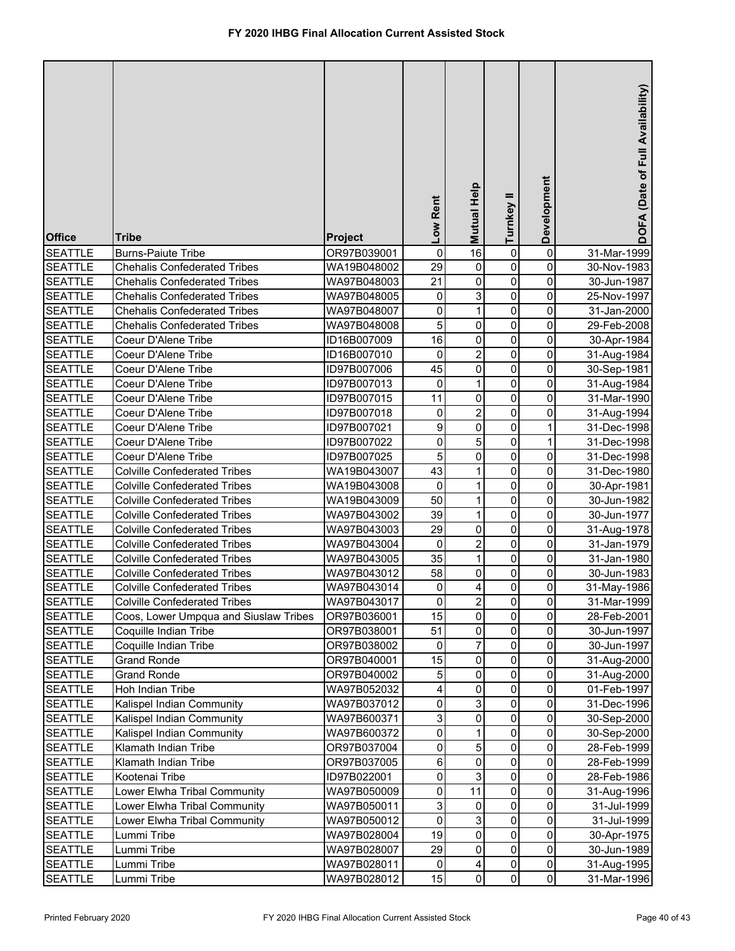| <b>Office</b>                    | <b>Tribe</b>                          | Project                    | Low Rent    | Mutual Help    | Turnkey II  | Development         | DOFA (Date of Full Availability) |
|----------------------------------|---------------------------------------|----------------------------|-------------|----------------|-------------|---------------------|----------------------------------|
| <b>SEATTLE</b>                   | <b>Burns-Paiute Tribe</b>             | OR97B039001                | 0           | 16             | 0           | 0                   | 31-Mar-1999                      |
| <b>SEATTLE</b>                   | <b>Chehalis Confederated Tribes</b>   | WA19B048002                | 29          | 0              | 0           | 0                   | 30-Nov-1983                      |
| <b>SEATTLE</b>                   | <b>Chehalis Confederated Tribes</b>   | WA97B048003                | 21          | 0              | 0           | 0                   | 30-Jun-1987                      |
| <b>SEATTLE</b>                   | <b>Chehalis Confederated Tribes</b>   | WA97B048005                | $\pmb{0}$   | 3              | 0           | 0                   | 25-Nov-1997                      |
| <b>SEATTLE</b>                   | <b>Chehalis Confederated Tribes</b>   | WA97B048007                | 0           | $\mathbf{1}$   | $\pmb{0}$   | 0                   | 31-Jan-2000                      |
| <b>SEATTLE</b>                   | <b>Chehalis Confederated Tribes</b>   | WA97B048008                | 5           | 0              | $\pmb{0}$   | 0                   | 29-Feb-2008                      |
| <b>SEATTLE</b>                   | Coeur D'Alene Tribe                   | ID16B007009                | 16          | 0              | 0           | 0                   | 30-Apr-1984                      |
| <b>SEATTLE</b>                   | Coeur D'Alene Tribe                   | ID16B007010                | 0           | $\overline{2}$ | 0           | 0                   | 31-Aug-1984                      |
| <b>SEATTLE</b>                   | Coeur D'Alene Tribe                   | ID97B007006                | 45          | 0              | 0           | 0                   | 30-Sep-1981                      |
| <b>SEATTLE</b>                   | Coeur D'Alene Tribe                   | ID97B007013                | $\pmb{0}$   | $\mathbf{1}$   | 0           | 0                   | 31-Aug-1984                      |
| <b>SEATTLE</b>                   | Coeur D'Alene Tribe                   | ID97B007015                | 11          | 0              | 0           | 0                   | 31-Mar-1990                      |
| <b>SEATTLE</b>                   | Coeur D'Alene Tribe                   | ID97B007018                | 0           | $\overline{2}$ | 0           | 0                   | 31-Aug-1994                      |
| <b>SEATTLE</b>                   | Coeur D'Alene Tribe                   | ID97B007021                | 9           | 0              | 0           | 1                   | 31-Dec-1998                      |
| <b>SEATTLE</b>                   | Coeur D'Alene Tribe                   | ID97B007022                | 0           | 5              | 0           | 1                   | 31-Dec-1998                      |
| <b>SEATTLE</b>                   | Coeur D'Alene Tribe                   | ID97B007025                | 5           | 0              | $\mathbf 0$ | 0                   | 31-Dec-1998                      |
| <b>SEATTLE</b>                   | <b>Colville Confederated Tribes</b>   | WA19B043007                | 43          | 1              | 0           | 0                   | 31-Dec-1980                      |
| <b>SEATTLE</b>                   | <b>Colville Confederated Tribes</b>   | WA19B043008                | $\pmb{0}$   | 1              | $\mathbf 0$ | 0                   | 30-Apr-1981                      |
| <b>SEATTLE</b>                   | <b>Colville Confederated Tribes</b>   | WA19B043009                | 50          | 1              | $\mathbf 0$ | 0                   | 30-Jun-1982                      |
| <b>SEATTLE</b>                   | <b>Colville Confederated Tribes</b>   | WA97B043002                | 39          | 1              | $\mathbf 0$ | 0                   | 30-Jun-1977                      |
| <b>SEATTLE</b>                   | <b>Colville Confederated Tribes</b>   | WA97B043003                | 29          | 0              | 0           | 0                   | 31-Aug-1978                      |
| <b>SEATTLE</b>                   | <b>Colville Confederated Tribes</b>   | WA97B043004                | 0           | 2              | 0           | 0                   | 31-Jan-1979                      |
| <b>SEATTLE</b>                   | <b>Colville Confederated Tribes</b>   | WA97B043005                | 35          | 1              | 0           | 0                   | 31-Jan-1980                      |
| <b>SEATTLE</b>                   | <b>Colville Confederated Tribes</b>   | WA97B043012                | 58          | 0              | 0           | 0                   | 30-Jun-1983                      |
| <b>SEATTLE</b>                   | <b>Colville Confederated Tribes</b>   | WA97B043014                | 0           | 4              | $\mathbf 0$ | 0                   | 31-May-1986                      |
| <b>SEATTLE</b>                   | <b>Colville Confederated Tribes</b>   | WA97B043017                | 0           | $\overline{c}$ | 0           | $\pmb{0}$           | 31-Mar-1999                      |
| <b>SEATTLE</b>                   | Coos, Lower Umpqua and Siuslaw Tribes | OR97B036001                | 15          | 0              | 0           | 0                   | 28-Feb-2001                      |
| <b>SEATTLE</b>                   | Coquille Indian Tribe                 | OR97B038001                | 51          | 0              | 0           | 0                   | 30-Jun-1997                      |
| <b>SEATTLE</b>                   | Coquille Indian Tribe                 | OR97B038002                | 0           | 7              | 0           | 0                   | 30-Jun-1997                      |
| <b>SEATTLE</b>                   | <b>Grand Ronde</b>                    | OR97B040001                | 15          | 0              | 0           | 0                   | 31-Aug-2000                      |
| <b>SEATTLE</b>                   | <b>Grand Ronde</b>                    | OR97B040002                | 5           | 0              | 0           | 0                   | 31-Aug-2000                      |
| <b>SEATTLE</b>                   | Hoh Indian Tribe                      | WA97B052032                | 4           | 0              | 0           | 0                   | 01-Feb-1997                      |
| <b>SEATTLE</b>                   | Kalispel Indian Community             | WA97B037012                | 0           | 3              | 0           | 0                   | 31-Dec-1996                      |
| <b>SEATTLE</b>                   | Kalispel Indian Community             | WA97B600371                | 3           | 0              | 0           | 0                   | 30-Sep-2000                      |
| <b>SEATTLE</b>                   | Kalispel Indian Community             | WA97B600372                | 0           | 1              | 0           | 0                   | 30-Sep-2000                      |
| <b>SEATTLE</b>                   | Klamath Indian Tribe                  | OR97B037004                | 0           | 5              | 0           | 0                   | 28-Feb-1999                      |
| <b>SEATTLE</b>                   | Klamath Indian Tribe                  | OR97B037005                | 6           | 0              | 0           | $\mathsf{O}\xspace$ | 28-Feb-1999                      |
| <b>SEATTLE</b>                   | Kootenai Tribe                        | ID97B022001                | 0           | 3              | 0           | $\mathsf{O}\xspace$ | 28-Feb-1986                      |
| <b>SEATTLE</b>                   | Lower Elwha Tribal Community          | WA97B050009                | 0           | 11<br>0        | 0           | 0<br>0              | 31-Aug-1996                      |
| <b>SEATTLE</b>                   | Lower Elwha Tribal Community          | WA97B050011                | 3           |                | 0           |                     | 31-Jul-1999                      |
| <b>SEATTLE</b>                   | Lower Elwha Tribal Community          | WA97B050012                | 0           | 3              | 0           | 0                   | 31-Jul-1999                      |
| <b>SEATTLE</b>                   | Lummi Tribe                           | WA97B028004                | 19<br>29    | 0<br>0         | 0<br>0      | 0<br>0              | 30-Apr-1975                      |
| <b>SEATTLE</b>                   | Lummi Tribe                           | WA97B028007                | $\mathbf 0$ |                |             | $\mathsf{O}\xspace$ | 30-Jun-1989                      |
| <b>SEATTLE</b><br><b>SEATTLE</b> | Lummi Tribe                           | WA97B028011<br>WA97B028012 | 15          | 4<br>0         | 0<br>0      | $\mathsf{O}\xspace$ | 31-Aug-1995                      |
|                                  | Lummi Tribe                           |                            |             |                |             |                     | 31-Mar-1996                      |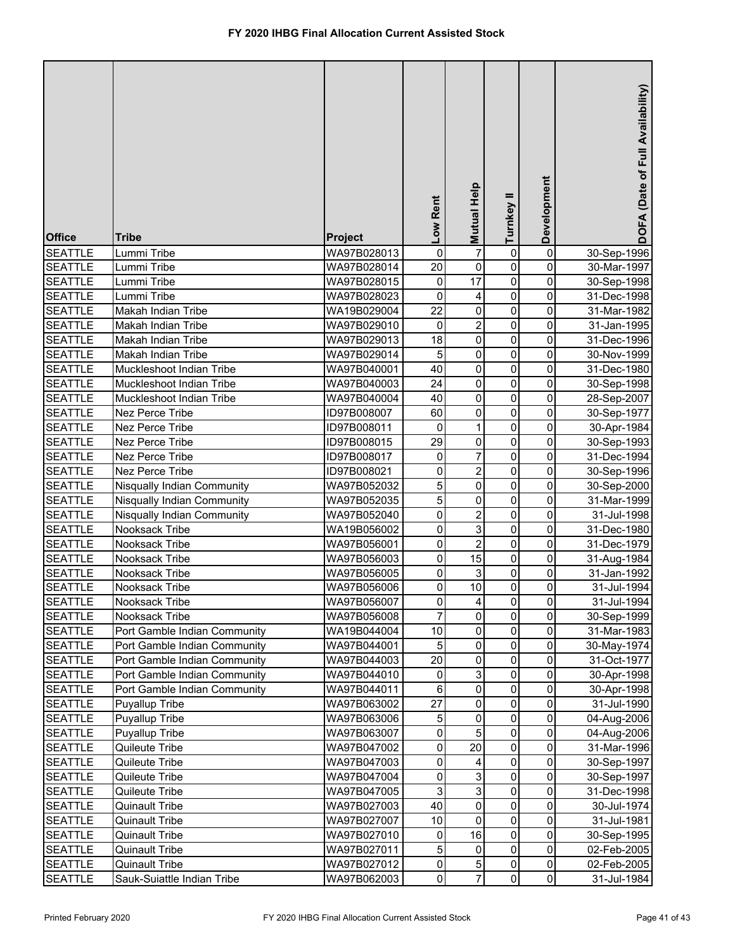| <b>Office</b>                    | <b>Tribe</b>                     | Project                    | Low Rent       | <b>Mutual Help</b> | Turnkey II     | Development         | DOFA (Date of Full Availability) |
|----------------------------------|----------------------------------|----------------------------|----------------|--------------------|----------------|---------------------|----------------------------------|
| <b>SEATTLE</b>                   | Lummi Tribe                      | WA97B028013                | 0              | $\overline{7}$     | 0              | 0                   | 30-Sep-1996                      |
| <b>SEATTLE</b>                   | Lummi Tribe                      | WA97B028014                | 20             | 0                  | 0              | 0                   | 30-Mar-1997                      |
| <b>SEATTLE</b>                   | Lummi Tribe                      | WA97B028015                | $\pmb{0}$      | 17                 | 0              | 0                   | 30-Sep-1998                      |
| <b>SEATTLE</b>                   | Lummi Tribe                      | WA97B028023                | $\mathbf 0$    | 4                  | 0              | 0                   | 31-Dec-1998                      |
| <b>SEATTLE</b>                   | Makah Indian Tribe               | WA19B029004                | 22             | $\mathsf 0$        | $\pmb{0}$      | 0                   | 31-Mar-1982                      |
| <b>SEATTLE</b>                   | Makah Indian Tribe               | WA97B029010                | 0              | $\overline{2}$     | $\pmb{0}$      | 0                   | 31-Jan-1995                      |
| <b>SEATTLE</b>                   | Makah Indian Tribe               | WA97B029013                | 18             | $\mathsf 0$        | 0              | 0                   | 31-Dec-1996                      |
| <b>SEATTLE</b>                   | Makah Indian Tribe               | WA97B029014                | 5              | 0                  | 0              | 0                   | 30-Nov-1999                      |
| <b>SEATTLE</b>                   | Muckleshoot Indian Tribe         | WA97B040001                | 40             | 0                  | 0              | 0                   | 31-Dec-1980                      |
| <b>SEATTLE</b>                   | Muckleshoot Indian Tribe         | WA97B040003                | 24             | $\mathsf 0$        | 0              | 0                   | 30-Sep-1998                      |
| <b>SEATTLE</b>                   | Muckleshoot Indian Tribe         | WA97B040004                | 40             | 0                  | 0              | 0                   | 28-Sep-2007                      |
| <b>SEATTLE</b>                   | Nez Perce Tribe                  | ID97B008007                | 60             | 0                  | 0              | 0                   | 30-Sep-1977                      |
| <b>SEATTLE</b>                   | Nez Perce Tribe                  | ID97B008011                | 0              | 1                  | 0              | 0                   | 30-Apr-1984                      |
| <b>SEATTLE</b>                   | Nez Perce Tribe                  | ID97B008015                | 29             | 0                  | 0              | 0                   | 30-Sep-1993                      |
| <b>SEATTLE</b>                   | Nez Perce Tribe                  | ID97B008017                | 0              | 7                  | $\mathbf 0$    | 0                   | 31-Dec-1994                      |
| <b>SEATTLE</b>                   | Nez Perce Tribe                  | ID97B008021                | 0              | $\overline{2}$     | 0              | 0                   | 30-Sep-1996                      |
| <b>SEATTLE</b>                   | Nisqually Indian Community       | WA97B052032                | 5              | $\mathsf 0$        | $\mathbf 0$    | 0                   | 30-Sep-2000                      |
| <b>SEATTLE</b>                   | Nisqually Indian Community       | WA97B052035                | 5              | $\mathbf 0$        | $\mathbf 0$    | 0                   | 31-Mar-1999                      |
| <b>SEATTLE</b>                   | Nisqually Indian Community       | WA97B052040                | 0              | $\overline{2}$     | $\mathbf 0$    | 0                   | 31-Jul-1998                      |
| <b>SEATTLE</b>                   | Nooksack Tribe                   | WA19B056002                | 0              | 3                  | 0              | 0                   | 31-Dec-1980                      |
| <b>SEATTLE</b>                   | Nooksack Tribe                   | WA97B056001                | 0              | $\overline{2}$     | 0              | 0                   | 31-Dec-1979                      |
| <b>SEATTLE</b>                   | Nooksack Tribe                   | WA97B056003                | 0              | 15                 | 0              | 0                   | 31-Aug-1984                      |
| <b>SEATTLE</b>                   | Nooksack Tribe                   | WA97B056005                | 0              | 3                  | 0              | 0                   | 31-Jan-1992                      |
| <b>SEATTLE</b>                   | Nooksack Tribe                   | WA97B056006                | 0              | 10                 | 0              | 0                   | 31-Jul-1994                      |
| <b>SEATTLE</b>                   | Nooksack Tribe                   | WA97B056007                | $\pmb{0}$      | $\vert 4 \vert$    | 0              | $\pmb{0}$           | 31-Jul-1994                      |
| <b>SEATTLE</b>                   | Nooksack Tribe                   | WA97B056008                | $\overline{7}$ | 0                  | 0              | 0                   | 30-Sep-1999                      |
| <b>SEATTLE</b>                   | Port Gamble Indian Community     | WA19B044004                | 10             | 0                  | 0              | 0                   | 31-Mar-1983                      |
| <b>SEATTLE</b>                   | Port Gamble Indian Community     | WA97B044001                | 5              | 0                  | 0              | 0                   | 30-May-1974                      |
| <b>SEATTLE</b>                   | Port Gamble Indian Community     | WA97B044003                | 20             | 0<br>$\mathsf 3$   | $\mathbf 0$    | 0                   | 31-Oct-1977                      |
| <b>SEATTLE</b>                   | Port Gamble Indian Community     | WA97B044010                | $\pmb{0}$      | 0                  | $\pmb{0}$<br>0 | 0<br>0              | 30-Apr-1998                      |
| <b>SEATTLE</b>                   | Port Gamble Indian Community     | WA97B044011                | 6<br>27        |                    | 0              | 0                   | 30-Apr-1998                      |
| <b>SEATTLE</b>                   | Puyallup Tribe                   | WA97B063002                |                | 0<br>0             |                | 0                   | 31-Jul-1990                      |
| <b>SEATTLE</b><br><b>SEATTLE</b> | Puyallup Tribe                   | WA97B063006                | 5<br>0         | 5                  | 0              | 0                   | 04-Aug-2006                      |
| <b>SEATTLE</b>                   | Puyallup Tribe<br>Quileute Tribe | WA97B063007<br>WA97B047002 | 0              | 20                 | 0<br>$\pmb{0}$ | 0                   | 04-Aug-2006<br>31-Mar-1996       |
| <b>SEATTLE</b>                   | Quileute Tribe                   | WA97B047003                | 0              | 4                  | $\pmb{0}$      | $\mathsf{O}\xspace$ | 30-Sep-1997                      |
| <b>SEATTLE</b>                   | Quileute Tribe                   | WA97B047004                | 0              | 3                  | 0              | $\mathsf{O}\xspace$ | 30-Sep-1997                      |
| <b>SEATTLE</b>                   | Quileute Tribe                   | WA97B047005                | 3              | 3                  | 0              | 0                   | 31-Dec-1998                      |
| <b>SEATTLE</b>                   | <b>Quinault Tribe</b>            | WA97B027003                | 40             | 0                  | 0              | 0                   | 30-Jul-1974                      |
| <b>SEATTLE</b>                   | <b>Quinault Tribe</b>            | WA97B027007                | 10             | 0                  | 0              | $\mathsf{O}\xspace$ | 31-Jul-1981                      |
| <b>SEATTLE</b>                   | <b>Quinault Tribe</b>            | WA97B027010                | 0              | 16                 | 0              | 0                   | 30-Sep-1995                      |
| <b>SEATTLE</b>                   | <b>Quinault Tribe</b>            | WA97B027011                | 5              | 0                  | $\mathbf 0$    | 0                   | 02-Feb-2005                      |
| <b>SEATTLE</b>                   | <b>Quinault Tribe</b>            | WA97B027012                | $\pmb{0}$      | $\mathbf 5$        | 0              | $\mathsf{O}\xspace$ | 02-Feb-2005                      |
| <b>SEATTLE</b>                   | Sauk-Suiattle Indian Tribe       | WA97B062003                | $\mathbf 0$    | $\overline{7}$     | $\mathbf{0}$   | $\overline{0}$      | 31-Jul-1984                      |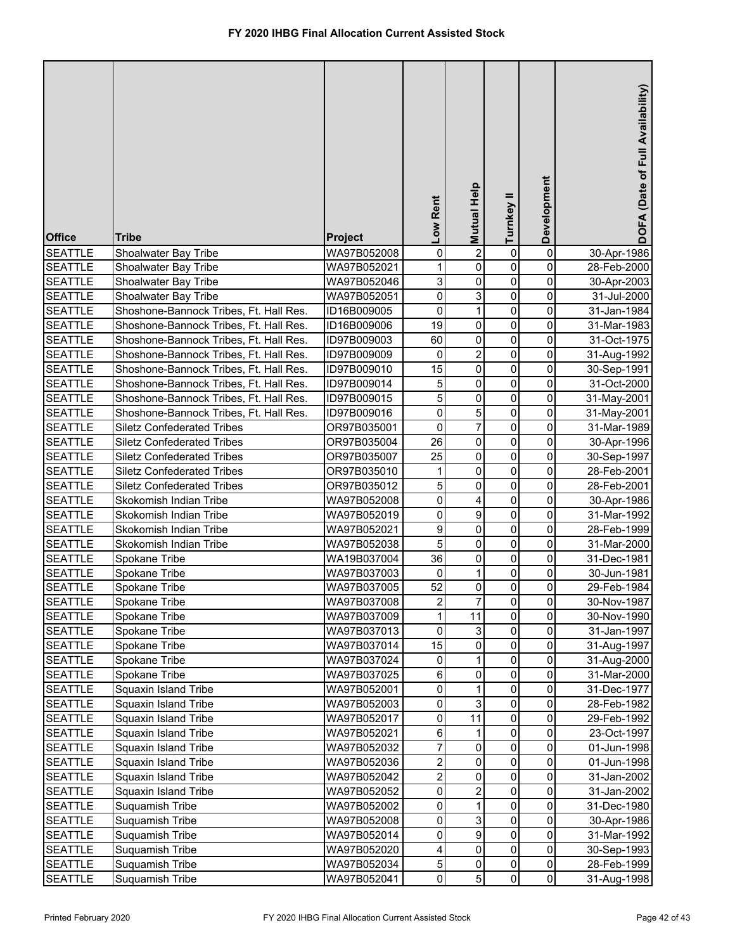| <b>Office</b>  | <b>Tribe</b>                           | <b>Project</b> | Low Rent                | <b>Mutual Help</b>        | Turnkey II  | Development         | DOFA (Date of Full Availability) |
|----------------|----------------------------------------|----------------|-------------------------|---------------------------|-------------|---------------------|----------------------------------|
| <b>SEATTLE</b> | Shoalwater Bay Tribe                   | WA97B052008    | 0                       | $\overline{2}$            | 0           | $\pmb{0}$           | 30-Apr-1986                      |
| <b>SEATTLE</b> | Shoalwater Bay Tribe                   | WA97B052021    | $\mathbf 1$             | 0                         | 0           | 0                   | 28-Feb-2000                      |
| <b>SEATTLE</b> | Shoalwater Bay Tribe                   | WA97B052046    | 3                       | 0                         | $\pmb{0}$   | 0                   | 30-Apr-2003                      |
| <b>SEATTLE</b> | Shoalwater Bay Tribe                   | WA97B052051    | 0                       | 3                         | 0           | 0                   | 31-Jul-2000                      |
| <b>SEATTLE</b> | Shoshone-Bannock Tribes, Ft. Hall Res. | ID16B009005    | 0                       | $\mathbf{1}$              | 0           | 0                   | 31-Jan-1984                      |
| <b>SEATTLE</b> | Shoshone-Bannock Tribes, Ft. Hall Res. | ID16B009006    | 19                      | 0                         | 0           | 0                   | 31-Mar-1983                      |
| <b>SEATTLE</b> | Shoshone-Bannock Tribes, Ft. Hall Res. | ID97B009003    | 60                      | 0                         | $\pmb{0}$   | 0                   | 31-Oct-1975                      |
| <b>SEATTLE</b> | Shoshone-Bannock Tribes, Ft. Hall Res. | ID97B009009    | $\pmb{0}$               | $\overline{c}$            | $\pmb{0}$   | 0                   | 31-Aug-1992                      |
| <b>SEATTLE</b> | Shoshone-Bannock Tribes, Ft. Hall Res. | ID97B009010    | 15                      | 0                         | $\pmb{0}$   | 0                   | 30-Sep-1991                      |
| <b>SEATTLE</b> | Shoshone-Bannock Tribes, Ft. Hall Res. | ID97B009014    | 5                       | 0                         | 0           | 0                   | 31-Oct-2000                      |
| <b>SEATTLE</b> | Shoshone-Bannock Tribes, Ft. Hall Res. | ID97B009015    | 5                       | 0                         | $\pmb{0}$   | 0                   | 31-May-2001                      |
| <b>SEATTLE</b> | Shoshone-Bannock Tribes, Ft. Hall Res. | ID97B009016    | 0                       | 5                         | $\mathbf 0$ | 0                   | 31-May-2001                      |
| <b>SEATTLE</b> | <b>Siletz Confederated Tribes</b>      | OR97B035001    | 0                       | 7                         | $\mathbf 0$ | 0                   | 31-Mar-1989                      |
| <b>SEATTLE</b> | <b>Siletz Confederated Tribes</b>      | OR97B035004    | 26                      | 0                         | $\mathbf 0$ | 0                   | 30-Apr-1996                      |
| <b>SEATTLE</b> | <b>Siletz Confederated Tribes</b>      | OR97B035007    | 25                      | 0                         | $\mathbf 0$ | 0                   | 30-Sep-1997                      |
| <b>SEATTLE</b> | <b>Siletz Confederated Tribes</b>      | OR97B035010    | 1                       | $\mathbf 0$               | $\mathbf 0$ | 0                   | 28-Feb-2001                      |
| <b>SEATTLE</b> | <b>Siletz Confederated Tribes</b>      | OR97B035012    | 5                       | $\mathbf 0$               | $\mathbf 0$ | 0                   | 28-Feb-2001                      |
| <b>SEATTLE</b> | Skokomish Indian Tribe                 | WA97B052008    | 0                       | 4                         | 0           | 0                   | 30-Apr-1986                      |
| <b>SEATTLE</b> | Skokomish Indian Tribe                 | WA97B052019    | 0                       | 9                         | 0           | 0                   | 31-Mar-1992                      |
| <b>SEATTLE</b> | Skokomish Indian Tribe                 | WA97B052021    | 9                       | 0                         | 0           | 0                   | 28-Feb-1999                      |
| <b>SEATTLE</b> | Skokomish Indian Tribe                 | WA97B052038    | 5                       | 0                         | 0           | 0                   | 31-Mar-2000                      |
| <b>SEATTLE</b> | Spokane Tribe                          | WA19B037004    | 36                      | 0                         | 0           | 0                   | 31-Dec-1981                      |
| <b>SEATTLE</b> | Spokane Tribe                          | WA97B037003    | 0                       | 1                         | 0           | 0                   | 30-Jun-1981                      |
| <b>SEATTLE</b> | Spokane Tribe                          | WA97B037005    | 52                      | 0                         | 0           | 0                   | 29-Feb-1984                      |
| <b>SEATTLE</b> | Spokane Tribe                          | WA97B037008    | $\mathbf{2}$            | 7                         | 0           | $\pmb{0}$           | 30-Nov-1987                      |
| <b>SEATTLE</b> | Spokane Tribe                          | WA97B037009    | $\mathbf{1}$            | 11                        | $\mathsf 0$ | 0                   | 30-Nov-1990                      |
| <b>SEATTLE</b> | Spokane Tribe                          | WA97B037013    | 0                       | $\ensuremath{\mathsf{3}}$ | $\pmb{0}$   | 0                   | 31-Jan-1997                      |
| <b>SEATTLE</b> | Spokane Tribe                          | WA97B037014    | 15                      | 0                         | $\mathbf 0$ | 0                   | 31-Aug-1997                      |
| <b>SEATTLE</b> | Spokane Tribe                          | WA97B037024    | 0                       | 1                         | 0           | 0                   | 31-Aug-2000                      |
| <b>SEATTLE</b> | Spokane Tribe                          | WA97B037025    | 6                       | 0                         | 0           | 0                   | 31-Mar-2000                      |
| <b>SEATTLE</b> | Squaxin Island Tribe                   | WA97B052001    | 0                       | 1                         | 0           | 0                   | 31-Dec-1977                      |
| <b>SEATTLE</b> | Squaxin Island Tribe                   | WA97B052003    | $\pmb{0}$               | 3                         | $\pmb{0}$   | $\mathsf{O}\xspace$ | 28-Feb-1982                      |
| <b>SEATTLE</b> | Squaxin Island Tribe                   | WA97B052017    | 0                       | 11                        | 0           | 0                   | 29-Feb-1992                      |
| <b>SEATTLE</b> | Squaxin Island Tribe                   | WA97B052021    | 6                       | 1                         | 0           | 0                   | 23-Oct-1997                      |
| <b>SEATTLE</b> | Squaxin Island Tribe                   | WA97B052032    | $\overline{7}$          | 0                         | 0           | 0                   | 01-Jun-1998                      |
| <b>SEATTLE</b> | Squaxin Island Tribe                   | WA97B052036    | $\overline{\mathbf{c}}$ | 0                         | 0           | 0                   | 01-Jun-1998                      |
| <b>SEATTLE</b> | Squaxin Island Tribe                   | WA97B052042    | $\overline{c}$          | 0                         | 0           | 0                   | 31-Jan-2002                      |
| <b>SEATTLE</b> | Squaxin Island Tribe                   | WA97B052052    | 0                       | $\overline{2}$            | 0           | 0                   | 31-Jan-2002                      |
| <b>SEATTLE</b> | Suquamish Tribe                        | WA97B052002    | 0                       | $\mathbf{1}$              | 0           | 0                   | 31-Dec-1980                      |
| <b>SEATTLE</b> | Suquamish Tribe                        | WA97B052008    | 0                       | 3                         | 0           | $\mathsf{O}\xspace$ | 30-Apr-1986                      |
| <b>SEATTLE</b> | Suquamish Tribe                        | WA97B052014    | 0                       | 9                         | 0           | 0                   | 31-Mar-1992                      |
| <b>SEATTLE</b> | Suquamish Tribe                        | WA97B052020    | 4                       | 0                         | 0           | 0                   | 30-Sep-1993                      |
| <b>SEATTLE</b> | Suquamish Tribe                        | WA97B052034    | $\sqrt{5}$              | 0                         | 0           | $\mathsf{O}\xspace$ | 28-Feb-1999                      |
| <b>SEATTLE</b> | Suquamish Tribe                        | WA97B052041    | $\pmb{0}$               | $\overline{5}$            | 0           | $\overline{0}$      | 31-Aug-1998                      |